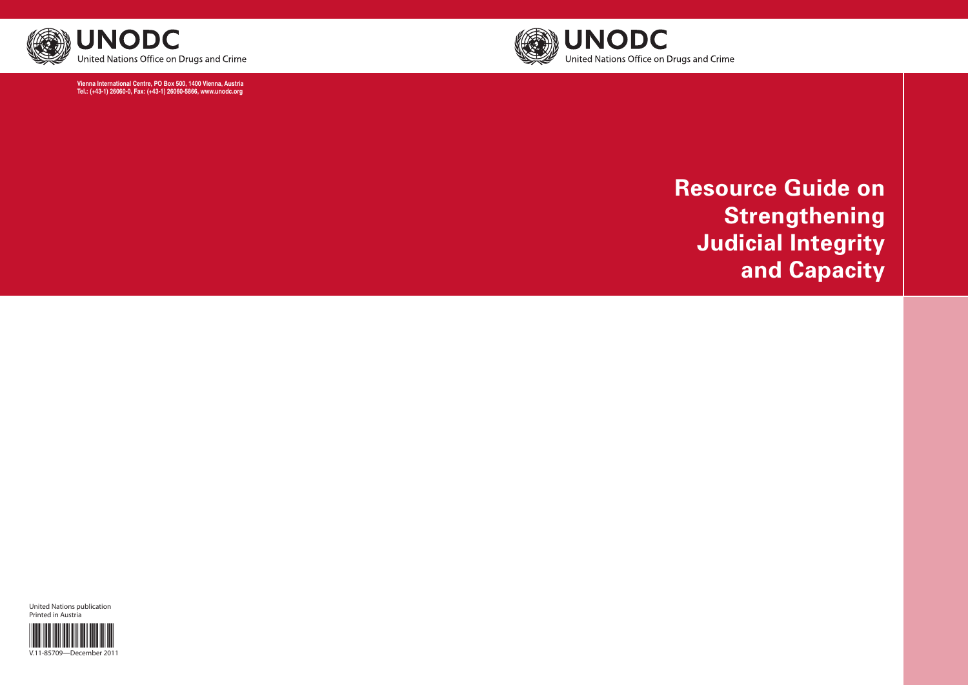

# **Resource Guide on Strengthening Judicial Integrity and Capacity**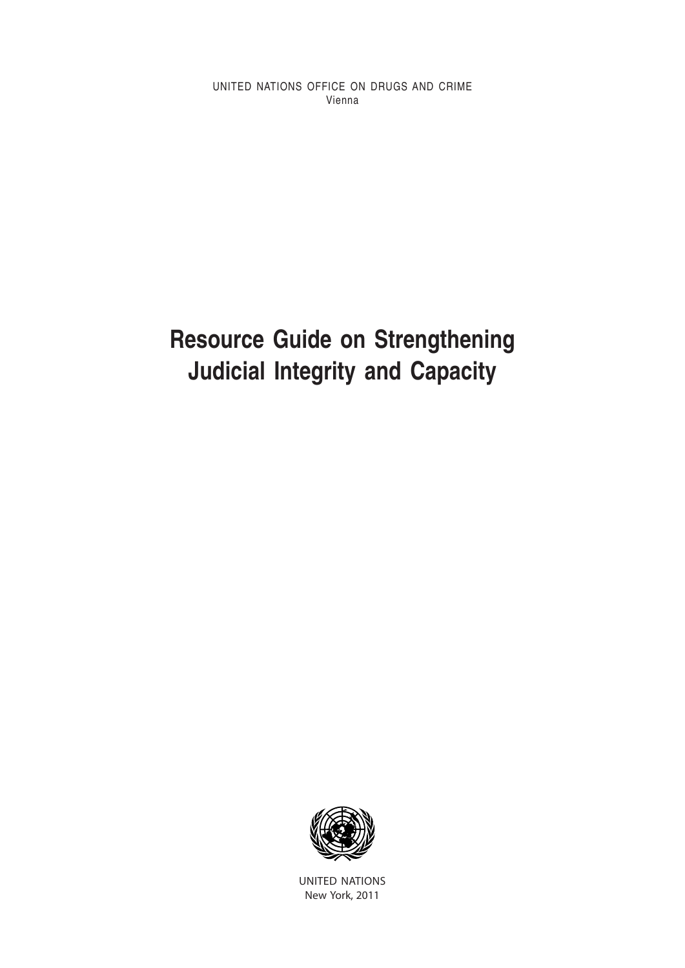UNITED NATIONS OFFICE ON DRUGS AND CRIME Vienna

## **Resource Guide on Strengthening Judicial Integrity and Capacity**



United Nations New York, 2011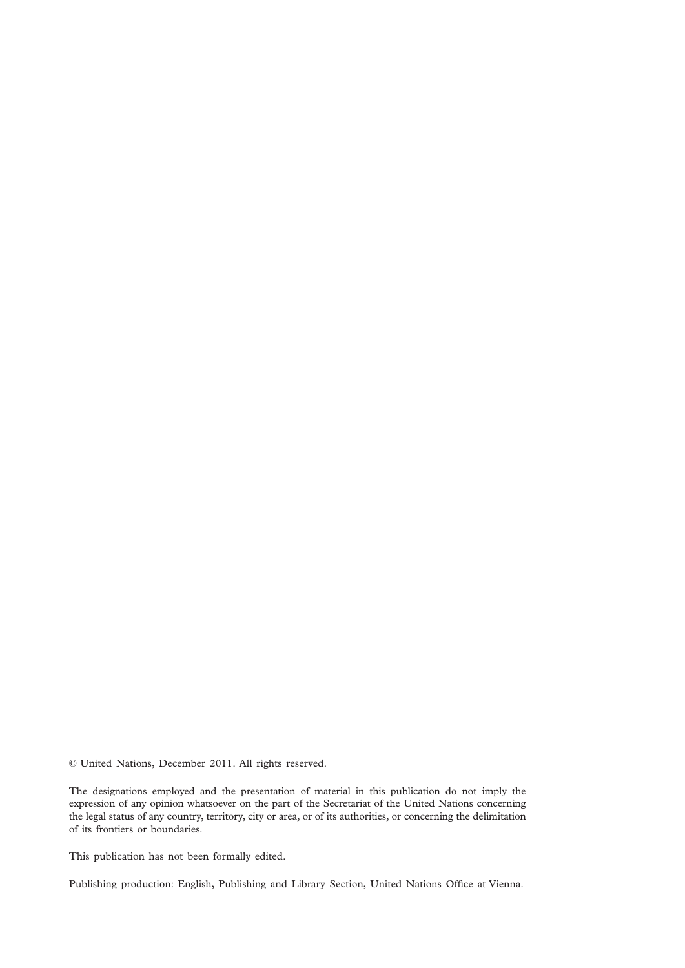© United Nations, December 2011. All rights reserved.

The designations employed and the presentation of material in this publication do not imply the expression of any opinion whatsoever on the part of the Secretariat of the United Nations concerning the legal status of any country, territory, city or area, or of its authorities, or concerning the delimitation of its frontiers or boundaries.

This publication has not been formally edited.

Publishing production: English, Publishing and Library Section, United Nations Office at Vienna.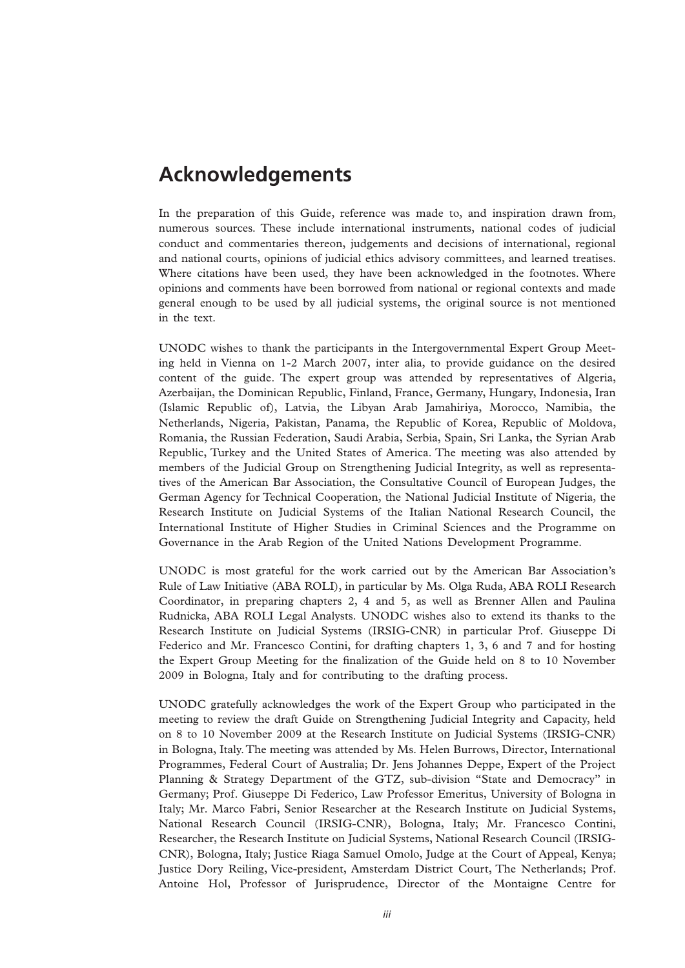## **Acknowledgements**

In the preparation of this Guide, reference was made to, and inspiration drawn from, numerous sources. These include international instruments, national codes of judicial conduct and commentaries thereon, judgements and decisions of international, regional and national courts, opinions of judicial ethics advisory committees, and learned treatises. Where citations have been used, they have been acknowledged in the footnotes. Where opinions and comments have been borrowed from national or regional contexts and made general enough to be used by all judicial systems, the original source is not mentioned in the text.

UNODC wishes to thank the participants in the Intergovernmental Expert Group Meeting held in Vienna on 1-2 March 2007, inter alia, to provide guidance on the desired content of the guide. The expert group was attended by representatives of Algeria, Azerbaijan, the Dominican Republic, Finland, France, Germany, Hungary, Indonesia, Iran (Islamic Republic of), Latvia, the Libyan Arab Jamahiriya, Morocco, Namibia, the Netherlands, Nigeria, Pakistan, Panama, the Republic of Korea, Republic of Moldova, Romania, the Russian Federation, Saudi Arabia, Serbia, Spain, Sri Lanka, the Syrian Arab Republic, Turkey and the United States of America. The meeting was also attended by members of the Judicial Group on Strengthening Judicial Integrity, as well as representatives of the American Bar Association, the Consultative Council of European Judges, the German Agency for Technical Cooperation, the National Judicial Institute of Nigeria, the Research Institute on Judicial Systems of the Italian National Research Council, the International Institute of Higher Studies in Criminal Sciences and the Programme on Governance in the Arab Region of the United Nations Development Programme.

UNODC is most grateful for the work carried out by the American Bar Association's Rule of Law Initiative (ABA ROLI), in particular by Ms. Olga Ruda, ABA ROLI Research Coordinator, in preparing chapters 2, 4 and 5, as well as Brenner Allen and Paulina Rudnicka, ABA ROLI Legal Analysts. UNODC wishes also to extend its thanks to the Research Institute on Judicial Systems (IRSIG-CNR) in particular Prof. Giuseppe Di Federico and Mr. Francesco Contini, for drafting chapters 1, 3, 6 and 7 and for hosting the Expert Group Meeting for the finalization of the Guide held on 8 to 10 November 2009 in Bologna, Italy and for contributing to the drafting process.

UNODC gratefully acknowledges the work of the Expert Group who participated in the meeting to review the draft Guide on Strengthening Judicial Integrity and Capacity, held on 8 to 10 November 2009 at the Research Institute on Judicial Systems (IRSIG-CNR) in Bologna, Italy. The meeting was attended by Ms. Helen Burrows, Director, International Programmes, Federal Court of Australia; Dr. Jens Johannes Deppe, Expert of the Project Planning & Strategy Department of the GTZ, sub-division "State and Democracy" in Germany; Prof. Giuseppe Di Federico, Law Professor Emeritus, University of Bologna in Italy; Mr. Marco Fabri, Senior Researcher at the Research Institute on Judicial Systems, National Research Council (IRSIG-CNR), Bologna, Italy; Mr. Francesco Contini, Researcher, the Research Institute on Judicial Systems, National Research Council (IRSIG-CNR), Bologna, Italy; Justice Riaga Samuel Omolo, Judge at the Court of Appeal, Kenya; Justice Dory Reiling, Vice-president, Amsterdam District Court, The Netherlands; Prof. Antoine Hol, Professor of Jurisprudence, Director of the Montaigne Centre for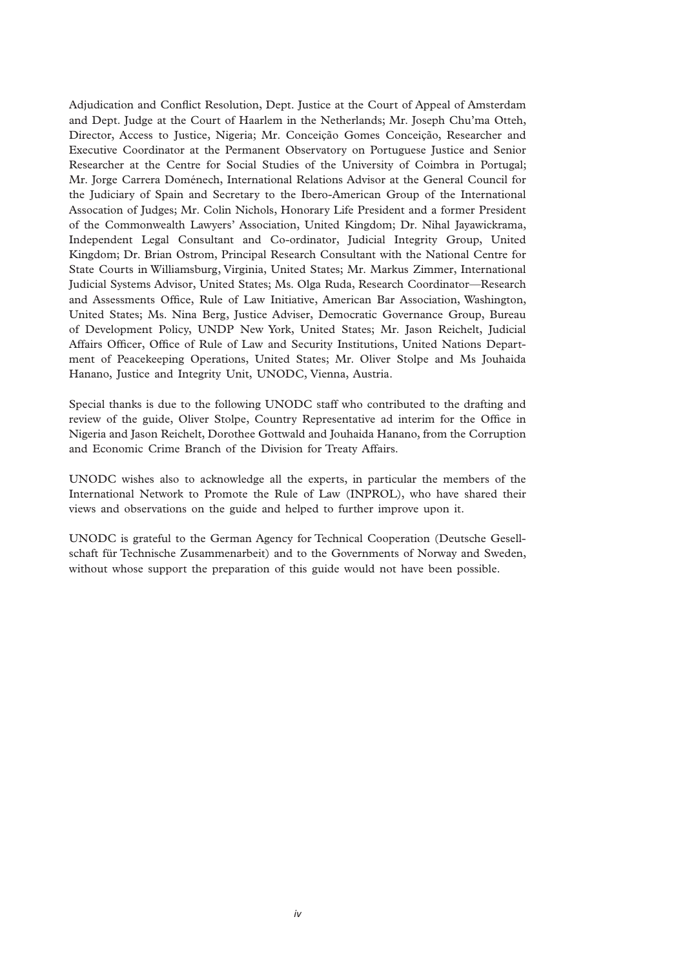Adjudication and Conflict Resolution, Dept. Justice at the Court of Appeal of Amsterdam and Dept. Judge at the Court of Haarlem in the Netherlands; Mr. Joseph Chu'ma Otteh, Director, Access to Justice, Nigeria; Mr. Conceição Gomes Conceição, Researcher and Executive Coordinator at the Permanent Observatory on Portuguese Justice and Senior Researcher at the Centre for Social Studies of the University of Coimbra in Portugal; Mr. Jorge Carrera Doménech, International Relations Advisor at the General Council for the Judiciary of Spain and Secretary to the Ibero-American Group of the International Assocation of Judges; Mr. Colin Nichols, Honorary Life President and a former President of the Commonwealth Lawyers' Association, United Kingdom; Dr. Nihal Jayawickrama, Independent Legal Consultant and Co-ordinator, Judicial Integrity Group, United Kingdom; Dr. Brian Ostrom, Principal Research Consultant with the National Centre for State Courts in Williamsburg, Virginia, United States; Mr. Markus Zimmer, International Judicial Systems Advisor, United States; Ms. Olga Ruda, Research Coordinator—Research and Assessments Office, Rule of Law Initiative, American Bar Association, Washington, United States; Ms. Nina Berg, Justice Adviser, Democratic Governance Group, Bureau of Development Policy, UNDP New York, United States; Mr. Jason Reichelt, Judicial Affairs Officer, Office of Rule of Law and Security Institutions, United Nations Department of Peacekeeping Operations, United States; Mr. Oliver Stolpe and Ms Jouhaida Hanano, Justice and Integrity Unit, UNODC, Vienna, Austria.

Special thanks is due to the following UNODC staff who contributed to the drafting and review of the guide, Oliver Stolpe, Country Representative ad interim for the Office in Nigeria and Jason Reichelt, Dorothee Gottwald and Jouhaida Hanano, from the Corruption and Economic Crime Branch of the Division for Treaty Affairs.

UNODC wishes also to acknowledge all the experts, in particular the members of the International Network to Promote the Rule of Law (INPROL), who have shared their views and observations on the guide and helped to further improve upon it.

UNODC is grateful to the German Agency for Technical Cooperation (Deutsche Gesellschaft für Technische Zusammenarbeit) and to the Governments of Norway and Sweden, without whose support the preparation of this guide would not have been possible.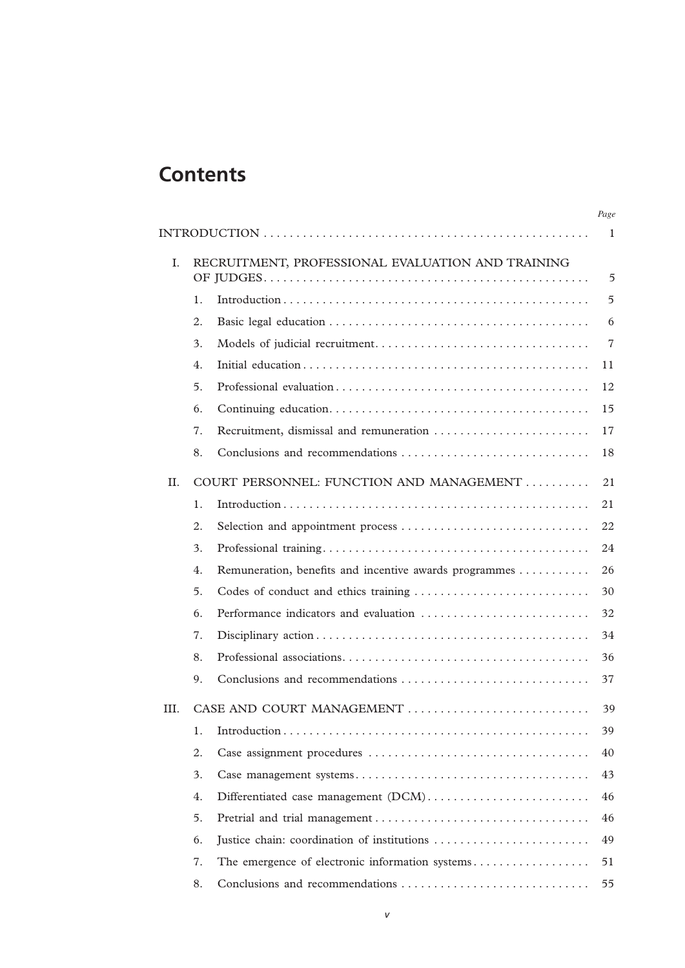## **Contents**

|                |                                                   |                                                        | Page           |
|----------------|---------------------------------------------------|--------------------------------------------------------|----------------|
|                |                                                   |                                                        |                |
| $\mathbf{I}$ . | RECRUITMENT, PROFESSIONAL EVALUATION AND TRAINING |                                                        |                |
|                |                                                   |                                                        | 5              |
|                | 1.                                                |                                                        | 5              |
|                | 2.                                                |                                                        | 6              |
|                | 3.                                                |                                                        | $\overline{7}$ |
|                | 4.                                                |                                                        | 11             |
|                | 5.                                                |                                                        | 12             |
|                | 6.                                                |                                                        | 15             |
|                | 7.                                                | Recruitment, dismissal and remuneration                | 17             |
|                | 8.                                                | Conclusions and recommendations                        | 18             |
| H.             |                                                   | COURT PERSONNEL: FUNCTION AND MANAGEMENT               | 21             |
|                | 1.                                                |                                                        | 21             |
|                | 2.                                                | Selection and appointment process                      | 22             |
|                | 3.                                                |                                                        | 24             |
|                | 4.                                                | Remuneration, benefits and incentive awards programmes | 26             |
|                | 5.                                                | Codes of conduct and ethics training                   | 30             |
|                | 6.                                                | Performance indicators and evaluation                  | 32             |
|                | 7.                                                |                                                        | 34             |
|                | 8.                                                |                                                        | 36             |
|                | 9.                                                |                                                        | 37             |
| III.           | CASE AND COURT MANAGEMENT                         |                                                        |                |
|                | 1.                                                |                                                        | 39             |
|                | 2.                                                |                                                        | 40             |
|                | 3.                                                |                                                        | 43             |
|                | 4.                                                | Differentiated case management (DCM)                   | 46             |
|                | 5.                                                |                                                        | 46             |
|                | 6.                                                | Justice chain: coordination of institutions            | 49             |
|                | 7.                                                | The emergence of electronic information systems        | 51             |
|                | 8.                                                | Conclusions and recommendations                        | 55             |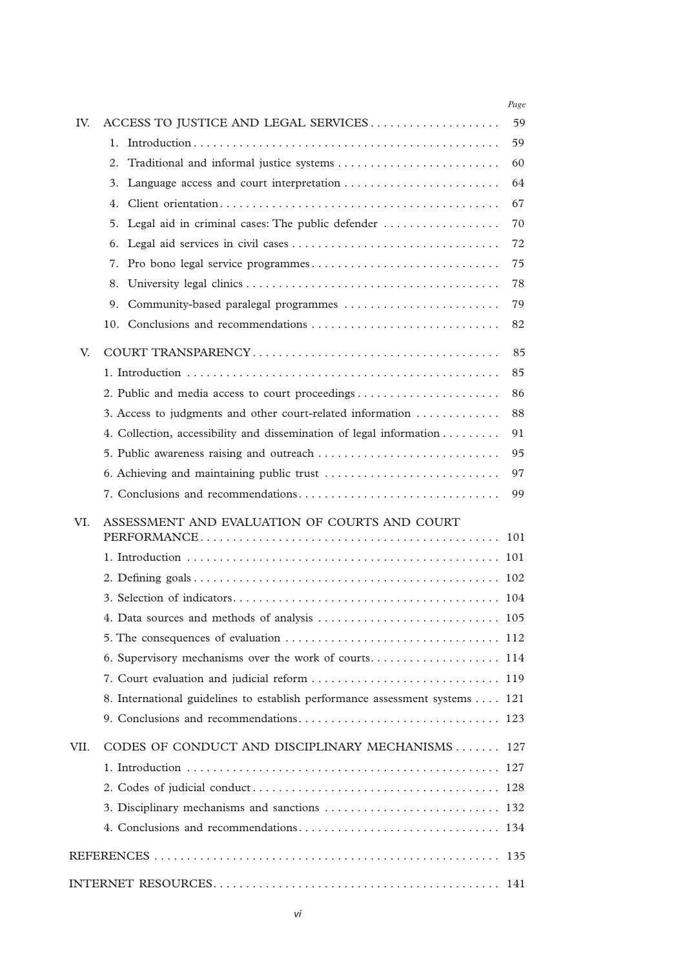|      |                                                                             | Page |
|------|-----------------------------------------------------------------------------|------|
| IV.  | ACCESS TO JUSTICE AND LEGAL SERVICES                                        | 59   |
|      | $1_{-}$                                                                     | 59   |
|      | 2.                                                                          | 60   |
|      | 3.                                                                          | 64   |
|      | 4.                                                                          | 67   |
|      | Legal aid in criminal cases: The public defender<br>5.                      | 70   |
|      | 6.                                                                          | 72   |
|      | Pro bono legal service programmes<br>7.                                     | 75   |
|      | 8.                                                                          | 78   |
|      | Community-based paralegal programmes<br>9.                                  | 79   |
|      |                                                                             | 82   |
| V.   |                                                                             | 85   |
|      |                                                                             | 85   |
|      |                                                                             | 86   |
|      | 3. Access to judgments and other court-related information                  | 88   |
|      | 4. Collection, accessibility and dissemination of legal information         | 91   |
|      | 5. Public awareness raising and outreach                                    | 95   |
|      |                                                                             | 97   |
|      |                                                                             | 99   |
| VI.  | ASSESSMENT AND EVALUATION OF COURTS AND COURT                               | 101  |
|      |                                                                             | 101  |
|      |                                                                             |      |
|      |                                                                             |      |
|      |                                                                             |      |
|      |                                                                             |      |
|      |                                                                             |      |
|      |                                                                             |      |
|      | 8. International guidelines to establish performance assessment systems 121 |      |
|      |                                                                             |      |
| VII. | CODES OF CONDUCT AND DISCIPLINARY MECHANISMS 127                            |      |
|      |                                                                             |      |
|      |                                                                             |      |
|      |                                                                             |      |
|      |                                                                             |      |
|      |                                                                             |      |
|      |                                                                             | 141  |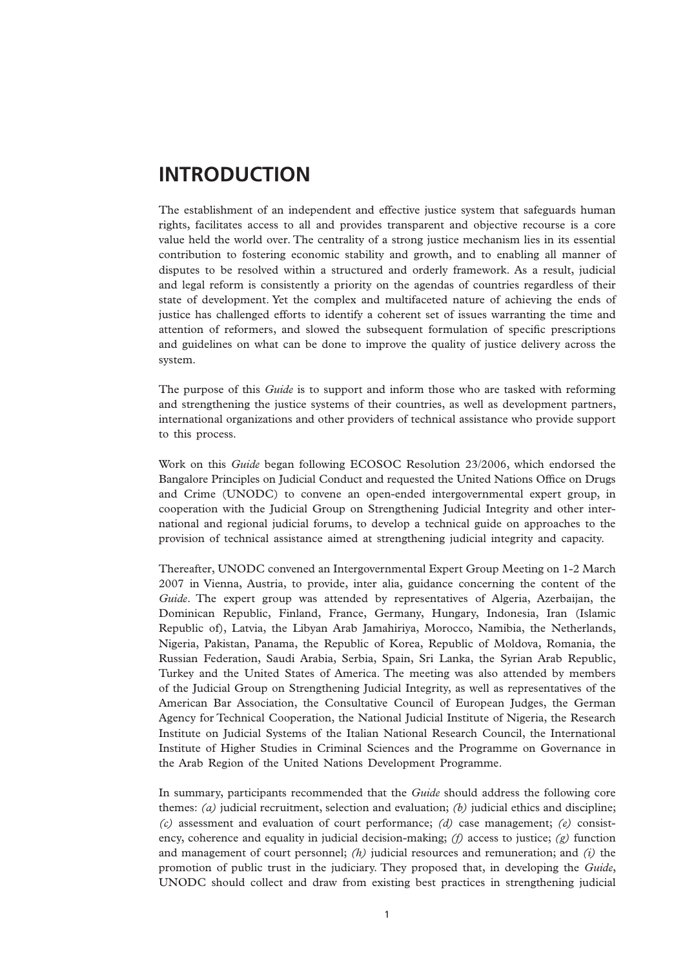## **INTRODUCTION**

The establishment of an independent and effective justice system that safeguards human rights, facilitates access to all and provides transparent and objective recourse is a core value held the world over. The centrality of a strong justice mechanism lies in its essential contribution to fostering economic stability and growth, and to enabling all manner of disputes to be resolved within a structured and orderly framework. As a result, judicial and legal reform is consistently a priority on the agendas of countries regardless of their state of development. Yet the complex and multifaceted nature of achieving the ends of justice has challenged efforts to identify a coherent set of issues warranting the time and attention of reformers, and slowed the subsequent formulation of specific prescriptions and guidelines on what can be done to improve the quality of justice delivery across the system.

The purpose of this *Guide* is to support and inform those who are tasked with reforming and strengthening the justice systems of their countries, as well as development partners, international organizations and other providers of technical assistance who provide support to this process.

Work on this *Guide* began following ECOSOC Resolution 23/2006, which endorsed the Bangalore Principles on Judicial Conduct and requested the United Nations Office on Drugs and Crime (UNODC) to convene an open-ended intergovernmental expert group, in cooperation with the Judicial Group on Strengthening Judicial Integrity and other international and regional judicial forums, to develop a technical guide on approaches to the provision of technical assistance aimed at strengthening judicial integrity and capacity.

Thereafter, UNODC convened an Intergovernmental Expert Group Meeting on 1-2 March 2007 in Vienna, Austria, to provide, inter alia, guidance concerning the content of the *Guide*. The expert group was attended by representatives of Algeria, Azerbaijan, the Dominican Republic, Finland, France, Germany, Hungary, Indonesia, Iran (Islamic Republic of), Latvia, the Libyan Arab Jamahiriya, Morocco, Namibia, the Netherlands, Nigeria, Pakistan, Panama, the Republic of Korea, Republic of Moldova, Romania, the Russian Federation, Saudi Arabia, Serbia, Spain, Sri Lanka, the Syrian Arab Republic, Turkey and the United States of America. The meeting was also attended by members of the Judicial Group on Strengthening Judicial Integrity, as well as representatives of the American Bar Association, the Consultative Council of European Judges, the German Agency for Technical Cooperation, the National Judicial Institute of Nigeria, the Research Institute on Judicial Systems of the Italian National Research Council, the International Institute of Higher Studies in Criminal Sciences and the Programme on Governance in the Arab Region of the United Nations Development Programme.

In summary, participants recommended that the *Guide* should address the following core themes: *(a)* judicial recruitment, selection and evaluation; *(b)* judicial ethics and discipline; *(c)* assessment and evaluation of court performance; *(d)* case management; *(e)* consistency, coherence and equality in judicial decision-making; *(f)* access to justice; *(g)* function and management of court personnel; *(h)* judicial resources and remuneration; and *(i)* the promotion of public trust in the judiciary. They proposed that, in developing the *Guide*, UNODC should collect and draw from existing best practices in strengthening judicial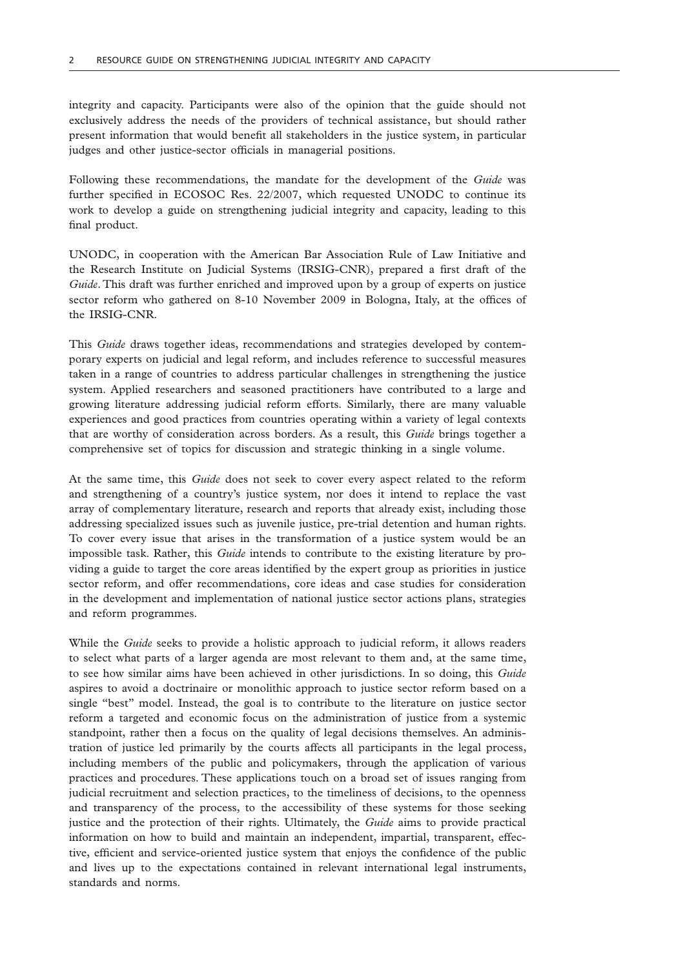integrity and capacity. Participants were also of the opinion that the guide should not exclusively address the needs of the providers of technical assistance, but should rather present information that would benefit all stakeholders in the justice system, in particular judges and other justice-sector officials in managerial positions.

Following these recommendations, the mandate for the development of the *Guide* was further specified in ECOSOC Res. 22/2007, which requested UNODC to continue its work to develop a guide on strengthening judicial integrity and capacity, leading to this final product.

UNODC, in cooperation with the American Bar Association Rule of Law Initiative and the Research Institute on Judicial Systems (IRSIG-CNR), prepared a first draft of the *Guide*. This draft was further enriched and improved upon by a group of experts on justice sector reform who gathered on 8-10 November 2009 in Bologna, Italy, at the offices of the IRSIG-CNR.

This *Guide* draws together ideas, recommendations and strategies developed by contemporary experts on judicial and legal reform, and includes reference to successful measures taken in a range of countries to address particular challenges in strengthening the justice system. Applied researchers and seasoned practitioners have contributed to a large and growing literature addressing judicial reform efforts. Similarly, there are many valuable experiences and good practices from countries operating within a variety of legal contexts that are worthy of consideration across borders. As a result, this *Guide* brings together a comprehensive set of topics for discussion and strategic thinking in a single volume.

At the same time, this *Guide* does not seek to cover every aspect related to the reform and strengthening of a country's justice system, nor does it intend to replace the vast array of complementary literature, research and reports that already exist, including those addressing specialized issues such as juvenile justice, pre-trial detention and human rights. To cover every issue that arises in the transformation of a justice system would be an impossible task. Rather, this *Guide* intends to contribute to the existing literature by providing a guide to target the core areas identified by the expert group as priorities in justice sector reform, and offer recommendations, core ideas and case studies for consideration in the development and implementation of national justice sector actions plans, strategies and reform programmes.

While the *Guide* seeks to provide a holistic approach to judicial reform, it allows readers to select what parts of a larger agenda are most relevant to them and, at the same time, to see how similar aims have been achieved in other jurisdictions. In so doing, this *Guide* aspires to avoid a doctrinaire or monolithic approach to justice sector reform based on a single "best" model. Instead, the goal is to contribute to the literature on justice sector reform a targeted and economic focus on the administration of justice from a systemic standpoint, rather then a focus on the quality of legal decisions themselves. An administration of justice led primarily by the courts affects all participants in the legal process, including members of the public and policymakers, through the application of various practices and procedures. These applications touch on a broad set of issues ranging from judicial recruitment and selection practices, to the timeliness of decisions, to the openness and transparency of the process, to the accessibility of these systems for those seeking justice and the protection of their rights. Ultimately, the *Guide* aims to provide practical information on how to build and maintain an independent, impartial, transparent, effective, efficient and service-oriented justice system that enjoys the confidence of the public and lives up to the expectations contained in relevant international legal instruments, standards and norms.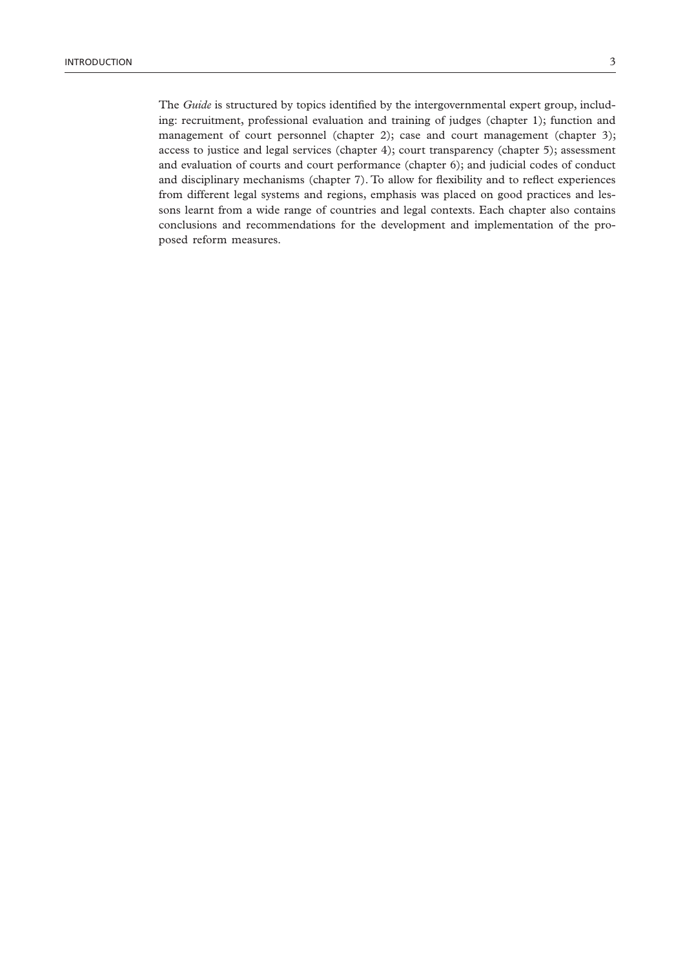The *Guide* is structured by topics identified by the intergovernmental expert group, including: recruitment, professional evaluation and training of judges (chapter 1); function and management of court personnel (chapter 2); case and court management (chapter 3); access to justice and legal services (chapter 4); court transparency (chapter 5); assessment and evaluation of courts and court performance (chapter 6); and judicial codes of conduct and disciplinary mechanisms (chapter 7). To allow for flexibility and to reflect experiences from different legal systems and regions, emphasis was placed on good practices and lessons learnt from a wide range of countries and legal contexts. Each chapter also contains conclusions and recommendations for the development and implementation of the proposed reform measures.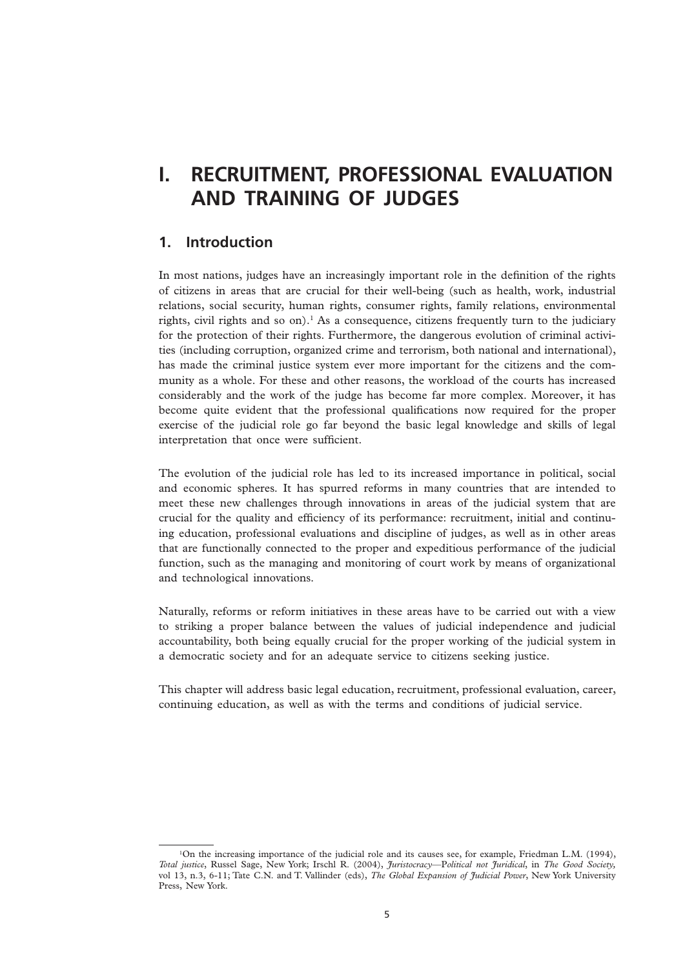## **I. RECRUITMENT, PROFESSIONAL EVALUATION AND TRAINING OF JUDGES**

## **1. Introduction**

In most nations, judges have an increasingly important role in the definition of the rights of citizens in areas that are crucial for their well-being (such as health, work, industrial relations, social security, human rights, consumer rights, family relations, environmental rights, civil rights and so on).<sup>1</sup> As a consequence, citizens frequently turn to the judiciary for the protection of their rights. Furthermore, the dangerous evolution of criminal activities (including corruption, organized crime and terrorism, both national and international), has made the criminal justice system ever more important for the citizens and the community as a whole. For these and other reasons, the workload of the courts has increased considerably and the work of the judge has become far more complex. Moreover, it has become quite evident that the professional qualifications now required for the proper exercise of the judicial role go far beyond the basic legal knowledge and skills of legal interpretation that once were sufficient.

The evolution of the judicial role has led to its increased importance in political, social and economic spheres. It has spurred reforms in many countries that are intended to meet these new challenges through innovations in areas of the judicial system that are crucial for the quality and efficiency of its performance: recruitment, initial and continuing education, professional evaluations and discipline of judges, as well as in other areas that are functionally connected to the proper and expeditious performance of the judicial function, such as the managing and monitoring of court work by means of organizational and technological innovations.

Naturally, reforms or reform initiatives in these areas have to be carried out with a view to striking a proper balance between the values of judicial independence and judicial accountability, both being equally crucial for the proper working of the judicial system in a democratic society and for an adequate service to citizens seeking justice.

This chapter will address basic legal education, recruitment, professional evaluation, career, continuing education, as well as with the terms and conditions of judicial service.

<sup>&</sup>lt;sup>1</sup>On the increasing importance of the judicial role and its causes see, for example, Friedman L.M. (1994), *Total justice*, Russel Sage, New York; Irschl R. (2004), *Juristocracy*—P*olitical not Juridical*, in *The Good Society,* vol 13, n.3, 6-11; Tate C.N. and T. Vallinder (eds), *The Global Expansion of Judicial Power*, New York University Press, New York.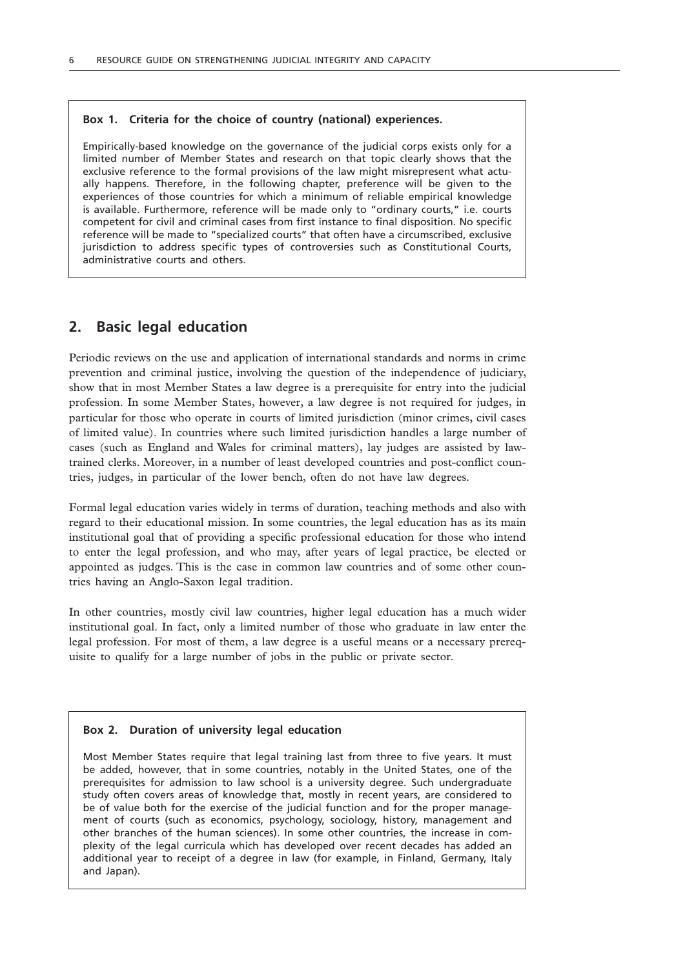## **Box 1. Criteria for the choice of country (national) experiences.**

Empirically-based knowledge on the governance of the judicial corps exists only for a limited number of Member States and research on that topic clearly shows that the exclusive reference to the formal provisions of the law might misrepresent what actually happens. Therefore, in the following chapter, preference will be given to the experiences of those countries for which a minimum of reliable empirical knowledge is available. Furthermore, reference will be made only to "ordinary courts," i.e. courts competent for civil and criminal cases from first instance to final disposition. No specific reference will be made to "specialized courts" that often have a circumscribed, exclusive jurisdiction to address specific types of controversies such as Constitutional Courts, administrative courts and others.

## **2. Basic legal education**

Periodic reviews on the use and application of international standards and norms in crime prevention and criminal justice, involving the question of the independence of judiciary, show that in most Member States a law degree is a prerequisite for entry into the judicial profession. In some Member States, however, a law degree is not required for judges, in particular for those who operate in courts of limited jurisdiction (minor crimes, civil cases of limited value). In countries where such limited jurisdiction handles a large number of cases (such as England and Wales for criminal matters), lay judges are assisted by lawtrained clerks. Moreover, in a number of least developed countries and post-conflict countries, judges, in particular of the lower bench, often do not have law degrees.

Formal legal education varies widely in terms of duration, teaching methods and also with regard to their educational mission. In some countries, the legal education has as its main institutional goal that of providing a specific professional education for those who intend to enter the legal profession, and who may, after years of legal practice, be elected or appointed as judges. This is the case in common law countries and of some other countries having an Anglo-Saxon legal tradition.

In other countries, mostly civil law countries, higher legal education has a much wider institutional goal. In fact, only a limited number of those who graduate in law enter the legal profession. For most of them, a law degree is a useful means or a necessary prerequisite to qualify for a large number of jobs in the public or private sector.

### **Box 2. Duration of university legal education**

Most Member States require that legal training last from three to five years. It must be added, however, that in some countries, notably in the United States, one of the prerequisites for admission to law school is a university degree. Such undergraduate study often covers areas of knowledge that, mostly in recent years, are considered to be of value both for the exercise of the judicial function and for the proper management of courts (such as economics, psychology, sociology, history, management and other branches of the human sciences). In some other countries, the increase in complexity of the legal curricula which has developed over recent decades has added an additional year to receipt of a degree in law (for example, in Finland, Germany, Italy and Japan).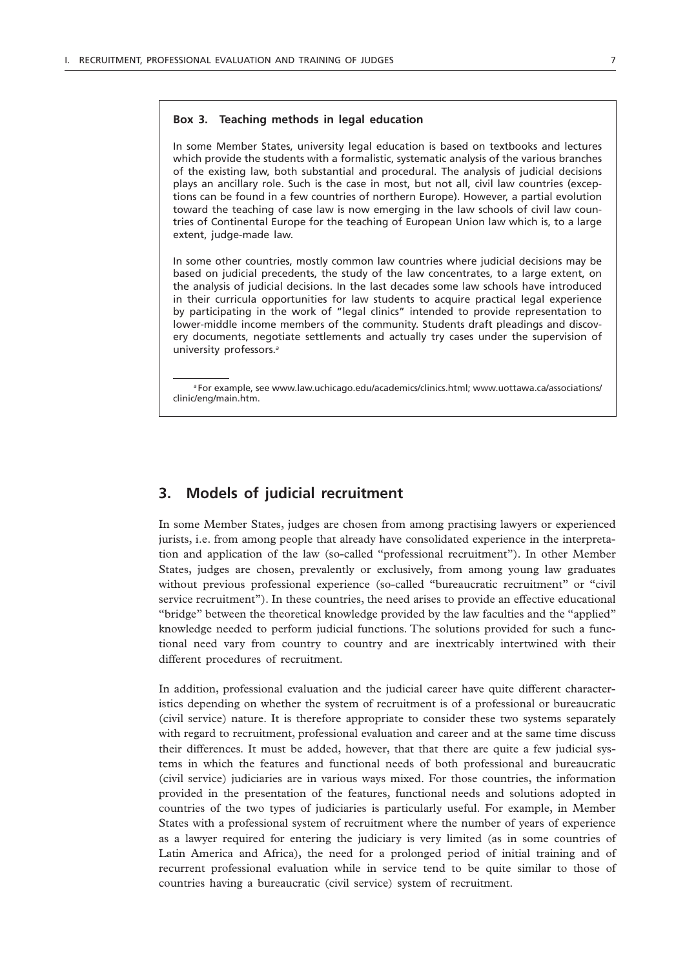#### **Box 3. Teaching methods in legal education**

In some Member States, university legal education is based on textbooks and lectures which provide the students with a formalistic, systematic analysis of the various branches of the existing law, both substantial and procedural. The analysis of judicial decisions plays an ancillary role. Such is the case in most, but not all, civil law countries (exceptions can be found in a few countries of northern Europe). However, a partial evolution toward the teaching of case law is now emerging in the law schools of civil law countries of Continental Europe for the teaching of European Union law which is, to a large extent, judge-made law.

In some other countries, mostly common law countries where judicial decisions may be based on judicial precedents, the study of the law concentrates, to a large extent, on the analysis of judicial decisions. In the last decades some law schools have introduced in their curricula opportunities for law students to acquire practical legal experience by participating in the work of "legal clinics" intended to provide representation to lower-middle income members of the community. Students draft pleadings and discovery documents, negotiate settlements and actually try cases under the supervision of university professors.*<sup>a</sup>*

*<sup>a</sup>* For example, see www.law.uchicago.edu/academics/clinics.html; www.uottawa.ca/associations/ clinic/eng/main.htm.

## **3. Models of judicial recruitment**

In some Member States, judges are chosen from among practising lawyers or experienced jurists, i.e. from among people that already have consolidated experience in the interpretation and application of the law (so-called "professional recruitment"). In other Member States, judges are chosen, prevalently or exclusively, from among young law graduates without previous professional experience (so-called "bureaucratic recruitment" or "civil service recruitment"). In these countries, the need arises to provide an effective educational "bridge" between the theoretical knowledge provided by the law faculties and the "applied" knowledge needed to perform judicial functions. The solutions provided for such a functional need vary from country to country and are inextricably intertwined with their different procedures of recruitment.

In addition, professional evaluation and the judicial career have quite different characteristics depending on whether the system of recruitment is of a professional or bureaucratic (civil service) nature. It is therefore appropriate to consider these two systems separately with regard to recruitment, professional evaluation and career and at the same time discuss their differences. It must be added, however, that that there are quite a few judicial systems in which the features and functional needs of both professional and bureaucratic (civil service) judiciaries are in various ways mixed. For those countries, the information provided in the presentation of the features, functional needs and solutions adopted in countries of the two types of judiciaries is particularly useful. For example, in Member States with a professional system of recruitment where the number of years of experience as a lawyer required for entering the judiciary is very limited (as in some countries of Latin America and Africa), the need for a prolonged period of initial training and of recurrent professional evaluation while in service tend to be quite similar to those of countries having a bureaucratic (civil service) system of recruitment.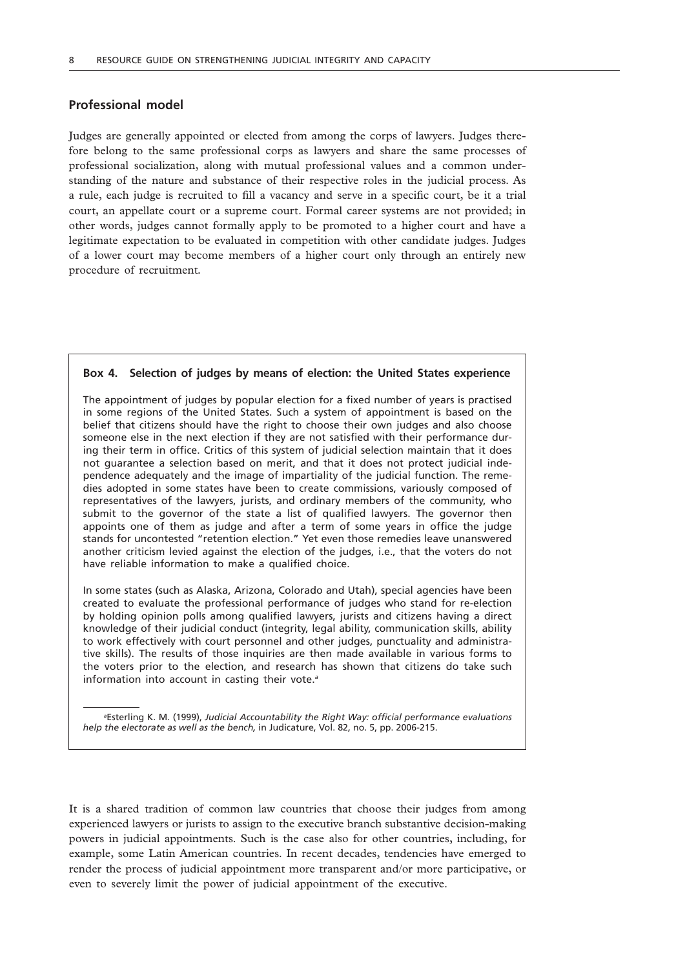## **Professional model**

Judges are generally appointed or elected from among the corps of lawyers. Judges therefore belong to the same professional corps as lawyers and share the same processes of professional socialization, along with mutual professional values and a common understanding of the nature and substance of their respective roles in the judicial process. As a rule, each judge is recruited to fill a vacancy and serve in a specific court, be it a trial court, an appellate court or a supreme court. Formal career systems are not provided; in other words, judges cannot formally apply to be promoted to a higher court and have a legitimate expectation to be evaluated in competition with other candidate judges. Judges of a lower court may become members of a higher court only through an entirely new procedure of recruitment*.*

### **Box 4. Selection of judges by means of election: the United States experience**

The appointment of judges by popular election for a fixed number of years is practised in some regions of the United States. Such a system of appointment is based on the belief that citizens should have the right to choose their own judges and also choose someone else in the next election if they are not satisfied with their performance during their term in office. Critics of this system of judicial selection maintain that it does not guarantee a selection based on merit, and that it does not protect judicial independence adequately and the image of impartiality of the judicial function. The remedies adopted in some states have been to create commissions, variously composed of representatives of the lawyers, jurists, and ordinary members of the community, who submit to the governor of the state a list of qualified lawyers. The governor then appoints one of them as judge and after a term of some years in office the judge stands for uncontested "retention election." Yet even those remedies leave unanswered another criticism levied against the election of the judges, i.e., that the voters do not have reliable information to make a qualified choice.

In some states (such as Alaska, Arizona, Colorado and Utah), special agencies have been created to evaluate the professional performance of judges who stand for re-election by holding opinion polls among qualified lawyers, jurists and citizens having a direct knowledge of their judicial conduct (integrity, legal ability, communication skills, ability to work effectively with court personnel and other judges, punctuality and administrative skills). The results of those inquiries are then made available in various forms to the voters prior to the election, and research has shown that citizens do take such information into account in casting their vote.*<sup>a</sup>*

*a* Esterling K. M. (1999), *Judicial Accountability the Right Way: official performance evaluations help the electorate as well as the bench,* in Judicature, Vol. 82, no. 5, pp. 2006-215.

It is a shared tradition of common law countries that choose their judges from among experienced lawyers or jurists to assign to the executive branch substantive decision-making powers in judicial appointments. Such is the case also for other countries, including, for example, some Latin American countries. In recent decades, tendencies have emerged to render the process of judicial appointment more transparent and/or more participative, or even to severely limit the power of judicial appointment of the executive.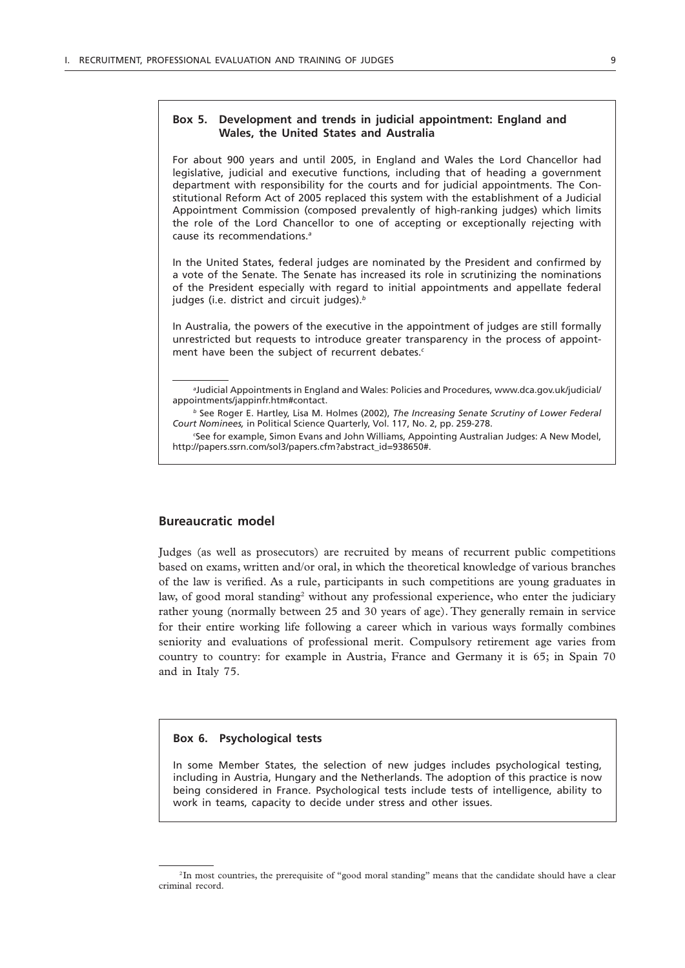## **Box 5. Development and trends in judicial appointment: England and Wales, the United States and Australia**

For about 900 years and until 2005, in England and Wales the Lord Chancellor had legislative, judicial and executive functions, including that of heading a government department with responsibility for the courts and for judicial appointments. The Constitutional Reform Act of 2005 replaced this system with the establishment of a Judicial Appointment Commission (composed prevalently of high-ranking judges) which limits the role of the Lord Chancellor to one of accepting or exceptionally rejecting with cause its recommendations.*<sup>a</sup>*

In the United States, federal judges are nominated by the President and confirmed by a vote of the Senate. The Senate has increased its role in scrutinizing the nominations of the President especially with regard to initial appointments and appellate federal judges (i.e. district and circuit judges).*<sup>b</sup>*

In Australia, the powers of the executive in the appointment of judges are still formally unrestricted but requests to introduce greater transparency in the process of appointment have been the subject of recurrent debates.*<sup>c</sup>*

## **Bureaucratic model**

Judges (as well as prosecutors) are recruited by means of recurrent public competitions based on exams, written and/or oral, in which the theoretical knowledge of various branches of the law is verified. As a rule, participants in such competitions are young graduates in law, of good moral standing<sup>2</sup> without any professional experience, who enter the judiciary rather young (normally between 25 and 30 years of age). They generally remain in service for their entire working life following a career which in various ways formally combines seniority and evaluations of professional merit. Compulsory retirement age varies from country to country: for example in Austria, France and Germany it is 65; in Spain 70 and in Italy 75.

#### **Box 6. Psychological tests**

In some Member States, the selection of new judges includes psychological testing, including in Austria, Hungary and the Netherlands. The adoption of this practice is now being considered in France. Psychological tests include tests of intelligence, ability to work in teams, capacity to decide under stress and other issues.

*a* Judicial Appointments in England and Wales: Policies and Procedures, www.dca.gov.uk/judicial/ appointments/jappinfr.htm#contact.

*<sup>b</sup>* See Roger E. Hartley, Lisa M. Holmes (2002), *The Increasing Senate Scrutiny of Lower Federal Court Nominees,* in Political Science Quarterly, Vol. 117, No. 2, pp. 259-278.

*c* See for example, Simon Evans and John Williams, Appointing Australian Judges: A New Model, http://papers.ssrn.com/sol3/papers.cfm?abstract\_id=938650#.

<sup>&</sup>lt;sup>2</sup>In most countries, the prerequisite of "good moral standing" means that the candidate should have a clear criminal record.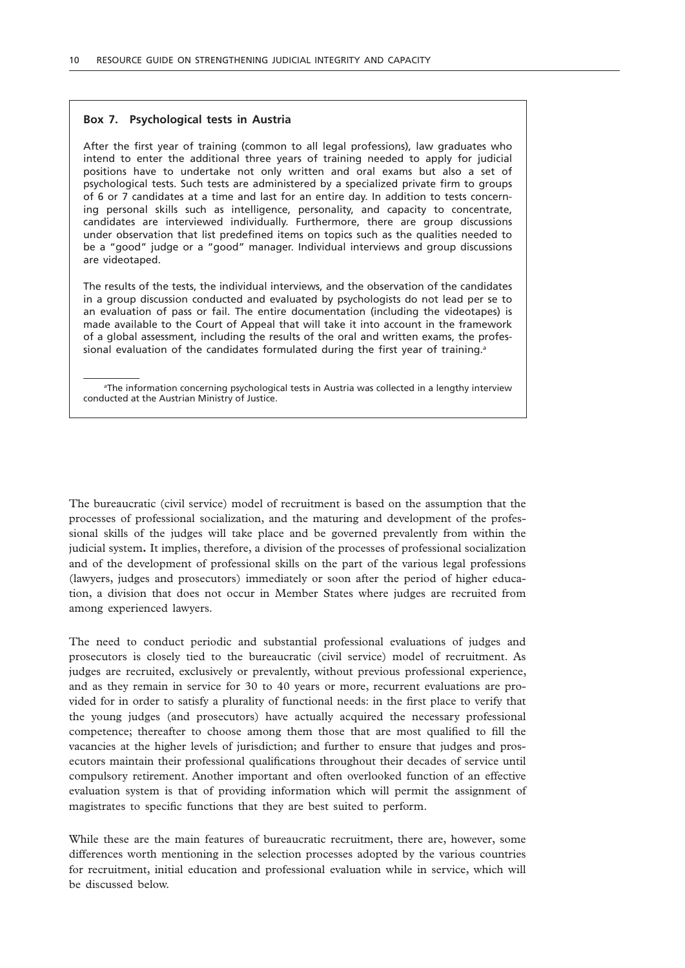### **Box 7. Psychological tests in Austria**

After the first year of training (common to all legal professions), law graduates who intend to enter the additional three years of training needed to apply for judicial positions have to undertake not only written and oral exams but also a set of psychological tests. Such tests are administered by a specialized private firm to groups of 6 or 7 candidates at a time and last for an entire day. In addition to tests concerning personal skills such as intelligence, personality, and capacity to concentrate, candidates are interviewed individually. Furthermore, there are group discussions under observation that list predefined items on topics such as the qualities needed to be a "good" judge or a "good" manager. Individual interviews and group discussions are videotaped.

The results of the tests, the individual interviews, and the observation of the candidates in a group discussion conducted and evaluated by psychologists do not lead per se to an evaluation of pass or fail. The entire documentation (including the videotapes) is made available to the Court of Appeal that will take it into account in the framework of a global assessment, including the results of the oral and written exams, the professional evaluation of the candidates formulated during the first year of training.*<sup>a</sup>*

*a* The information concerning psychological tests in Austria was collected in a lengthy interview conducted at the Austrian Ministry of Justice.

The bureaucratic (civil service) model of recruitment is based on the assumption that the processes of professional socialization, and the maturing and development of the professional skills of the judges will take place and be governed prevalently from within the judicial system**.** It implies, therefore, a division of the processes of professional socialization and of the development of professional skills on the part of the various legal professions (lawyers, judges and prosecutors) immediately or soon after the period of higher education, a division that does not occur in Member States where judges are recruited from among experienced lawyers.

The need to conduct periodic and substantial professional evaluations of judges and prosecutors is closely tied to the bureaucratic (civil service) model of recruitment. As judges are recruited, exclusively or prevalently, without previous professional experience, and as they remain in service for 30 to 40 years or more, recurrent evaluations are provided for in order to satisfy a plurality of functional needs: in the first place to verify that the young judges (and prosecutors) have actually acquired the necessary professional competence; thereafter to choose among them those that are most qualified to fill the vacancies at the higher levels of jurisdiction; and further to ensure that judges and prosecutors maintain their professional qualifications throughout their decades of service until compulsory retirement. Another important and often overlooked function of an effective evaluation system is that of providing information which will permit the assignment of magistrates to specific functions that they are best suited to perform.

While these are the main features of bureaucratic recruitment, there are, however, some differences worth mentioning in the selection processes adopted by the various countries for recruitment, initial education and professional evaluation while in service, which will be discussed below.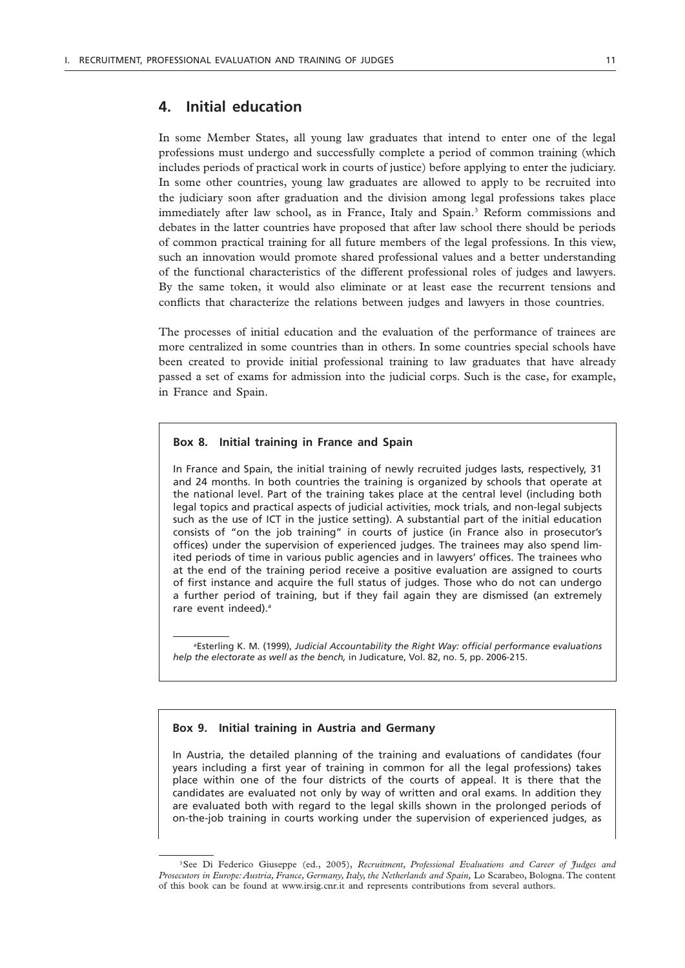## **4. Initial education**

In some Member States, all young law graduates that intend to enter one of the legal professions must undergo and successfully complete a period of common training (which includes periods of practical work in courts of justice) before applying to enter the judiciary. In some other countries, young law graduates are allowed to apply to be recruited into the judiciary soon after graduation and the division among legal professions takes place immediately after law school, as in France, Italy and Spain.3 Reform commissions and debates in the latter countries have proposed that after law school there should be periods of common practical training for all future members of the legal professions. In this view, such an innovation would promote shared professional values and a better understanding of the functional characteristics of the different professional roles of judges and lawyers. By the same token, it would also eliminate or at least ease the recurrent tensions and conflicts that characterize the relations between judges and lawyers in those countries.

The processes of initial education and the evaluation of the performance of trainees are more centralized in some countries than in others. In some countries special schools have been created to provide initial professional training to law graduates that have already passed a set of exams for admission into the judicial corps. Such is the case, for example, in France and Spain.

#### **Box 8. Initial training in France and Spain**

In France and Spain, the initial training of newly recruited judges lasts, respectively, 31 and 24 months. In both countries the training is organized by schools that operate at the national level. Part of the training takes place at the central level (including both legal topics and practical aspects of judicial activities, mock trials, and non-legal subjects such as the use of ICT in the justice setting). A substantial part of the initial education consists of "on the job training" in courts of justice (in France also in prosecutor's offices) under the supervision of experienced judges. The trainees may also spend limited periods of time in various public agencies and in lawyers' offices. The trainees who at the end of the training period receive a positive evaluation are assigned to courts of first instance and acquire the full status of judges. Those who do not can undergo a further period of training, but if they fail again they are dismissed (an extremely rare event indeed).*<sup>a</sup>*

*a* Esterling K. M. (1999), *Judicial Accountability the Right Way: official performance evaluations help the electorate as well as the bench,* in Judicature, Vol. 82, no. 5, pp. 2006-215.

#### **Box 9. Initial training in Austria and Germany**

In Austria, the detailed planning of the training and evaluations of candidates (four years including a first year of training in common for all the legal professions) takes place within one of the four districts of the courts of appeal. It is there that the candidates are evaluated not only by way of written and oral exams. In addition they are evaluated both with regard to the legal skills shown in the prolonged periods of on-the-job training in courts working under the supervision of experienced judges, as

<sup>&</sup>lt;sup>3</sup>See Di Federico Giuseppe (ed., 2005), *Recruitment, Professional Evaluations and Career of Judges and Prosecutors in Europe: Austria, France, Germany, Italy, the Netherlands and Spain,* Lo Scarabeo, Bologna. The content of this book can be found at www.irsig.cnr.it and represents contributions from several authors.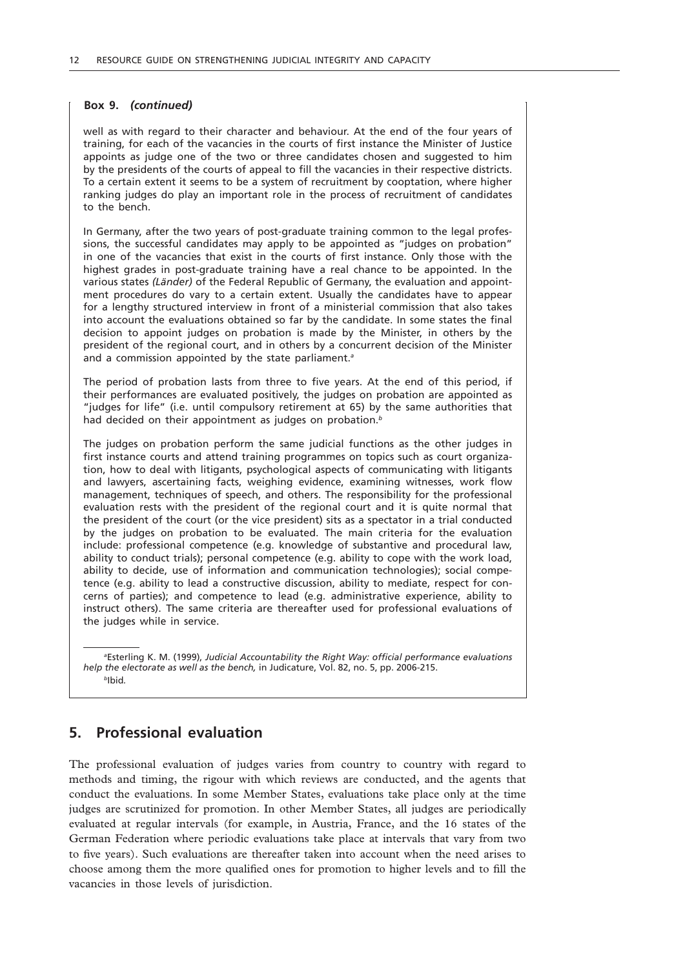#### **Box 9.** *(continued)*

well as with regard to their character and behaviour. At the end of the four years of training, for each of the vacancies in the courts of first instance the Minister of Justice appoints as judge one of the two or three candidates chosen and suggested to him by the presidents of the courts of appeal to fill the vacancies in their respective districts. To a certain extent it seems to be a system of recruitment by cooptation, where higher ranking judges do play an important role in the process of recruitment of candidates to the bench.

In Germany, after the two years of post-graduate training common to the legal professions, the successful candidates may apply to be appointed as "judges on probation" in one of the vacancies that exist in the courts of first instance. Only those with the highest grades in post-graduate training have a real chance to be appointed. In the various states *(Länder)* of the Federal Republic of Germany, the evaluation and appointment procedures do vary to a certain extent. Usually the candidates have to appear for a lengthy structured interview in front of a ministerial commission that also takes into account the evaluations obtained so far by the candidate. In some states the final decision to appoint judges on probation is made by the Minister, in others by the president of the regional court, and in others by a concurrent decision of the Minister and a commission appointed by the state parliament.*<sup>a</sup>*

The period of probation lasts from three to five years. At the end of this period, if their performances are evaluated positively, the judges on probation are appointed as "judges for life" (i.e. until compulsory retirement at 65) by the same authorities that had decided on their appointment as judges on probation.*<sup>b</sup>*

The judges on probation perform the same judicial functions as the other judges in first instance courts and attend training programmes on topics such as court organization, how to deal with litigants, psychological aspects of communicating with litigants and lawyers, ascertaining facts, weighing evidence, examining witnesses, work flow management, techniques of speech, and others. The responsibility for the professional evaluation rests with the president of the regional court and it is quite normal that the president of the court (or the vice president) sits as a spectator in a trial conducted by the judges on probation to be evaluated. The main criteria for the evaluation include: professional competence (e.g. knowledge of substantive and procedural law, ability to conduct trials); personal competence (e.g. ability to cope with the work load, ability to decide, use of information and communication technologies); social competence (e.g. ability to lead a constructive discussion, ability to mediate, respect for concerns of parties); and competence to lead (e.g. administrative experience, ability to instruct others). The same criteria are thereafter used for professional evaluations of the judges while in service.

*a* Esterling K. M. (1999), *Judicial Accountability the Right Way: official performance evaluations help the electorate as well as the bench,* in Judicature, Vol. 82, no. 5, pp. 2006-215. *<sup>b</sup>*Ibid*.*

## **5. Professional evaluation**

The professional evaluation of judges varies from country to country with regard to methods and timing, the rigour with which reviews are conducted, and the agents that conduct the evaluations. In some Member States, evaluations take place only at the time judges are scrutinized for promotion. In other Member States, all judges are periodically evaluated at regular intervals (for example, in Austria, France, and the 16 states of the German Federation where periodic evaluations take place at intervals that vary from two to five years). Such evaluations are thereafter taken into account when the need arises to choose among them the more qualified ones for promotion to higher levels and to fill the vacancies in those levels of jurisdiction.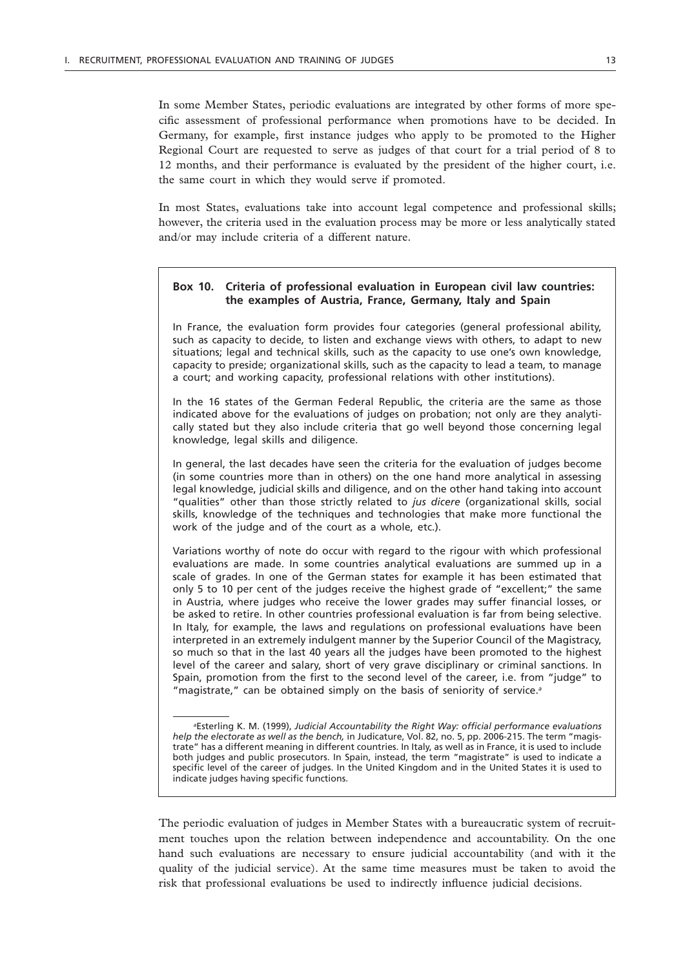In some Member States, periodic evaluations are integrated by other forms of more specific assessment of professional performance when promotions have to be decided. In Germany, for example, first instance judges who apply to be promoted to the Higher Regional Court are requested to serve as judges of that court for a trial period of 8 to 12 months, and their performance is evaluated by the president of the higher court, i.e. the same court in which they would serve if promoted.

In most States, evaluations take into account legal competence and professional skills; however, the criteria used in the evaluation process may be more or less analytically stated and/or may include criteria of a different nature.

### **Box 10. Criteria of professional evaluation in European civil law countries: the examples of Austria, France, Germany, Italy and Spain**

In France, the evaluation form provides four categories (general professional ability, such as capacity to decide, to listen and exchange views with others, to adapt to new situations; legal and technical skills, such as the capacity to use one's own knowledge, capacity to preside; organizational skills, such as the capacity to lead a team, to manage a court; and working capacity, professional relations with other institutions).

In the 16 states of the German Federal Republic, the criteria are the same as those indicated above for the evaluations of judges on probation; not only are they analytically stated but they also include criteria that go well beyond those concerning legal knowledge, legal skills and diligence.

In general, the last decades have seen the criteria for the evaluation of judges become (in some countries more than in others) on the one hand more analytical in assessing legal knowledge, judicial skills and diligence, and on the other hand taking into account "qualities" other than those strictly related to *jus dicere* (organizational skills, social skills, knowledge of the techniques and technologies that make more functional the work of the judge and of the court as a whole, etc.).

Variations worthy of note do occur with regard to the rigour with which professional evaluations are made. In some countries analytical evaluations are summed up in a scale of grades. In one of the German states for example it has been estimated that only 5 to 10 per cent of the judges receive the highest grade of "excellent;" the same in Austria, where judges who receive the lower grades may suffer financial losses, or be asked to retire. In other countries professional evaluation is far from being selective. In Italy, for example, the laws and regulations on professional evaluations have been interpreted in an extremely indulgent manner by the Superior Council of the Magistracy, so much so that in the last 40 years all the judges have been promoted to the highest level of the career and salary, short of very grave disciplinary or criminal sanctions. In Spain, promotion from the first to the second level of the career, i.e. from "judge" to "magistrate," can be obtained simply on the basis of seniority of service.*<sup>a</sup>*

The periodic evaluation of judges in Member States with a bureaucratic system of recruitment touches upon the relation between independence and accountability. On the one hand such evaluations are necessary to ensure judicial accountability (and with it the quality of the judicial service). At the same time measures must be taken to avoid the risk that professional evaluations be used to indirectly influence judicial decisions.

*a* Esterling K. M. (1999), *Judicial Accountability the Right Way: official performance evaluations help the electorate as well as the bench,* in Judicature, Vol. 82, no. 5, pp. 2006-215. The term "magistrate" has a different meaning in different countries. In Italy, as well as in France, it is used to include both judges and public prosecutors. In Spain, instead, the term "magistrate" is used to indicate a specific level of the career of judges. In the United Kingdom and in the United States it is used to indicate judges having specific functions.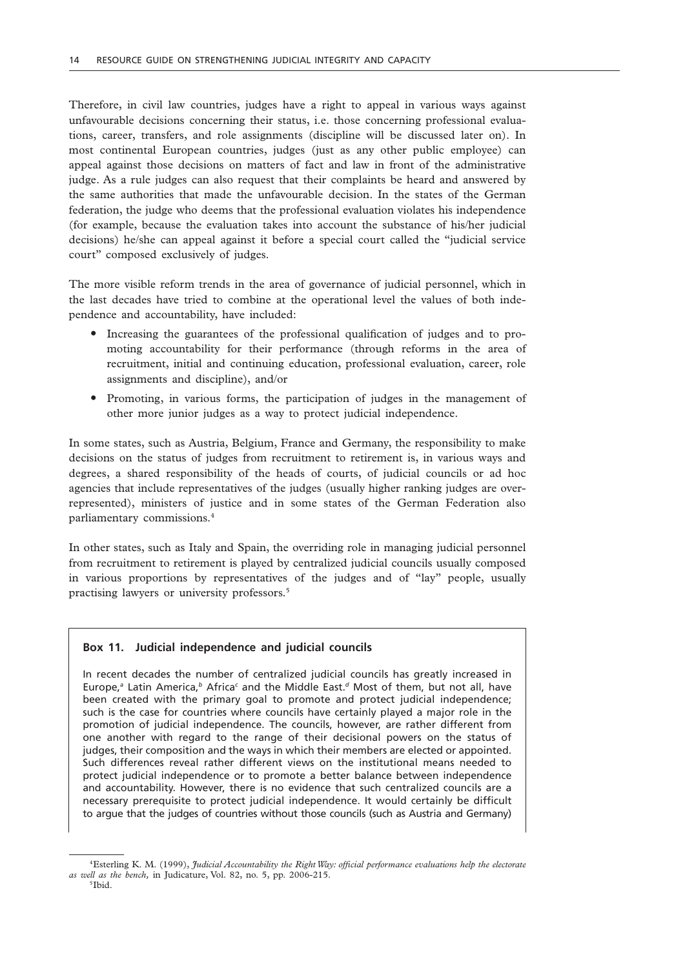Therefore, in civil law countries, judges have a right to appeal in various ways against unfavourable decisions concerning their status, i.e. those concerning professional evaluations, career, transfers, and role assignments (discipline will be discussed later on). In most continental European countries, judges (just as any other public employee) can appeal against those decisions on matters of fact and law in front of the administrative judge. As a rule judges can also request that their complaints be heard and answered by the same authorities that made the unfavourable decision. In the states of the German federation, the judge who deems that the professional evaluation violates his independence (for example, because the evaluation takes into account the substance of his/her judicial decisions) he/she can appeal against it before a special court called the "judicial service court" composed exclusively of judges.

The more visible reform trends in the area of governance of judicial personnel, which in the last decades have tried to combine at the operational level the values of both independence and accountability, have included:

- " Increasing the guarantees of the professional qualification of judges and to promoting accountability for their performance (through reforms in the area of recruitment, initial and continuing education, professional evaluation, career, role assignments and discipline), and/or
- " Promoting, in various forms, the participation of judges in the management of other more junior judges as a way to protect judicial independence.

In some states, such as Austria, Belgium, France and Germany, the responsibility to make decisions on the status of judges from recruitment to retirement is, in various ways and degrees, a shared responsibility of the heads of courts, of judicial councils or ad hoc agencies that include representatives of the judges (usually higher ranking judges are overrepresented), ministers of justice and in some states of the German Federation also parliamentary commissions.4

In other states, such as Italy and Spain, the overriding role in managing judicial personnel from recruitment to retirement is played by centralized judicial councils usually composed in various proportions by representatives of the judges and of "lay" people, usually practising lawyers or university professors.5

#### **Box 11. Judicial independence and judicial councils**

In recent decades the number of centralized judicial councils has greatly increased in Europe,*<sup>a</sup>* Latin America,*<sup>b</sup>* Africa*<sup>c</sup>* and the Middle East.*d* Most of them, but not all, have been created with the primary goal to promote and protect judicial independence; such is the case for countries where councils have certainly played a major role in the promotion of judicial independence. The councils, however, are rather different from one another with regard to the range of their decisional powers on the status of judges, their composition and the ways in which their members are elected or appointed. Such differences reveal rather different views on the institutional means needed to protect judicial independence or to promote a better balance between independence and accountability. However, there is no evidence that such centralized councils are a necessary prerequisite to protect judicial independence. It would certainly be difficult to argue that the judges of countries without those councils (such as Austria and Germany)

<sup>4</sup>Esterling K. M. (1999), *Judicial Accountability the Right Way: official performance evaluations help the electorate as well as the bench,* in Judicature, Vol. 82, no. 5, pp. 2006-215.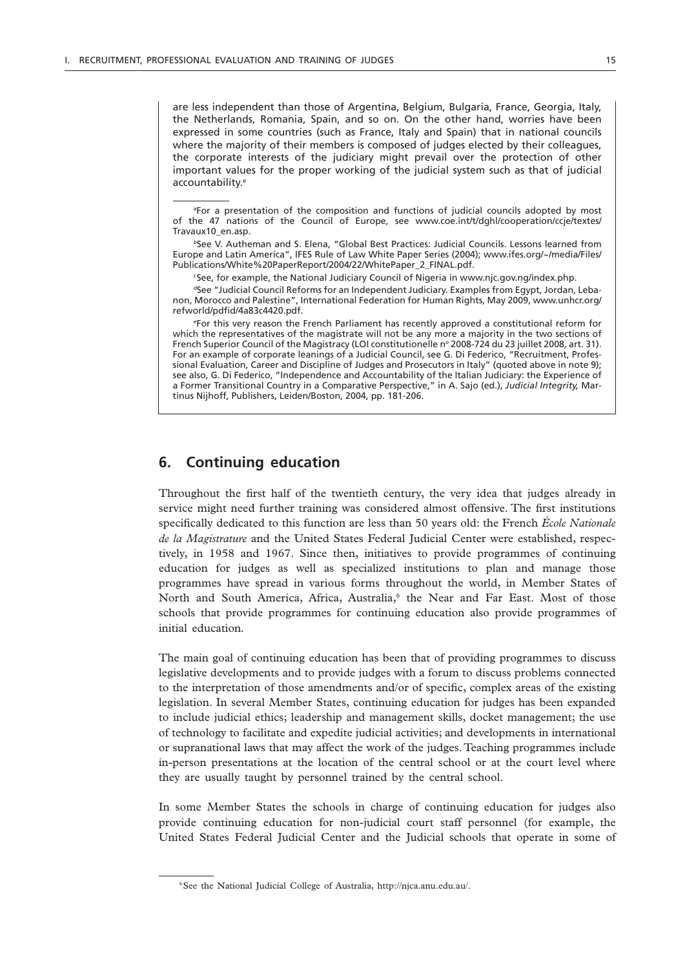are less independent than those of Argentina, Belgium, Bulgaria, France, Georgia, Italy, the Netherlands, Romania, Spain, and so on. On the other hand, worries have been expressed in some countries (such as France, Italy and Spain) that in national councils where the majority of their members is composed of judges elected by their colleagues, the corporate interests of the judiciary might prevail over the protection of other important values for the proper working of the judicial system such as that of judicial accountability.*<sup>e</sup>*

*a* For a presentation of the composition and functions of judicial councils adopted by most of the 47 nations of the Council of Europe, see www.coe.int/t/dghl/cooperation/ccje/textes/ Travaux10\_en.asp.

*<sup>b</sup>*See V. Autheman and S. Elena, "Global Best Practices: Judicial Councils. Lessons learned from Europe and Latin America", IFES Rule of Law White Paper Series (2004); www.ifes.org/~/media/Files/ Publications/White%20PaperReport/2004/22/WhitePaper\_2\_FINAL.pdf.

*c* See, for example, the National Judiciary Council of Nigeria in www.njc.gov.ng/index.php.

*d*See "Judicial Council Reforms for an Independent Judiciary. Examples from Egypt, Jordan, Lebanon, Morocco and Palestine", International Federation for Human Rights, May 2009, www.unhcr.org/ refworld/pdfid/4a83c4420.pdf.

*e* For this very reason the French Parliament has recently approved a constitutional reform for which the representatives of the magistrate will not be any more a majority in the two sections of French Superior Council of the Magistracy (LOI constitutionelle nº 2008-724 du 23 juillet 2008, art. 31). For an example of corporate leanings of a Judicial Council, see G. Di Federico, "Recruitment, Professional Evaluation, Career and Discipline of Judges and Prosecutors in Italy" (quoted above in note 9); see also, G. Di Federico, "Independence and Accountability of the Italian Judiciary: the Experience of a Former Transitional Country in a Comparative Perspective," in A. Sajo (ed.), *Judicial Integrity,* Martinus Nijhoff, Publishers, Leiden/Boston, 2004, pp. 181-206.

## **6. Continuing education**

Throughout the first half of the twentieth century, the very idea that judges already in service might need further training was considered almost offensive. The first institutions specifically dedicated to this function are less than 50 years old: the French *École Nationale de la Magistrature* and the United States Federal Judicial Center were established, respectively, in 1958 and 1967. Since then, initiatives to provide programmes of continuing education for judges as well as specialized institutions to plan and manage those programmes have spread in various forms throughout the world, in Member States of North and South America, Africa, Australia,<sup>6</sup> the Near and Far East. Most of those schools that provide programmes for continuing education also provide programmes of initial education*.*

The main goal of continuing education has been that of providing programmes to discuss legislative developments and to provide judges with a forum to discuss problems connected to the interpretation of those amendments and/or of specific, complex areas of the existing legislation. In several Member States, continuing education for judges has been expanded to include judicial ethics; leadership and management skills, docket management; the use of technology to facilitate and expedite judicial activities; and developments in international or supranational laws that may affect the work of the judges. Teaching programmes include in-person presentations at the location of the central school or at the court level where they are usually taught by personnel trained by the central school.

In some Member States the schools in charge of continuing education for judges also provide continuing education for non-judicial court staff personnel (for example, the United States Federal Judicial Center and the Judicial schools that operate in some of

<sup>6</sup>See the National Judicial College of Australia, http://njca.anu.edu.au/.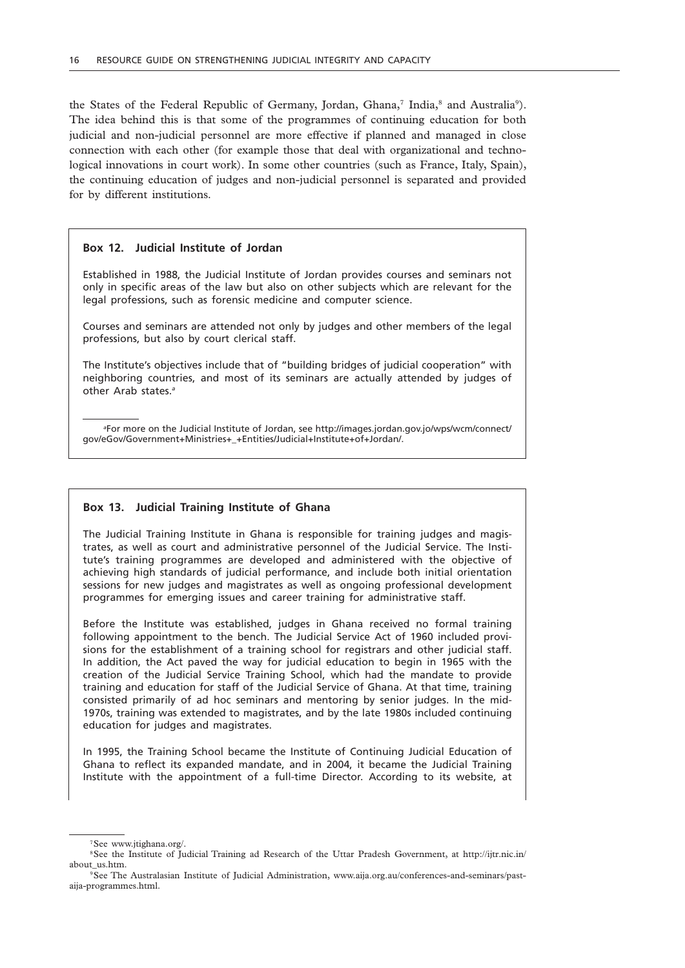the States of the Federal Republic of Germany, Jordan, Ghana,<sup>7</sup> India,<sup>8</sup> and Australia<sup>9</sup>). The idea behind this is that some of the programmes of continuing education for both judicial and non-judicial personnel are more effective if planned and managed in close connection with each other (for example those that deal with organizational and technological innovations in court work). In some other countries (such as France, Italy, Spain), the continuing education of judges and non-judicial personnel is separated and provided for by different institutions.

#### **Box 12. Judicial Institute of Jordan**

Established in 1988, the Judicial Institute of Jordan provides courses and seminars not only in specific areas of the law but also on other subjects which are relevant for the legal professions, such as forensic medicine and computer science.

Courses and seminars are attended not only by judges and other members of the legal professions, but also by court clerical staff.

The Institute's objectives include that of "building bridges of judicial cooperation" with neighboring countries, and most of its seminars are actually attended by judges of other Arab states.*<sup>a</sup>*

*a* For more on the Judicial Institute of Jordan, see http://images.jordan.gov.jo/wps/wcm/connect/ gov/eGov/Government+Ministries+\_+Entities/Judicial+Institute+of+Jordan/.

#### **Box 13. Judicial Training Institute of Ghana**

The Judicial Training Institute in Ghana is responsible for training judges and magistrates, as well as court and administrative personnel of the Judicial Service. The Institute's training programmes are developed and administered with the objective of achieving high standards of judicial performance, and include both initial orientation sessions for new judges and magistrates as well as ongoing professional development programmes for emerging issues and career training for administrative staff.

Before the Institute was established, judges in Ghana received no formal training following appointment to the bench. The Judicial Service Act of 1960 included provisions for the establishment of a training school for registrars and other judicial staff. In addition, the Act paved the way for judicial education to begin in 1965 with the creation of the Judicial Service Training School, which had the mandate to provide training and education for staff of the Judicial Service of Ghana. At that time, training consisted primarily of ad hoc seminars and mentoring by senior judges. In the mid-1970s, training was extended to magistrates, and by the late 1980s included continuing education for judges and magistrates.

In 1995, the Training School became the Institute of Continuing Judicial Education of Ghana to reflect its expanded mandate, and in 2004, it became the Judicial Training Institute with the appointment of a full-time Director. According to its website, at

<sup>7</sup>See www.jtighana.org/.

<sup>8</sup>See the Institute of Judicial Training ad Research of the Uttar Pradesh Government, at http://ijtr.nic.in/ about\_us.htm.<br><sup>9</sup>See The Australasian Institute of Judicial Administration, www.aija.org.au/conferences-and-seminars/past-

aija-programmes.html.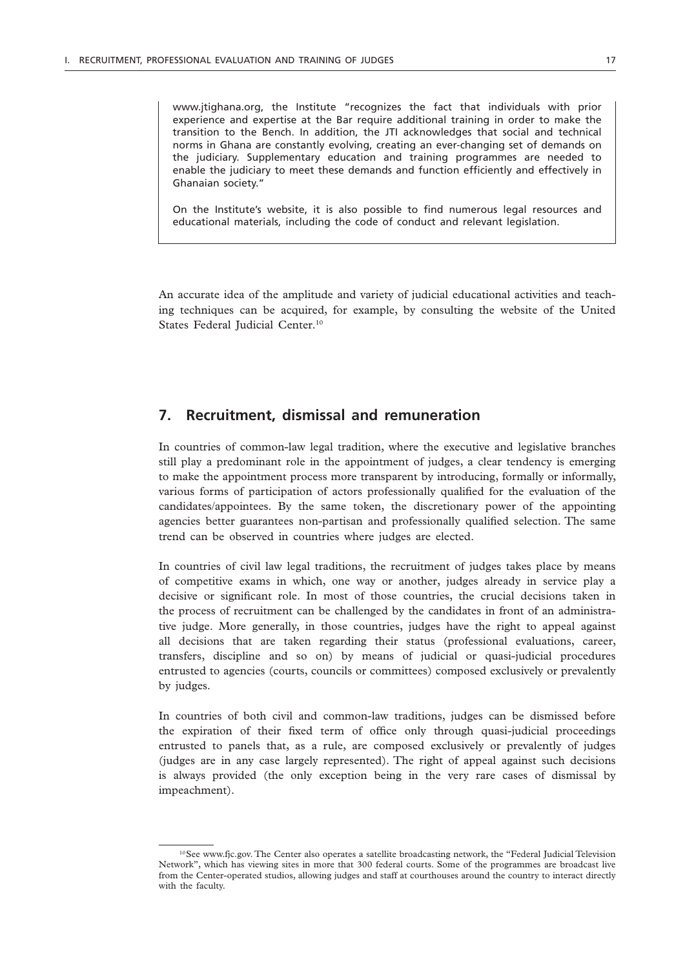www.jtighana.org, the Institute "recognizes the fact that individuals with prior experience and expertise at the Bar require additional training in order to make the transition to the Bench. In addition, the JTI acknowledges that social and technical norms in Ghana are constantly evolving, creating an ever-changing set of demands on the judiciary. Supplementary education and training programmes are needed to enable the judiciary to meet these demands and function efficiently and effectively in Ghanaian society."

On the Institute's website, it is also possible to find numerous legal resources and educational materials, including the code of conduct and relevant legislation.

An accurate idea of the amplitude and variety of judicial educational activities and teaching techniques can be acquired, for example, by consulting the website of the United States Federal Judicial Center.<sup>10</sup>

## **7. Recruitment, dismissal and remuneration**

In countries of common-law legal tradition, where the executive and legislative branches still play a predominant role in the appointment of judges, a clear tendency is emerging to make the appointment process more transparent by introducing, formally or informally, various forms of participation of actors professionally qualified for the evaluation of the candidates/appointees. By the same token, the discretionary power of the appointing agencies better guarantees non-partisan and professionally qualified selection. The same trend can be observed in countries where judges are elected.

In countries of civil law legal traditions, the recruitment of judges takes place by means of competitive exams in which, one way or another, judges already in service play a decisive or significant role. In most of those countries, the crucial decisions taken in the process of recruitment can be challenged by the candidates in front of an administrative judge. More generally, in those countries, judges have the right to appeal against all decisions that are taken regarding their status (professional evaluations, career, transfers, discipline and so on) by means of judicial or quasi-judicial procedures entrusted to agencies (courts, councils or committees) composed exclusively or prevalently by judges.

In countries of both civil and common-law traditions, judges can be dismissed before the expiration of their fixed term of office only through quasi-judicial proceedings entrusted to panels that, as a rule, are composed exclusively or prevalently of judges (judges are in any case largely represented). The right of appeal against such decisions is always provided (the only exception being in the very rare cases of dismissal by impeachment).

<sup>&</sup>lt;sup>10</sup>See www.fjc.gov. The Center also operates a satellite broadcasting network, the "Federal Judicial Television Network", which has viewing sites in more that 300 federal courts. Some of the programmes are broadcast live from the Center-operated studios, allowing judges and staff at courthouses around the country to interact directly with the faculty.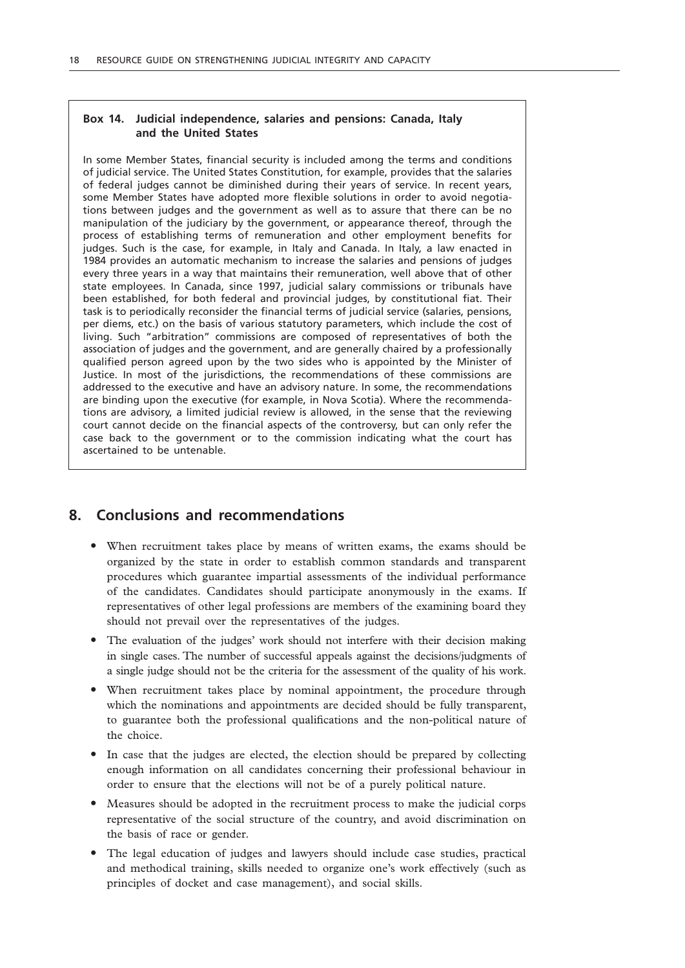## **Box 14. Judicial independence, salaries and pensions: Canada, Italy and the United States**

In some Member States, financial security is included among the terms and conditions of judicial service. The United States Constitution, for example, provides that the salaries of federal judges cannot be diminished during their years of service. In recent years, some Member States have adopted more flexible solutions in order to avoid negotiations between judges and the government as well as to assure that there can be no manipulation of the judiciary by the government, or appearance thereof, through the process of establishing terms of remuneration and other employment benefits for judges. Such is the case, for example, in Italy and Canada. In Italy, a law enacted in 1984 provides an automatic mechanism to increase the salaries and pensions of judges every three years in a way that maintains their remuneration, well above that of other state employees. In Canada, since 1997, judicial salary commissions or tribunals have been established, for both federal and provincial judges, by constitutional fiat. Their task is to periodically reconsider the financial terms of judicial service (salaries, pensions, per diems, etc.) on the basis of various statutory parameters, which include the cost of living. Such "arbitration" commissions are composed of representatives of both the association of judges and the government, and are generally chaired by a professionally qualified person agreed upon by the two sides who is appointed by the Minister of Justice. In most of the jurisdictions, the recommendations of these commissions are addressed to the executive and have an advisory nature. In some, the recommendations are binding upon the executive (for example, in Nova Scotia). Where the recommendations are advisory, a limited judicial review is allowed, in the sense that the reviewing court cannot decide on the financial aspects of the controversy, but can only refer the case back to the government or to the commission indicating what the court has ascertained to be untenable.

## **8. Conclusions and recommendations**

- When recruitment takes place by means of written exams, the exams should be organized by the state in order to establish common standards and transparent procedures which guarantee impartial assessments of the individual performance of the candidates. Candidates should participate anonymously in the exams. If representatives of other legal professions are members of the examining board they should not prevail over the representatives of the judges.
- The evaluation of the judges' work should not interfere with their decision making in single cases. The number of successful appeals against the decisions/judgments of a single judge should not be the criteria for the assessment of the quality of his work.
- When recruitment takes place by nominal appointment, the procedure through which the nominations and appointments are decided should be fully transparent, to guarantee both the professional qualifications and the non-political nature of the choice.
- In case that the judges are elected, the election should be prepared by collecting enough information on all candidates concerning their professional behaviour in order to ensure that the elections will not be of a purely political nature.
- " Measures should be adopted in the recruitment process to make the judicial corps representative of the social structure of the country, and avoid discrimination on the basis of race or gender.
- The legal education of judges and lawyers should include case studies, practical and methodical training, skills needed to organize one's work effectively (such as principles of docket and case management), and social skills.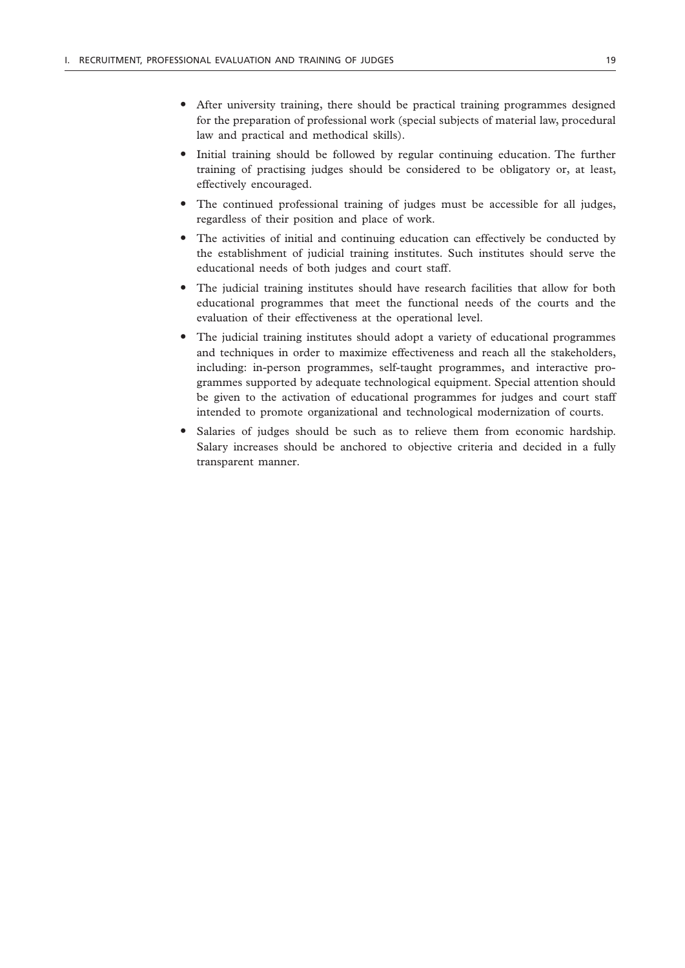- " After university training, there should be practical training programmes designed for the preparation of professional work (special subjects of material law, procedural law and practical and methodical skills).
- Initial training should be followed by regular continuing education. The further training of practising judges should be considered to be obligatory or, at least, effectively encouraged.
- The continued professional training of judges must be accessible for all judges, regardless of their position and place of work.
- The activities of initial and continuing education can effectively be conducted by the establishment of judicial training institutes. Such institutes should serve the educational needs of both judges and court staff.
- The judicial training institutes should have research facilities that allow for both educational programmes that meet the functional needs of the courts and the evaluation of their effectiveness at the operational level.
- The judicial training institutes should adopt a variety of educational programmes and techniques in order to maximize effectiveness and reach all the stakeholders, including: in-person programmes, self-taught programmes, and interactive programmes supported by adequate technological equipment. Special attention should be given to the activation of educational programmes for judges and court staff intended to promote organizational and technological modernization of courts.
- Salaries of judges should be such as to relieve them from economic hardship. Salary increases should be anchored to objective criteria and decided in a fully transparent manner.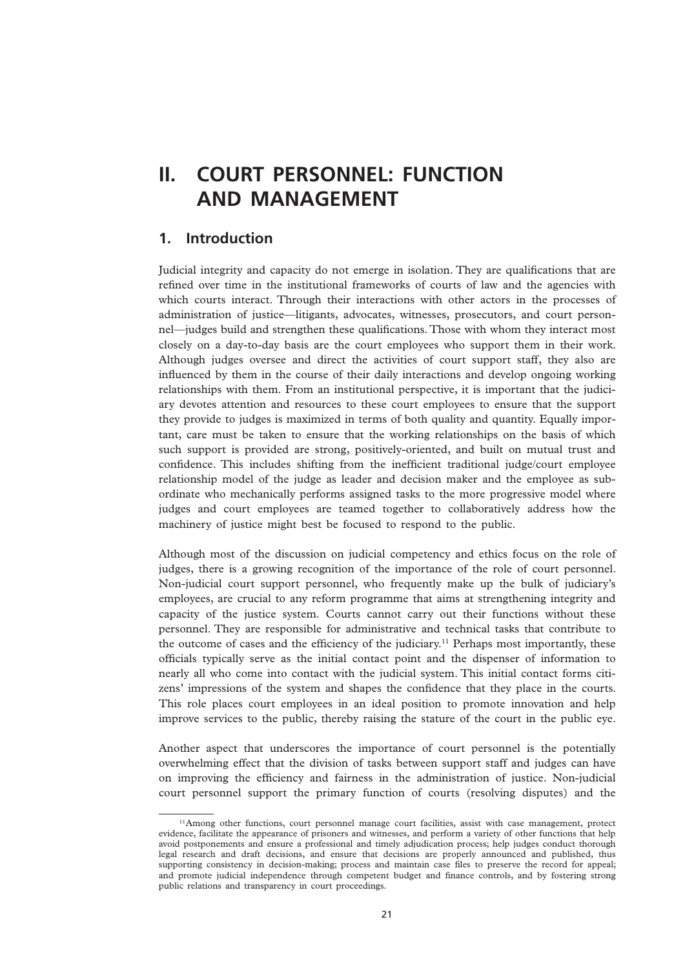## **II. COURT PERSONNEL: FUNCTION AND MANAGEMENT**

## **1. Introduction**

Judicial integrity and capacity do not emerge in isolation. They are qualifications that are refined over time in the institutional frameworks of courts of law and the agencies with which courts interact. Through their interactions with other actors in the processes of administration of justice—litigants, advocates, witnesses, prosecutors, and court personnel—judges build and strengthen these qualifications. Those with whom they interact most closely on a day-to-day basis are the court employees who support them in their work. Although judges oversee and direct the activities of court support staff, they also are influenced by them in the course of their daily interactions and develop ongoing working relationships with them. From an institutional perspective, it is important that the judiciary devotes attention and resources to these court employees to ensure that the support they provide to judges is maximized in terms of both quality and quantity. Equally important, care must be taken to ensure that the working relationships on the basis of which such support is provided are strong, positively-oriented, and built on mutual trust and confidence. This includes shifting from the inefficient traditional judge/court employee relationship model of the judge as leader and decision maker and the employee as subordinate who mechanically performs assigned tasks to the more progressive model where judges and court employees are teamed together to collaboratively address how the machinery of justice might best be focused to respond to the public.

Although most of the discussion on judicial competency and ethics focus on the role of judges, there is a growing recognition of the importance of the role of court personnel. Non-judicial court support personnel, who frequently make up the bulk of judiciary's employees, are crucial to any reform programme that aims at strengthening integrity and capacity of the justice system. Courts cannot carry out their functions without these personnel. They are responsible for administrative and technical tasks that contribute to the outcome of cases and the efficiency of the judiciary.11 Perhaps most importantly, these officials typically serve as the initial contact point and the dispenser of information to nearly all who come into contact with the judicial system. This initial contact forms citizens' impressions of the system and shapes the confidence that they place in the courts. This role places court employees in an ideal position to promote innovation and help improve services to the public, thereby raising the stature of the court in the public eye.

Another aspect that underscores the importance of court personnel is the potentially overwhelming effect that the division of tasks between support staff and judges can have on improving the efficiency and fairness in the administration of justice. Non-judicial court personnel support the primary function of courts (resolving disputes) and the

<sup>&</sup>lt;sup>11</sup>Among other functions, court personnel manage court facilities, assist with case management, protect evidence, facilitate the appearance of prisoners and witnesses, and perform a variety of other functions that help avoid postponements and ensure a professional and timely adjudication process; help judges conduct thorough legal research and draft decisions, and ensure that decisions are properly announced and published, thus supporting consistency in decision-making; process and maintain case files to preserve the record for appeal; and promote judicial independence through competent budget and finance controls, and by fostering strong public relations and transparency in court proceedings.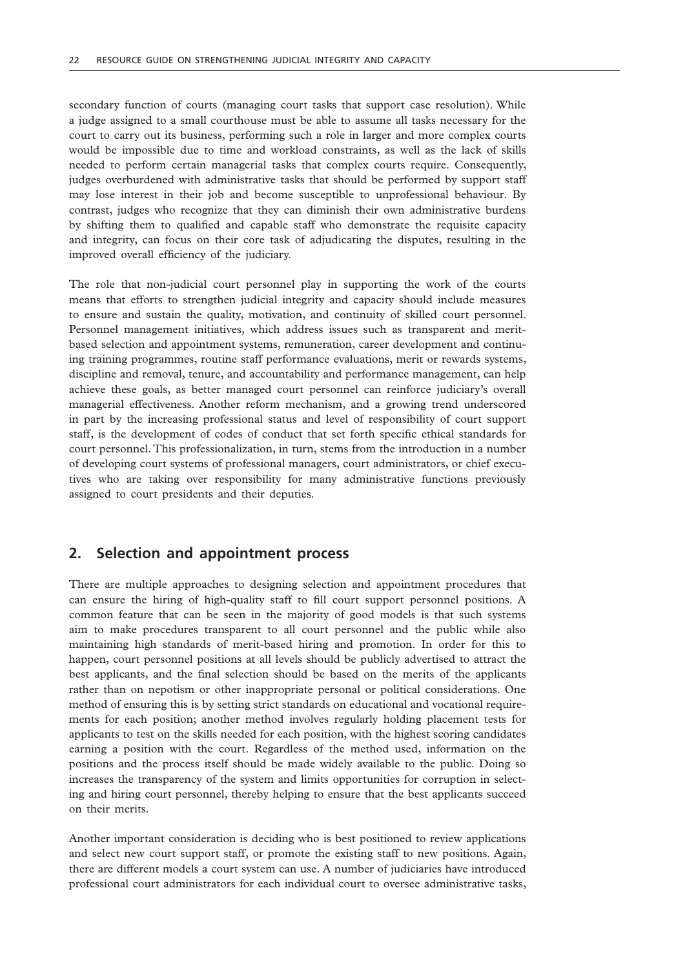secondary function of courts (managing court tasks that support case resolution). While a judge assigned to a small courthouse must be able to assume all tasks necessary for the court to carry out its business, performing such a role in larger and more complex courts would be impossible due to time and workload constraints, as well as the lack of skills needed to perform certain managerial tasks that complex courts require. Consequently, judges overburdened with administrative tasks that should be performed by support staff may lose interest in their job and become susceptible to unprofessional behaviour. By contrast, judges who recognize that they can diminish their own administrative burdens by shifting them to qualified and capable staff who demonstrate the requisite capacity and integrity, can focus on their core task of adjudicating the disputes, resulting in the improved overall efficiency of the judiciary.

The role that non-judicial court personnel play in supporting the work of the courts means that efforts to strengthen judicial integrity and capacity should include measures to ensure and sustain the quality, motivation, and continuity of skilled court personnel. Personnel management initiatives, which address issues such as transparent and meritbased selection and appointment systems, remuneration, career development and continuing training programmes, routine staff performance evaluations, merit or rewards systems, discipline and removal, tenure, and accountability and performance management, can help achieve these goals, as better managed court personnel can reinforce judiciary's overall managerial effectiveness. Another reform mechanism, and a growing trend underscored in part by the increasing professional status and level of responsibility of court support staff, is the development of codes of conduct that set forth specific ethical standards for court personnel. This professionalization, in turn, stems from the introduction in a number of developing court systems of professional managers, court administrators, or chief executives who are taking over responsibility for many administrative functions previously assigned to court presidents and their deputies.

## **2. Selection and appointment process**

There are multiple approaches to designing selection and appointment procedures that can ensure the hiring of high-quality staff to fill court support personnel positions. A common feature that can be seen in the majority of good models is that such systems aim to make procedures transparent to all court personnel and the public while also maintaining high standards of merit-based hiring and promotion. In order for this to happen, court personnel positions at all levels should be publicly advertised to attract the best applicants, and the final selection should be based on the merits of the applicants rather than on nepotism or other inappropriate personal or political considerations. One method of ensuring this is by setting strict standards on educational and vocational requirements for each position; another method involves regularly holding placement tests for applicants to test on the skills needed for each position, with the highest scoring candidates earning a position with the court. Regardless of the method used, information on the positions and the process itself should be made widely available to the public. Doing so increases the transparency of the system and limits opportunities for corruption in selecting and hiring court personnel, thereby helping to ensure that the best applicants succeed on their merits.

Another important consideration is deciding who is best positioned to review applications and select new court support staff, or promote the existing staff to new positions. Again, there are different models a court system can use. A number of judiciaries have introduced professional court administrators for each individual court to oversee administrative tasks,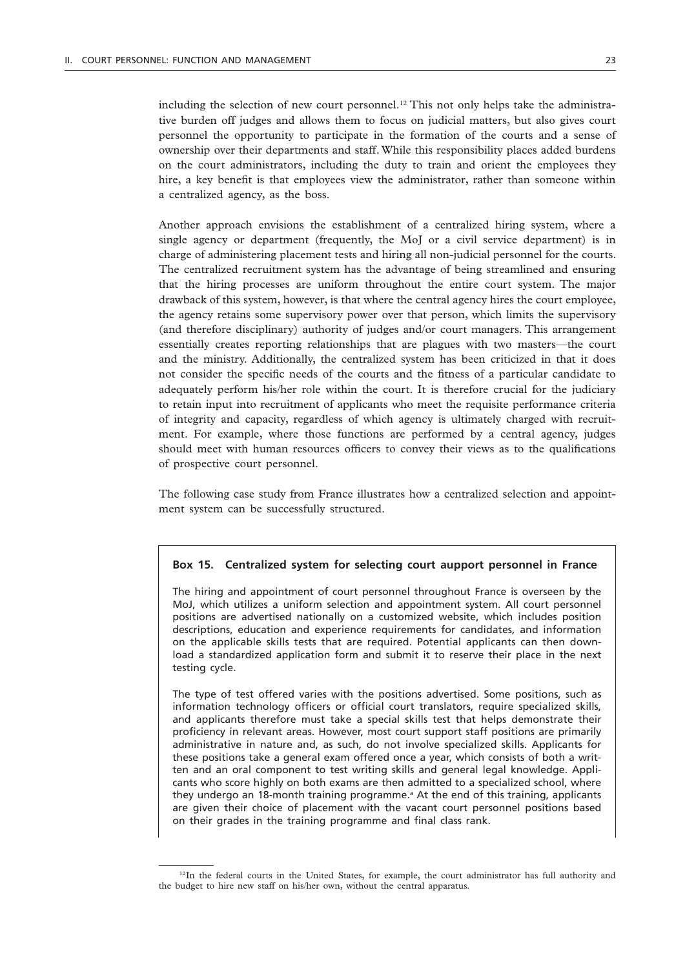including the selection of new court personnel.<sup>12</sup> This not only helps take the administrative burden off judges and allows them to focus on judicial matters, but also gives court personnel the opportunity to participate in the formation of the courts and a sense of ownership over their departments and staff. While this responsibility places added burdens on the court administrators, including the duty to train and orient the employees they hire, a key benefit is that employees view the administrator, rather than someone within a centralized agency, as the boss.

Another approach envisions the establishment of a centralized hiring system, where a single agency or department (frequently, the MoJ or a civil service department) is in charge of administering placement tests and hiring all non-judicial personnel for the courts. The centralized recruitment system has the advantage of being streamlined and ensuring that the hiring processes are uniform throughout the entire court system. The major drawback of this system, however, is that where the central agency hires the court employee, the agency retains some supervisory power over that person, which limits the supervisory (and therefore disciplinary) authority of judges and/or court managers. This arrangement essentially creates reporting relationships that are plagues with two masters—the court and the ministry. Additionally, the centralized system has been criticized in that it does not consider the specific needs of the courts and the fitness of a particular candidate to adequately perform his/her role within the court. It is therefore crucial for the judiciary to retain input into recruitment of applicants who meet the requisite performance criteria of integrity and capacity, regardless of which agency is ultimately charged with recruitment. For example, where those functions are performed by a central agency, judges should meet with human resources officers to convey their views as to the qualifications of prospective court personnel.

The following case study from France illustrates how a centralized selection and appointment system can be successfully structured.

#### **Box 15. Centralized system for selecting court aupport personnel in France**

The hiring and appointment of court personnel throughout France is overseen by the MoJ, which utilizes a uniform selection and appointment system. All court personnel positions are advertised nationally on a customized website, which includes position descriptions, education and experience requirements for candidates, and information on the applicable skills tests that are required. Potential applicants can then download a standardized application form and submit it to reserve their place in the next testing cycle.

The type of test offered varies with the positions advertised. Some positions, such as information technology officers or official court translators, require specialized skills, and applicants therefore must take a special skills test that helps demonstrate their proficiency in relevant areas. However, most court support staff positions are primarily administrative in nature and, as such, do not involve specialized skills. Applicants for these positions take a general exam offered once a year, which consists of both a written and an oral component to test writing skills and general legal knowledge. Applicants who score highly on both exams are then admitted to a specialized school, where they undergo an 18-month training programme.*<sup>a</sup>* At the end of this training, applicants are given their choice of placement with the vacant court personnel positions based on their grades in the training programme and final class rank.

<sup>&</sup>lt;sup>12</sup>In the federal courts in the United States, for example, the court administrator has full authority and the budget to hire new staff on his/her own, without the central apparatus.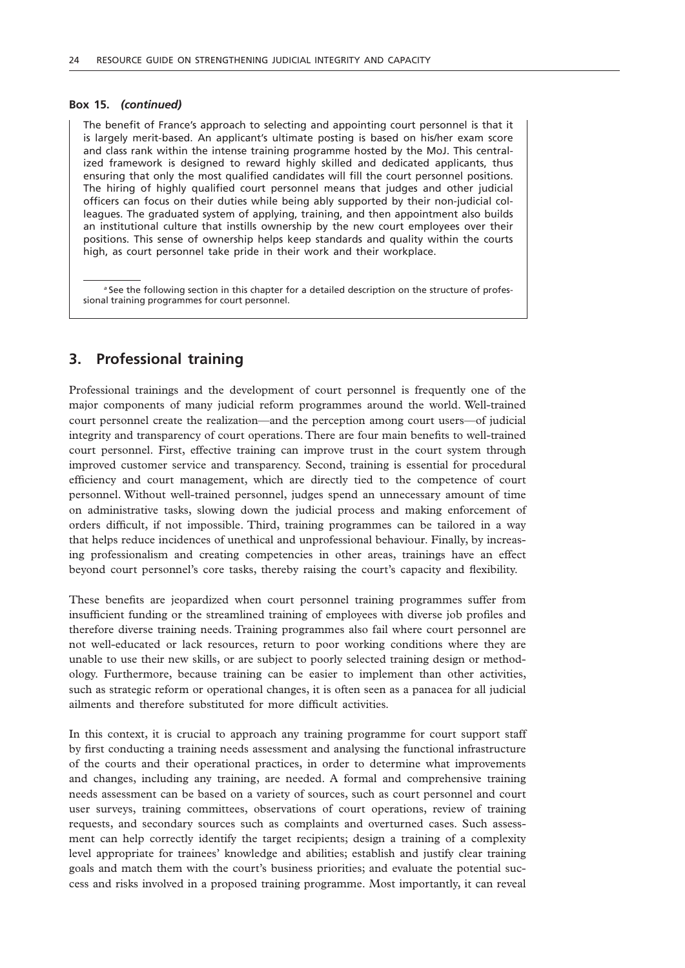#### **Box 15.** *(continued)*

The benefit of France's approach to selecting and appointing court personnel is that it is largely merit-based. An applicant's ultimate posting is based on his/her exam score and class rank within the intense training programme hosted by the MoJ. This centralized framework is designed to reward highly skilled and dedicated applicants, thus ensuring that only the most qualified candidates will fill the court personnel positions. The hiring of highly qualified court personnel means that judges and other judicial officers can focus on their duties while being ably supported by their non-judicial colleagues. The graduated system of applying, training, and then appointment also builds an institutional culture that instills ownership by the new court employees over their positions. This sense of ownership helps keep standards and quality within the courts high, as court personnel take pride in their work and their workplace.

*a* See the following section in this chapter for a detailed description on the structure of professional training programmes for court personnel.

## **3. Professional training**

Professional trainings and the development of court personnel is frequently one of the major components of many judicial reform programmes around the world. Well-trained court personnel create the realization—and the perception among court users—of judicial integrity and transparency of court operations. There are four main benefits to well-trained court personnel. First, effective training can improve trust in the court system through improved customer service and transparency. Second, training is essential for procedural efficiency and court management, which are directly tied to the competence of court personnel. Without well-trained personnel, judges spend an unnecessary amount of time on administrative tasks, slowing down the judicial process and making enforcement of orders difficult, if not impossible. Third, training programmes can be tailored in a way that helps reduce incidences of unethical and unprofessional behaviour. Finally, by increasing professionalism and creating competencies in other areas, trainings have an effect beyond court personnel's core tasks, thereby raising the court's capacity and flexibility.

These benefits are jeopardized when court personnel training programmes suffer from insufficient funding or the streamlined training of employees with diverse job profiles and therefore diverse training needs. Training programmes also fail where court personnel are not well-educated or lack resources, return to poor working conditions where they are unable to use their new skills, or are subject to poorly selected training design or methodology. Furthermore, because training can be easier to implement than other activities, such as strategic reform or operational changes, it is often seen as a panacea for all judicial ailments and therefore substituted for more difficult activities.

In this context, it is crucial to approach any training programme for court support staff by first conducting a training needs assessment and analysing the functional infrastructure of the courts and their operational practices, in order to determine what improvements and changes, including any training, are needed. A formal and comprehensive training needs assessment can be based on a variety of sources, such as court personnel and court user surveys, training committees, observations of court operations, review of training requests, and secondary sources such as complaints and overturned cases. Such assessment can help correctly identify the target recipients; design a training of a complexity level appropriate for trainees' knowledge and abilities; establish and justify clear training goals and match them with the court's business priorities; and evaluate the potential success and risks involved in a proposed training programme. Most importantly, it can reveal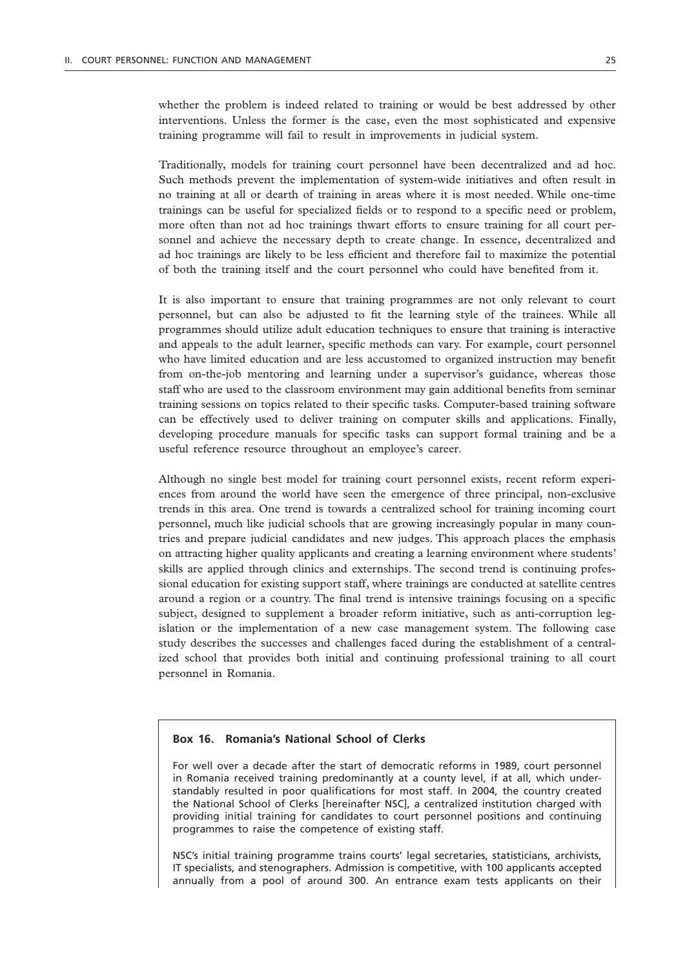whether the problem is indeed related to training or would be best addressed by other interventions. Unless the former is the case, even the most sophisticated and expensive training programme will fail to result in improvements in judicial system.

Traditionally, models for training court personnel have been decentralized and ad hoc. Such methods prevent the implementation of system-wide initiatives and often result in no training at all or dearth of training in areas where it is most needed. While one-time trainings can be useful for specialized fields or to respond to a specific need or problem, more often than not ad hoc trainings thwart efforts to ensure training for all court personnel and achieve the necessary depth to create change. In essence, decentralized and ad hoc trainings are likely to be less efficient and therefore fail to maximize the potential of both the training itself and the court personnel who could have benefited from it.

It is also important to ensure that training programmes are not only relevant to court personnel, but can also be adjusted to fit the learning style of the trainees. While all programmes should utilize adult education techniques to ensure that training is interactive and appeals to the adult learner, specific methods can vary. For example, court personnel who have limited education and are less accustomed to organized instruction may benefit from on-the-job mentoring and learning under a supervisor's guidance, whereas those staff who are used to the classroom environment may gain additional benefits from seminar training sessions on topics related to their specific tasks. Computer-based training software can be effectively used to deliver training on computer skills and applications. Finally, developing procedure manuals for specific tasks can support formal training and be a useful reference resource throughout an employee's career.

Although no single best model for training court personnel exists, recent reform experiences from around the world have seen the emergence of three principal, non-exclusive trends in this area. One trend is towards a centralized school for training incoming court personnel, much like judicial schools that are growing increasingly popular in many countries and prepare judicial candidates and new judges. This approach places the emphasis on attracting higher quality applicants and creating a learning environment where students' skills are applied through clinics and externships. The second trend is continuing professional education for existing support staff, where trainings are conducted at satellite centres around a region or a country. The final trend is intensive trainings focusing on a specific subject, designed to supplement a broader reform initiative, such as anti-corruption legislation or the implementation of a new case management system. The following case study describes the successes and challenges faced during the establishment of a centralized school that provides both initial and continuing professional training to all court personnel in Romania.

### **Box 16. Romania's National School of Clerks**

For well over a decade after the start of democratic reforms in 1989, court personnel in Romania received training predominantly at a county level, if at all, which understandably resulted in poor qualifications for most staff. In 2004, the country created the National School of Clerks [hereinafter NSC], a centralized institution charged with providing initial training for candidates to court personnel positions and continuing programmes to raise the competence of existing staff.

NSC's initial training programme trains courts' legal secretaries, statisticians, archivists, IT specialists, and stenographers. Admission is competitive, with 100 applicants accepted annually from a pool of around 300. An entrance exam tests applicants on their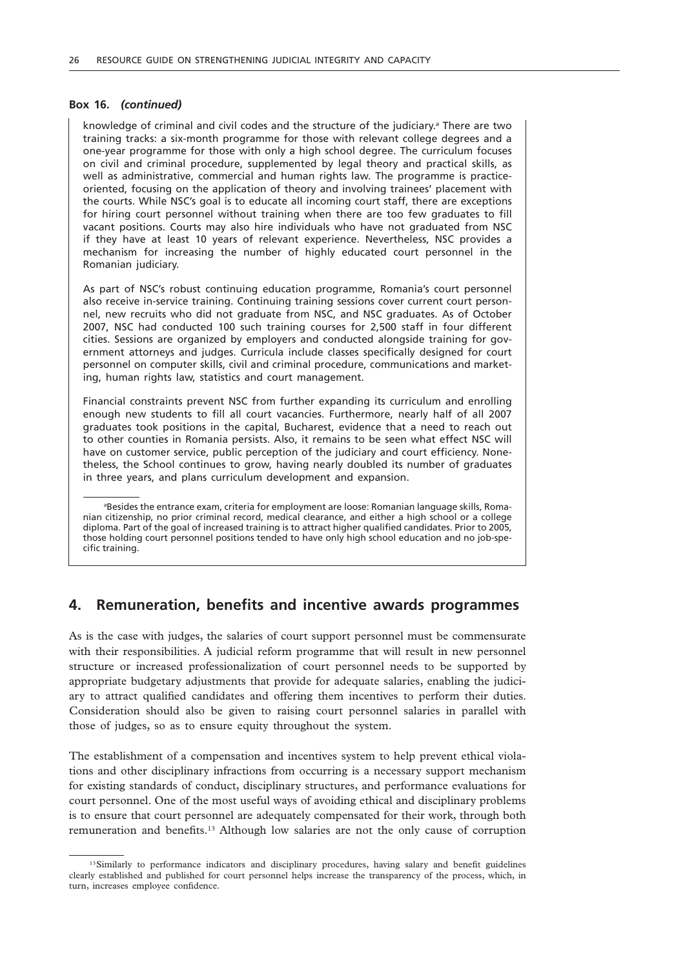#### **Box 16.** *(continued)*

knowledge of criminal and civil codes and the structure of the judiciary.*<sup>a</sup>* There are two training tracks: a six-month programme for those with relevant college degrees and a one-year programme for those with only a high school degree. The curriculum focuses on civil and criminal procedure, supplemented by legal theory and practical skills, as well as administrative, commercial and human rights law. The programme is practiceoriented, focusing on the application of theory and involving trainees' placement with the courts. While NSC's goal is to educate all incoming court staff, there are exceptions for hiring court personnel without training when there are too few graduates to fill vacant positions. Courts may also hire individuals who have not graduated from NSC if they have at least 10 years of relevant experience. Nevertheless, NSC provides a mechanism for increasing the number of highly educated court personnel in the Romanian judiciary.

As part of NSC's robust continuing education programme, Romania's court personnel also receive in-service training. Continuing training sessions cover current court personnel, new recruits who did not graduate from NSC, and NSC graduates. As of October 2007, NSC had conducted 100 such training courses for 2,500 staff in four different cities. Sessions are organized by employers and conducted alongside training for government attorneys and judges. Curricula include classes specifically designed for court personnel on computer skills, civil and criminal procedure, communications and marketing, human rights law, statistics and court management.

Financial constraints prevent NSC from further expanding its curriculum and enrolling enough new students to fill all court vacancies. Furthermore, nearly half of all 2007 graduates took positions in the capital, Bucharest, evidence that a need to reach out to other counties in Romania persists. Also, it remains to be seen what effect NSC will have on customer service, public perception of the judiciary and court efficiency. Nonetheless, the School continues to grow, having nearly doubled its number of graduates in three years, and plans curriculum development and expansion.

*a* Besides the entrance exam, criteria for employment are loose: Romanian language skills, Romanian citizenship, no prior criminal record, medical clearance, and either a high school or a college diploma. Part of the goal of increased training is to attract higher qualified candidates. Prior to 2005, those holding court personnel positions tended to have only high school education and no job-specific training.

## **4. Remuneration, benefits and incentive awards programmes**

As is the case with judges, the salaries of court support personnel must be commensurate with their responsibilities. A judicial reform programme that will result in new personnel structure or increased professionalization of court personnel needs to be supported by appropriate budgetary adjustments that provide for adequate salaries, enabling the judiciary to attract qualified candidates and offering them incentives to perform their duties. Consideration should also be given to raising court personnel salaries in parallel with those of judges, so as to ensure equity throughout the system.

The establishment of a compensation and incentives system to help prevent ethical violations and other disciplinary infractions from occurring is a necessary support mechanism for existing standards of conduct, disciplinary structures, and performance evaluations for court personnel. One of the most useful ways of avoiding ethical and disciplinary problems is to ensure that court personnel are adequately compensated for their work, through both remuneration and benefits.13 Although low salaries are not the only cause of corruption

<sup>&</sup>lt;sup>13</sup>Similarly to performance indicators and disciplinary procedures, having salary and benefit guidelines clearly established and published for court personnel helps increase the transparency of the process, which, in turn, increases employee confidence.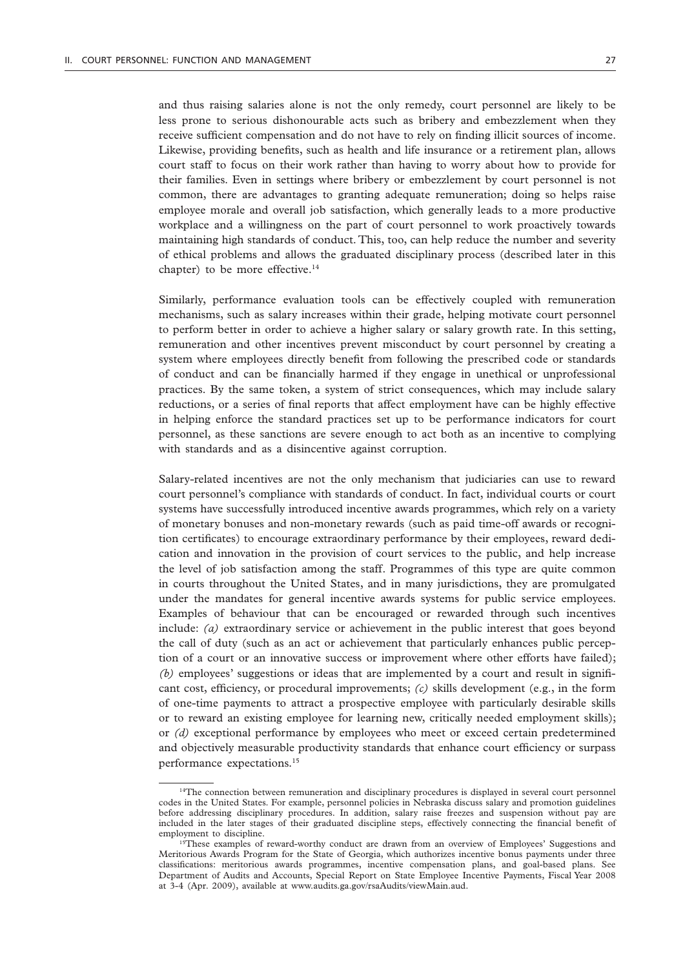and thus raising salaries alone is not the only remedy, court personnel are likely to be less prone to serious dishonourable acts such as bribery and embezzlement when they receive sufficient compensation and do not have to rely on finding illicit sources of income. Likewise, providing benefits, such as health and life insurance or a retirement plan, allows court staff to focus on their work rather than having to worry about how to provide for their families. Even in settings where bribery or embezzlement by court personnel is not common, there are advantages to granting adequate remuneration; doing so helps raise employee morale and overall job satisfaction, which generally leads to a more productive workplace and a willingness on the part of court personnel to work proactively towards maintaining high standards of conduct. This, too, can help reduce the number and severity of ethical problems and allows the graduated disciplinary process (described later in this chapter) to be more effective.<sup>14</sup>

Similarly, performance evaluation tools can be effectively coupled with remuneration mechanisms, such as salary increases within their grade, helping motivate court personnel to perform better in order to achieve a higher salary or salary growth rate. In this setting, remuneration and other incentives prevent misconduct by court personnel by creating a system where employees directly benefit from following the prescribed code or standards of conduct and can be financially harmed if they engage in unethical or unprofessional practices. By the same token, a system of strict consequences, which may include salary reductions, or a series of final reports that affect employment have can be highly effective in helping enforce the standard practices set up to be performance indicators for court personnel, as these sanctions are severe enough to act both as an incentive to complying with standards and as a disincentive against corruption.

Salary-related incentives are not the only mechanism that judiciaries can use to reward court personnel's compliance with standards of conduct. In fact, individual courts or court systems have successfully introduced incentive awards programmes, which rely on a variety of monetary bonuses and non-monetary rewards (such as paid time-off awards or recognition certificates) to encourage extraordinary performance by their employees, reward dedication and innovation in the provision of court services to the public, and help increase the level of job satisfaction among the staff. Programmes of this type are quite common in courts throughout the United States, and in many jurisdictions, they are promulgated under the mandates for general incentive awards systems for public service employees. Examples of behaviour that can be encouraged or rewarded through such incentives include: *(a)* extraordinary service or achievement in the public interest that goes beyond the call of duty (such as an act or achievement that particularly enhances public perception of a court or an innovative success or improvement where other efforts have failed); *(b)* employees' suggestions or ideas that are implemented by a court and result in significant cost, efficiency, or procedural improvements; *(c)* skills development (e.g., in the form of one-time payments to attract a prospective employee with particularly desirable skills or to reward an existing employee for learning new, critically needed employment skills); or *(d)* exceptional performance by employees who meet or exceed certain predetermined and objectively measurable productivity standards that enhance court efficiency or surpass performance expectations.15

<sup>&</sup>lt;sup>14</sup>The connection between remuneration and disciplinary procedures is displayed in several court personnel codes in the United States. For example, personnel policies in Nebraska discuss salary and promotion guidelines before addressing disciplinary procedures. In addition, salary raise freezes and suspension without pay are included in the later stages of their graduated discipline steps, effectively connecting the financial benefit of employment to discipline.

<sup>&</sup>lt;sup>15</sup>These examples of reward-worthy conduct are drawn from an overview of Employees' Suggestions and Meritorious Awards Program for the State of Georgia, which authorizes incentive bonus payments under three classifications: meritorious awards programmes, incentive compensation plans, and goal-based plans. See Department of Audits and Accounts, Special Report on State Employee Incentive Payments, Fiscal Year 2008 at 3-4 (Apr. 2009), available at www.audits.ga.gov/rsaAudits/viewMain.aud.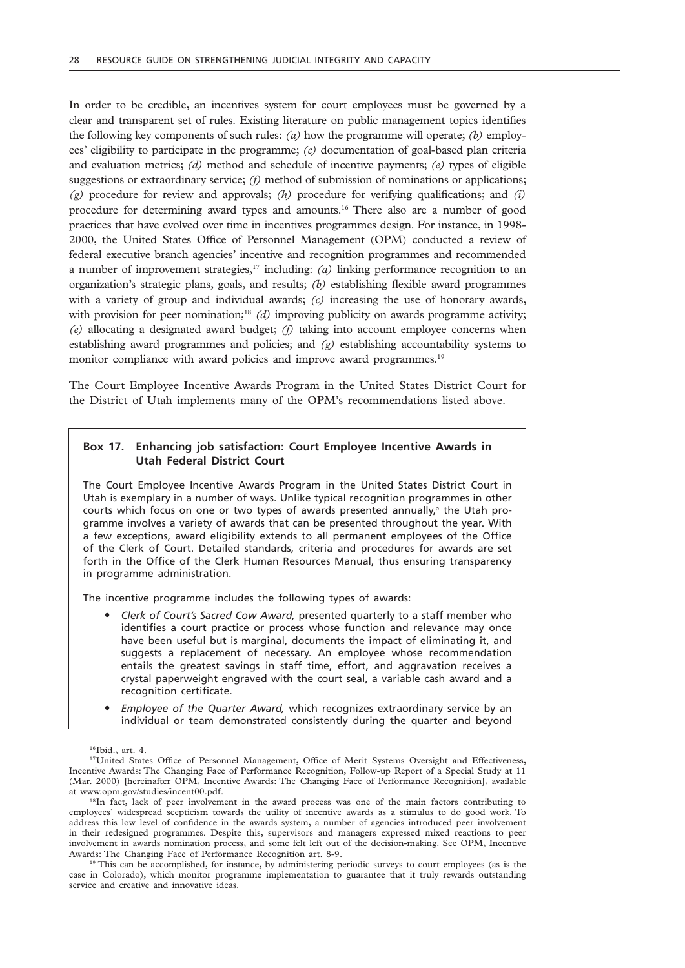In order to be credible, an incentives system for court employees must be governed by a clear and transparent set of rules. Existing literature on public management topics identifies the following key components of such rules: *(a)* how the programme will operate; *(b)* employees' eligibility to participate in the programme; *(c)* documentation of goal-based plan criteria and evaluation metrics; *(d)* method and schedule of incentive payments; *(e)* types of eligible suggestions or extraordinary service; *(f)* method of submission of nominations or applications; *(g)* procedure for review and approvals; *(h)* procedure for verifying qualifications; and *(i)* procedure for determining award types and amounts.16 There also are a number of good practices that have evolved over time in incentives programmes design. For instance, in 1998- 2000, the United States Office of Personnel Management (OPM) conducted a review of federal executive branch agencies' incentive and recognition programmes and recommended a number of improvement strategies, $17$  including: *(a)* linking performance recognition to an organization's strategic plans, goals, and results; *(b)* establishing flexible award programmes with a variety of group and individual awards; *(c)* increasing the use of honorary awards, with provision for peer nomination;<sup>18</sup> *(d)* improving publicity on awards programme activity; *(e)* allocating a designated award budget; *(f)* taking into account employee concerns when establishing award programmes and policies; and *(g)* establishing accountability systems to monitor compliance with award policies and improve award programmes.<sup>19</sup>

The Court Employee Incentive Awards Program in the United States District Court for the District of Utah implements many of the OPM's recommendations listed above.

### **Box 17. Enhancing job satisfaction: Court Employee Incentive Awards in Utah Federal District Court**

The Court Employee Incentive Awards Program in the United States District Court in Utah is exemplary in a number of ways. Unlike typical recognition programmes in other courts which focus on one or two types of awards presented annually,<sup>a</sup> the Utah programme involves a variety of awards that can be presented throughout the year. With a few exceptions, award eligibility extends to all permanent employees of the Office of the Clerk of Court. Detailed standards, criteria and procedures for awards are set forth in the Office of the Clerk Human Resources Manual, thus ensuring transparency in programme administration.

The incentive programme includes the following types of awards:

- " *Clerk of Court's Sacred Cow Award,* presented quarterly to a staff member who identifies a court practice or process whose function and relevance may once have been useful but is marginal, documents the impact of eliminating it, and suggests a replacement of necessary. An employee whose recommendation entails the greatest savings in staff time, effort, and aggravation receives a crystal paperweight engraved with the court seal, a variable cash award and a recognition certificate.
- " *Employee of the Quarter Award,* which recognizes extraordinary service by an individual or team demonstrated consistently during the quarter and beyond

<sup>&</sup>lt;sup>16</sup>Ibid., art. 4.

<sup>&</sup>lt;sup>17</sup>United States Office of Personnel Management, Office of Merit Systems Oversight and Effectiveness, Incentive Awards: The Changing Face of Performance Recognition, Follow-up Report of a Special Study at 11 (Mar. 2000) [hereinafter OPM, Incentive Awards: The Changing Face of Performance Recognition], available at www.opm.gov/studies/incent00.pdf.

<sup>&</sup>lt;sup>18</sup>In fact, lack of peer involvement in the award process was one of the main factors contributing to employees' widespread scepticism towards the utility of incentive awards as a stimulus to do good work. To address this low level of confidence in the awards system, a number of agencies introduced peer involvement in their redesigned programmes. Despite this, supervisors and managers expressed mixed reactions to peer involvement in awards nomination process, and some felt left out of the decision-making. See OPM, Incentive Awards: The Changing Face of Performance Recognition art. 8-9.

<sup>&</sup>lt;sup>19</sup> This can be accomplished, for instance, by administering periodic surveys to court employees (as is the case in Colorado), which monitor programme implementation to guarantee that it truly rewards outstanding service and creative and innovative ideas.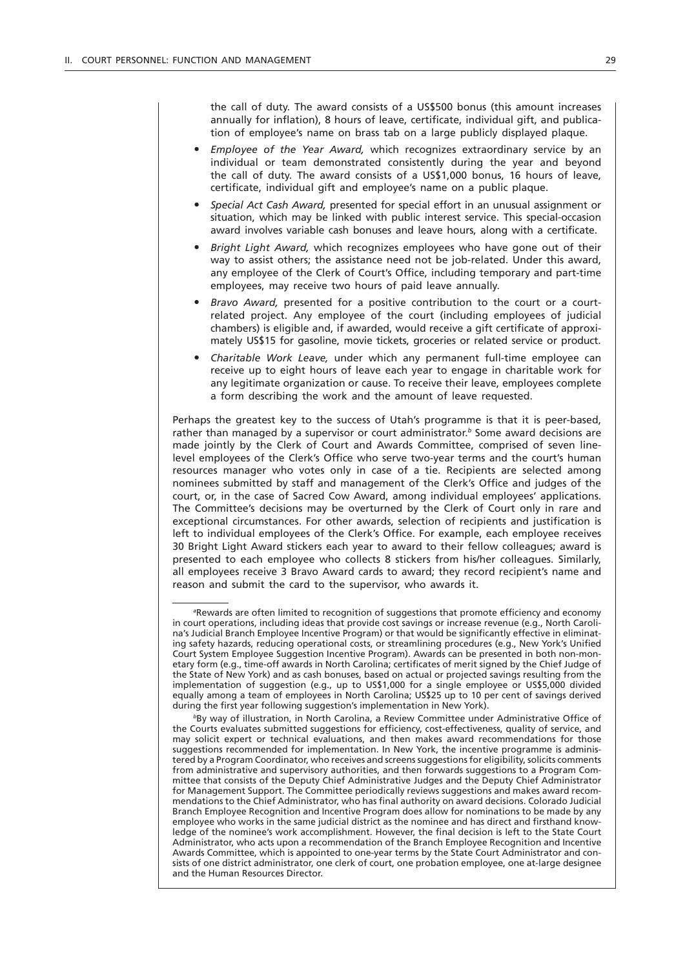the call of duty. The award consists of a US\$500 bonus (this amount increases annually for inflation), 8 hours of leave, certificate, individual gift, and publication of employee's name on brass tab on a large publicly displayed plaque.

- " *Employee of the Year Award,* which recognizes extraordinary service by an individual or team demonstrated consistently during the year and beyond the call of duty. The award consists of a US\$1,000 bonus, 16 hours of leave, certificate, individual gift and employee's name on a public plaque.
- " *Special Act Cash Award,* presented for special effort in an unusual assignment or situation, which may be linked with public interest service. This special-occasion award involves variable cash bonuses and leave hours, along with a certificate.
- " *Bright Light Award,* which recognizes employees who have gone out of their way to assist others; the assistance need not be job-related. Under this award, any employee of the Clerk of Court's Office, including temporary and part-time employees, may receive two hours of paid leave annually.
- Bravo Award, presented for a positive contribution to the court or a courtrelated project. Any employee of the court (including employees of judicial chambers) is eligible and, if awarded, would receive a gift certificate of approximately US\$15 for gasoline, movie tickets, groceries or related service or product.
- " *Charitable Work Leave,* under which any permanent full-time employee can receive up to eight hours of leave each year to engage in charitable work for any legitimate organization or cause. To receive their leave, employees complete a form describing the work and the amount of leave requested.

Perhaps the greatest key to the success of Utah's programme is that it is peer-based, rather than managed by a supervisor or court administrator.*<sup>b</sup>* Some award decisions are made jointly by the Clerk of Court and Awards Committee, comprised of seven linelevel employees of the Clerk's Office who serve two-year terms and the court's human resources manager who votes only in case of a tie. Recipients are selected among nominees submitted by staff and management of the Clerk's Office and judges of the court, or, in the case of Sacred Cow Award, among individual employees' applications. The Committee's decisions may be overturned by the Clerk of Court only in rare and exceptional circumstances. For other awards, selection of recipients and justification is left to individual employees of the Clerk's Office. For example, each employee receives 30 Bright Light Award stickers each year to award to their fellow colleagues; award is presented to each employee who collects 8 stickers from his/her colleagues. Similarly, all employees receive 3 Bravo Award cards to award; they record recipient's name and reason and submit the card to the supervisor, who awards it.

*a* Rewards are often limited to recognition of suggestions that promote efficiency and economy in court operations, including ideas that provide cost savings or increase revenue (e.g., North Carolina's Judicial Branch Employee Incentive Program) or that would be significantly effective in eliminating safety hazards, reducing operational costs, or streamlining procedures (e.g., New York's Unified Court System Employee Suggestion Incentive Program). Awards can be presented in both non-monetary form (e.g., time-off awards in North Carolina; certificates of merit signed by the Chief Judge of the State of New York) and as cash bonuses, based on actual or projected savings resulting from the implementation of suggestion (e.g., up to US\$1,000 for a single employee or US\$5,000 divided equally among a team of employees in North Carolina; US\$25 up to 10 per cent of savings derived during the first year following suggestion's implementation in New York).

*<sup>b</sup>*By way of illustration, in North Carolina, a Review Committee under Administrative Office of the Courts evaluates submitted suggestions for efficiency, cost-effectiveness, quality of service, and may solicit expert or technical evaluations, and then makes award recommendations for those suggestions recommended for implementation. In New York, the incentive programme is administered by a Program Coordinator, who receives and screens suggestions for eligibility, solicits comments from administrative and supervisory authorities, and then forwards suggestions to a Program Committee that consists of the Deputy Chief Administrative Judges and the Deputy Chief Administrator for Management Support. The Committee periodically reviews suggestions and makes award recommendations to the Chief Administrator, who has final authority on award decisions. Colorado Judicial Branch Employee Recognition and Incentive Program does allow for nominations to be made by any employee who works in the same judicial district as the nominee and has direct and firsthand knowledge of the nominee's work accomplishment. However, the final decision is left to the State Court Administrator, who acts upon a recommendation of the Branch Employee Recognition and Incentive Awards Committee, which is appointed to one-year terms by the State Court Administrator and consists of one district administrator, one clerk of court, one probation employee, one at-large designee and the Human Resources Director.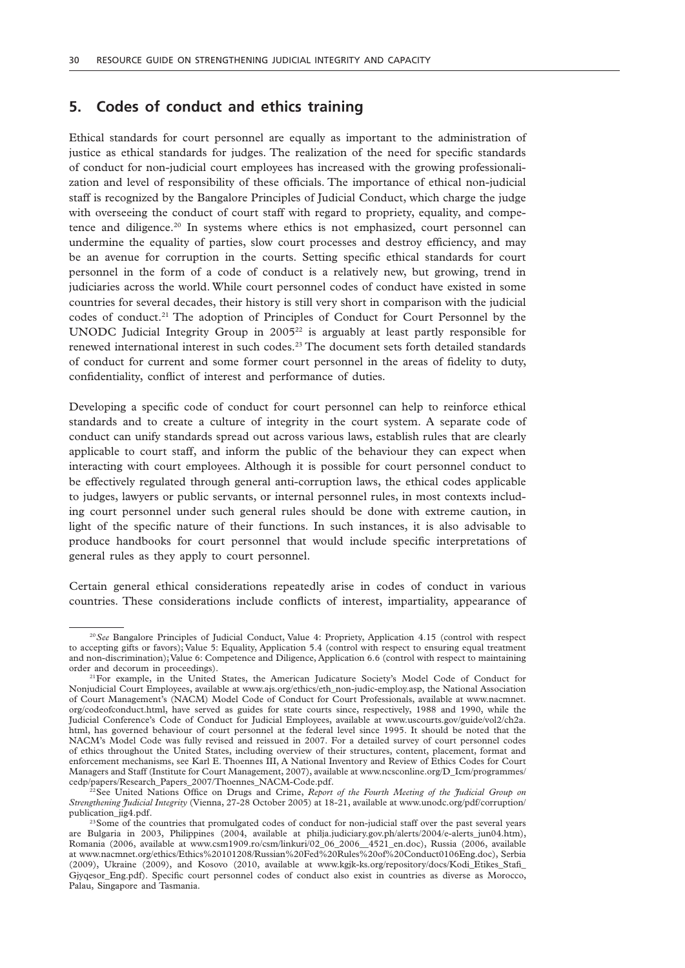# **5. Codes of conduct and ethics training**

Ethical standards for court personnel are equally as important to the administration of justice as ethical standards for judges. The realization of the need for specific standards of conduct for non-judicial court employees has increased with the growing professionalization and level of responsibility of these officials. The importance of ethical non-judicial staff is recognized by the Bangalore Principles of Judicial Conduct, which charge the judge with overseeing the conduct of court staff with regard to propriety, equality, and competence and diligence.20 In systems where ethics is not emphasized, court personnel can undermine the equality of parties, slow court processes and destroy efficiency, and may be an avenue for corruption in the courts. Setting specific ethical standards for court personnel in the form of a code of conduct is a relatively new, but growing, trend in judiciaries across the world. While court personnel codes of conduct have existed in some countries for several decades, their history is still very short in comparison with the judicial codes of conduct.21 The adoption of Principles of Conduct for Court Personnel by the UNODC Judicial Integrity Group in  $2005^{22}$  is arguably at least partly responsible for renewed international interest in such codes.<sup>23</sup> The document sets forth detailed standards of conduct for current and some former court personnel in the areas of fidelity to duty, confidentiality, conflict of interest and performance of duties.

Developing a specific code of conduct for court personnel can help to reinforce ethical standards and to create a culture of integrity in the court system. A separate code of conduct can unify standards spread out across various laws, establish rules that are clearly applicable to court staff, and inform the public of the behaviour they can expect when interacting with court employees. Although it is possible for court personnel conduct to be effectively regulated through general anti-corruption laws, the ethical codes applicable to judges, lawyers or public servants, or internal personnel rules, in most contexts including court personnel under such general rules should be done with extreme caution, in light of the specific nature of their functions. In such instances, it is also advisable to produce handbooks for court personnel that would include specific interpretations of general rules as they apply to court personnel.

Certain general ethical considerations repeatedly arise in codes of conduct in various countries. These considerations include conflicts of interest, impartiality, appearance of

<sup>20</sup>*See* Bangalore Principles of Judicial Conduct, Value 4: Propriety, Application 4.15 (control with respect to accepting gifts or favors); Value 5: Equality, Application 5.4 (control with respect to ensuring equal treatment and non-discrimination); Value 6: Competence and Diligence, Application 6.6 (control with respect to maintaining order and decorum in proceedings).

<sup>21</sup>For example, in the United States, the American Judicature Society's Model Code of Conduct for Nonjudicial Court Employees, available at www.ajs.org/ethics/eth\_non-judic-employ.asp, the National Association of Court Management's (NACM) Model Code of Conduct for Court Professionals, available at www.nacmnet. org/codeofconduct.html, have served as guides for state courts since, respectively, 1988 and 1990, while the Judicial Conference's Code of Conduct for Judicial Employees, available at www.uscourts.gov/guide/vol2/ch2a. html, has governed behaviour of court personnel at the federal level since 1995. It should be noted that the NACM's Model Code was fully revised and reissued in 2007. For a detailed survey of court personnel codes of ethics throughout the United States, including overview of their structures, content, placement, format and enforcement mechanisms, see Karl E. Thoennes III, A National Inventory and Review of Ethics Codes for Court Managers and Staff (Institute for Court Management, 2007), available at www.ncsconline.org/D\_Icm/programmes/ cedp/papers/Research\_Papers\_2007/Thoennes\_NACM-Code.pdf.

<sup>22</sup>See United Nations Office on Drugs and Crime, *Report of the Fourth Meeting of the Judicial Group on Strengthening Judicial Integrity* (Vienna, 27-28 October 2005) at 18-21, available at www.unodc.org/pdf/corruption/ publication\_jig4.pdf.

<sup>&</sup>lt;sup>23</sup>Some of the countries that promulgated codes of conduct for non-judicial staff over the past several years are Bulgaria in 2003, Philippines (2004, available at philja.judiciary.gov.ph/alerts/2004/e-alerts\_jun04.htm), Romania (2006, available at www.csm1909.ro/csm/linkuri/02\_06\_2006\_\_4521\_en.doc), Russia (2006, available at www.nacmnet.org/ethics/Ethics%20101208/Russian%20Fed%20Rules%20of%20Conduct0106Eng.doc), Serbia (2009), Ukraine (2009), and Kosovo (2010, available at www.kgik-ks.org/repository/docs/Kodi Etikes Stafi Gjyqesor Eng.pdf). Specific court personnel codes of conduct also exist in countries as diverse as Morocco, Palau, Singapore and Tasmania.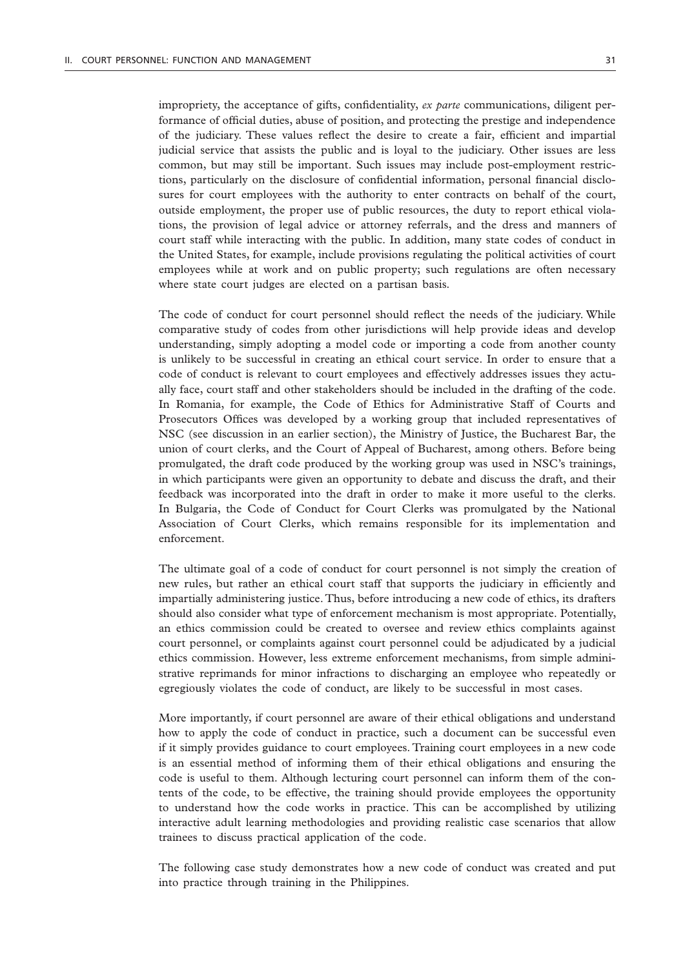impropriety, the acceptance of gifts, confidentiality, *ex parte* communications, diligent performance of official duties, abuse of position, and protecting the prestige and independence of the judiciary. These values reflect the desire to create a fair, efficient and impartial judicial service that assists the public and is loyal to the judiciary. Other issues are less common, but may still be important. Such issues may include post-employment restrictions, particularly on the disclosure of confidential information, personal financial disclosures for court employees with the authority to enter contracts on behalf of the court, outside employment, the proper use of public resources, the duty to report ethical violations, the provision of legal advice or attorney referrals, and the dress and manners of court staff while interacting with the public. In addition, many state codes of conduct in the United States, for example, include provisions regulating the political activities of court employees while at work and on public property; such regulations are often necessary where state court judges are elected on a partisan basis.

The code of conduct for court personnel should reflect the needs of the judiciary. While comparative study of codes from other jurisdictions will help provide ideas and develop understanding, simply adopting a model code or importing a code from another county is unlikely to be successful in creating an ethical court service. In order to ensure that a code of conduct is relevant to court employees and effectively addresses issues they actually face, court staff and other stakeholders should be included in the drafting of the code. In Romania, for example, the Code of Ethics for Administrative Staff of Courts and Prosecutors Offices was developed by a working group that included representatives of NSC (see discussion in an earlier section), the Ministry of Justice, the Bucharest Bar, the union of court clerks, and the Court of Appeal of Bucharest, among others. Before being promulgated, the draft code produced by the working group was used in NSC's trainings, in which participants were given an opportunity to debate and discuss the draft, and their feedback was incorporated into the draft in order to make it more useful to the clerks. In Bulgaria, the Code of Conduct for Court Clerks was promulgated by the National Association of Court Clerks, which remains responsible for its implementation and enforcement.

The ultimate goal of a code of conduct for court personnel is not simply the creation of new rules, but rather an ethical court staff that supports the judiciary in efficiently and impartially administering justice. Thus, before introducing a new code of ethics, its drafters should also consider what type of enforcement mechanism is most appropriate. Potentially, an ethics commission could be created to oversee and review ethics complaints against court personnel, or complaints against court personnel could be adjudicated by a judicial ethics commission. However, less extreme enforcement mechanisms, from simple administrative reprimands for minor infractions to discharging an employee who repeatedly or egregiously violates the code of conduct, are likely to be successful in most cases.

More importantly, if court personnel are aware of their ethical obligations and understand how to apply the code of conduct in practice, such a document can be successful even if it simply provides guidance to court employees. Training court employees in a new code is an essential method of informing them of their ethical obligations and ensuring the code is useful to them. Although lecturing court personnel can inform them of the contents of the code, to be effective, the training should provide employees the opportunity to understand how the code works in practice. This can be accomplished by utilizing interactive adult learning methodologies and providing realistic case scenarios that allow trainees to discuss practical application of the code.

The following case study demonstrates how a new code of conduct was created and put into practice through training in the Philippines.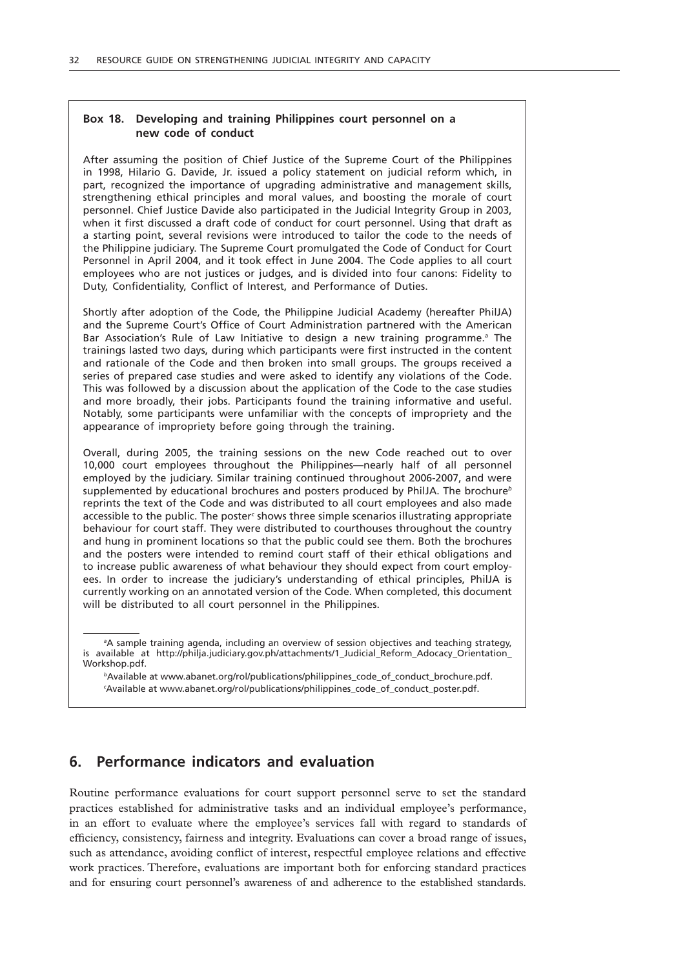### **Box 18. Developing and training Philippines court personnel on a new code of conduct**

After assuming the position of Chief Justice of the Supreme Court of the Philippines in 1998, Hilario G. Davide, Jr. issued a policy statement on judicial reform which, in part, recognized the importance of upgrading administrative and management skills, strengthening ethical principles and moral values, and boosting the morale of court personnel. Chief Justice Davide also participated in the Judicial Integrity Group in 2003, when it first discussed a draft code of conduct for court personnel. Using that draft as a starting point, several revisions were introduced to tailor the code to the needs of the Philippine judiciary. The Supreme Court promulgated the Code of Conduct for Court Personnel in April 2004, and it took effect in June 2004. The Code applies to all court employees who are not justices or judges, and is divided into four canons: Fidelity to Duty, Confidentiality, Conflict of Interest, and Performance of Duties.

Shortly after adoption of the Code, the Philippine Judicial Academy (hereafter PhilJA) and the Supreme Court's Office of Court Administration partnered with the American Bar Association's Rule of Law Initiative to design a new training programme.*<sup>a</sup>* The trainings lasted two days, during which participants were first instructed in the content and rationale of the Code and then broken into small groups. The groups received a series of prepared case studies and were asked to identify any violations of the Code. This was followed by a discussion about the application of the Code to the case studies and more broadly, their jobs. Participants found the training informative and useful. Notably, some participants were unfamiliar with the concepts of impropriety and the appearance of impropriety before going through the training.

Overall, during 2005, the training sessions on the new Code reached out to over 10,000 court employees throughout the Philippines—nearly half of all personnel employed by the judiciary. Similar training continued throughout 2006-2007, and were supplemented by educational brochures and posters produced by PhilJA. The brochure*<sup>b</sup>* reprints the text of the Code and was distributed to all court employees and also made accessible to the public. The poster<sup>c</sup> shows three simple scenarios illustrating appropriate behaviour for court staff. They were distributed to courthouses throughout the country and hung in prominent locations so that the public could see them. Both the brochures and the posters were intended to remind court staff of their ethical obligations and to increase public awareness of what behaviour they should expect from court employees. In order to increase the judiciary's understanding of ethical principles, PhilJA is currently working on an annotated version of the Code. When completed, this document will be distributed to all court personnel in the Philippines.

# **6. Performance indicators and evaluation**

Routine performance evaluations for court support personnel serve to set the standard practices established for administrative tasks and an individual employee's performance, in an effort to evaluate where the employee's services fall with regard to standards of efficiency, consistency, fairness and integrity. Evaluations can cover a broad range of issues, such as attendance, avoiding conflict of interest, respectful employee relations and effective work practices. Therefore, evaluations are important both for enforcing standard practices and for ensuring court personnel's awareness of and adherence to the established standards.

*a* A sample training agenda, including an overview of session objectives and teaching strategy, is available at http://philja.judiciary.gov.ph/attachments/1\_Judicial\_Reform\_Adocacy\_Orientation\_ Workshop.pdf.

*<sup>b</sup>*Available at www.abanet.org/rol/publications/philippines\_code\_of\_conduct\_brochure.pdf. *c* Available at www.abanet.org/rol/publications/philippines\_code\_of\_conduct\_poster.pdf.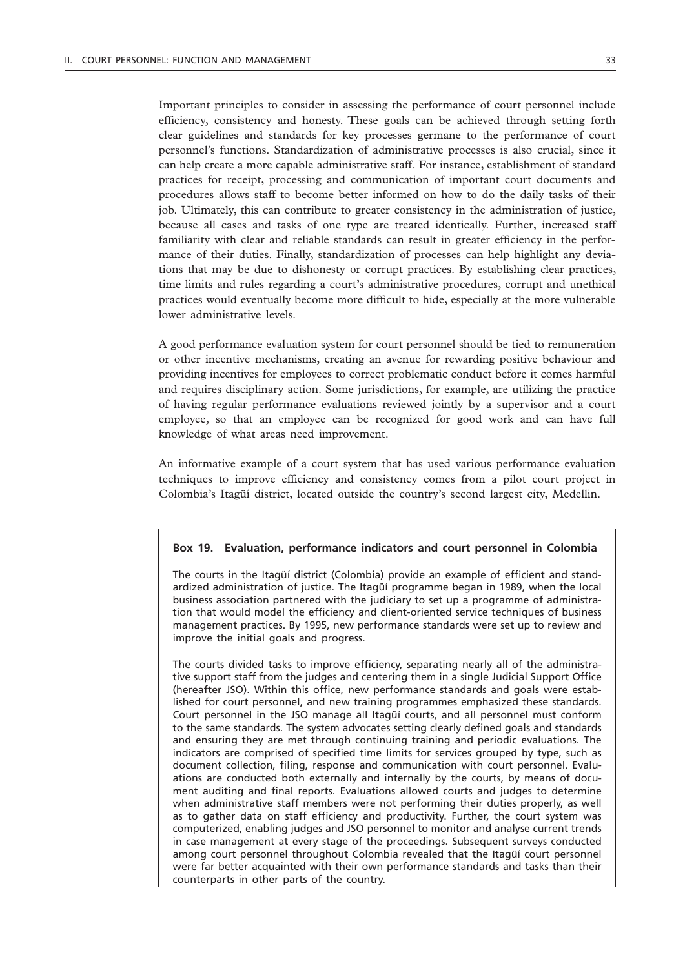Important principles to consider in assessing the performance of court personnel include efficiency, consistency and honesty. These goals can be achieved through setting forth clear guidelines and standards for key processes germane to the performance of court personnel's functions. Standardization of administrative processes is also crucial, since it can help create a more capable administrative staff. For instance, establishment of standard practices for receipt, processing and communication of important court documents and procedures allows staff to become better informed on how to do the daily tasks of their job. Ultimately, this can contribute to greater consistency in the administration of justice, because all cases and tasks of one type are treated identically. Further, increased staff familiarity with clear and reliable standards can result in greater efficiency in the performance of their duties. Finally, standardization of processes can help highlight any deviations that may be due to dishonesty or corrupt practices. By establishing clear practices, time limits and rules regarding a court's administrative procedures, corrupt and unethical practices would eventually become more difficult to hide, especially at the more vulnerable lower administrative levels.

A good performance evaluation system for court personnel should be tied to remuneration or other incentive mechanisms, creating an avenue for rewarding positive behaviour and providing incentives for employees to correct problematic conduct before it comes harmful and requires disciplinary action. Some jurisdictions, for example, are utilizing the practice of having regular performance evaluations reviewed jointly by a supervisor and a court employee, so that an employee can be recognized for good work and can have full knowledge of what areas need improvement.

An informative example of a court system that has used various performance evaluation techniques to improve efficiency and consistency comes from a pilot court project in Colombia's Itagüí district, located outside the country's second largest city, Medellin.

#### **Box 19. Evaluation, performance indicators and court personnel in Colombia**

The courts in the Itagüí district (Colombia) provide an example of efficient and standardized administration of justice. The Itagüí programme began in 1989, when the local business association partnered with the judiciary to set up a programme of administration that would model the efficiency and client-oriented service techniques of business management practices. By 1995, new performance standards were set up to review and improve the initial goals and progress.

The courts divided tasks to improve efficiency, separating nearly all of the administrative support staff from the judges and centering them in a single Judicial Support Office (hereafter JSO). Within this office, new performance standards and goals were established for court personnel, and new training programmes emphasized these standards. Court personnel in the JSO manage all Itagüí courts, and all personnel must conform to the same standards. The system advocates setting clearly defined goals and standards and ensuring they are met through continuing training and periodic evaluations. The indicators are comprised of specified time limits for services grouped by type, such as document collection, filing, response and communication with court personnel. Evaluations are conducted both externally and internally by the courts, by means of document auditing and final reports. Evaluations allowed courts and judges to determine when administrative staff members were not performing their duties properly, as well as to gather data on staff efficiency and productivity. Further, the court system was computerized, enabling judges and JSO personnel to monitor and analyse current trends in case management at every stage of the proceedings. Subsequent surveys conducted among court personnel throughout Colombia revealed that the Itagüí court personnel were far better acquainted with their own performance standards and tasks than their counterparts in other parts of the country.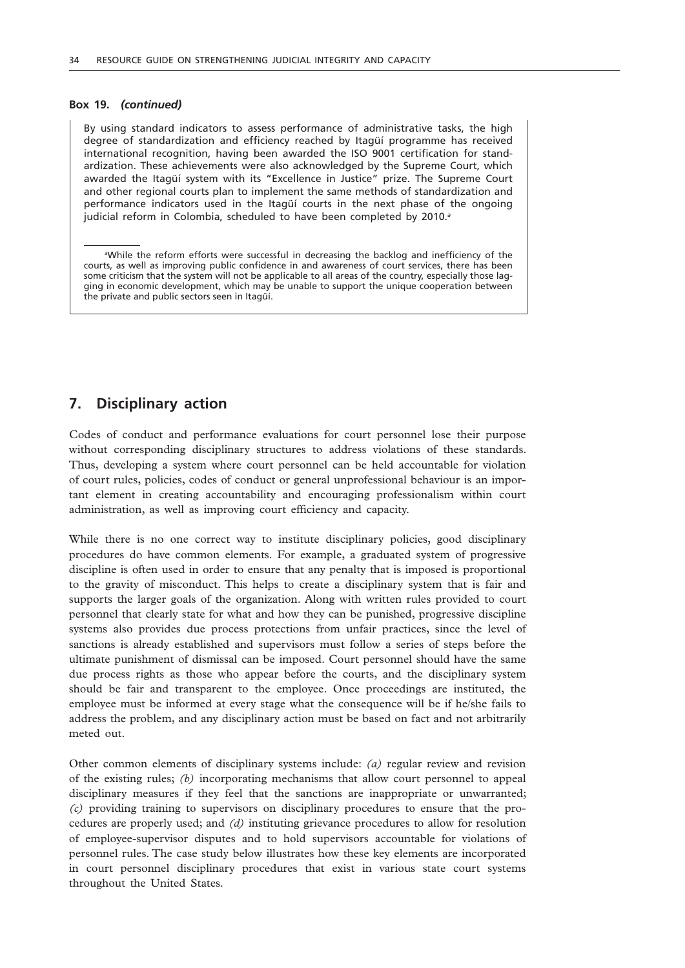#### **Box 19.** *(continued)*

By using standard indicators to assess performance of administrative tasks, the high degree of standardization and efficiency reached by Itagüí programme has received international recognition, having been awarded the ISO 9001 certification for standardization. These achievements were also acknowledged by the Supreme Court, which awarded the Itagüí system with its "Excellence in Justice" prize. The Supreme Court and other regional courts plan to implement the same methods of standardization and performance indicators used in the Itagüí courts in the next phase of the ongoing judicial reform in Colombia, scheduled to have been completed by 2010.*<sup>a</sup>*

*a* While the reform efforts were successful in decreasing the backlog and inefficiency of the courts, as well as improving public confidence in and awareness of court services, there has been some criticism that the system will not be applicable to all areas of the country, especially those lagging in economic development, which may be unable to support the unique cooperation between the private and public sectors seen in Itagüí.

# **7. Disciplinary action**

Codes of conduct and performance evaluations for court personnel lose their purpose without corresponding disciplinary structures to address violations of these standards. Thus, developing a system where court personnel can be held accountable for violation of court rules, policies, codes of conduct or general unprofessional behaviour is an important element in creating accountability and encouraging professionalism within court administration, as well as improving court efficiency and capacity.

While there is no one correct way to institute disciplinary policies, good disciplinary procedures do have common elements. For example, a graduated system of progressive discipline is often used in order to ensure that any penalty that is imposed is proportional to the gravity of misconduct. This helps to create a disciplinary system that is fair and supports the larger goals of the organization. Along with written rules provided to court personnel that clearly state for what and how they can be punished, progressive discipline systems also provides due process protections from unfair practices, since the level of sanctions is already established and supervisors must follow a series of steps before the ultimate punishment of dismissal can be imposed. Court personnel should have the same due process rights as those who appear before the courts, and the disciplinary system should be fair and transparent to the employee. Once proceedings are instituted, the employee must be informed at every stage what the consequence will be if he/she fails to address the problem, and any disciplinary action must be based on fact and not arbitrarily meted out.

Other common elements of disciplinary systems include: *(a)* regular review and revision of the existing rules; *(b)* incorporating mechanisms that allow court personnel to appeal disciplinary measures if they feel that the sanctions are inappropriate or unwarranted; *(c)* providing training to supervisors on disciplinary procedures to ensure that the procedures are properly used; and *(d)* instituting grievance procedures to allow for resolution of employee-supervisor disputes and to hold supervisors accountable for violations of personnel rules. The case study below illustrates how these key elements are incorporated in court personnel disciplinary procedures that exist in various state court systems throughout the United States.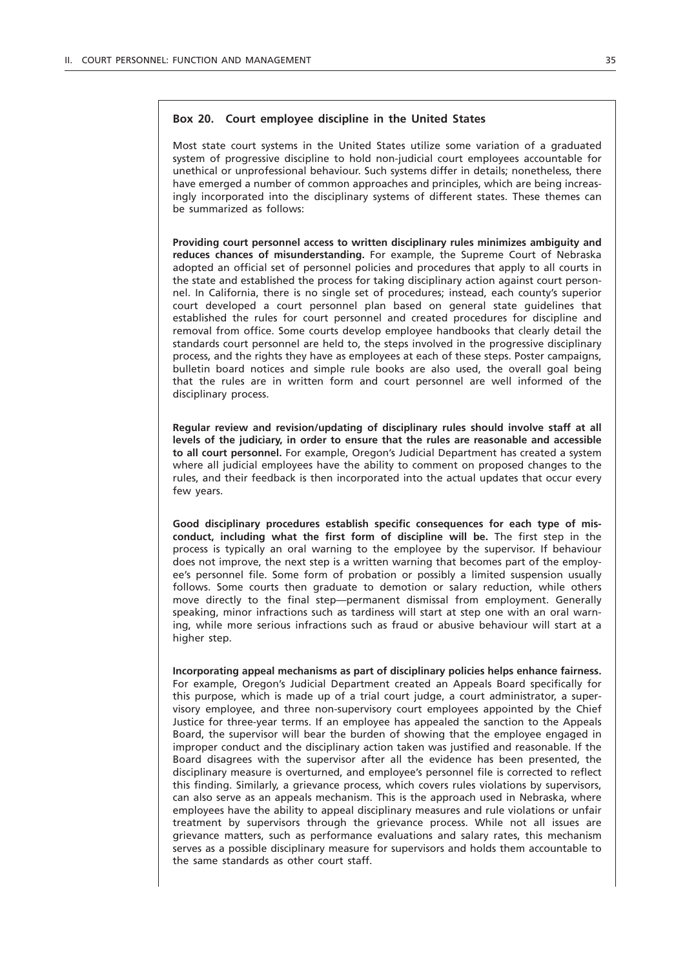### **Box 20. Court employee discipline in the United States**

Most state court systems in the United States utilize some variation of a graduated system of progressive discipline to hold non-judicial court employees accountable for unethical or unprofessional behaviour. Such systems differ in details; nonetheless, there have emerged a number of common approaches and principles, which are being increasingly incorporated into the disciplinary systems of different states. These themes can be summarized as follows:

**Providing court personnel access to written disciplinary rules minimizes ambiguity and reduces chances of misunderstanding.** For example, the Supreme Court of Nebraska adopted an official set of personnel policies and procedures that apply to all courts in the state and established the process for taking disciplinary action against court personnel. In California, there is no single set of procedures; instead, each county's superior court developed a court personnel plan based on general state guidelines that established the rules for court personnel and created procedures for discipline and removal from office. Some courts develop employee handbooks that clearly detail the standards court personnel are held to, the steps involved in the progressive disciplinary process, and the rights they have as employees at each of these steps. Poster campaigns, bulletin board notices and simple rule books are also used, the overall goal being that the rules are in written form and court personnel are well informed of the disciplinary process.

**Regular review and revision/updating of disciplinary rules should involve staff at all levels of the judiciary, in order to ensure that the rules are reasonable and accessible to all court personnel.** For example, Oregon's Judicial Department has created a system where all judicial employees have the ability to comment on proposed changes to the rules, and their feedback is then incorporated into the actual updates that occur every few years.

**Good disciplinary procedures establish specific consequences for each type of misconduct, including what the first form of discipline will be.** The first step in the process is typically an oral warning to the employee by the supervisor. If behaviour does not improve, the next step is a written warning that becomes part of the employee's personnel file. Some form of probation or possibly a limited suspension usually follows. Some courts then graduate to demotion or salary reduction, while others move directly to the final step—permanent dismissal from employment. Generally speaking, minor infractions such as tardiness will start at step one with an oral warning, while more serious infractions such as fraud or abusive behaviour will start at a higher step.

**Incorporating appeal mechanisms as part of disciplinary policies helps enhance fairness.**  For example, Oregon's Judicial Department created an Appeals Board specifically for this purpose, which is made up of a trial court judge, a court administrator, a supervisory employee, and three non-supervisory court employees appointed by the Chief Justice for three-year terms. If an employee has appealed the sanction to the Appeals Board, the supervisor will bear the burden of showing that the employee engaged in improper conduct and the disciplinary action taken was justified and reasonable. If the Board disagrees with the supervisor after all the evidence has been presented, the disciplinary measure is overturned, and employee's personnel file is corrected to reflect this finding. Similarly, a grievance process, which covers rules violations by supervisors, can also serve as an appeals mechanism. This is the approach used in Nebraska, where employees have the ability to appeal disciplinary measures and rule violations or unfair treatment by supervisors through the grievance process. While not all issues are grievance matters, such as performance evaluations and salary rates, this mechanism serves as a possible disciplinary measure for supervisors and holds them accountable to the same standards as other court staff.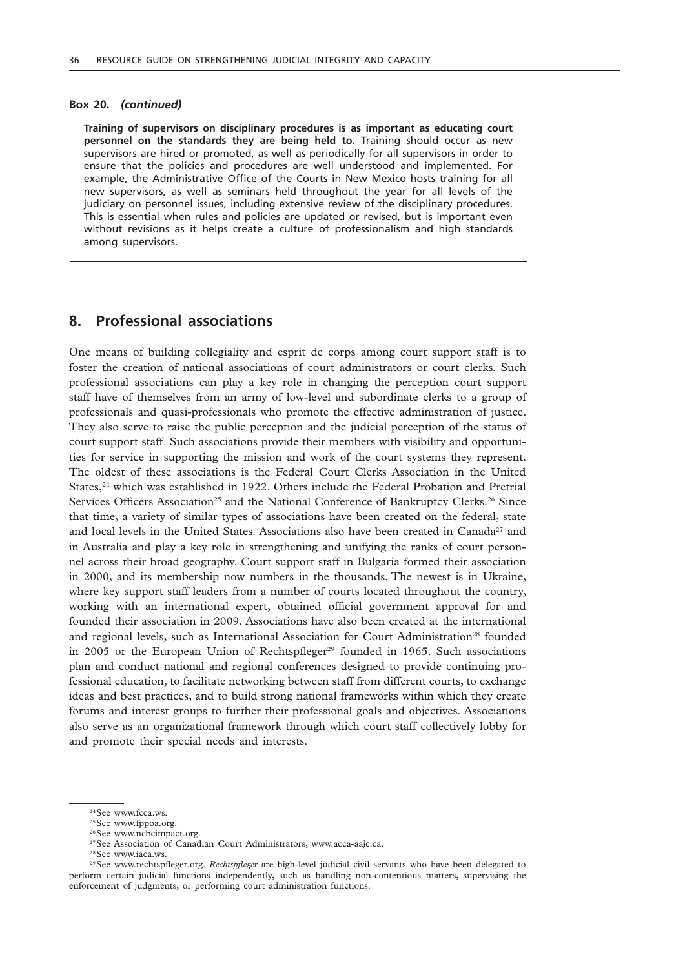#### **Box 20.** *(continued)*

**Training of supervisors on disciplinary procedures is as important as educating court personnel on the standards they are being held to.** Training should occur as new supervisors are hired or promoted, as well as periodically for all supervisors in order to ensure that the policies and procedures are well understood and implemented. For example, the Administrative Office of the Courts in New Mexico hosts training for all new supervisors, as well as seminars held throughout the year for all levels of the judiciary on personnel issues, including extensive review of the disciplinary procedures. This is essential when rules and policies are updated or revised, but is important even without revisions as it helps create a culture of professionalism and high standards among supervisors.

# **8. Professional associations**

One means of building collegiality and esprit de corps among court support staff is to foster the creation of national associations of court administrators or court clerks. Such professional associations can play a key role in changing the perception court support staff have of themselves from an army of low-level and subordinate clerks to a group of professionals and quasi-professionals who promote the effective administration of justice. They also serve to raise the public perception and the judicial perception of the status of court support staff. Such associations provide their members with visibility and opportunities for service in supporting the mission and work of the court systems they represent. The oldest of these associations is the Federal Court Clerks Association in the United States,<sup>24</sup> which was established in 1922. Others include the Federal Probation and Pretrial Services Officers Association<sup>25</sup> and the National Conference of Bankruptcy Clerks.<sup>26</sup> Since that time, a variety of similar types of associations have been created on the federal, state and local levels in the United States. Associations also have been created in Canada<sup>27</sup> and in Australia and play a key role in strengthening and unifying the ranks of court personnel across their broad geography. Court support staff in Bulgaria formed their association in 2000, and its membership now numbers in the thousands. The newest is in Ukraine, where key support staff leaders from a number of courts located throughout the country, working with an international expert, obtained official government approval for and founded their association in 2009. Associations have also been created at the international and regional levels, such as International Association for Court Administration<sup>28</sup> founded in 2005 or the European Union of Rechtspfleger<sup>29</sup> founded in 1965. Such associations plan and conduct national and regional conferences designed to provide continuing professional education, to facilitate networking between staff from different courts, to exchange ideas and best practices, and to build strong national frameworks within which they create forums and interest groups to further their professional goals and objectives. Associations also serve as an organizational framework through which court staff collectively lobby for and promote their special needs and interests.

<sup>&</sup>lt;sup>24</sup>See www.fcca.ws.

<sup>&</sup>lt;sup>25</sup>See www.fppoa.org.

<sup>&</sup>lt;sup>26</sup>See www.ncbcimpact.org.

<sup>&</sup>lt;sup>27</sup>See Association of Canadian Court Administrators, www.acca-aajc.ca.

<sup>28</sup>See www.iaca.ws.

<sup>29</sup>See www.rechtspfleger.org. *Rechtspfleger* are high-level judicial civil servants who have been delegated to perform certain judicial functions independently, such as handling non-contentious matters, supervising the enforcement of judgments, or performing court administration functions.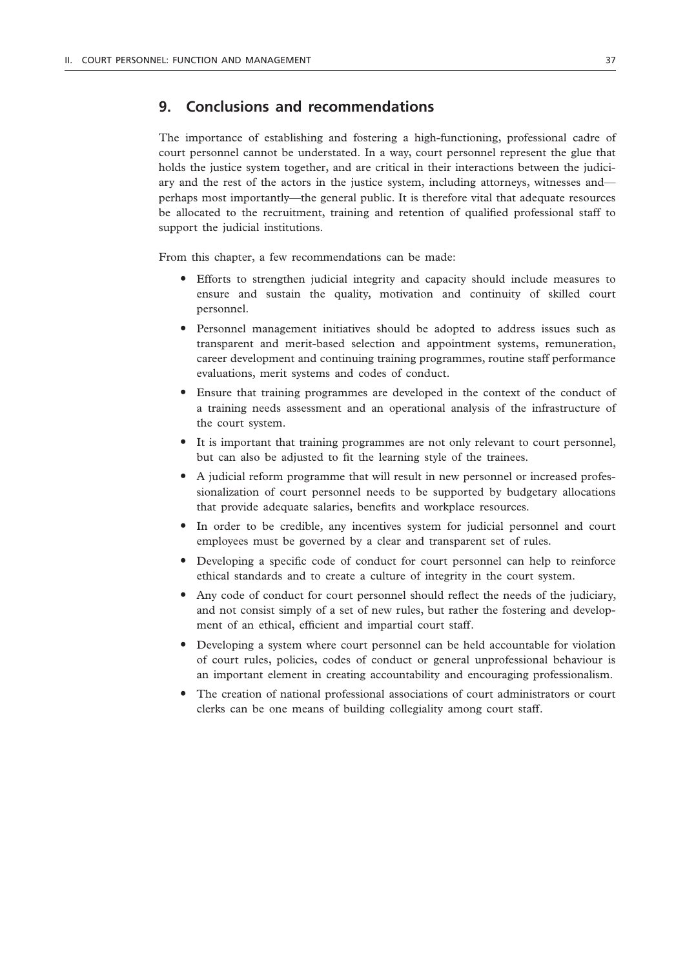## **9. Conclusions and recommendations**

The importance of establishing and fostering a high-functioning, professional cadre of court personnel cannot be understated. In a way, court personnel represent the glue that holds the justice system together, and are critical in their interactions between the judiciary and the rest of the actors in the justice system, including attorneys, witnesses and perhaps most importantly—the general public. It is therefore vital that adequate resources be allocated to the recruitment, training and retention of qualified professional staff to support the judicial institutions.

From this chapter, a few recommendations can be made:

- " Efforts to strengthen judicial integrity and capacity should include measures to ensure and sustain the quality, motivation and continuity of skilled court personnel.
- " Personnel management initiatives should be adopted to address issues such as transparent and merit-based selection and appointment systems, remuneration, career development and continuing training programmes, routine staff performance evaluations, merit systems and codes of conduct.
- Ensure that training programmes are developed in the context of the conduct of a training needs assessment and an operational analysis of the infrastructure of the court system.
- " It is important that training programmes are not only relevant to court personnel, but can also be adjusted to fit the learning style of the trainees.
- " A judicial reform programme that will result in new personnel or increased professionalization of court personnel needs to be supported by budgetary allocations that provide adequate salaries, benefits and workplace resources.
- In order to be credible, any incentives system for judicial personnel and court employees must be governed by a clear and transparent set of rules.
- " Developing a specific code of conduct for court personnel can help to reinforce ethical standards and to create a culture of integrity in the court system.
- Any code of conduct for court personnel should reflect the needs of the judiciary, and not consist simply of a set of new rules, but rather the fostering and development of an ethical, efficient and impartial court staff.
- Developing a system where court personnel can be held accountable for violation of court rules, policies, codes of conduct or general unprofessional behaviour is an important element in creating accountability and encouraging professionalism.
- The creation of national professional associations of court administrators or court clerks can be one means of building collegiality among court staff.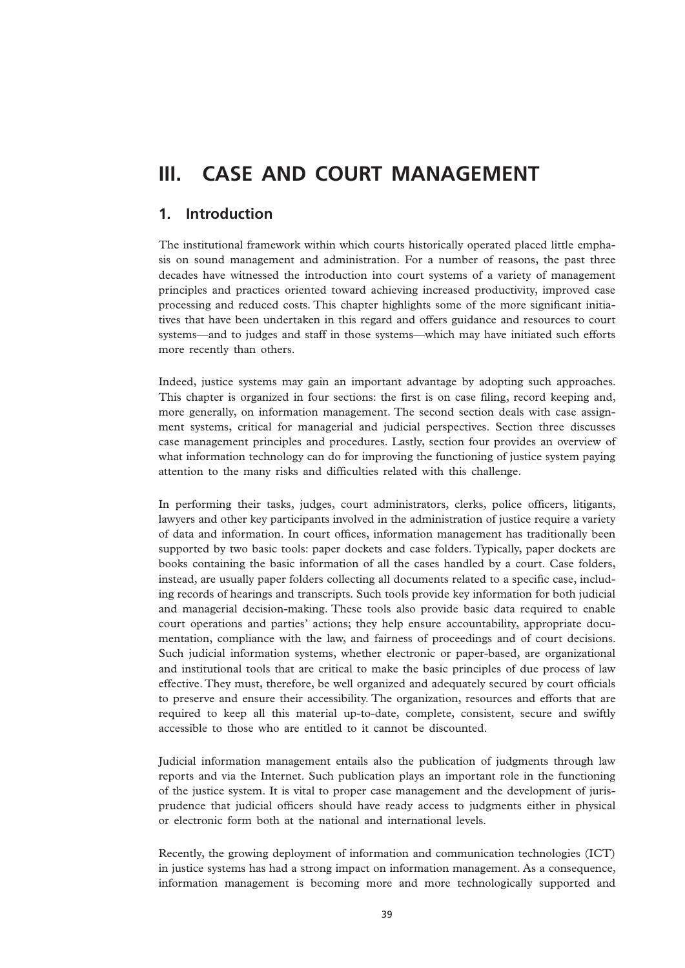# **III. CASE AND COURT MANAGEMENT**

# **1. Introduction**

The institutional framework within which courts historically operated placed little emphasis on sound management and administration. For a number of reasons, the past three decades have witnessed the introduction into court systems of a variety of management principles and practices oriented toward achieving increased productivity, improved case processing and reduced costs. This chapter highlights some of the more significant initiatives that have been undertaken in this regard and offers guidance and resources to court systems—and to judges and staff in those systems—which may have initiated such efforts more recently than others.

Indeed, justice systems may gain an important advantage by adopting such approaches. This chapter is organized in four sections: the first is on case filing, record keeping and, more generally, on information management. The second section deals with case assignment systems, critical for managerial and judicial perspectives. Section three discusses case management principles and procedures. Lastly, section four provides an overview of what information technology can do for improving the functioning of justice system paying attention to the many risks and difficulties related with this challenge.

In performing their tasks, judges, court administrators, clerks, police officers, litigants, lawyers and other key participants involved in the administration of justice require a variety of data and information. In court offices, information management has traditionally been supported by two basic tools: paper dockets and case folders. Typically, paper dockets are books containing the basic information of all the cases handled by a court. Case folders, instead, are usually paper folders collecting all documents related to a specific case, including records of hearings and transcripts. Such tools provide key information for both judicial and managerial decision-making. These tools also provide basic data required to enable court operations and parties' actions; they help ensure accountability, appropriate documentation, compliance with the law, and fairness of proceedings and of court decisions. Such judicial information systems, whether electronic or paper-based, are organizational and institutional tools that are critical to make the basic principles of due process of law effective. They must, therefore, be well organized and adequately secured by court officials to preserve and ensure their accessibility. The organization, resources and efforts that are required to keep all this material up-to-date, complete, consistent, secure and swiftly accessible to those who are entitled to it cannot be discounted.

Judicial information management entails also the publication of judgments through law reports and via the Internet. Such publication plays an important role in the functioning of the justice system. It is vital to proper case management and the development of jurisprudence that judicial officers should have ready access to judgments either in physical or electronic form both at the national and international levels.

Recently, the growing deployment of information and communication technologies (ICT) in justice systems has had a strong impact on information management. As a consequence, information management is becoming more and more technologically supported and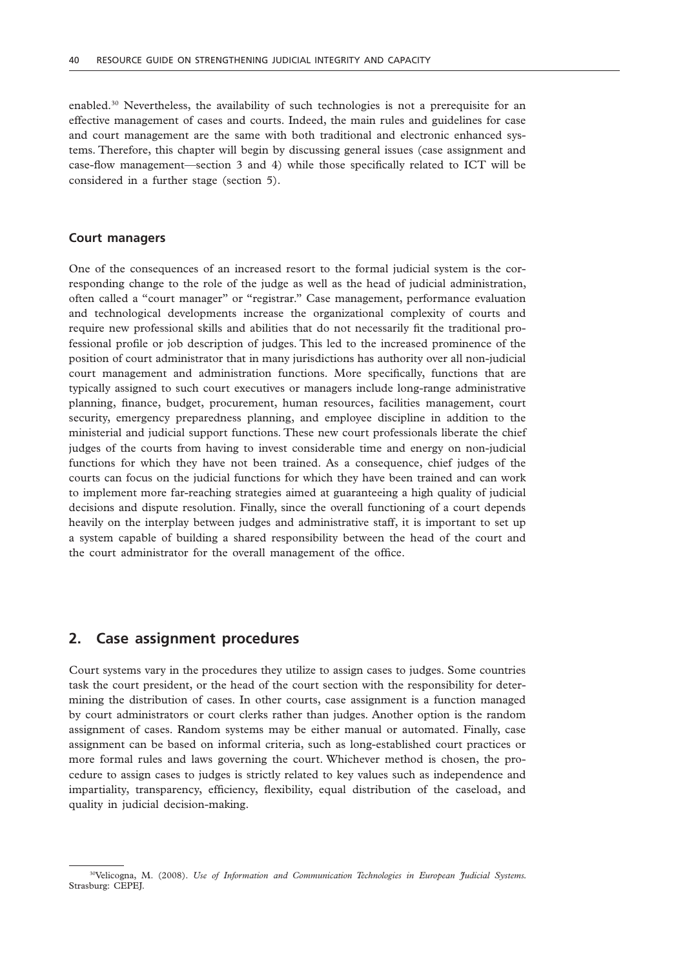enabled.30 Nevertheless, the availability of such technologies is not a prerequisite for an effective management of cases and courts. Indeed, the main rules and guidelines for case and court management are the same with both traditional and electronic enhanced systems. Therefore, this chapter will begin by discussing general issues (case assignment and case-flow management—section 3 and 4) while those specifically related to ICT will be considered in a further stage (section 5).

#### **Court managers**

One of the consequences of an increased resort to the formal judicial system is the corresponding change to the role of the judge as well as the head of judicial administration, often called a "court manager" or "registrar." Case management, performance evaluation and technological developments increase the organizational complexity of courts and require new professional skills and abilities that do not necessarily fit the traditional professional profile or job description of judges. This led to the increased prominence of the position of court administrator that in many jurisdictions has authority over all non-judicial court management and administration functions. More specifically, functions that are typically assigned to such court executives or managers include long-range administrative planning, finance, budget, procurement, human resources, facilities management, court security, emergency preparedness planning, and employee discipline in addition to the ministerial and judicial support functions. These new court professionals liberate the chief judges of the courts from having to invest considerable time and energy on non-judicial functions for which they have not been trained. As a consequence, chief judges of the courts can focus on the judicial functions for which they have been trained and can work to implement more far-reaching strategies aimed at guaranteeing a high quality of judicial decisions and dispute resolution. Finally, since the overall functioning of a court depends heavily on the interplay between judges and administrative staff, it is important to set up a system capable of building a shared responsibility between the head of the court and the court administrator for the overall management of the office.

### **2. Case assignment procedures**

Court systems vary in the procedures they utilize to assign cases to judges. Some countries task the court president, or the head of the court section with the responsibility for determining the distribution of cases. In other courts, case assignment is a function managed by court administrators or court clerks rather than judges. Another option is the random assignment of cases. Random systems may be either manual or automated. Finally, case assignment can be based on informal criteria, such as long-established court practices or more formal rules and laws governing the court. Whichever method is chosen, the procedure to assign cases to judges is strictly related to key values such as independence and impartiality, transparency, efficiency, flexibility, equal distribution of the caseload, and quality in judicial decision-making.

<sup>30</sup>Velicogna, M. (2008). *Use of Information and Communication Technologies in European Judicial Systems.*  Strasburg: CEPEJ.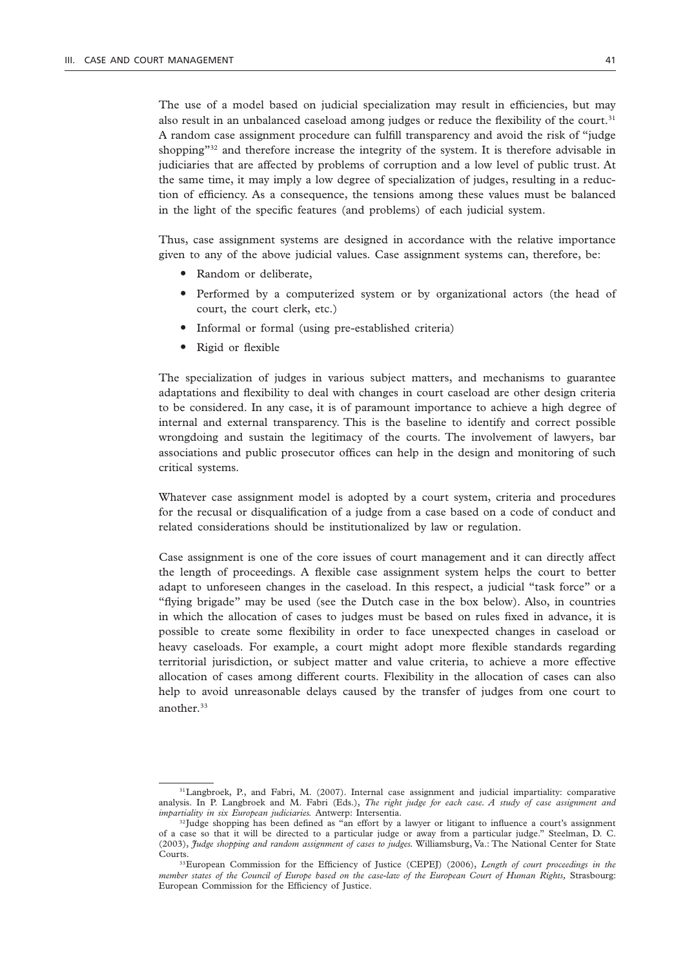The use of a model based on judicial specialization may result in efficiencies, but may also result in an unbalanced caseload among judges or reduce the flexibility of the court.<sup>31</sup> A random case assignment procedure can fulfill transparency and avoid the risk of "judge shopping"<sup>32</sup> and therefore increase the integrity of the system. It is therefore advisable in judiciaries that are affected by problems of corruption and a low level of public trust. At the same time, it may imply a low degree of specialization of judges, resulting in a reduction of efficiency. As a consequence, the tensions among these values must be balanced in the light of the specific features (and problems) of each judicial system.

Thus, case assignment systems are designed in accordance with the relative importance given to any of the above judicial values. Case assignment systems can, therefore, be:

- Random or deliberate,
- Performed by a computerized system or by organizational actors (the head of court, the court clerk, etc.)
- Informal or formal (using pre-established criteria)
- Rigid or flexible

The specialization of judges in various subject matters, and mechanisms to guarantee adaptations and flexibility to deal with changes in court caseload are other design criteria to be considered. In any case, it is of paramount importance to achieve a high degree of internal and external transparency. This is the baseline to identify and correct possible wrongdoing and sustain the legitimacy of the courts. The involvement of lawyers, bar associations and public prosecutor offices can help in the design and monitoring of such critical systems.

Whatever case assignment model is adopted by a court system, criteria and procedures for the recusal or disqualification of a judge from a case based on a code of conduct and related considerations should be institutionalized by law or regulation.

Case assignment is one of the core issues of court management and it can directly affect the length of proceedings. A flexible case assignment system helps the court to better adapt to unforeseen changes in the caseload. In this respect, a judicial "task force" or a "flying brigade" may be used (see the Dutch case in the box below). Also, in countries in which the allocation of cases to judges must be based on rules fixed in advance, it is possible to create some flexibility in order to face unexpected changes in caseload or heavy caseloads. For example, a court might adopt more flexible standards regarding territorial jurisdiction, or subject matter and value criteria, to achieve a more effective allocation of cases among different courts. Flexibility in the allocation of cases can also help to avoid unreasonable delays caused by the transfer of judges from one court to another.<sup>33</sup>

<sup>31</sup>Langbroek, P., and Fabri, M. (2007). Internal case assignment and judicial impartiality: comparative analysis. In P. Langbroek and M. Fabri (Eds.), *The right judge for each case. A study of case assignment and impartiality in six European judiciaries.* Antwerp: Intersentia.

<sup>&</sup>lt;sup>32</sup>Judge shopping has been defined as "an effort by a lawyer or litigant to influence a court's assignment of a case so that it will be directed to a particular judge or away from a particular judge." Steelman, D. C. (2003), *Judge shopping and random assignment of cases to judges.* Williamsburg, Va.: The National Center for State Courts.

<sup>&</sup>lt;sup>33</sup>European Commission for the Efficiency of Justice (CEPEJ) (2006), *Length of court proceedings in the member states of the Council of Europe based on the case-law of the European Court of Human Rights,* Strasbourg: European Commission for the Efficiency of Justice.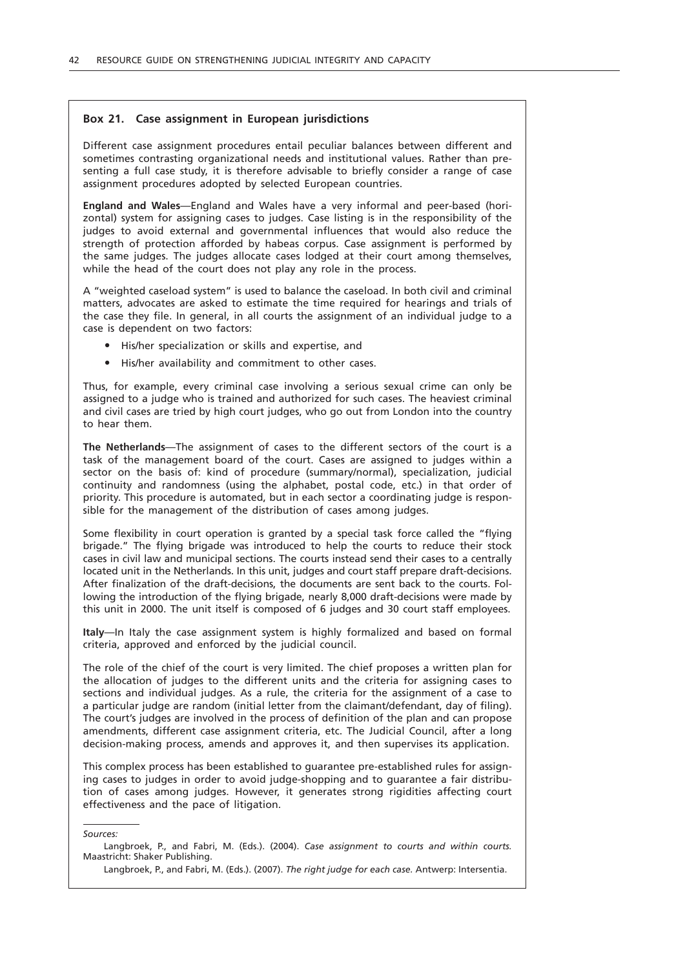### **Box 21. Case assignment in European jurisdictions**

Different case assignment procedures entail peculiar balances between different and sometimes contrasting organizational needs and institutional values. Rather than presenting a full case study, it is therefore advisable to briefly consider a range of case assignment procedures adopted by selected European countries.

**England and Wales**—England and Wales have a very informal and peer-based (horizontal) system for assigning cases to judges. Case listing is in the responsibility of the judges to avoid external and governmental influences that would also reduce the strength of protection afforded by habeas corpus. Case assignment is performed by the same judges. The judges allocate cases lodged at their court among themselves, while the head of the court does not play any role in the process.

A "weighted caseload system" is used to balance the caseload. In both civil and criminal matters, advocates are asked to estimate the time required for hearings and trials of the case they file. In general, in all courts the assignment of an individual judge to a case is dependent on two factors:

- " His/her specialization or skills and expertise, and
- $\bullet$  His/her availability and commitment to other cases.

Thus, for example, every criminal case involving a serious sexual crime can only be assigned to a judge who is trained and authorized for such cases. The heaviest criminal and civil cases are tried by high court judges, who go out from London into the country to hear them.

**The Netherlands**—The assignment of cases to the different sectors of the court is a task of the management board of the court. Cases are assigned to judges within a sector on the basis of: kind of procedure (summary/normal), specialization, judicial continuity and randomness (using the alphabet, postal code, etc.) in that order of priority. This procedure is automated, but in each sector a coordinating judge is responsible for the management of the distribution of cases among judges.

Some flexibility in court operation is granted by a special task force called the "flying brigade." The flying brigade was introduced to help the courts to reduce their stock cases in civil law and municipal sections. The courts instead send their cases to a centrally located unit in the Netherlands. In this unit, judges and court staff prepare draft-decisions. After finalization of the draft-decisions, the documents are sent back to the courts. Following the introduction of the flying brigade, nearly 8,000 draft-decisions were made by this unit in 2000. The unit itself is composed of 6 judges and 30 court staff employees.

**Italy**—In Italy the case assignment system is highly formalized and based on formal criteria, approved and enforced by the judicial council.

The role of the chief of the court is very limited. The chief proposes a written plan for the allocation of judges to the different units and the criteria for assigning cases to sections and individual judges. As a rule, the criteria for the assignment of a case to a particular judge are random (initial letter from the claimant/defendant, day of filing). The court's judges are involved in the process of definition of the plan and can propose amendments, different case assignment criteria, etc. The Judicial Council, after a long decision-making process, amends and approves it, and then supervises its application.

This complex process has been established to guarantee pre-established rules for assigning cases to judges in order to avoid judge-shopping and to guarantee a fair distribution of cases among judges. However, it generates strong rigidities affecting court effectiveness and the pace of litigation.

*Sources:*

Langbroek, P., and Fabri, M. (Eds.). (2004). *Case assignment to courts and within courts.* Maastricht: Shaker Publishing.

Langbroek, P., and Fabri, M. (Eds.). (2007). *The right judge for each case.* Antwerp: Intersentia.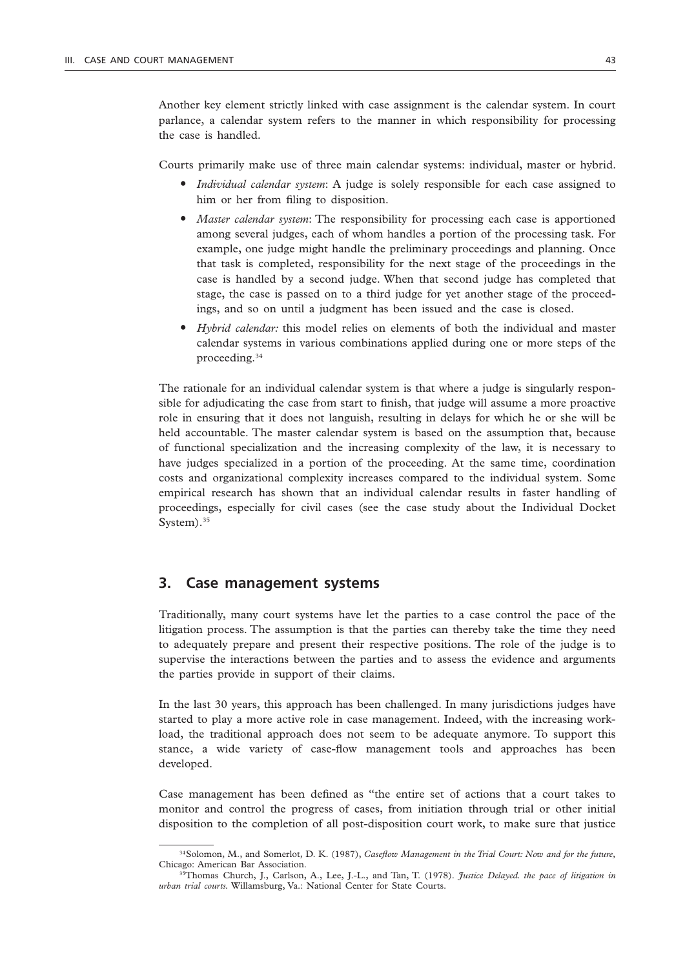Another key element strictly linked with case assignment is the calendar system. In court parlance, a calendar system refers to the manner in which responsibility for processing the case is handled.

Courts primarily make use of three main calendar systems: individual, master or hybrid.

- " *Individual calendar system*: A judge is solely responsible for each case assigned to him or her from filing to disposition.
- $•$  *Master calendar system*: The responsibility for processing each case is apportioned among several judges, each of whom handles a portion of the processing task. For example, one judge might handle the preliminary proceedings and planning. Once that task is completed, responsibility for the next stage of the proceedings in the case is handled by a second judge. When that second judge has completed that stage, the case is passed on to a third judge for yet another stage of the proceedings, and so on until a judgment has been issued and the case is closed.
- Hybrid calendar: this model relies on elements of both the individual and master calendar systems in various combinations applied during one or more steps of the proceeding.<sup>34</sup>

The rationale for an individual calendar system is that where a judge is singularly responsible for adjudicating the case from start to finish, that judge will assume a more proactive role in ensuring that it does not languish, resulting in delays for which he or she will be held accountable. The master calendar system is based on the assumption that, because of functional specialization and the increasing complexity of the law, it is necessary to have judges specialized in a portion of the proceeding. At the same time, coordination costs and organizational complexity increases compared to the individual system. Some empirical research has shown that an individual calendar results in faster handling of proceedings, especially for civil cases (see the case study about the Individual Docket System).<sup>35</sup>

### **3. Case management systems**

Traditionally, many court systems have let the parties to a case control the pace of the litigation process. The assumption is that the parties can thereby take the time they need to adequately prepare and present their respective positions. The role of the judge is to supervise the interactions between the parties and to assess the evidence and arguments the parties provide in support of their claims.

In the last 30 years, this approach has been challenged. In many jurisdictions judges have started to play a more active role in case management. Indeed, with the increasing workload, the traditional approach does not seem to be adequate anymore. To support this stance, a wide variety of case-flow management tools and approaches has been developed.

Case management has been defined as "the entire set of actions that a court takes to monitor and control the progress of cases, from initiation through trial or other initial disposition to the completion of all post-disposition court work, to make sure that justice

<sup>34</sup>Solomon, M., and Somerlot, D. K. (1987), *Caseflow Management in the Trial Court: Now and for the future,* Chicago: American Bar Association.

<sup>35</sup>Thomas Church, J., Carlson, A., Lee, J.-L., and Tan, T. (1978). *Justice Delayed. the pace of litigation in urban trial courts.* Willamsburg, Va.: National Center for State Courts.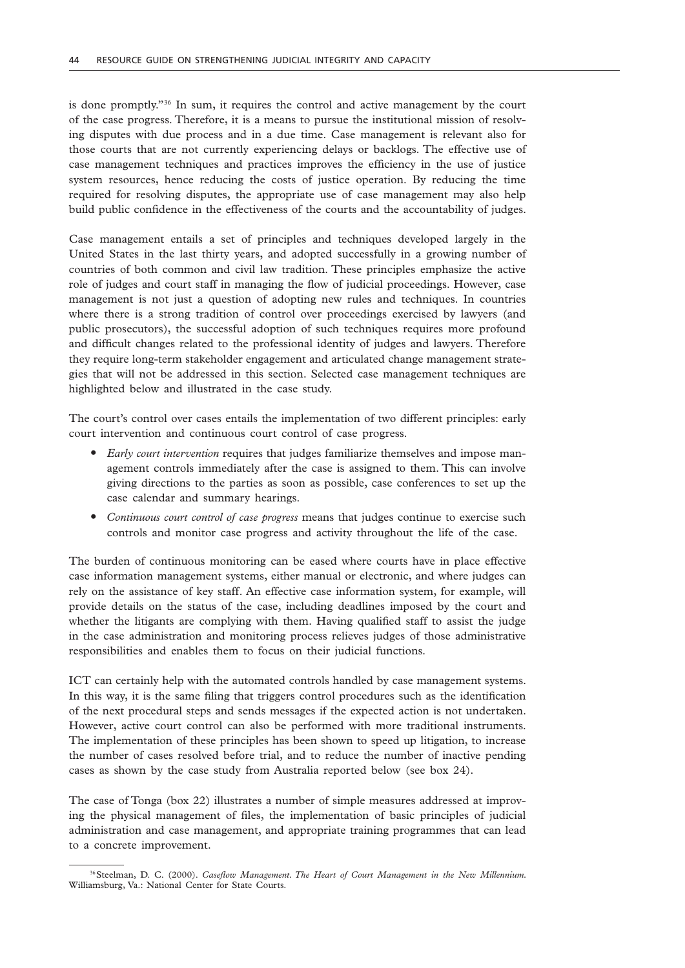is done promptly."36 In sum, it requires the control and active management by the court of the case progress. Therefore, it is a means to pursue the institutional mission of resolving disputes with due process and in a due time. Case management is relevant also for those courts that are not currently experiencing delays or backlogs. The effective use of case management techniques and practices improves the efficiency in the use of justice system resources, hence reducing the costs of justice operation. By reducing the time required for resolving disputes, the appropriate use of case management may also help build public confidence in the effectiveness of the courts and the accountability of judges.

Case management entails a set of principles and techniques developed largely in the United States in the last thirty years, and adopted successfully in a growing number of countries of both common and civil law tradition. These principles emphasize the active role of judges and court staff in managing the flow of judicial proceedings. However, case management is not just a question of adopting new rules and techniques. In countries where there is a strong tradition of control over proceedings exercised by lawyers (and public prosecutors), the successful adoption of such techniques requires more profound and difficult changes related to the professional identity of judges and lawyers. Therefore they require long-term stakeholder engagement and articulated change management strategies that will not be addressed in this section. Selected case management techniques are highlighted below and illustrated in the case study.

The court's control over cases entails the implementation of two different principles: early court intervention and continuous court control of case progress.

- " *Early court intervention* requires that judges familiarize themselves and impose management controls immediately after the case is assigned to them. This can involve giving directions to the parties as soon as possible, case conferences to set up the case calendar and summary hearings.
- " *Continuous court control of case progress* means that judges continue to exercise such controls and monitor case progress and activity throughout the life of the case.

The burden of continuous monitoring can be eased where courts have in place effective case information management systems, either manual or electronic, and where judges can rely on the assistance of key staff. An effective case information system, for example, will provide details on the status of the case, including deadlines imposed by the court and whether the litigants are complying with them. Having qualified staff to assist the judge in the case administration and monitoring process relieves judges of those administrative responsibilities and enables them to focus on their judicial functions.

ICT can certainly help with the automated controls handled by case management systems. In this way, it is the same filing that triggers control procedures such as the identification of the next procedural steps and sends messages if the expected action is not undertaken. However, active court control can also be performed with more traditional instruments. The implementation of these principles has been shown to speed up litigation, to increase the number of cases resolved before trial, and to reduce the number of inactive pending cases as shown by the case study from Australia reported below (see box 24).

The case of Tonga (box 22) illustrates a number of simple measures addressed at improving the physical management of files, the implementation of basic principles of judicial administration and case management, and appropriate training programmes that can lead to a concrete improvement.

<sup>36</sup>Steelman, D. C. (2000). *Caseflow Management. The Heart of Court Management in the New Millennium.*  Williamsburg, Va.: National Center for State Courts.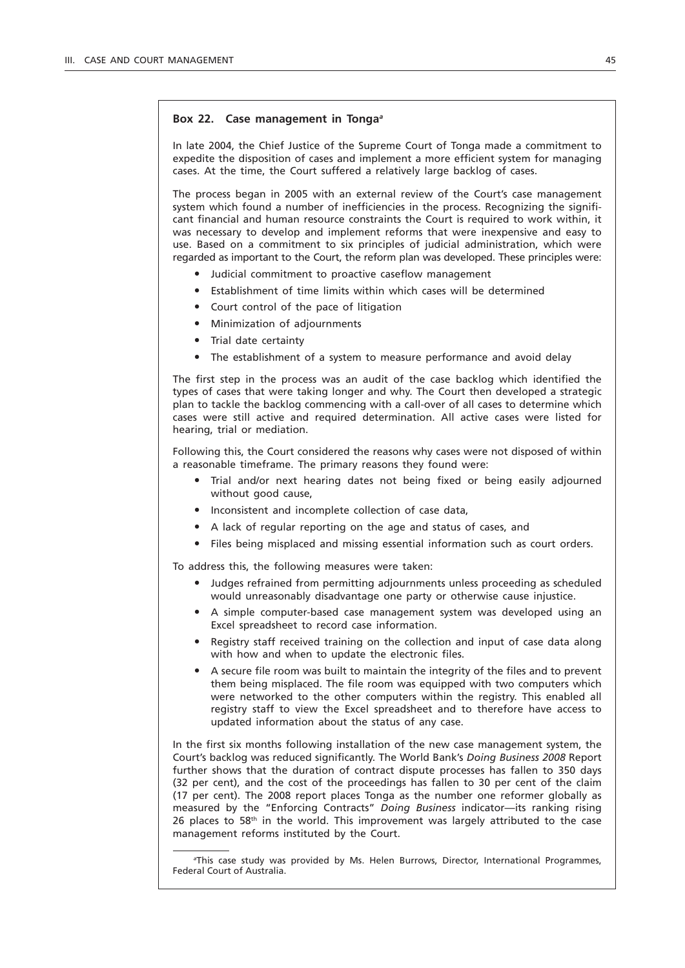#### **Box 22. Case management in Tonga***<sup>a</sup>*

In late 2004, the Chief Justice of the Supreme Court of Tonga made a commitment to expedite the disposition of cases and implement a more efficient system for managing cases. At the time, the Court suffered a relatively large backlog of cases.

The process began in 2005 with an external review of the Court's case management system which found a number of inefficiencies in the process. Recognizing the significant financial and human resource constraints the Court is required to work within, it was necessary to develop and implement reforms that were inexpensive and easy to use. Based on a commitment to six principles of judicial administration, which were regarded as important to the Court, the reform plan was developed. These principles were:

- Judicial commitment to proactive caseflow management
- Establishment of time limits within which cases will be determined
- Court control of the pace of litigation
- $\bullet$  Minimization of adjournments
- Trial date certainty
- The establishment of a system to measure performance and avoid delay

The first step in the process was an audit of the case backlog which identified the types of cases that were taking longer and why. The Court then developed a strategic plan to tackle the backlog commencing with a call-over of all cases to determine which cases were still active and required determination. All active cases were listed for hearing, trial or mediation.

Following this, the Court considered the reasons why cases were not disposed of within a reasonable timeframe. The primary reasons they found were:

- Trial and/or next hearing dates not being fixed or being easily adjourned without good cause,
- Inconsistent and incomplete collection of case data,
- A lack of regular reporting on the age and status of cases, and
- " Files being misplaced and missing essential information such as court orders.

To address this, the following measures were taken:

- " Judges refrained from permitting adjournments unless proceeding as scheduled would unreasonably disadvantage one party or otherwise cause injustice.
- " A simple computer-based case management system was developed using an Excel spreadsheet to record case information.
- Registry staff received training on the collection and input of case data along with how and when to update the electronic files.
- " A secure file room was built to maintain the integrity of the files and to prevent them being misplaced. The file room was equipped with two computers which were networked to the other computers within the registry. This enabled all registry staff to view the Excel spreadsheet and to therefore have access to updated information about the status of any case.

In the first six months following installation of the new case management system, the Court's backlog was reduced significantly. The World Bank's *Doing Business 2008* Report further shows that the duration of contract dispute processes has fallen to 350 days (32 per cent), and the cost of the proceedings has fallen to 30 per cent of the claim (17 per cent). The 2008 report places Tonga as the number one reformer globally as measured by the "Enforcing Contracts" *Doing Business* indicator—its ranking rising  $26$  places to 58<sup>th</sup> in the world. This improvement was largely attributed to the case management reforms instituted by the Court.

*a* This case study was provided by Ms. Helen Burrows, Director, International Programmes, Federal Court of Australia.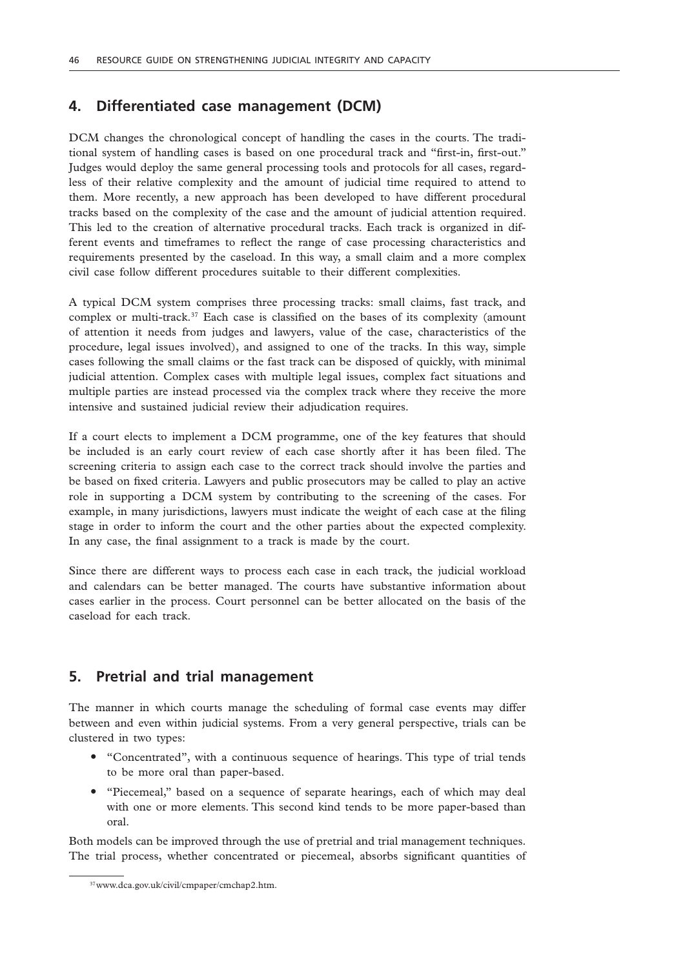### **4. Differentiated case management (DCM)**

DCM changes the chronological concept of handling the cases in the courts. The traditional system of handling cases is based on one procedural track and "first-in, first-out." Judges would deploy the same general processing tools and protocols for all cases, regardless of their relative complexity and the amount of judicial time required to attend to them. More recently, a new approach has been developed to have different procedural tracks based on the complexity of the case and the amount of judicial attention required. This led to the creation of alternative procedural tracks. Each track is organized in different events and timeframes to reflect the range of case processing characteristics and requirements presented by the caseload. In this way, a small claim and a more complex civil case follow different procedures suitable to their different complexities.

A typical DCM system comprises three processing tracks: small claims, fast track, and complex or multi-track.37 Each case is classified on the bases of its complexity (amount of attention it needs from judges and lawyers, value of the case, characteristics of the procedure, legal issues involved), and assigned to one of the tracks. In this way, simple cases following the small claims or the fast track can be disposed of quickly, with minimal judicial attention. Complex cases with multiple legal issues, complex fact situations and multiple parties are instead processed via the complex track where they receive the more intensive and sustained judicial review their adjudication requires.

If a court elects to implement a DCM programme, one of the key features that should be included is an early court review of each case shortly after it has been filed. The screening criteria to assign each case to the correct track should involve the parties and be based on fixed criteria. Lawyers and public prosecutors may be called to play an active role in supporting a DCM system by contributing to the screening of the cases. For example, in many jurisdictions, lawyers must indicate the weight of each case at the filing stage in order to inform the court and the other parties about the expected complexity. In any case, the final assignment to a track is made by the court.

Since there are different ways to process each case in each track, the judicial workload and calendars can be better managed. The courts have substantive information about cases earlier in the process. Court personnel can be better allocated on the basis of the caseload for each track.

### **5. Pretrial and trial management**

The manner in which courts manage the scheduling of formal case events may differ between and even within judicial systems. From a very general perspective, trials can be clustered in two types:

- "Concentrated", with a continuous sequence of hearings. This type of trial tends to be more oral than paper-based.
- "Piecemeal," based on a sequence of separate hearings, each of which may deal with one or more elements. This second kind tends to be more paper-based than oral.

Both models can be improved through the use of pretrial and trial management techniques. The trial process, whether concentrated or piecemeal, absorbs significant quantities of

<sup>37</sup>www.dca.gov.uk/civil/cmpaper/cmchap2.htm.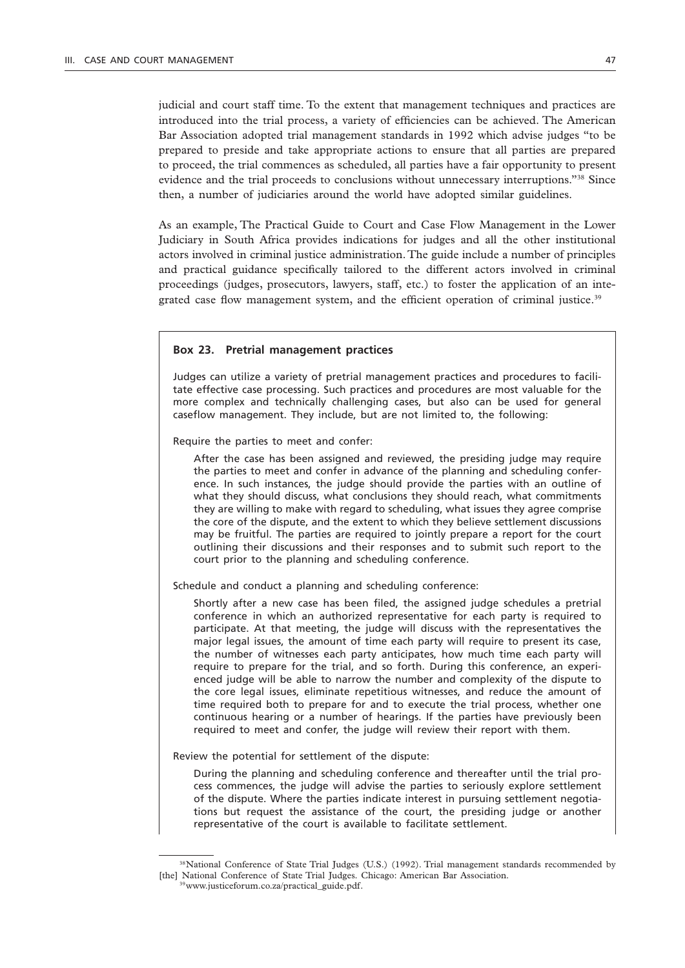judicial and court staff time. To the extent that management techniques and practices are introduced into the trial process, a variety of efficiencies can be achieved. The American Bar Association adopted trial management standards in 1992 which advise judges "to be prepared to preside and take appropriate actions to ensure that all parties are prepared to proceed, the trial commences as scheduled, all parties have a fair opportunity to present evidence and the trial proceeds to conclusions without unnecessary interruptions."38 Since then, a number of judiciaries around the world have adopted similar guidelines.

As an example, The Practical Guide to Court and Case Flow Management in the Lower Judiciary in South Africa provides indications for judges and all the other institutional actors involved in criminal justice administration. The guide include a number of principles and practical guidance specifically tailored to the different actors involved in criminal proceedings (judges, prosecutors, lawyers, staff, etc.) to foster the application of an integrated case flow management system, and the efficient operation of criminal justice.<sup>39</sup>

#### **Box 23. Pretrial management practices**

Judges can utilize a variety of pretrial management practices and procedures to facilitate effective case processing. Such practices and procedures are most valuable for the more complex and technically challenging cases, but also can be used for general caseflow management. They include, but are not limited to, the following:

Require the parties to meet and confer:

After the case has been assigned and reviewed, the presiding judge may require the parties to meet and confer in advance of the planning and scheduling conference. In such instances, the judge should provide the parties with an outline of what they should discuss, what conclusions they should reach, what commitments they are willing to make with regard to scheduling, what issues they agree comprise the core of the dispute, and the extent to which they believe settlement discussions may be fruitful. The parties are required to jointly prepare a report for the court outlining their discussions and their responses and to submit such report to the court prior to the planning and scheduling conference.

Schedule and conduct a planning and scheduling conference:

Shortly after a new case has been filed, the assigned judge schedules a pretrial conference in which an authorized representative for each party is required to participate. At that meeting, the judge will discuss with the representatives the major legal issues, the amount of time each party will require to present its case, the number of witnesses each party anticipates, how much time each party will require to prepare for the trial, and so forth. During this conference, an experienced judge will be able to narrow the number and complexity of the dispute to the core legal issues, eliminate repetitious witnesses, and reduce the amount of time required both to prepare for and to execute the trial process, whether one continuous hearing or a number of hearings. If the parties have previously been required to meet and confer, the judge will review their report with them.

Review the potential for settlement of the dispute:

During the planning and scheduling conference and thereafter until the trial process commences, the judge will advise the parties to seriously explore settlement of the dispute. Where the parties indicate interest in pursuing settlement negotiations but request the assistance of the court, the presiding judge or another representative of the court is available to facilitate settlement.

<sup>&</sup>lt;sup>38</sup>National Conference of State Trial Judges (U.S.) (1992). Trial management standards recommended by [the] National Conference of State Trial Judges. Chicago: American Bar Association. 39www.justiceforum.co.za/practical\_guide.pdf.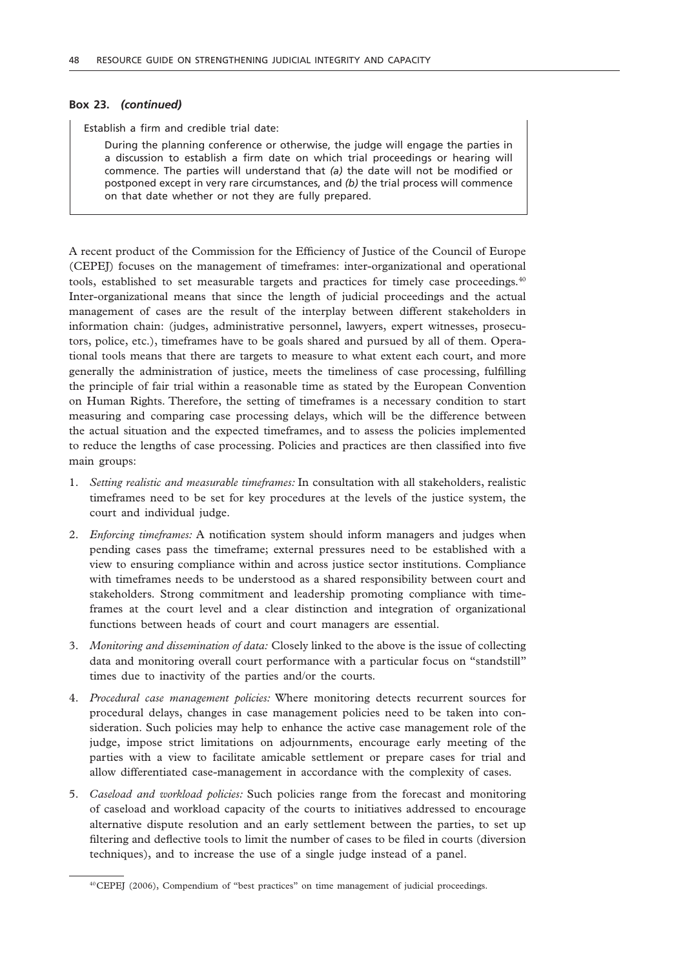#### **Box 23.** *(continued)*

Establish a firm and credible trial date:

During the planning conference or otherwise, the judge will engage the parties in a discussion to establish a firm date on which trial proceedings or hearing will commence. The parties will understand that *(a)* the date will not be modified or postponed except in very rare circumstances, and *(b)* the trial process will commence on that date whether or not they are fully prepared.

A recent product of the Commission for the Efficiency of Justice of the Council of Europe (CEPEJ) focuses on the management of timeframes: inter-organizational and operational tools, established to set measurable targets and practices for timely case proceedings.<sup>40</sup> Inter-organizational means that since the length of judicial proceedings and the actual management of cases are the result of the interplay between different stakeholders in information chain: (judges, administrative personnel, lawyers, expert witnesses, prosecutors, police, etc.), timeframes have to be goals shared and pursued by all of them. Operational tools means that there are targets to measure to what extent each court, and more generally the administration of justice, meets the timeliness of case processing, fulfilling the principle of fair trial within a reasonable time as stated by the European Convention on Human Rights. Therefore, the setting of timeframes is a necessary condition to start measuring and comparing case processing delays, which will be the difference between the actual situation and the expected timeframes, and to assess the policies implemented to reduce the lengths of case processing. Policies and practices are then classified into five main groups:

- 1. *Setting realistic and measurable timeframes:* In consultation with all stakeholders, realistic timeframes need to be set for key procedures at the levels of the justice system, the court and individual judge.
- 2. *Enforcing timeframes:* A notification system should inform managers and judges when pending cases pass the timeframe; external pressures need to be established with a view to ensuring compliance within and across justice sector institutions. Compliance with timeframes needs to be understood as a shared responsibility between court and stakeholders. Strong commitment and leadership promoting compliance with timeframes at the court level and a clear distinction and integration of organizational functions between heads of court and court managers are essential.
- 3. *Monitoring and dissemination of data:* Closely linked to the above is the issue of collecting data and monitoring overall court performance with a particular focus on "standstill" times due to inactivity of the parties and/or the courts.
- 4. *Procedural case management policies:* Where monitoring detects recurrent sources for procedural delays, changes in case management policies need to be taken into consideration. Such policies may help to enhance the active case management role of the judge, impose strict limitations on adjournments, encourage early meeting of the parties with a view to facilitate amicable settlement or prepare cases for trial and allow differentiated case-management in accordance with the complexity of cases.
- 5. *Caseload and workload policies:* Such policies range from the forecast and monitoring of caseload and workload capacity of the courts to initiatives addressed to encourage alternative dispute resolution and an early settlement between the parties, to set up filtering and deflective tools to limit the number of cases to be filed in courts (diversion techniques), and to increase the use of a single judge instead of a panel.

<sup>40</sup>CEPEJ (2006), Compendium of "best practices" on time management of judicial proceedings.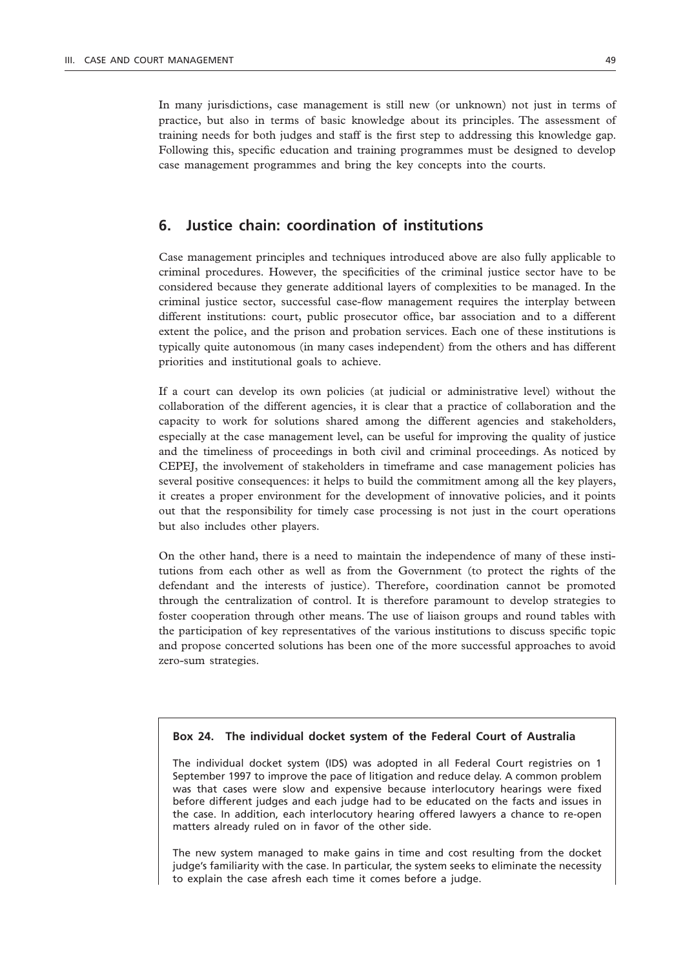In many jurisdictions, case management is still new (or unknown) not just in terms of practice, but also in terms of basic knowledge about its principles. The assessment of training needs for both judges and staff is the first step to addressing this knowledge gap. Following this, specific education and training programmes must be designed to develop case management programmes and bring the key concepts into the courts.

### **6. Justice chain: coordination of institutions**

Case management principles and techniques introduced above are also fully applicable to criminal procedures. However, the specificities of the criminal justice sector have to be considered because they generate additional layers of complexities to be managed. In the criminal justice sector, successful case-flow management requires the interplay between different institutions: court, public prosecutor office, bar association and to a different extent the police, and the prison and probation services. Each one of these institutions is typically quite autonomous (in many cases independent) from the others and has different priorities and institutional goals to achieve.

If a court can develop its own policies (at judicial or administrative level) without the collaboration of the different agencies, it is clear that a practice of collaboration and the capacity to work for solutions shared among the different agencies and stakeholders, especially at the case management level, can be useful for improving the quality of justice and the timeliness of proceedings in both civil and criminal proceedings. As noticed by CEPEJ, the involvement of stakeholders in timeframe and case management policies has several positive consequences: it helps to build the commitment among all the key players, it creates a proper environment for the development of innovative policies, and it points out that the responsibility for timely case processing is not just in the court operations but also includes other players.

On the other hand, there is a need to maintain the independence of many of these institutions from each other as well as from the Government (to protect the rights of the defendant and the interests of justice). Therefore, coordination cannot be promoted through the centralization of control. It is therefore paramount to develop strategies to foster cooperation through other means. The use of liaison groups and round tables with the participation of key representatives of the various institutions to discuss specific topic and propose concerted solutions has been one of the more successful approaches to avoid zero-sum strategies.

### **Box 24. The individual docket system of the Federal Court of Australia**

The individual docket system (IDS) was adopted in all Federal Court registries on 1 September 1997 to improve the pace of litigation and reduce delay. A common problem was that cases were slow and expensive because interlocutory hearings were fixed before different judges and each judge had to be educated on the facts and issues in the case. In addition, each interlocutory hearing offered lawyers a chance to re-open matters already ruled on in favor of the other side.

The new system managed to make gains in time and cost resulting from the docket judge's familiarity with the case. In particular, the system seeks to eliminate the necessity to explain the case afresh each time it comes before a judge.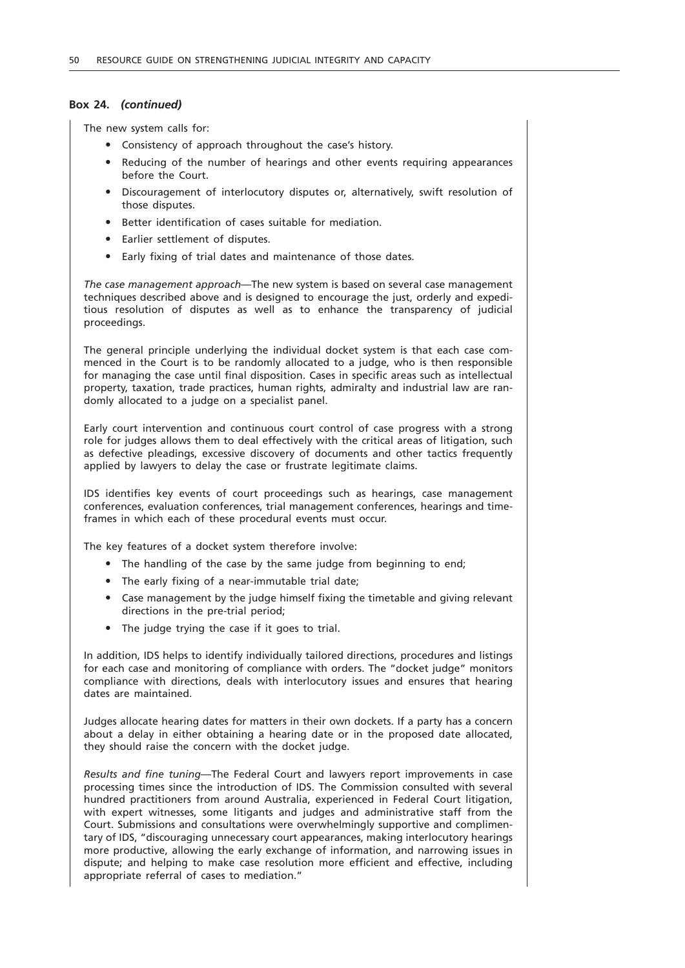#### **Box 24.** *(continued)*

The new system calls for:

- Consistency of approach throughout the case's history.
- Reducing of the number of hearings and other events requiring appearances before the Court.
- Discouragement of interlocutory disputes or, alternatively, swift resolution of those disputes.
- Better identification of cases suitable for mediation.
- Earlier settlement of disputes.
- Early fixing of trial dates and maintenance of those dates.

*The case management approach*—The new system is based on several case management techniques described above and is designed to encourage the just, orderly and expeditious resolution of disputes as well as to enhance the transparency of judicial proceedings.

The general principle underlying the individual docket system is that each case commenced in the Court is to be randomly allocated to a judge, who is then responsible for managing the case until final disposition. Cases in specific areas such as intellectual property, taxation, trade practices, human rights, admiralty and industrial law are randomly allocated to a judge on a specialist panel.

Early court intervention and continuous court control of case progress with a strong role for judges allows them to deal effectively with the critical areas of litigation, such as defective pleadings, excessive discovery of documents and other tactics frequently applied by lawyers to delay the case or frustrate legitimate claims.

IDS identifies key events of court proceedings such as hearings, case management conferences, evaluation conferences, trial management conferences, hearings and timeframes in which each of these procedural events must occur.

The key features of a docket system therefore involve:

- The handling of the case by the same judge from beginning to end;
- The early fixing of a near-immutable trial date:
- Case management by the judge himself fixing the timetable and giving relevant directions in the pre-trial period;
- The judge trying the case if it goes to trial.

In addition, IDS helps to identify individually tailored directions, procedures and listings for each case and monitoring of compliance with orders. The "docket judge" monitors compliance with directions, deals with interlocutory issues and ensures that hearing dates are maintained.

Judges allocate hearing dates for matters in their own dockets. If a party has a concern about a delay in either obtaining a hearing date or in the proposed date allocated, they should raise the concern with the docket judge.

*Results and fine tuning*—The Federal Court and lawyers report improvements in case processing times since the introduction of IDS. The Commission consulted with several hundred practitioners from around Australia, experienced in Federal Court litigation, with expert witnesses, some litigants and judges and administrative staff from the Court. Submissions and consultations were overwhelmingly supportive and complimentary of IDS, "discouraging unnecessary court appearances, making interlocutory hearings more productive, allowing the early exchange of information, and narrowing issues in dispute; and helping to make case resolution more efficient and effective, including appropriate referral of cases to mediation."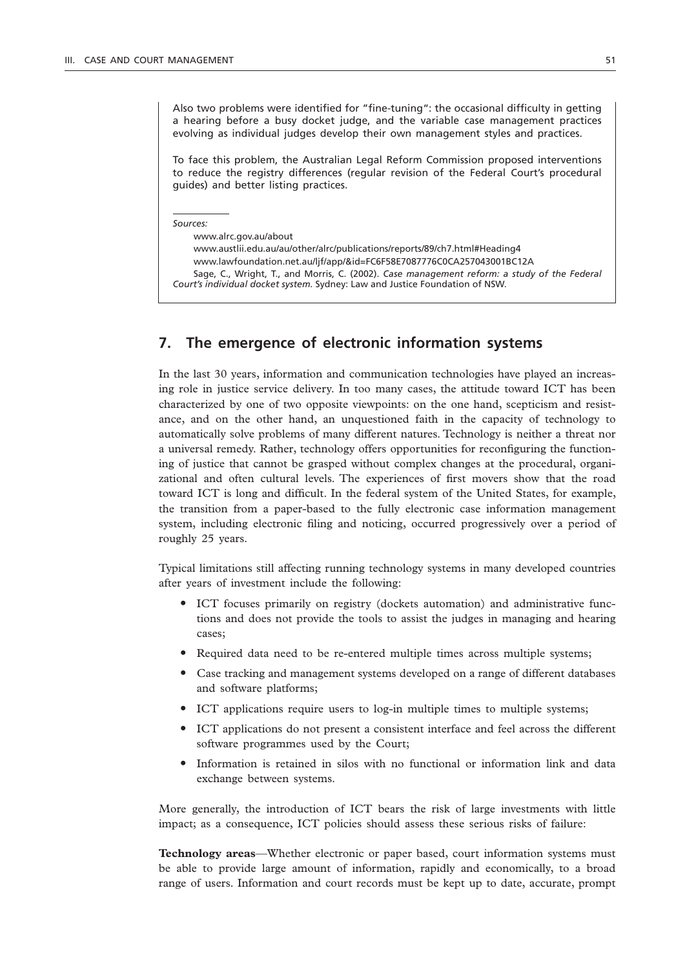Also two problems were identified for "fine-tuning": the occasional difficulty in getting a hearing before a busy docket judge, and the variable case management practices evolving as individual judges develop their own management styles and practices.

To face this problem, the Australian Legal Reform Commission proposed interventions to reduce the registry differences (regular revision of the Federal Court's procedural guides) and better listing practices.

*Sources:*

www.alrc.gov.au/about www.austlii.edu.au/au/other/alrc/publications/reports/89/ch7.html#Heading4 www.lawfoundation.net.au/ljf/app/&id=FC6F58E7087776C0CA257043001BC12A Sage, C., Wright, T., and Morris, C. (2002). *Case management reform: a study of the Federal Court's individual docket system.* Sydney: Law and Justice Foundation of NSW.

### **7. The emergence of electronic information systems**

In the last 30 years, information and communication technologies have played an increasing role in justice service delivery. In too many cases, the attitude toward ICT has been characterized by one of two opposite viewpoints: on the one hand, scepticism and resistance, and on the other hand, an unquestioned faith in the capacity of technology to automatically solve problems of many different natures. Technology is neither a threat nor a universal remedy. Rather, technology offers opportunities for reconfiguring the functioning of justice that cannot be grasped without complex changes at the procedural, organizational and often cultural levels. The experiences of first movers show that the road toward ICT is long and difficult. In the federal system of the United States, for example, the transition from a paper-based to the fully electronic case information management system, including electronic filing and noticing, occurred progressively over a period of roughly 25 years.

Typical limitations still affecting running technology systems in many developed countries after years of investment include the following:

- " ICT focuses primarily on registry (dockets automation) and administrative functions and does not provide the tools to assist the judges in managing and hearing cases;
- Required data need to be re-entered multiple times across multiple systems;
- " Case tracking and management systems developed on a range of different databases and software platforms;
- " ICT applications require users to log-in multiple times to multiple systems;
- " ICT applications do not present a consistent interface and feel across the different software programmes used by the Court;
- " Information is retained in silos with no functional or information link and data exchange between systems.

More generally, the introduction of ICT bears the risk of large investments with little impact; as a consequence, ICT policies should assess these serious risks of failure:

**Technology areas**—Whether electronic or paper based, court information systems must be able to provide large amount of information, rapidly and economically, to a broad range of users. Information and court records must be kept up to date, accurate, prompt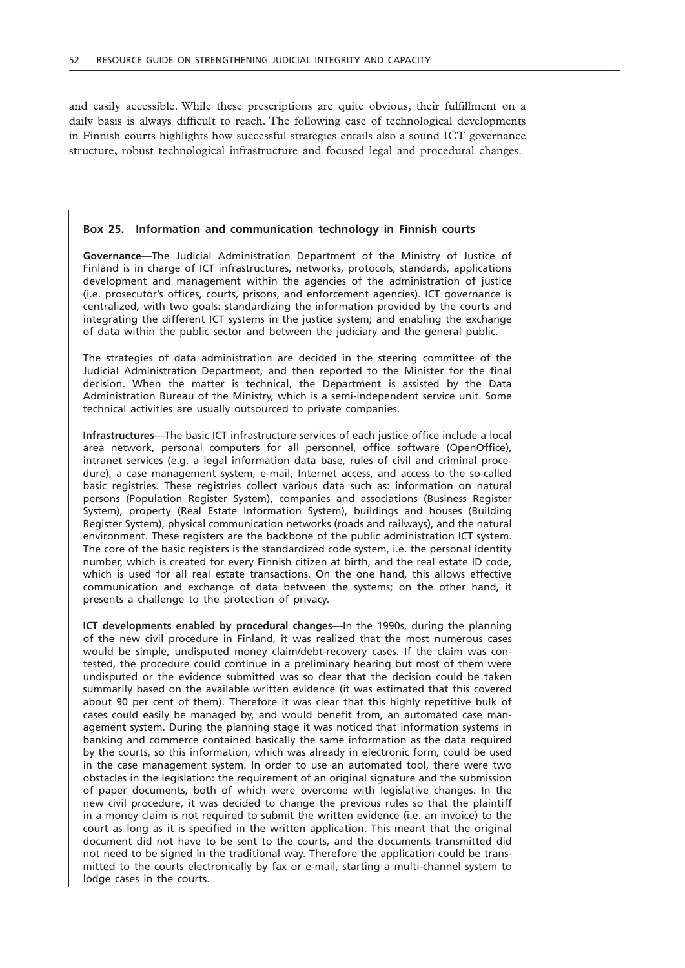and easily accessible. While these prescriptions are quite obvious, their fulfillment on a daily basis is always difficult to reach. The following case of technological developments in Finnish courts highlights how successful strategies entails also a sound ICT governance structure, robust technological infrastructure and focused legal and procedural changes.

#### **Box 25. Information and communication technology in Finnish courts**

**Governance**—The Judicial Administration Department of the Ministry of Justice of Finland is in charge of ICT infrastructures, networks, protocols, standards, applications development and management within the agencies of the administration of justice (i.e. prosecutor's offices, courts, prisons, and enforcement agencies). ICT governance is centralized, with two goals: standardizing the information provided by the courts and integrating the different ICT systems in the justice system; and enabling the exchange of data within the public sector and between the judiciary and the general public.

The strategies of data administration are decided in the steering committee of the Judicial Administration Department, and then reported to the Minister for the final decision. When the matter is technical, the Department is assisted by the Data Administration Bureau of the Ministry, which is a semi-independent service unit. Some technical activities are usually outsourced to private companies.

**Infrastructures**—The basic ICT infrastructure services of each justice office include a local area network, personal computers for all personnel, office software (OpenOffice), intranet services (e.g. a legal information data base, rules of civil and criminal procedure), a case management system, e-mail, Internet access, and access to the so-called basic registries. These registries collect various data such as: information on natural persons (Population Register System), companies and associations (Business Register System), property (Real Estate Information System), buildings and houses (Building Register System), physical communication networks (roads and railways), and the natural environment. These registers are the backbone of the public administration ICT system. The core of the basic registers is the standardized code system, i.e. the personal identity number, which is created for every Finnish citizen at birth, and the real estate ID code, which is used for all real estate transactions. On the one hand, this allows effective communication and exchange of data between the systems; on the other hand, it presents a challenge to the protection of privacy.

**ICT developments enabled by procedural changes**—In the 1990s, during the planning of the new civil procedure in Finland, it was realized that the most numerous cases would be simple, undisputed money claim/debt-recovery cases. If the claim was contested, the procedure could continue in a preliminary hearing but most of them were undisputed or the evidence submitted was so clear that the decision could be taken summarily based on the available written evidence (it was estimated that this covered about 90 per cent of them). Therefore it was clear that this highly repetitive bulk of cases could easily be managed by, and would benefit from, an automated case management system. During the planning stage it was noticed that information systems in banking and commerce contained basically the same information as the data required by the courts, so this information, which was already in electronic form, could be used in the case management system. In order to use an automated tool, there were two obstacles in the legislation: the requirement of an original signature and the submission of paper documents, both of which were overcome with legislative changes. In the new civil procedure, it was decided to change the previous rules so that the plaintiff in a money claim is not required to submit the written evidence (i.e. an invoice) to the court as long as it is specified in the written application. This meant that the original document did not have to be sent to the courts, and the documents transmitted did not need to be signed in the traditional way. Therefore the application could be transmitted to the courts electronically by fax or e-mail, starting a multi-channel system to lodge cases in the courts.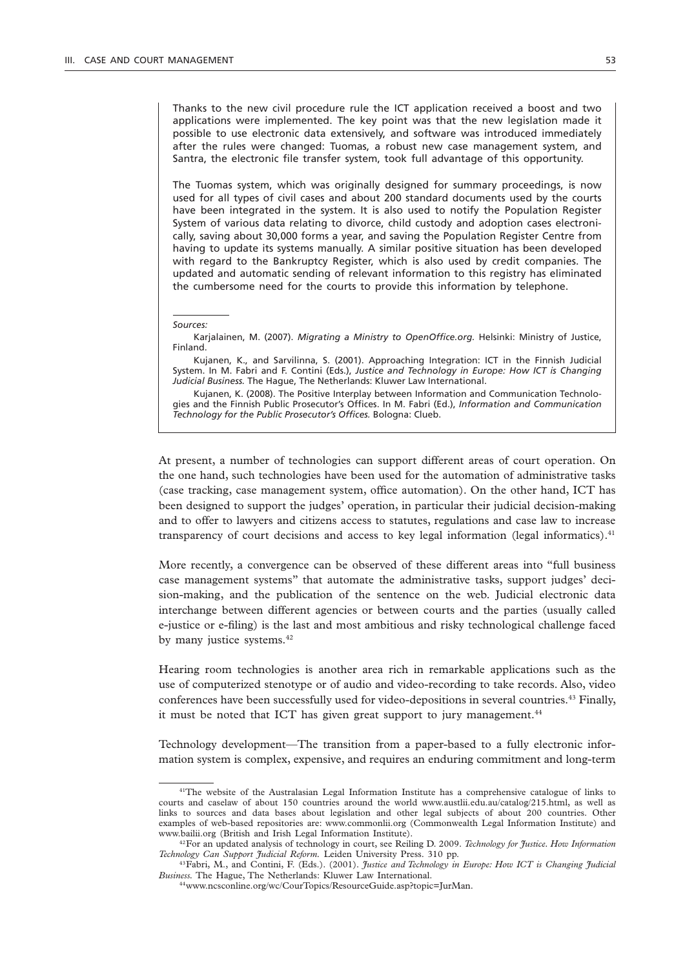Thanks to the new civil procedure rule the ICT application received a boost and two applications were implemented. The key point was that the new legislation made it possible to use electronic data extensively, and software was introduced immediately after the rules were changed: Tuomas, a robust new case management system, and Santra, the electronic file transfer system, took full advantage of this opportunity.

The Tuomas system, which was originally designed for summary proceedings, is now used for all types of civil cases and about 200 standard documents used by the courts have been integrated in the system. It is also used to notify the Population Register System of various data relating to divorce, child custody and adoption cases electronically, saving about 30,000 forms a year, and saving the Population Register Centre from having to update its systems manually. A similar positive situation has been developed with regard to the Bankruptcy Register, which is also used by credit companies. The updated and automatic sending of relevant information to this registry has eliminated the cumbersome need for the courts to provide this information by telephone.

#### *Sources:*

Karjalainen, M. (2007). *Migrating a Ministry to OpenOffice.org.* Helsinki: Ministry of Justice, Finland.

Kujanen, K., and Sarvilinna, S. (2001). Approaching Integration: ICT in the Finnish Judicial System. In M. Fabri and F. Contini (Eds.), *Justice and Technology in Europe: How ICT is Changing Judicial Business.* The Hague, The Netherlands: Kluwer Law International.

Kujanen, K. (2008). The Positive Interplay between Information and Communication Technologies and the Finnish Public Prosecutor's Offices. In M. Fabri (Ed.), *Information and Communication Technology for the Public Prosecutor's Offices.* Bologna: Clueb.

At present, a number of technologies can support different areas of court operation. On the one hand, such technologies have been used for the automation of administrative tasks (case tracking, case management system, office automation). On the other hand, ICT has been designed to support the judges' operation, in particular their judicial decision-making and to offer to lawyers and citizens access to statutes, regulations and case law to increase transparency of court decisions and access to key legal information (legal informatics). $41$ 

More recently, a convergence can be observed of these different areas into "full business case management systems" that automate the administrative tasks, support judges' decision-making, and the publication of the sentence on the web. Judicial electronic data interchange between different agencies or between courts and the parties (usually called e-justice or e-filing) is the last and most ambitious and risky technological challenge faced by many justice systems.<sup>42</sup>

Hearing room technologies is another area rich in remarkable applications such as the use of computerized stenotype or of audio and video-recording to take records. Also, video conferences have been successfully used for video-depositions in several countries.43 Finally, it must be noted that ICT has given great support to jury management.<sup>44</sup>

Technology development—The transition from a paper-based to a fully electronic information system is complex, expensive, and requires an enduring commitment and long-term

<sup>41</sup>The website of the Australasian Legal Information Institute has a comprehensive catalogue of links to courts and caselaw of about 150 countries around the world www.austlii.edu.au/catalog/215.html, as well as links to sources and data bases about legislation and other legal subjects of about 200 countries. Other examples of web-based repositories are: www.commonlii.org (Commonwealth Legal Information Institute) and www.bailii.org (British and Irish Legal Information Institute). 42For an updated analysis of technology in court, see Reiling D. 2009. *Technology for Justice. How Information* 

*Technology Can Support Judicial Reform.* Leiden University Press. 310 pp.

<sup>43</sup>Fabri, M., and Contini, F. (Eds.). (2001). *Justice and Technology in Europe: How ICT is Changing Judicial Business.* The Hague, The Netherlands: Kluwer Law International.

<sup>44</sup>www.ncsconline.org/wc/CourTopics/ResourceGuide.asp?topic=JurMan.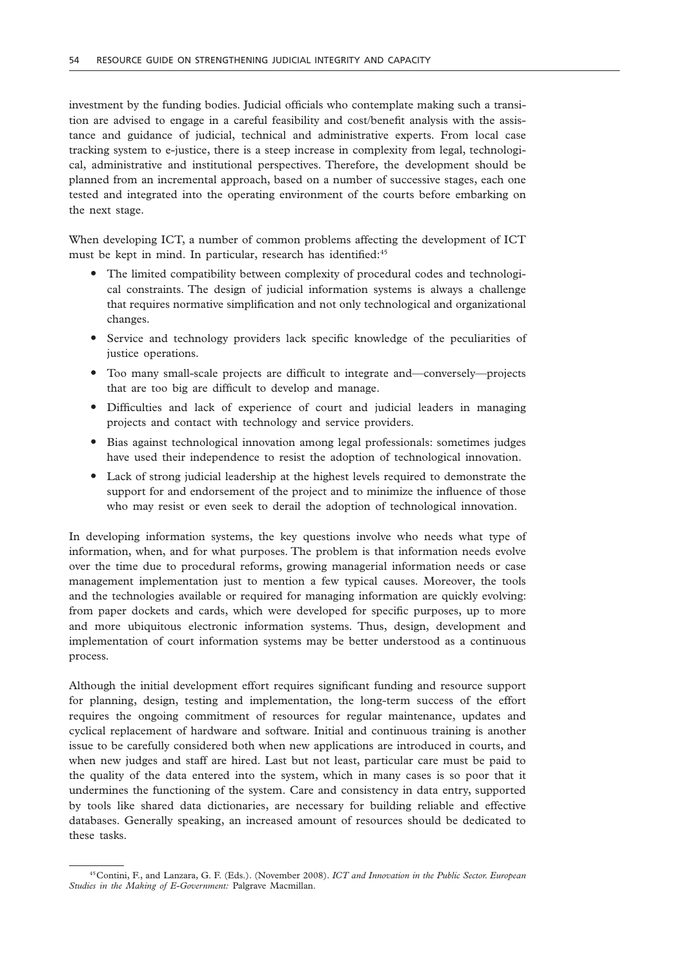investment by the funding bodies. Judicial officials who contemplate making such a transition are advised to engage in a careful feasibility and cost/benefit analysis with the assistance and guidance of judicial, technical and administrative experts. From local case tracking system to e-justice, there is a steep increase in complexity from legal, technological, administrative and institutional perspectives. Therefore, the development should be planned from an incremental approach, based on a number of successive stages, each one tested and integrated into the operating environment of the courts before embarking on the next stage.

When developing ICT, a number of common problems affecting the development of ICT must be kept in mind. In particular, research has identified:<sup>45</sup>

- " The limited compatibility between complexity of procedural codes and technological constraints. The design of judicial information systems is always a challenge that requires normative simplification and not only technological and organizational changes.
- " Service and technology providers lack specific knowledge of the peculiarities of justice operations.
- " Too many small-scale projects are difficult to integrate and—conversely—projects that are too big are difficult to develop and manage.
- " Difficulties and lack of experience of court and judicial leaders in managing projects and contact with technology and service providers.
- " Bias against technological innovation among legal professionals: sometimes judges have used their independence to resist the adoption of technological innovation.
- " Lack of strong judicial leadership at the highest levels required to demonstrate the support for and endorsement of the project and to minimize the influence of those who may resist or even seek to derail the adoption of technological innovation.

In developing information systems, the key questions involve who needs what type of information, when, and for what purposes. The problem is that information needs evolve over the time due to procedural reforms, growing managerial information needs or case management implementation just to mention a few typical causes. Moreover, the tools and the technologies available or required for managing information are quickly evolving: from paper dockets and cards, which were developed for specific purposes, up to more and more ubiquitous electronic information systems. Thus, design, development and implementation of court information systems may be better understood as a continuous process.

Although the initial development effort requires significant funding and resource support for planning, design, testing and implementation, the long-term success of the effort requires the ongoing commitment of resources for regular maintenance, updates and cyclical replacement of hardware and software*.* Initial and continuous training is another issue to be carefully considered both when new applications are introduced in courts, and when new judges and staff are hired. Last but not least, particular care must be paid to the quality of the data entered into the system, which in many cases is so poor that it undermines the functioning of the system. Care and consistency in data entry, supported by tools like shared data dictionaries, are necessary for building reliable and effective databases. Generally speaking, an increased amount of resources should be dedicated to these tasks.

<sup>45</sup>Contini, F., and Lanzara, G. F. (Eds.). (November 2008). *ICT and Innovation in the Public Sector. European Studies in the Making of E-Government:* Palgrave Macmillan.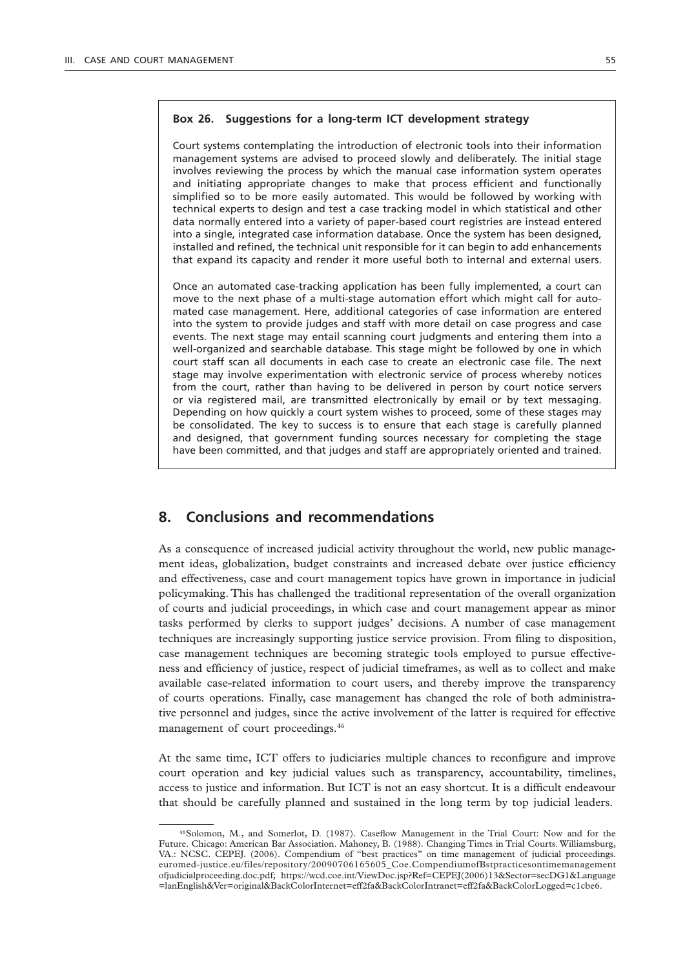### **Box 26. Suggestions for a long-term ICT development strategy**

Court systems contemplating the introduction of electronic tools into their information management systems are advised to proceed slowly and deliberately. The initial stage involves reviewing the process by which the manual case information system operates and initiating appropriate changes to make that process efficient and functionally simplified so to be more easily automated. This would be followed by working with technical experts to design and test a case tracking model in which statistical and other data normally entered into a variety of paper-based court registries are instead entered into a single, integrated case information database. Once the system has been designed, installed and refined, the technical unit responsible for it can begin to add enhancements that expand its capacity and render it more useful both to internal and external users.

Once an automated case-tracking application has been fully implemented, a court can move to the next phase of a multi-stage automation effort which might call for automated case management. Here, additional categories of case information are entered into the system to provide judges and staff with more detail on case progress and case events. The next stage may entail scanning court judgments and entering them into a well-organized and searchable database. This stage might be followed by one in which court staff scan all documents in each case to create an electronic case file. The next stage may involve experimentation with electronic service of process whereby notices from the court, rather than having to be delivered in person by court notice servers or via registered mail, are transmitted electronically by email or by text messaging. Depending on how quickly a court system wishes to proceed, some of these stages may be consolidated. The key to success is to ensure that each stage is carefully planned and designed, that government funding sources necessary for completing the stage have been committed, and that judges and staff are appropriately oriented and trained.

### **8. Conclusions and recommendations**

As a consequence of increased judicial activity throughout the world, new public management ideas, globalization, budget constraints and increased debate over justice efficiency and effectiveness, case and court management topics have grown in importance in judicial policymaking. This has challenged the traditional representation of the overall organization of courts and judicial proceedings, in which case and court management appear as minor tasks performed by clerks to support judges' decisions. A number of case management techniques are increasingly supporting justice service provision. From filing to disposition, case management techniques are becoming strategic tools employed to pursue effectiveness and efficiency of justice, respect of judicial timeframes, as well as to collect and make available case-related information to court users, and thereby improve the transparency of courts operations. Finally, case management has changed the role of both administrative personnel and judges, since the active involvement of the latter is required for effective management of court proceedings.<sup>46</sup>

At the same time, ICT offers to judiciaries multiple chances to reconfigure and improve court operation and key judicial values such as transparency, accountability, timelines, access to justice and information. But ICT is not an easy shortcut. It is a difficult endeavour that should be carefully planned and sustained in the long term by top judicial leaders.

<sup>46</sup>Solomon, M., and Somerlot, D. (1987). Caseflow Management in the Trial Court: Now and for the Future. Chicago: American Bar Association. Mahoney, B. (1988). Changing Times in Trial Courts. Williamsburg, VA.: NCSC. CEPEJ. (2006). Compendium of "best practices" on time management of judicial proceedings. euromed-justice.eu/files/repository/20090706165605\_Coe.CompendiumofBstpracticesontimemanagement ofjudicialproceeding.doc.pdf; https://wcd.coe.int/ViewDoc.jsp?Ref=CEPEJ(2006)13&Sector=secDG1&Language =lanEnglish&Ver=original&BackColorInternet=eff2fa&BackColorIntranet=eff2fa&BackColorLogged=c1cbe6.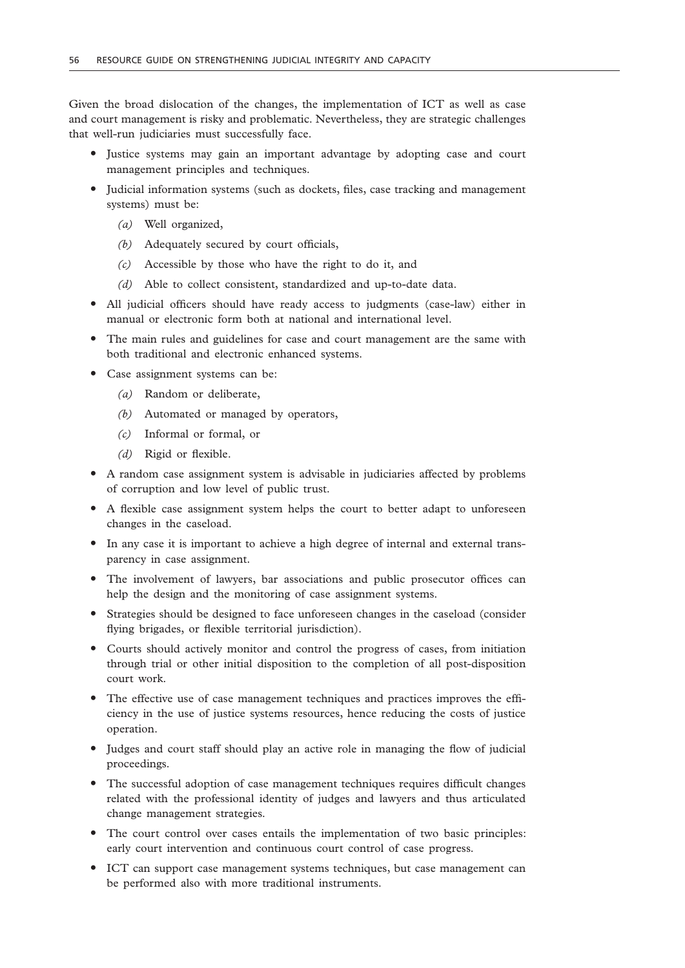Given the broad dislocation of the changes, the implementation of ICT as well as case and court management is risky and problematic. Nevertheless, they are strategic challenges that well-run judiciaries must successfully face.

- Justice systems may gain an important advantage by adopting case and court management principles and techniques.
- " Judicial information systems (such as dockets, files, case tracking and management systems) must be:
	- *(a)* Well organized,
	- *(b)* Adequately secured by court officials,
	- *(c)* Accessible by those who have the right to do it, and
	- *(d)* Able to collect consistent, standardized and up-to-date data.
- " All judicial officers should have ready access to judgments (case-law) either in manual or electronic form both at national and international level.
- " The main rules and guidelines for case and court management are the same with both traditional and electronic enhanced systems.
- Case assignment systems can be:
	- *(a)* Random or deliberate,
	- *(b)* Automated or managed by operators,
	- *(c)* Informal or formal, or
	- *(d)* Rigid or flexible.
- " A random case assignment system is advisable in judiciaries affected by problems of corruption and low level of public trust.
- " A flexible case assignment system helps the court to better adapt to unforeseen changes in the caseload.
- In any case it is important to achieve a high degree of internal and external transparency in case assignment.
- The involvement of lawyers, bar associations and public prosecutor offices can help the design and the monitoring of case assignment systems.
- " Strategies should be designed to face unforeseen changes in the caseload (consider flying brigades, or flexible territorial jurisdiction).
- " Courts should actively monitor and control the progress of cases, from initiation through trial or other initial disposition to the completion of all post-disposition court work.
- The effective use of case management techniques and practices improves the efficiency in the use of justice systems resources, hence reducing the costs of justice operation.
- " Judges and court staff should play an active role in managing the flow of judicial proceedings.
- The successful adoption of case management techniques requires difficult changes related with the professional identity of judges and lawyers and thus articulated change management strategies.
- The court control over cases entails the implementation of two basic principles: early court intervention and continuous court control of case progress.
- " ICT can support case management systems techniques, but case management can be performed also with more traditional instruments.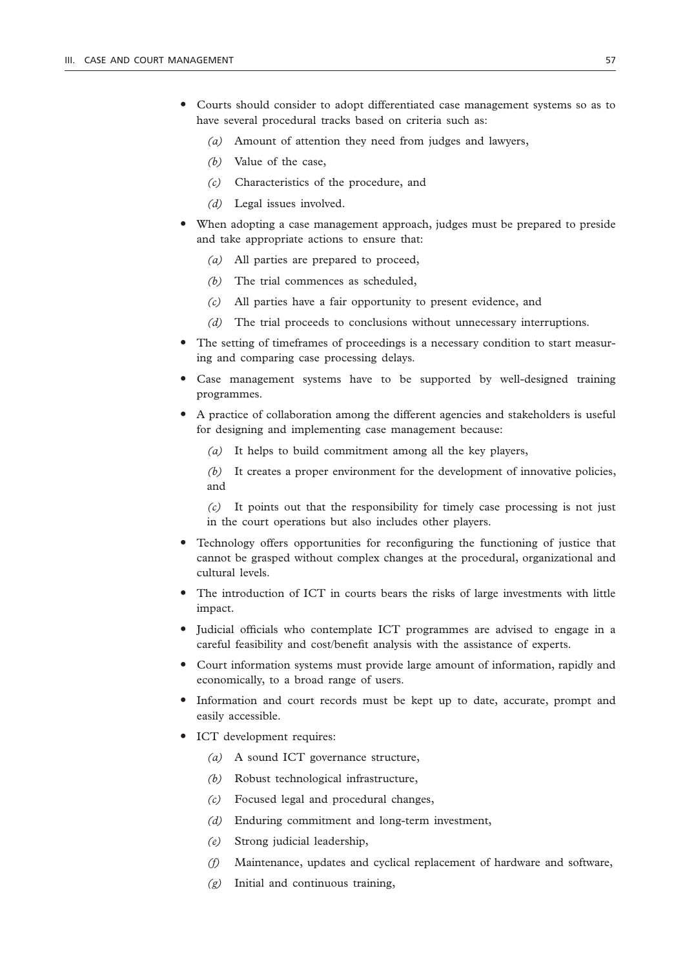- Courts should consider to adopt differentiated case management systems so as to have several procedural tracks based on criteria such as:
	- *(a)* Amount of attention they need from judges and lawyers,
	- *(b)* Value of the case,
	- *(c)* Characteristics of the procedure, and
	- *(d)* Legal issues involved.
- When adopting a case management approach, judges must be prepared to preside and take appropriate actions to ensure that:
	- *(a)* All parties are prepared to proceed,
	- *(b)* The trial commences as scheduled,
	- *(c)* All parties have a fair opportunity to present evidence, and
	- *(d)* The trial proceeds to conclusions without unnecessary interruptions.
- " The setting of timeframes of proceedings is a necessary condition to start measuring and comparing case processing delays.
- " Case management systems have to be supported by well-designed training programmes.
- " A practice of collaboration among the different agencies and stakeholders is useful for designing and implementing case management because:
	- *(a)* It helps to build commitment among all the key players,

*(b)* It creates a proper environment for the development of innovative policies, and

*(c)* It points out that the responsibility for timely case processing is not just in the court operations but also includes other players.

- " Technology offers opportunities for reconfiguring the functioning of justice that cannot be grasped without complex changes at the procedural, organizational and cultural levels.
- The introduction of ICT in courts bears the risks of large investments with little impact.
- " Judicial officials who contemplate ICT programmes are advised to engage in a careful feasibility and cost/benefit analysis with the assistance of experts.
- " Court information systems must provide large amount of information, rapidly and economically, to a broad range of users.
- " Information and court records must be kept up to date, accurate, prompt and easily accessible.
- ICT development requires:
	- *(a)* A sound ICT governance structure,
	- *(b)* Robust technological infrastructure,
	- *(c)* Focused legal and procedural changes,
	- *(d)* Enduring commitment and long-term investment,
	- *(e)* Strong judicial leadership,
	- *(f)* Maintenance, updates and cyclical replacement of hardware and software,
	- *(g)* Initial and continuous training,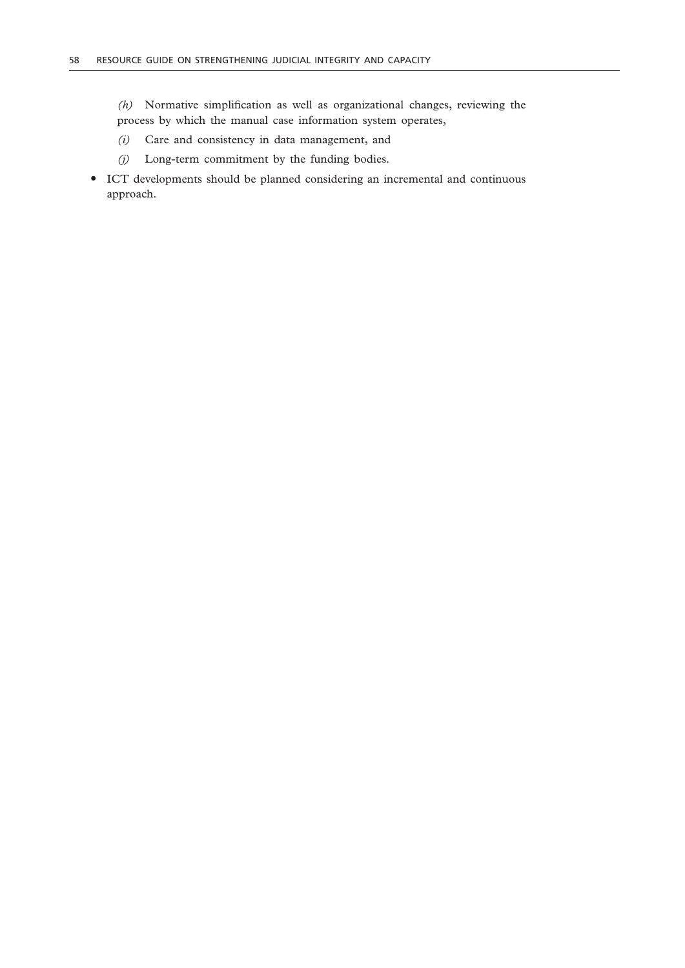*(h)* Normative simplification as well as organizational changes, reviewing the process by which the manual case information system operates,

- *(i)* Care and consistency in data management, and
- *(j)* Long-term commitment by the funding bodies.
- " ICT developments should be planned considering an incremental and continuous approach.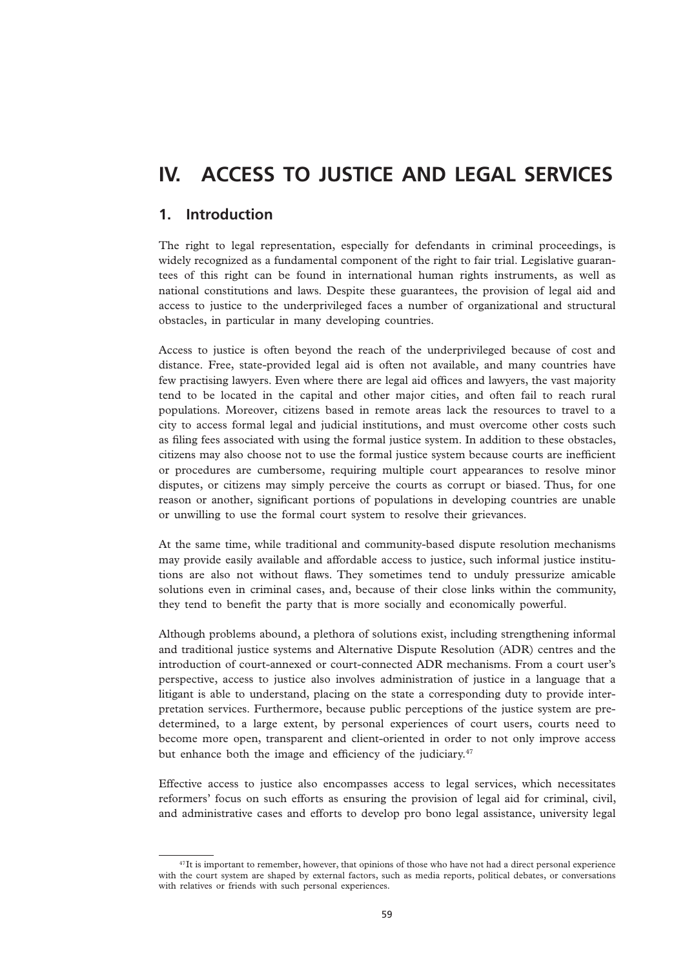# **IV. ACCESS TO JUSTICE AND LEGAL SERVICES**

# **1. Introduction**

The right to legal representation, especially for defendants in criminal proceedings, is widely recognized as a fundamental component of the right to fair trial. Legislative guarantees of this right can be found in international human rights instruments, as well as national constitutions and laws. Despite these guarantees, the provision of legal aid and access to justice to the underprivileged faces a number of organizational and structural obstacles, in particular in many developing countries.

Access to justice is often beyond the reach of the underprivileged because of cost and distance. Free, state-provided legal aid is often not available, and many countries have few practising lawyers. Even where there are legal aid offices and lawyers, the vast majority tend to be located in the capital and other major cities, and often fail to reach rural populations. Moreover, citizens based in remote areas lack the resources to travel to a city to access formal legal and judicial institutions, and must overcome other costs such as filing fees associated with using the formal justice system. In addition to these obstacles, citizens may also choose not to use the formal justice system because courts are inefficient or procedures are cumbersome, requiring multiple court appearances to resolve minor disputes, or citizens may simply perceive the courts as corrupt or biased. Thus, for one reason or another, significant portions of populations in developing countries are unable or unwilling to use the formal court system to resolve their grievances.

At the same time, while traditional and community-based dispute resolution mechanisms may provide easily available and affordable access to justice, such informal justice institutions are also not without flaws. They sometimes tend to unduly pressurize amicable solutions even in criminal cases, and, because of their close links within the community, they tend to benefit the party that is more socially and economically powerful.

Although problems abound, a plethora of solutions exist, including strengthening informal and traditional justice systems and Alternative Dispute Resolution (ADR) centres and the introduction of court-annexed or court-connected ADR mechanisms. From a court user's perspective, access to justice also involves administration of justice in a language that a litigant is able to understand, placing on the state a corresponding duty to provide interpretation services. Furthermore, because public perceptions of the justice system are predetermined, to a large extent, by personal experiences of court users, courts need to become more open, transparent and client-oriented in order to not only improve access but enhance both the image and efficiency of the judiciary.<sup>47</sup>

Effective access to justice also encompasses access to legal services, which necessitates reformers' focus on such efforts as ensuring the provision of legal aid for criminal, civil, and administrative cases and efforts to develop pro bono legal assistance, university legal

 $47$ It is important to remember, however, that opinions of those who have not had a direct personal experience with the court system are shaped by external factors, such as media reports, political debates, or conversations with relatives or friends with such personal experiences.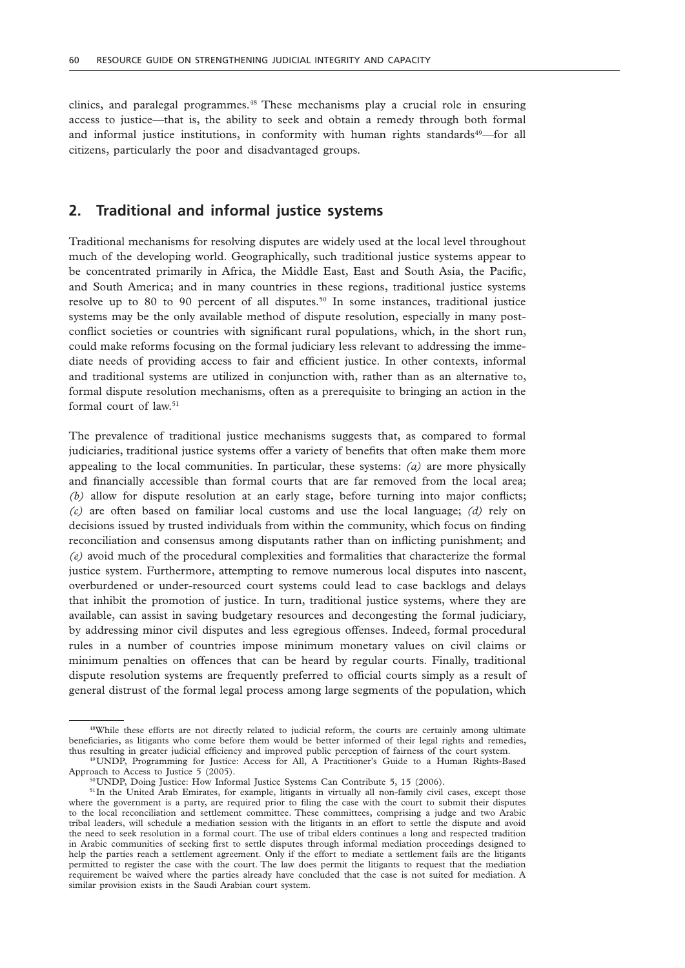clinics, and paralegal programmes.48 These mechanisms play a crucial role in ensuring access to justice—that is, the ability to seek and obtain a remedy through both formal and informal justice institutions, in conformity with human rights standards $49$ —for all citizens, particularly the poor and disadvantaged groups.

## **2. Traditional and informal justice systems**

Traditional mechanisms for resolving disputes are widely used at the local level throughout much of the developing world. Geographically, such traditional justice systems appear to be concentrated primarily in Africa, the Middle East, East and South Asia, the Pacific, and South America; and in many countries in these regions, traditional justice systems resolve up to 80 to 90 percent of all disputes.<sup>50</sup> In some instances, traditional justice systems may be the only available method of dispute resolution, especially in many postconflict societies or countries with significant rural populations, which, in the short run, could make reforms focusing on the formal judiciary less relevant to addressing the immediate needs of providing access to fair and efficient justice. In other contexts, informal and traditional systems are utilized in conjunction with, rather than as an alternative to, formal dispute resolution mechanisms, often as a prerequisite to bringing an action in the formal court of law.<sup>51</sup>

The prevalence of traditional justice mechanisms suggests that, as compared to formal judiciaries, traditional justice systems offer a variety of benefits that often make them more appealing to the local communities. In particular, these systems: *(a)* are more physically and financially accessible than formal courts that are far removed from the local area; *(b)* allow for dispute resolution at an early stage, before turning into major conflicts; *(c)* are often based on familiar local customs and use the local language; *(d)* rely on decisions issued by trusted individuals from within the community, which focus on finding reconciliation and consensus among disputants rather than on inflicting punishment; and *(e)* avoid much of the procedural complexities and formalities that characterize the formal justice system. Furthermore, attempting to remove numerous local disputes into nascent, overburdened or under-resourced court systems could lead to case backlogs and delays that inhibit the promotion of justice. In turn, traditional justice systems, where they are available, can assist in saving budgetary resources and decongesting the formal judiciary, by addressing minor civil disputes and less egregious offenses. Indeed, formal procedural rules in a number of countries impose minimum monetary values on civil claims or minimum penalties on offences that can be heard by regular courts. Finally, traditional dispute resolution systems are frequently preferred to official courts simply as a result of general distrust of the formal legal process among large segments of the population, which

<sup>&</sup>lt;sup>48</sup>While these efforts are not directly related to judicial reform, the courts are certainly among ultimate beneficiaries, as litigants who come before them would be better informed of their legal rights and remedies, thus resulting in greater judicial efficiency and improved public perception of fairness of the court system.

<sup>49</sup>UNDP, Programming for Justice: Access for All, A Practitioner's Guide to a Human Rights-Based Approach to Access to Justice 5 (2005).

<sup>50</sup>UNDP, Doing Justice: How Informal Justice Systems Can Contribute 5, 15 (2006).

<sup>&</sup>lt;sup>51</sup>In the United Arab Emirates, for example, litigants in virtually all non-family civil cases, except those where the government is a party, are required prior to filing the case with the court to submit their disputes to the local reconciliation and settlement committee. These committees, comprising a judge and two Arabic tribal leaders, will schedule a mediation session with the litigants in an effort to settle the dispute and avoid the need to seek resolution in a formal court. The use of tribal elders continues a long and respected tradition in Arabic communities of seeking first to settle disputes through informal mediation proceedings designed to help the parties reach a settlement agreement. Only if the effort to mediate a settlement fails are the litigants permitted to register the case with the court. The law does permit the litigants to request that the mediation requirement be waived where the parties already have concluded that the case is not suited for mediation. A similar provision exists in the Saudi Arabian court system.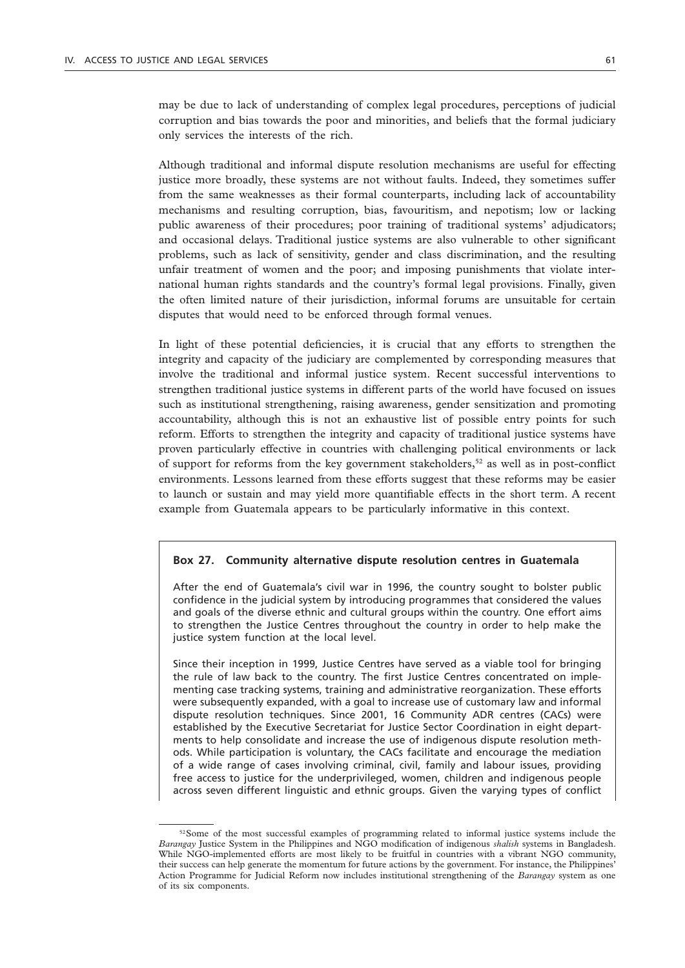may be due to lack of understanding of complex legal procedures, perceptions of judicial corruption and bias towards the poor and minorities, and beliefs that the formal judiciary only services the interests of the rich.

Although traditional and informal dispute resolution mechanisms are useful for effecting justice more broadly, these systems are not without faults. Indeed, they sometimes suffer from the same weaknesses as their formal counterparts, including lack of accountability mechanisms and resulting corruption, bias, favouritism, and nepotism; low or lacking public awareness of their procedures; poor training of traditional systems' adjudicators; and occasional delays. Traditional justice systems are also vulnerable to other significant problems, such as lack of sensitivity, gender and class discrimination, and the resulting unfair treatment of women and the poor; and imposing punishments that violate international human rights standards and the country's formal legal provisions. Finally, given the often limited nature of their jurisdiction, informal forums are unsuitable for certain disputes that would need to be enforced through formal venues.

In light of these potential deficiencies, it is crucial that any efforts to strengthen the integrity and capacity of the judiciary are complemented by corresponding measures that involve the traditional and informal justice system. Recent successful interventions to strengthen traditional justice systems in different parts of the world have focused on issues such as institutional strengthening, raising awareness, gender sensitization and promoting accountability, although this is not an exhaustive list of possible entry points for such reform. Efforts to strengthen the integrity and capacity of traditional justice systems have proven particularly effective in countries with challenging political environments or lack of support for reforms from the key government stakeholders,<sup>52</sup> as well as in post-conflict environments. Lessons learned from these efforts suggest that these reforms may be easier to launch or sustain and may yield more quantifiable effects in the short term. A recent example from Guatemala appears to be particularly informative in this context.

#### **Box 27. Community alternative dispute resolution centres in Guatemala**

After the end of Guatemala's civil war in 1996, the country sought to bolster public confidence in the judicial system by introducing programmes that considered the values and goals of the diverse ethnic and cultural groups within the country. One effort aims to strengthen the Justice Centres throughout the country in order to help make the justice system function at the local level.

Since their inception in 1999, Justice Centres have served as a viable tool for bringing the rule of law back to the country. The first Justice Centres concentrated on implementing case tracking systems, training and administrative reorganization. These efforts were subsequently expanded, with a goal to increase use of customary law and informal dispute resolution techniques. Since 2001, 16 Community ADR centres (CACs) were established by the Executive Secretariat for Justice Sector Coordination in eight departments to help consolidate and increase the use of indigenous dispute resolution methods. While participation is voluntary, the CACs facilitate and encourage the mediation of a wide range of cases involving criminal, civil, family and labour issues, providing free access to justice for the underprivileged, women, children and indigenous people across seven different linguistic and ethnic groups. Given the varying types of conflict

<sup>&</sup>lt;sup>52</sup>Some of the most successful examples of programming related to informal justice systems include the *Barangay* Justice System in the Philippines and NGO modification of indigenous *shalish* systems in Bangladesh. While NGO-implemented efforts are most likely to be fruitful in countries with a vibrant NGO community, their success can help generate the momentum for future actions by the government. For instance, the Philippines' Action Programme for Judicial Reform now includes institutional strengthening of the *Barangay* system as one of its six components.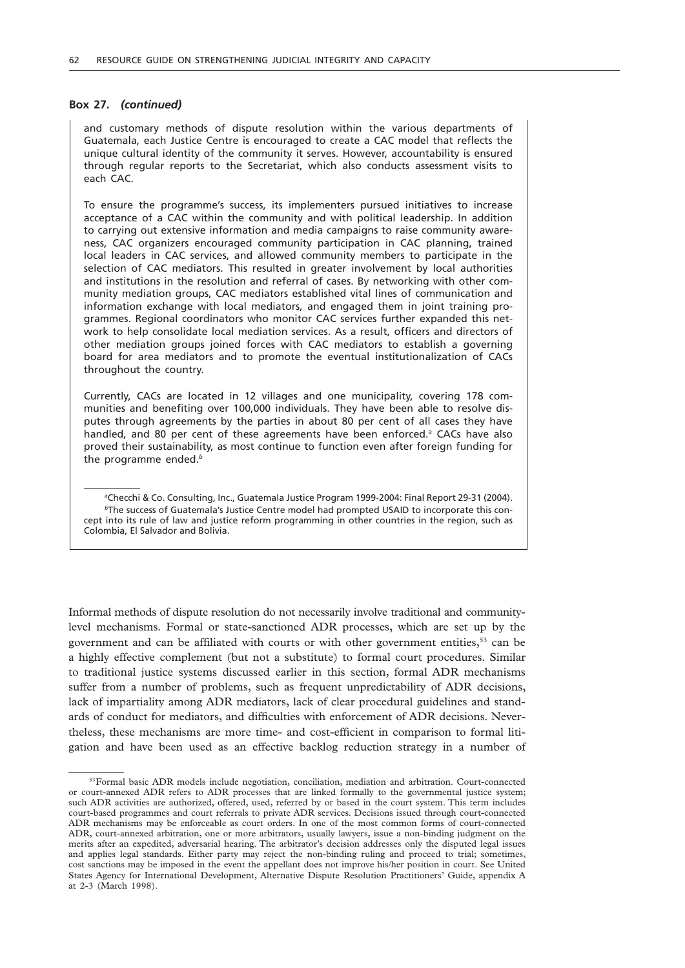#### **Box 27.** *(continued)*

and customary methods of dispute resolution within the various departments of Guatemala, each Justice Centre is encouraged to create a CAC model that reflects the unique cultural identity of the community it serves. However, accountability is ensured through regular reports to the Secretariat, which also conducts assessment visits to each CAC.

To ensure the programme's success, its implementers pursued initiatives to increase acceptance of a CAC within the community and with political leadership. In addition to carrying out extensive information and media campaigns to raise community awareness, CAC organizers encouraged community participation in CAC planning, trained local leaders in CAC services, and allowed community members to participate in the selection of CAC mediators. This resulted in greater involvement by local authorities and institutions in the resolution and referral of cases. By networking with other community mediation groups, CAC mediators established vital lines of communication and information exchange with local mediators, and engaged them in joint training programmes. Regional coordinators who monitor CAC services further expanded this network to help consolidate local mediation services. As a result, officers and directors of other mediation groups joined forces with CAC mediators to establish a governing board for area mediators and to promote the eventual institutionalization of CACs throughout the country.

Currently, CACs are located in 12 villages and one municipality, covering 178 communities and benefiting over 100,000 individuals. They have been able to resolve disputes through agreements by the parties in about 80 per cent of all cases they have handled, and 80 per cent of these agreements have been enforced.<sup>a</sup> CACs have also proved their sustainability, as most continue to function even after foreign funding for the programme ended.*<sup>b</sup>*

*a* Checchi & Co. Consulting, Inc., Guatemala Justice Program 1999-2004: Final Report 29-31 (2004). *b*The success of Guatemala's Justice Centre model had prompted USAID to incorporate this concept into its rule of law and justice reform programming in other countries in the region, such as Colombia, El Salvador and Bolivia.

Informal methods of dispute resolution do not necessarily involve traditional and communitylevel mechanisms. Formal or state-sanctioned ADR processes, which are set up by the government and can be affiliated with courts or with other government entities, $5<sup>3</sup>$  can be a highly effective complement (but not a substitute) to formal court procedures. Similar to traditional justice systems discussed earlier in this section, formal ADR mechanisms suffer from a number of problems, such as frequent unpredictability of ADR decisions, lack of impartiality among ADR mediators, lack of clear procedural guidelines and standards of conduct for mediators, and difficulties with enforcement of ADR decisions. Nevertheless, these mechanisms are more time- and cost-efficient in comparison to formal litigation and have been used as an effective backlog reduction strategy in a number of

<sup>&</sup>lt;sup>53</sup>Formal basic ADR models include negotiation, conciliation, mediation and arbitration. Court-connected or court-annexed ADR refers to ADR processes that are linked formally to the governmental justice system; such ADR activities are authorized, offered, used, referred by or based in the court system. This term includes court-based programmes and court referrals to private ADR services. Decisions issued through court-connected ADR mechanisms may be enforceable as court orders. In one of the most common forms of court-connected ADR, court-annexed arbitration, one or more arbitrators, usually lawyers, issue a non-binding judgment on the merits after an expedited, adversarial hearing. The arbitrator's decision addresses only the disputed legal issues and applies legal standards. Either party may reject the non-binding ruling and proceed to trial; sometimes, cost sanctions may be imposed in the event the appellant does not improve his/her position in court. See United States Agency for International Development, Alternative Dispute Resolution Practitioners' Guide, appendix A at 2-3 (March 1998).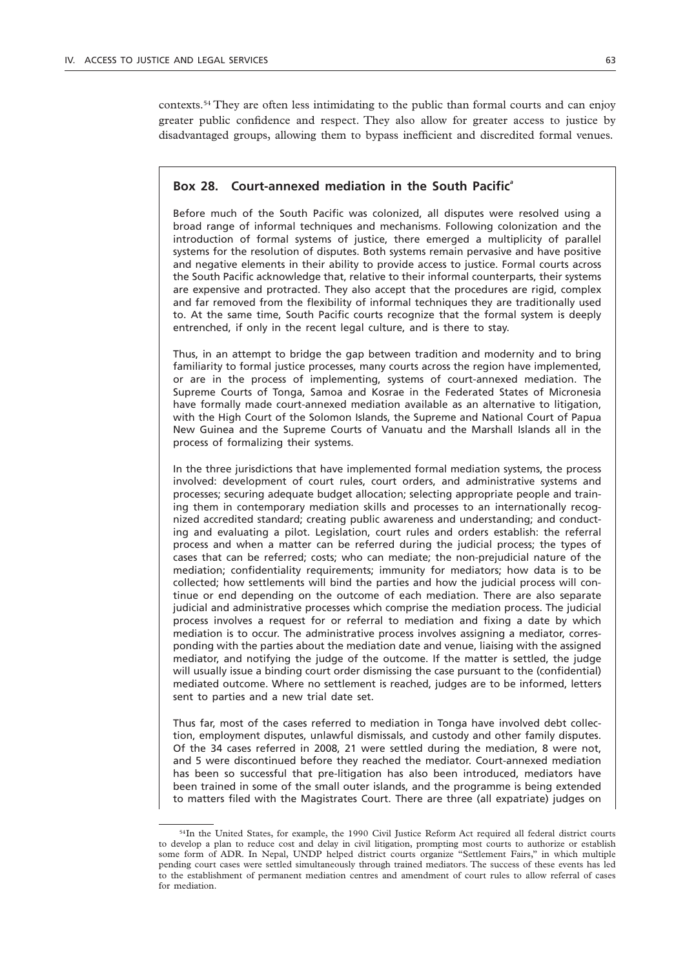contexts.54 They are often less intimidating to the public than formal courts and can enjoy greater public confidence and respect. They also allow for greater access to justice by disadvantaged groups, allowing them to bypass inefficient and discredited formal venues.

### **Box 28. Court-annexed mediation in the South Pacific***<sup>a</sup>*

Before much of the South Pacific was colonized, all disputes were resolved using a broad range of informal techniques and mechanisms. Following colonization and the introduction of formal systems of justice, there emerged a multiplicity of parallel systems for the resolution of disputes. Both systems remain pervasive and have positive and negative elements in their ability to provide access to justice. Formal courts across the South Pacific acknowledge that, relative to their informal counterparts, their systems are expensive and protracted. They also accept that the procedures are rigid, complex and far removed from the flexibility of informal techniques they are traditionally used to. At the same time, South Pacific courts recognize that the formal system is deeply entrenched, if only in the recent legal culture, and is there to stay.

Thus, in an attempt to bridge the gap between tradition and modernity and to bring familiarity to formal justice processes, many courts across the region have implemented, or are in the process of implementing, systems of court-annexed mediation. The Supreme Courts of Tonga, Samoa and Kosrae in the Federated States of Micronesia have formally made court-annexed mediation available as an alternative to litigation, with the High Court of the Solomon Islands, the Supreme and National Court of Papua New Guinea and the Supreme Courts of Vanuatu and the Marshall Islands all in the process of formalizing their systems.

In the three jurisdictions that have implemented formal mediation systems, the process involved: development of court rules, court orders, and administrative systems and processes; securing adequate budget allocation; selecting appropriate people and training them in contemporary mediation skills and processes to an internationally recognized accredited standard; creating public awareness and understanding; and conducting and evaluating a pilot. Legislation, court rules and orders establish: the referral process and when a matter can be referred during the judicial process; the types of cases that can be referred; costs; who can mediate; the non-prejudicial nature of the mediation; confidentiality requirements; immunity for mediators; how data is to be collected; how settlements will bind the parties and how the judicial process will continue or end depending on the outcome of each mediation. There are also separate judicial and administrative processes which comprise the mediation process. The judicial process involves a request for or referral to mediation and fixing a date by which mediation is to occur. The administrative process involves assigning a mediator, corresponding with the parties about the mediation date and venue, liaising with the assigned mediator, and notifying the judge of the outcome. If the matter is settled, the judge will usually issue a binding court order dismissing the case pursuant to the (confidential) mediated outcome. Where no settlement is reached, judges are to be informed, letters sent to parties and a new trial date set.

Thus far, most of the cases referred to mediation in Tonga have involved debt collection, employment disputes, unlawful dismissals, and custody and other family disputes. Of the 34 cases referred in 2008, 21 were settled during the mediation, 8 were not, and 5 were discontinued before they reached the mediator. Court-annexed mediation has been so successful that pre-litigation has also been introduced, mediators have been trained in some of the small outer islands, and the programme is being extended to matters filed with the Magistrates Court. There are three (all expatriate) judges on

<sup>54</sup>In the United States, for example, the 1990 Civil Justice Reform Act required all federal district courts to develop a plan to reduce cost and delay in civil litigation, prompting most courts to authorize or establish some form of ADR. In Nepal, UNDP helped district courts organize "Settlement Fairs," in which multiple pending court cases were settled simultaneously through trained mediators. The success of these events has led to the establishment of permanent mediation centres and amendment of court rules to allow referral of cases for mediation.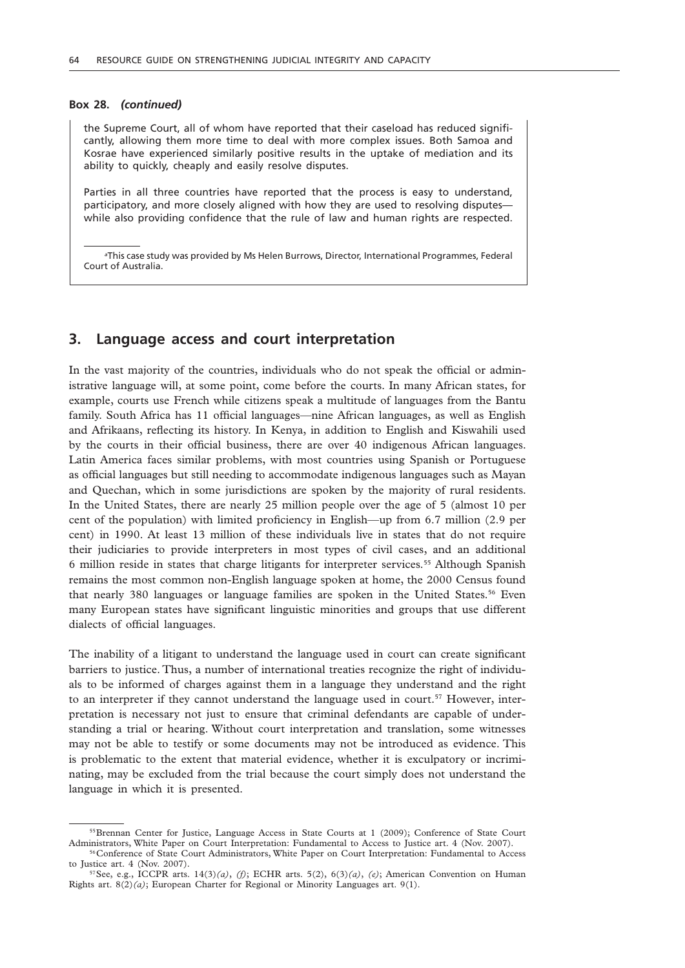#### **Box 28.** *(continued)*

the Supreme Court, all of whom have reported that their caseload has reduced significantly, allowing them more time to deal with more complex issues. Both Samoa and Kosrae have experienced similarly positive results in the uptake of mediation and its ability to quickly, cheaply and easily resolve disputes.

Parties in all three countries have reported that the process is easy to understand, participatory, and more closely aligned with how they are used to resolving disputes while also providing confidence that the rule of law and human rights are respected.

*a* This case study was provided by Ms Helen Burrows, Director, International Programmes, Federal Court of Australia.

### **3. Language access and court interpretation**

In the vast majority of the countries, individuals who do not speak the official or administrative language will, at some point, come before the courts. In many African states, for example, courts use French while citizens speak a multitude of languages from the Bantu family. South Africa has 11 official languages—nine African languages, as well as English and Afrikaans, reflecting its history. In Kenya, in addition to English and Kiswahili used by the courts in their official business, there are over 40 indigenous African languages. Latin America faces similar problems, with most countries using Spanish or Portuguese as official languages but still needing to accommodate indigenous languages such as Mayan and Quechan, which in some jurisdictions are spoken by the majority of rural residents. In the United States, there are nearly 25 million people over the age of 5 (almost 10 per cent of the population) with limited proficiency in English—up from 6.7 million (2.9 per cent) in 1990. At least 13 million of these individuals live in states that do not require their judiciaries to provide interpreters in most types of civil cases, and an additional 6 million reside in states that charge litigants for interpreter services.55 Although Spanish remains the most common non-English language spoken at home, the 2000 Census found that nearly 380 languages or language families are spoken in the United States.<sup>56</sup> Even many European states have significant linguistic minorities and groups that use different dialects of official languages.

The inability of a litigant to understand the language used in court can create significant barriers to justice. Thus, a number of international treaties recognize the right of individuals to be informed of charges against them in a language they understand and the right to an interpreter if they cannot understand the language used in court.<sup>57</sup> However, interpretation is necessary not just to ensure that criminal defendants are capable of understanding a trial or hearing. Without court interpretation and translation, some witnesses may not be able to testify or some documents may not be introduced as evidence. This is problematic to the extent that material evidence, whether it is exculpatory or incriminating, may be excluded from the trial because the court simply does not understand the language in which it is presented.

<sup>55</sup>Brennan Center for Justice, Language Access in State Courts at 1 (2009); Conference of State Court Administrators, White Paper on Court Interpretation: Fundamental to Access to Justice art. 4 (Nov. 2007).

<sup>56</sup>Conference of State Court Administrators, White Paper on Court Interpretation: Fundamental to Access to Justice art. 4 (Nov. 2007).

<sup>&</sup>lt;sup>57</sup>See, e.g., ICCPR arts. 14(3)(a), (f); ECHR arts. 5(2), 6(3)(a), (e); American Convention on Human Rights art. 8(2)*(a)*; European Charter for Regional or Minority Languages art. 9(1).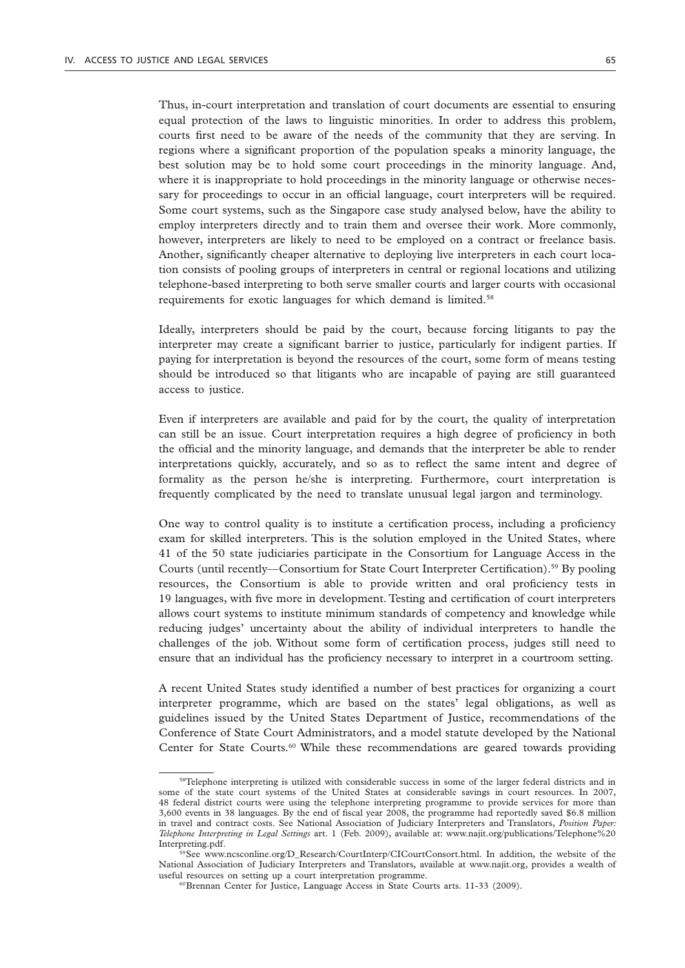equal protection of the laws to linguistic minorities. In order to address this problem, courts first need to be aware of the needs of the community that they are serving. In regions where a significant proportion of the population speaks a minority language, the best solution may be to hold some court proceedings in the minority language. And, where it is inappropriate to hold proceedings in the minority language or otherwise necessary for proceedings to occur in an official language, court interpreters will be required. Some court systems, such as the Singapore case study analysed below, have the ability to employ interpreters directly and to train them and oversee their work. More commonly, however, interpreters are likely to need to be employed on a contract or freelance basis. Another, significantly cheaper alternative to deploying live interpreters in each court location consists of pooling groups of interpreters in central or regional locations and utilizing telephone-based interpreting to both serve smaller courts and larger courts with occasional requirements for exotic languages for which demand is limited.<sup>58</sup>

Ideally, interpreters should be paid by the court, because forcing litigants to pay the interpreter may create a significant barrier to justice, particularly for indigent parties. If paying for interpretation is beyond the resources of the court, some form of means testing should be introduced so that litigants who are incapable of paying are still guaranteed access to justice.

Even if interpreters are available and paid for by the court, the quality of interpretation can still be an issue. Court interpretation requires a high degree of proficiency in both the official and the minority language, and demands that the interpreter be able to render interpretations quickly, accurately, and so as to reflect the same intent and degree of formality as the person he/she is interpreting. Furthermore, court interpretation is frequently complicated by the need to translate unusual legal jargon and terminology.

One way to control quality is to institute a certification process, including a proficiency exam for skilled interpreters. This is the solution employed in the United States, where 41 of the 50 state judiciaries participate in the Consortium for Language Access in the Courts (until recently—Consortium for State Court Interpreter Certification).<sup>59</sup> By pooling resources, the Consortium is able to provide written and oral proficiency tests in 19 languages, with five more in development. Testing and certification of court interpreters allows court systems to institute minimum standards of competency and knowledge while reducing judges' uncertainty about the ability of individual interpreters to handle the challenges of the job. Without some form of certification process, judges still need to ensure that an individual has the proficiency necessary to interpret in a courtroom setting.

A recent United States study identified a number of best practices for organizing a court interpreter programme, which are based on the states' legal obligations, as well as guidelines issued by the United States Department of Justice, recommendations of the Conference of State Court Administrators, and a model statute developed by the National Center for State Courts.<sup>60</sup> While these recommendations are geared towards providing

<sup>58</sup>Telephone interpreting is utilized with considerable success in some of the larger federal districts and in some of the state court systems of the United States at considerable savings in court resources. In 2007, 48 federal district courts were using the telephone interpreting programme to provide services for more than 3,600 events in 38 languages. By the end of fiscal year 2008, the programme had reportedly saved \$6.8 million in travel and contract costs. See National Association of Judiciary Interpreters and Translators, *Position Paper: Telephone Interpreting in Legal Settings* art. 1 (Feb. 2009), available at: www.najit.org/publications/Telephone%20 Interpreting.pdf.

<sup>59</sup>See www.ncsconline.org/D\_Research/CourtInterp/CICourtConsort.html. In addition, the website of the National Association of Judiciary Interpreters and Translators, available at www.najit.org, provides a wealth of useful resources on setting up a court interpretation programme.

<sup>60</sup>Brennan Center for Justice, Language Access in State Courts arts. 11-33 (2009).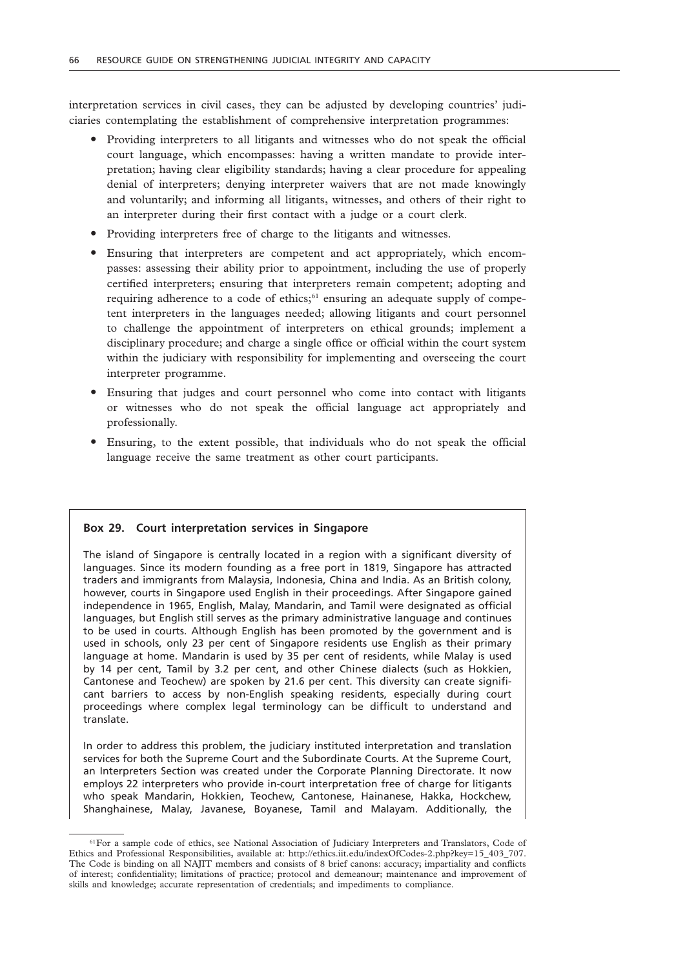interpretation services in civil cases, they can be adjusted by developing countries' judiciaries contemplating the establishment of comprehensive interpretation programmes:

- Providing interpreters to all litigants and witnesses who do not speak the official court language, which encompasses: having a written mandate to provide interpretation; having clear eligibility standards; having a clear procedure for appealing denial of interpreters; denying interpreter waivers that are not made knowingly and voluntarily; and informing all litigants, witnesses, and others of their right to an interpreter during their first contact with a judge or a court clerk.
- Providing interpreters free of charge to the litigants and witnesses.
- Ensuring that interpreters are competent and act appropriately, which encompasses: assessing their ability prior to appointment, including the use of properly certified interpreters; ensuring that interpreters remain competent; adopting and requiring adherence to a code of ethics; $61$  ensuring an adequate supply of competent interpreters in the languages needed; allowing litigants and court personnel to challenge the appointment of interpreters on ethical grounds; implement a disciplinary procedure; and charge a single office or official within the court system within the judiciary with responsibility for implementing and overseeing the court interpreter programme.
- Ensuring that judges and court personnel who come into contact with litigants or witnesses who do not speak the official language act appropriately and professionally.
- Ensuring, to the extent possible, that individuals who do not speak the official language receive the same treatment as other court participants.

#### **Box 29. Court interpretation services in Singapore**

The island of Singapore is centrally located in a region with a significant diversity of languages. Since its modern founding as a free port in 1819, Singapore has attracted traders and immigrants from Malaysia, Indonesia, China and India. As an British colony, however, courts in Singapore used English in their proceedings. After Singapore gained independence in 1965, English, Malay, Mandarin, and Tamil were designated as official languages, but English still serves as the primary administrative language and continues to be used in courts. Although English has been promoted by the government and is used in schools, only 23 per cent of Singapore residents use English as their primary language at home. Mandarin is used by 35 per cent of residents, while Malay is used by 14 per cent, Tamil by 3.2 per cent, and other Chinese dialects (such as Hokkien, Cantonese and Teochew) are spoken by 21.6 per cent. This diversity can create significant barriers to access by non-English speaking residents, especially during court proceedings where complex legal terminology can be difficult to understand and translate.

In order to address this problem, the judiciary instituted interpretation and translation services for both the Supreme Court and the Subordinate Courts. At the Supreme Court, an Interpreters Section was created under the Corporate Planning Directorate. It now employs 22 interpreters who provide in-court interpretation free of charge for litigants who speak Mandarin, Hokkien, Teochew, Cantonese, Hainanese, Hakka, Hockchew, Shanghainese, Malay, Javanese, Boyanese, Tamil and Malayam. Additionally, the

<sup>&</sup>lt;sup>61</sup>For a sample code of ethics, see National Association of Judiciary Interpreters and Translators, Code of Ethics and Professional Responsibilities, available at: http://ethics.iit.edu/indexOfCodes-2.php?key=15\_403\_707. The Code is binding on all NAJIT members and consists of 8 brief canons: accuracy; impartiality and conflicts of interest; confidentiality; limitations of practice; protocol and demeanour; maintenance and improvement of skills and knowledge; accurate representation of credentials; and impediments to compliance.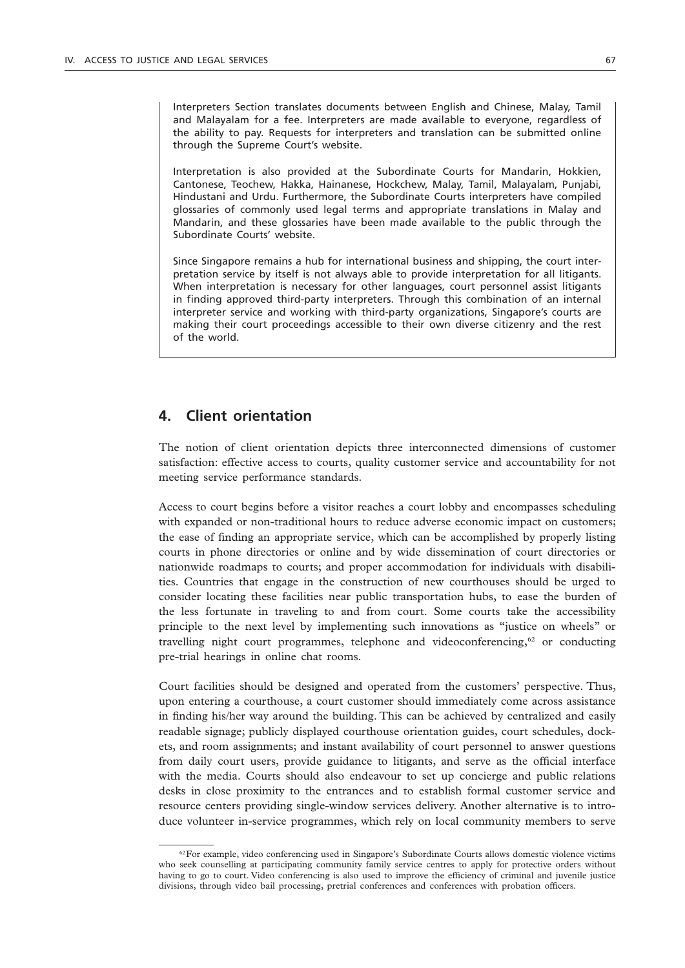Interpreters Section translates documents between English and Chinese, Malay, Tamil and Malayalam for a fee. Interpreters are made available to everyone, regardless of the ability to pay. Requests for interpreters and translation can be submitted online through the Supreme Court's website.

Interpretation is also provided at the Subordinate Courts for Mandarin, Hokkien, Cantonese, Teochew, Hakka, Hainanese, Hockchew, Malay, Tamil, Malayalam, Punjabi, Hindustani and Urdu. Furthermore, the Subordinate Courts interpreters have compiled glossaries of commonly used legal terms and appropriate translations in Malay and Mandarin, and these glossaries have been made available to the public through the Subordinate Courts' website.

Since Singapore remains a hub for international business and shipping, the court interpretation service by itself is not always able to provide interpretation for all litigants. When interpretation is necessary for other languages, court personnel assist litigants in finding approved third-party interpreters. Through this combination of an internal interpreter service and working with third-party organizations, Singapore's courts are making their court proceedings accessible to their own diverse citizenry and the rest of the world.

# **4. Client orientation**

The notion of client orientation depicts three interconnected dimensions of customer satisfaction: effective access to courts, quality customer service and accountability for not meeting service performance standards.

Access to court begins before a visitor reaches a court lobby and encompasses scheduling with expanded or non-traditional hours to reduce adverse economic impact on customers; the ease of finding an appropriate service, which can be accomplished by properly listing courts in phone directories or online and by wide dissemination of court directories or nationwide roadmaps to courts; and proper accommodation for individuals with disabilities. Countries that engage in the construction of new courthouses should be urged to consider locating these facilities near public transportation hubs, to ease the burden of the less fortunate in traveling to and from court. Some courts take the accessibility principle to the next level by implementing such innovations as "justice on wheels" or travelling night court programmes, telephone and videoconferencing, $62$  or conducting pre-trial hearings in online chat rooms.

Court facilities should be designed and operated from the customers' perspective. Thus, upon entering a courthouse, a court customer should immediately come across assistance in finding his/her way around the building. This can be achieved by centralized and easily readable signage; publicly displayed courthouse orientation guides, court schedules, dockets, and room assignments; and instant availability of court personnel to answer questions from daily court users, provide guidance to litigants, and serve as the official interface with the media. Courts should also endeavour to set up concierge and public relations desks in close proximity to the entrances and to establish formal customer service and resource centers providing single-window services delivery. Another alternative is to introduce volunteer in-service programmes, which rely on local community members to serve

<sup>&</sup>lt;sup>62</sup>For example, video conferencing used in Singapore's Subordinate Courts allows domestic violence victims who seek counselling at participating community family service centres to apply for protective orders without having to go to court. Video conferencing is also used to improve the efficiency of criminal and juvenile justice divisions, through video bail processing, pretrial conferences and conferences with probation officers.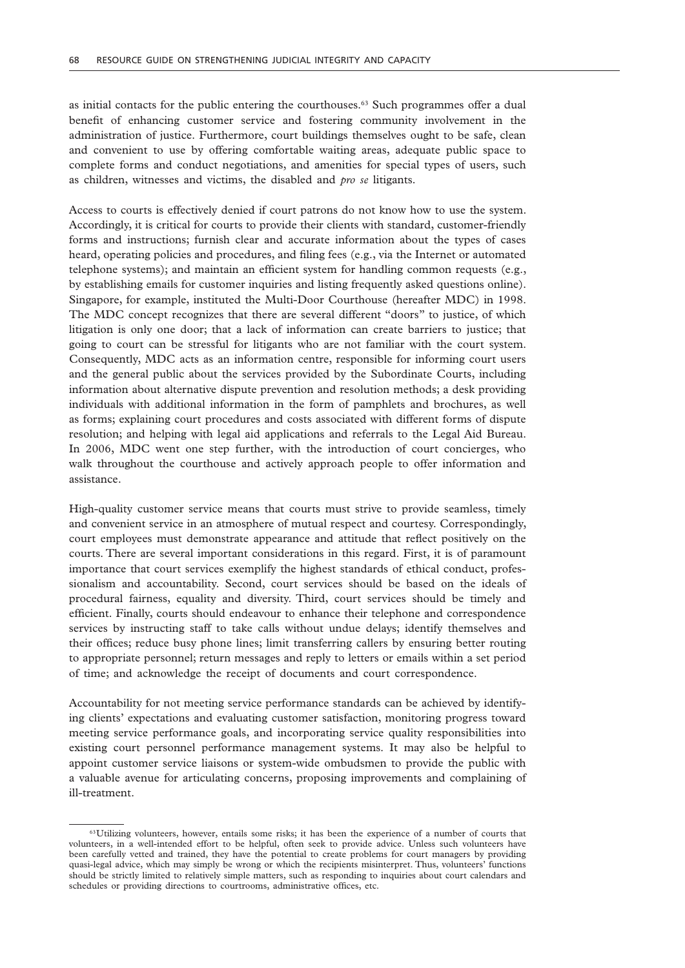as initial contacts for the public entering the courthouses.63 Such programmes offer a dual benefit of enhancing customer service and fostering community involvement in the administration of justice. Furthermore, court buildings themselves ought to be safe, clean and convenient to use by offering comfortable waiting areas, adequate public space to complete forms and conduct negotiations, and amenities for special types of users, such as children, witnesses and victims, the disabled and *pro se* litigants.

Access to courts is effectively denied if court patrons do not know how to use the system. Accordingly, it is critical for courts to provide their clients with standard, customer-friendly forms and instructions; furnish clear and accurate information about the types of cases heard, operating policies and procedures, and filing fees (e.g., via the Internet or automated telephone systems); and maintain an efficient system for handling common requests (e.g., by establishing emails for customer inquiries and listing frequently asked questions online). Singapore, for example, instituted the Multi-Door Courthouse (hereafter MDC) in 1998. The MDC concept recognizes that there are several different "doors" to justice, of which litigation is only one door; that a lack of information can create barriers to justice; that going to court can be stressful for litigants who are not familiar with the court system. Consequently, MDC acts as an information centre, responsible for informing court users and the general public about the services provided by the Subordinate Courts, including information about alternative dispute prevention and resolution methods; a desk providing individuals with additional information in the form of pamphlets and brochures, as well as forms; explaining court procedures and costs associated with different forms of dispute resolution; and helping with legal aid applications and referrals to the Legal Aid Bureau. In 2006, MDC went one step further, with the introduction of court concierges, who walk throughout the courthouse and actively approach people to offer information and assistance.

High-quality customer service means that courts must strive to provide seamless, timely and convenient service in an atmosphere of mutual respect and courtesy. Correspondingly, court employees must demonstrate appearance and attitude that reflect positively on the courts. There are several important considerations in this regard. First, it is of paramount importance that court services exemplify the highest standards of ethical conduct, professionalism and accountability. Second, court services should be based on the ideals of procedural fairness, equality and diversity. Third, court services should be timely and efficient. Finally, courts should endeavour to enhance their telephone and correspondence services by instructing staff to take calls without undue delays; identify themselves and their offices; reduce busy phone lines; limit transferring callers by ensuring better routing to appropriate personnel; return messages and reply to letters or emails within a set period of time; and acknowledge the receipt of documents and court correspondence.

Accountability for not meeting service performance standards can be achieved by identifying clients' expectations and evaluating customer satisfaction, monitoring progress toward meeting service performance goals, and incorporating service quality responsibilities into existing court personnel performance management systems. It may also be helpful to appoint customer service liaisons or system-wide ombudsmen to provide the public with a valuable avenue for articulating concerns, proposing improvements and complaining of ill-treatment.

<sup>&</sup>lt;sup>63</sup>Utilizing volunteers, however, entails some risks; it has been the experience of a number of courts that volunteers, in a well-intended effort to be helpful, often seek to provide advice. Unless such volunteers have been carefully vetted and trained, they have the potential to create problems for court managers by providing quasi-legal advice, which may simply be wrong or which the recipients misinterpret. Thus, volunteers' functions should be strictly limited to relatively simple matters, such as responding to inquiries about court calendars and schedules or providing directions to courtrooms, administrative offices, etc.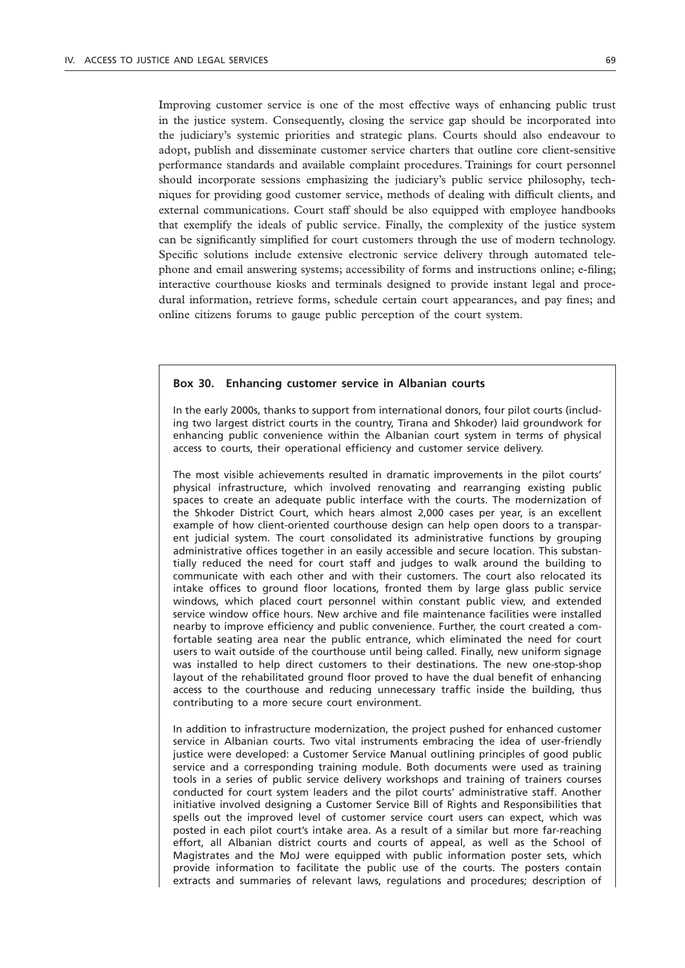Improving customer service is one of the most effective ways of enhancing public trust in the justice system. Consequently, closing the service gap should be incorporated into the judiciary's systemic priorities and strategic plans. Courts should also endeavour to adopt, publish and disseminate customer service charters that outline core client-sensitive performance standards and available complaint procedures. Trainings for court personnel should incorporate sessions emphasizing the judiciary's public service philosophy, techniques for providing good customer service, methods of dealing with difficult clients, and external communications. Court staff should be also equipped with employee handbooks that exemplify the ideals of public service. Finally, the complexity of the justice system can be significantly simplified for court customers through the use of modern technology. Specific solutions include extensive electronic service delivery through automated telephone and email answering systems; accessibility of forms and instructions online; e-filing; interactive courthouse kiosks and terminals designed to provide instant legal and procedural information, retrieve forms, schedule certain court appearances, and pay fines; and

#### **Box 30. Enhancing customer service in Albanian courts**

online citizens forums to gauge public perception of the court system.

In the early 2000s, thanks to support from international donors, four pilot courts (including two largest district courts in the country, Tirana and Shkoder) laid groundwork for enhancing public convenience within the Albanian court system in terms of physical access to courts, their operational efficiency and customer service delivery.

The most visible achievements resulted in dramatic improvements in the pilot courts' physical infrastructure, which involved renovating and rearranging existing public spaces to create an adequate public interface with the courts. The modernization of the Shkoder District Court, which hears almost 2,000 cases per year, is an excellent example of how client-oriented courthouse design can help open doors to a transparent judicial system. The court consolidated its administrative functions by grouping administrative offices together in an easily accessible and secure location. This substantially reduced the need for court staff and judges to walk around the building to communicate with each other and with their customers. The court also relocated its intake offices to ground floor locations, fronted them by large glass public service windows, which placed court personnel within constant public view, and extended service window office hours. New archive and file maintenance facilities were installed nearby to improve efficiency and public convenience. Further, the court created a comfortable seating area near the public entrance, which eliminated the need for court users to wait outside of the courthouse until being called. Finally, new uniform signage was installed to help direct customers to their destinations. The new one-stop-shop layout of the rehabilitated ground floor proved to have the dual benefit of enhancing access to the courthouse and reducing unnecessary traffic inside the building, thus contributing to a more secure court environment.

In addition to infrastructure modernization, the project pushed for enhanced customer service in Albanian courts. Two vital instruments embracing the idea of user-friendly justice were developed: a Customer Service Manual outlining principles of good public service and a corresponding training module. Both documents were used as training tools in a series of public service delivery workshops and training of trainers courses conducted for court system leaders and the pilot courts' administrative staff. Another initiative involved designing a Customer Service Bill of Rights and Responsibilities that spells out the improved level of customer service court users can expect, which was posted in each pilot court's intake area. As a result of a similar but more far-reaching effort, all Albanian district courts and courts of appeal, as well as the School of Magistrates and the MoJ were equipped with public information poster sets, which provide information to facilitate the public use of the courts. The posters contain extracts and summaries of relevant laws, regulations and procedures; description of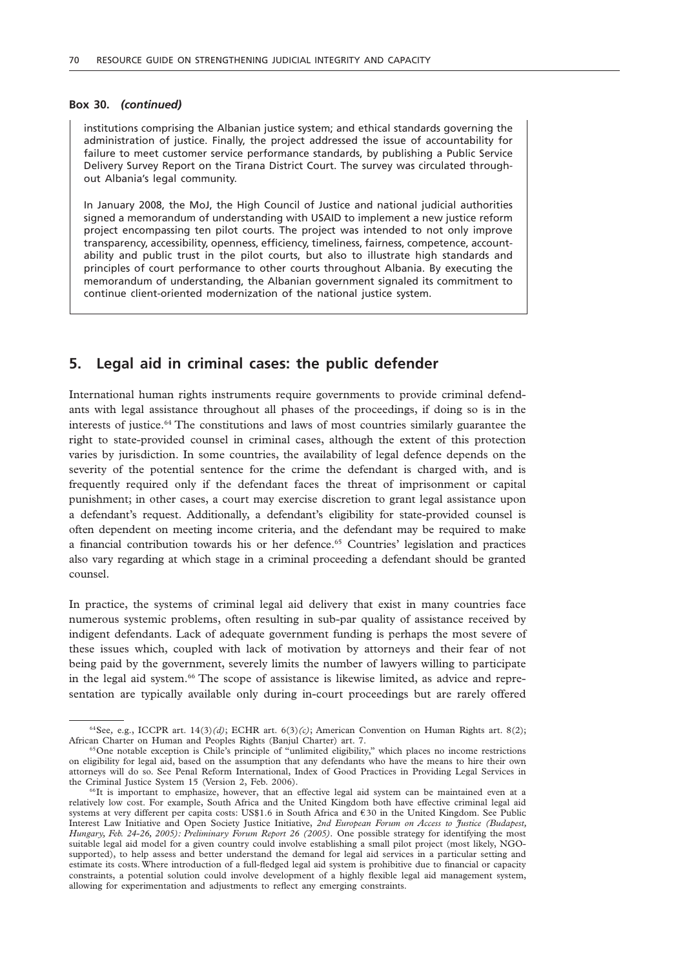#### **Box 30.** *(continued)*

institutions comprising the Albanian justice system; and ethical standards governing the administration of justice. Finally, the project addressed the issue of accountability for failure to meet customer service performance standards, by publishing a Public Service Delivery Survey Report on the Tirana District Court. The survey was circulated throughout Albania's legal community.

In January 2008, the MoJ, the High Council of Justice and national judicial authorities signed a memorandum of understanding with USAID to implement a new justice reform project encompassing ten pilot courts. The project was intended to not only improve transparency, accessibility, openness, efficiency, timeliness, fairness, competence, accountability and public trust in the pilot courts, but also to illustrate high standards and principles of court performance to other courts throughout Albania. By executing the memorandum of understanding, the Albanian government signaled its commitment to continue client-oriented modernization of the national justice system.

### **5. Legal aid in criminal cases: the public defender**

International human rights instruments require governments to provide criminal defendants with legal assistance throughout all phases of the proceedings, if doing so is in the interests of justice.64 The constitutions and laws of most countries similarly guarantee the right to state-provided counsel in criminal cases, although the extent of this protection varies by jurisdiction. In some countries, the availability of legal defence depends on the severity of the potential sentence for the crime the defendant is charged with, and is frequently required only if the defendant faces the threat of imprisonment or capital punishment; in other cases, a court may exercise discretion to grant legal assistance upon a defendant's request. Additionally, a defendant's eligibility for state-provided counsel is often dependent on meeting income criteria, and the defendant may be required to make a financial contribution towards his or her defence.<sup>65</sup> Countries' legislation and practices also vary regarding at which stage in a criminal proceeding a defendant should be granted counsel.

In practice, the systems of criminal legal aid delivery that exist in many countries face numerous systemic problems, often resulting in sub-par quality of assistance received by indigent defendants. Lack of adequate government funding is perhaps the most severe of these issues which, coupled with lack of motivation by attorneys and their fear of not being paid by the government, severely limits the number of lawyers willing to participate in the legal aid system.66 The scope of assistance is likewise limited, as advice and representation are typically available only during in-court proceedings but are rarely offered

<sup>64</sup>See*,* e.g., ICCPR art. 14(3)*(d)*; ECHR art. 6(3)*(c)*; American Convention on Human Rights art. 8(2); African Charter on Human and Peoples Rights (Banjul Charter) art. 7.

<sup>&</sup>lt;sup>65</sup>One notable exception is Chile's principle of "unlimited eligibility," which places no income restrictions on eligibility for legal aid, based on the assumption that any defendants who have the means to hire their own attorneys will do so. See Penal Reform International, Index of Good Practices in Providing Legal Services in the Criminal Justice System 15 (Version 2, Feb. 2006).

<sup>66</sup>It is important to emphasize, however, that an effective legal aid system can be maintained even at a relatively low cost. For example, South Africa and the United Kingdom both have effective criminal legal aid systems at very different per capita costs: US\$1.6 in South Africa and € 30 in the United Kingdom. See Public Interest Law Initiative and Open Society Justice Initiative, *2nd European Forum on Access to Justice (Budapest, Hungary, Feb. 24-26, 2005): Preliminary Forum Report 26 (2005).* One possible strategy for identifying the most suitable legal aid model for a given country could involve establishing a small pilot project (most likely, NGOsupported), to help assess and better understand the demand for legal aid services in a particular setting and estimate its costs. Where introduction of a full-fledged legal aid system is prohibitive due to financial or capacity constraints, a potential solution could involve development of a highly flexible legal aid management system, allowing for experimentation and adjustments to reflect any emerging constraints.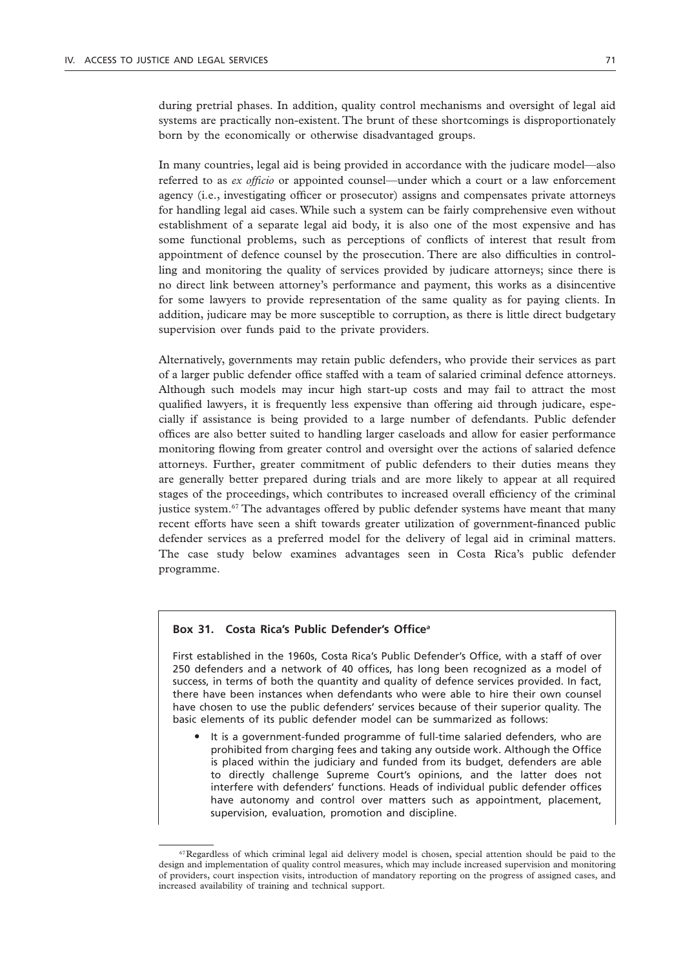during pretrial phases. In addition, quality control mechanisms and oversight of legal aid systems are practically non-existent. The brunt of these shortcomings is disproportionately born by the economically or otherwise disadvantaged groups.

In many countries, legal aid is being provided in accordance with the judicare model—also referred to as *ex officio* or appointed counsel—under which a court or a law enforcement agency (i.e., investigating officer or prosecutor) assigns and compensates private attorneys for handling legal aid cases. While such a system can be fairly comprehensive even without establishment of a separate legal aid body, it is also one of the most expensive and has some functional problems, such as perceptions of conflicts of interest that result from appointment of defence counsel by the prosecution. There are also difficulties in controlling and monitoring the quality of services provided by judicare attorneys; since there is no direct link between attorney's performance and payment, this works as a disincentive for some lawyers to provide representation of the same quality as for paying clients. In addition, judicare may be more susceptible to corruption, as there is little direct budgetary supervision over funds paid to the private providers.

Alternatively, governments may retain public defenders, who provide their services as part of a larger public defender office staffed with a team of salaried criminal defence attorneys. Although such models may incur high start-up costs and may fail to attract the most qualified lawyers, it is frequently less expensive than offering aid through judicare, especially if assistance is being provided to a large number of defendants. Public defender offices are also better suited to handling larger caseloads and allow for easier performance monitoring flowing from greater control and oversight over the actions of salaried defence attorneys. Further, greater commitment of public defenders to their duties means they are generally better prepared during trials and are more likely to appear at all required stages of the proceedings, which contributes to increased overall efficiency of the criminal justice system.<sup>67</sup> The advantages offered by public defender systems have meant that many recent efforts have seen a shift towards greater utilization of government-financed public defender services as a preferred model for the delivery of legal aid in criminal matters. The case study below examines advantages seen in Costa Rica's public defender programme.

### **Box 31. Costa Rica's Public Defender's Office***<sup>a</sup>*

First established in the 1960s, Costa Rica's Public Defender's Office, with a staff of over 250 defenders and a network of 40 offices, has long been recognized as a model of success, in terms of both the quantity and quality of defence services provided. In fact, there have been instances when defendants who were able to hire their own counsel have chosen to use the public defenders' services because of their superior quality. The basic elements of its public defender model can be summarized as follows:

• It is a government-funded programme of full-time salaried defenders, who are prohibited from charging fees and taking any outside work. Although the Office is placed within the judiciary and funded from its budget, defenders are able to directly challenge Supreme Court's opinions, and the latter does not interfere with defenders' functions. Heads of individual public defender offices have autonomy and control over matters such as appointment, placement, supervision, evaluation, promotion and discipline.

<sup>&</sup>lt;sup>67</sup>Regardless of which criminal legal aid delivery model is chosen, special attention should be paid to the design and implementation of quality control measures, which may include increased supervision and monitoring of providers, court inspection visits, introduction of mandatory reporting on the progress of assigned cases, and increased availability of training and technical support.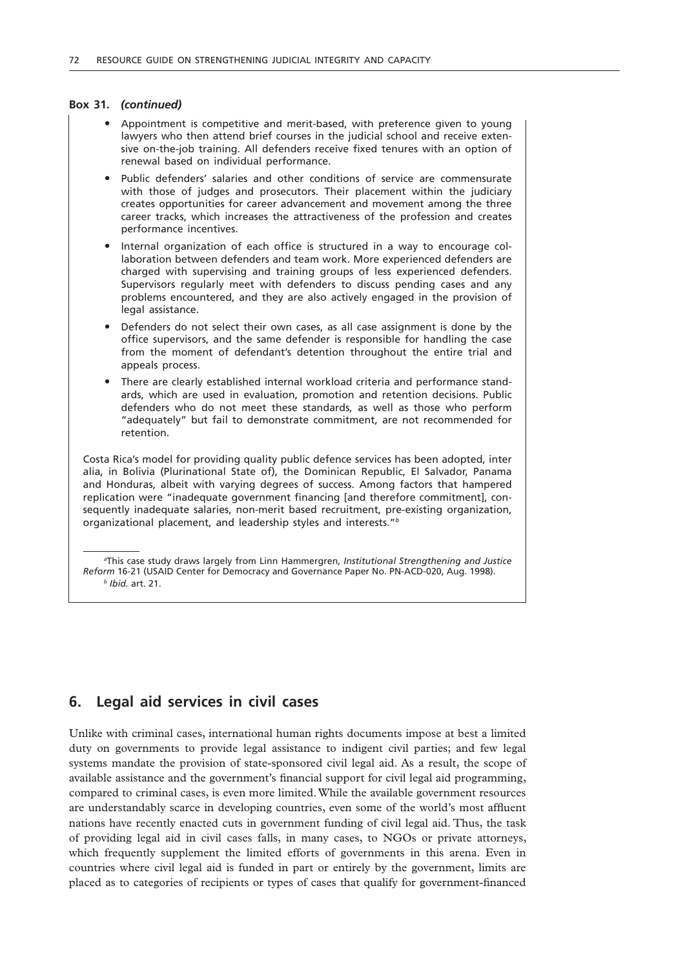#### **Box 31.** *(continued)*

- " Appointment is competitive and merit-based, with preference given to young lawyers who then attend brief courses in the judicial school and receive extensive on-the-job training. All defenders receive fixed tenures with an option of renewal based on individual performance.
- Public defenders' salaries and other conditions of service are commensurate with those of judges and prosecutors. Their placement within the judiciary creates opportunities for career advancement and movement among the three career tracks, which increases the attractiveness of the profession and creates performance incentives.
- " Internal organization of each office is structured in a way to encourage collaboration between defenders and team work. More experienced defenders are charged with supervising and training groups of less experienced defenders. Supervisors regularly meet with defenders to discuss pending cases and any problems encountered, and they are also actively engaged in the provision of legal assistance.
- Defenders do not select their own cases, as all case assignment is done by the office supervisors, and the same defender is responsible for handling the case from the moment of defendant's detention throughout the entire trial and appeals process.
- There are clearly established internal workload criteria and performance standards, which are used in evaluation, promotion and retention decisions. Public defenders who do not meet these standards, as well as those who perform "adequately" but fail to demonstrate commitment, are not recommended for retention.

Costa Rica's model for providing quality public defence services has been adopted, inter alia, in Bolivia (Plurinational State of), the Dominican Republic, El Salvador, Panama and Honduras, albeit with varying degrees of success. Among factors that hampered replication were "inadequate government financing [and therefore commitment], consequently inadequate salaries, non-merit based recruitment, pre-existing organization, organizational placement, and leadership styles and interests."*<sup>b</sup>*

*a* This case study draws largely from Linn Hammergren, *Institutional Strengthening and Justice Reform* 16-21 (USAID Center for Democracy and Governance Paper No. PN-ACD-020, Aug. 1998). *<sup>b</sup> Ibid.* art. 21.

# **6. Legal aid services in civil cases**

Unlike with criminal cases, international human rights documents impose at best a limited duty on governments to provide legal assistance to indigent civil parties; and few legal systems mandate the provision of state-sponsored civil legal aid. As a result, the scope of available assistance and the government's financial support for civil legal aid programming, compared to criminal cases, is even more limited. While the available government resources are understandably scarce in developing countries, even some of the world's most affluent nations have recently enacted cuts in government funding of civil legal aid. Thus, the task of providing legal aid in civil cases falls, in many cases, to NGOs or private attorneys, which frequently supplement the limited efforts of governments in this arena. Even in countries where civil legal aid is funded in part or entirely by the government, limits are placed as to categories of recipients or types of cases that qualify for government-financed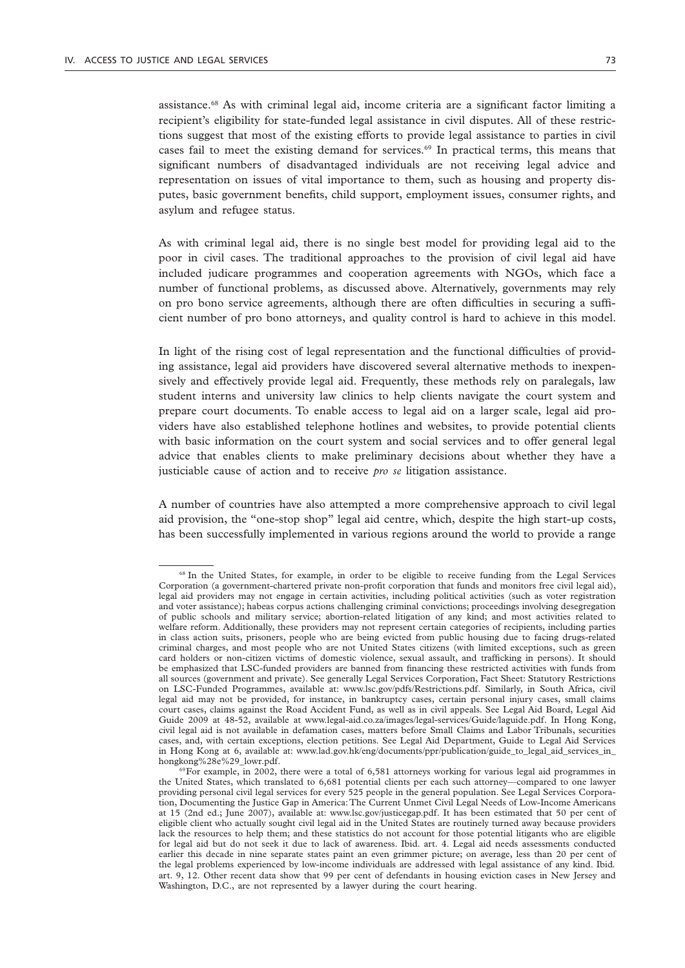assistance.68 As with criminal legal aid, income criteria are a significant factor limiting a recipient's eligibility for state-funded legal assistance in civil disputes. All of these restrictions suggest that most of the existing efforts to provide legal assistance to parties in civil cases fail to meet the existing demand for services.69 In practical terms, this means that significant numbers of disadvantaged individuals are not receiving legal advice and representation on issues of vital importance to them, such as housing and property disputes, basic government benefits, child support, employment issues, consumer rights, and asylum and refugee status.

As with criminal legal aid, there is no single best model for providing legal aid to the poor in civil cases. The traditional approaches to the provision of civil legal aid have included judicare programmes and cooperation agreements with NGOs, which face a number of functional problems, as discussed above. Alternatively, governments may rely on pro bono service agreements, although there are often difficulties in securing a sufficient number of pro bono attorneys, and quality control is hard to achieve in this model.

In light of the rising cost of legal representation and the functional difficulties of providing assistance, legal aid providers have discovered several alternative methods to inexpensively and effectively provide legal aid. Frequently, these methods rely on paralegals, law student interns and university law clinics to help clients navigate the court system and prepare court documents. To enable access to legal aid on a larger scale, legal aid providers have also established telephone hotlines and websites, to provide potential clients with basic information on the court system and social services and to offer general legal advice that enables clients to make preliminary decisions about whether they have a justiciable cause of action and to receive *pro se* litigation assistance.

A number of countries have also attempted a more comprehensive approach to civil legal aid provision, the "one-stop shop" legal aid centre, which, despite the high start-up costs, has been successfully implemented in various regions around the world to provide a range

<sup>&</sup>lt;sup>68</sup> In the United States, for example, in order to be eligible to receive funding from the Legal Services Corporation (a government-chartered private non-profit corporation that funds and monitors free civil legal aid), legal aid providers may not engage in certain activities, including political activities (such as voter registration and voter assistance); habeas corpus actions challenging criminal convictions; proceedings involving desegregation of public schools and military service; abortion-related litigation of any kind; and most activities related to welfare reform. Additionally, these providers may not represent certain categories of recipients, including parties in class action suits, prisoners, people who are being evicted from public housing due to facing drugs-related criminal charges, and most people who are not United States citizens (with limited exceptions, such as green card holders or non-citizen victims of domestic violence, sexual assault, and trafficking in persons). It should be emphasized that LSC-funded providers are banned from financing these restricted activities with funds from all sources (government and private). See generally Legal Services Corporation, Fact Sheet: Statutory Restrictions on LSC-Funded Programmes, available at: www.lsc.gov/pdfs/Restrictions.pdf. Similarly, in South Africa, civil legal aid may not be provided, for instance, in bankruptcy cases, certain personal injury cases, small claims court cases, claims against the Road Accident Fund, as well as in civil appeals. See Legal Aid Board, Legal Aid Guide 2009 at 48-52, available at www.legal-aid.co.za/images/legal-services/Guide/laguide.pdf. In Hong Kong, civil legal aid is not available in defamation cases, matters before Small Claims and Labor Tribunals, securities cases, and, with certain exceptions, election petitions. See Legal Aid Department, Guide to Legal Aid Services in Hong Kong at 6, available at: www.lad.gov.hk/eng/documents/ppr/publication/guide\_to\_legal\_aid\_services\_in\_ hongkong%28e%29\_lowr.pdf.

<sup>&</sup>lt;sup>69</sup>For example, in 2002, there were a total of 6,581 attorneys working for various legal aid programmes in the United States, which translated to 6,681 potential clients per each such attorney—compared to one lawyer providing personal civil legal services for every 525 people in the general population. See Legal Services Corporation, Documenting the Justice Gap in America: The Current Unmet Civil Legal Needs of Low-Income Americans at 15 (2nd ed.; June 2007), available at: www.lsc.gov/justicegap.pdf. It has been estimated that 50 per cent of eligible client who actually sought civil legal aid in the United States are routinely turned away because providers lack the resources to help them; and these statistics do not account for those potential litigants who are eligible for legal aid but do not seek it due to lack of awareness. Ibid. art. 4. Legal aid needs assessments conducted earlier this decade in nine separate states paint an even grimmer picture; on average, less than 20 per cent of the legal problems experienced by low-income individuals are addressed with legal assistance of any kind. Ibid*.* art. 9, 12. Other recent data show that 99 per cent of defendants in housing eviction cases in New Jersey and Washington, D.C., are not represented by a lawyer during the court hearing.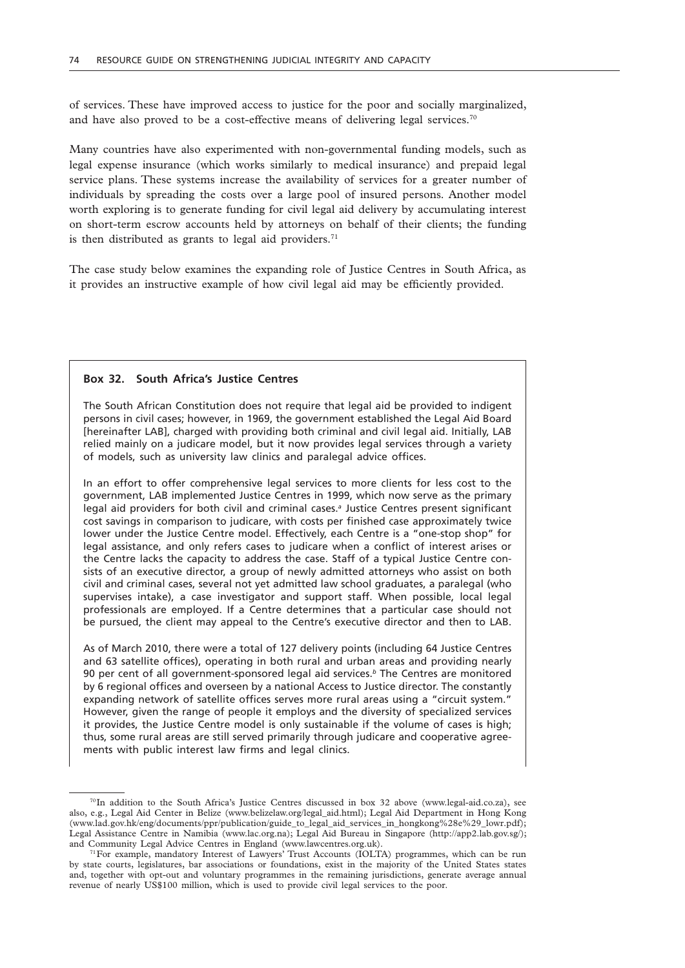of services. These have improved access to justice for the poor and socially marginalized, and have also proved to be a cost-effective means of delivering legal services.<sup>70</sup>

Many countries have also experimented with non-governmental funding models, such as legal expense insurance (which works similarly to medical insurance) and prepaid legal service plans. These systems increase the availability of services for a greater number of individuals by spreading the costs over a large pool of insured persons. Another model worth exploring is to generate funding for civil legal aid delivery by accumulating interest on short-term escrow accounts held by attorneys on behalf of their clients; the funding is then distributed as grants to legal aid providers. $71$ 

The case study below examines the expanding role of Justice Centres in South Africa, as it provides an instructive example of how civil legal aid may be efficiently provided.

#### **Box 32. South Africa's Justice Centres**

The South African Constitution does not require that legal aid be provided to indigent persons in civil cases; however, in 1969, the government established the Legal Aid Board [hereinafter LAB], charged with providing both criminal and civil legal aid. Initially, LAB relied mainly on a judicare model, but it now provides legal services through a variety of models, such as university law clinics and paralegal advice offices.

In an effort to offer comprehensive legal services to more clients for less cost to the government, LAB implemented Justice Centres in 1999, which now serve as the primary legal aid providers for both civil and criminal cases.*<sup>a</sup>* Justice Centres present significant cost savings in comparison to judicare, with costs per finished case approximately twice lower under the Justice Centre model. Effectively, each Centre is a "one-stop shop" for legal assistance, and only refers cases to judicare when a conflict of interest arises or the Centre lacks the capacity to address the case. Staff of a typical Justice Centre consists of an executive director, a group of newly admitted attorneys who assist on both civil and criminal cases, several not yet admitted law school graduates, a paralegal (who supervises intake), a case investigator and support staff. When possible, local legal professionals are employed. If a Centre determines that a particular case should not be pursued, the client may appeal to the Centre's executive director and then to LAB.

As of March 2010, there were a total of 127 delivery points (including 64 Justice Centres and 63 satellite offices), operating in both rural and urban areas and providing nearly 90 per cent of all government-sponsored legal aid services.*<sup>b</sup>* The Centres are monitored by 6 regional offices and overseen by a national Access to Justice director. The constantly expanding network of satellite offices serves more rural areas using a "circuit system." However, given the range of people it employs and the diversity of specialized services it provides, the Justice Centre model is only sustainable if the volume of cases is high; thus, some rural areas are still served primarily through judicare and cooperative agreements with public interest law firms and legal clinics.

<sup>70</sup>In addition to the South Africa's Justice Centres discussed in box 32 above (www.legal-aid.co.za), see also, e.g., Legal Aid Center in Belize (www.belizelaw.org/legal\_aid.html); Legal Aid Department in Hong Kong (www.lad.gov.hk/eng/documents/ppr/publication/guide\_to\_legal\_aid\_services\_in\_hongkong%28e%29\_lowr.pdf); Legal Assistance Centre in Namibia (www.lac.org.na); Legal Aid Bureau in Singapore (http://app2.lab.gov.sg/); and Community Legal Advice Centres in England (www.lawcentres.org.uk).

<sup>71</sup>For example, mandatory Interest of Lawyers' Trust Accounts (IOLTA) programmes, which can be run by state courts, legislatures, bar associations or foundations, exist in the majority of the United States states and, together with opt-out and voluntary programmes in the remaining jurisdictions, generate average annual revenue of nearly US\$100 million, which is used to provide civil legal services to the poor.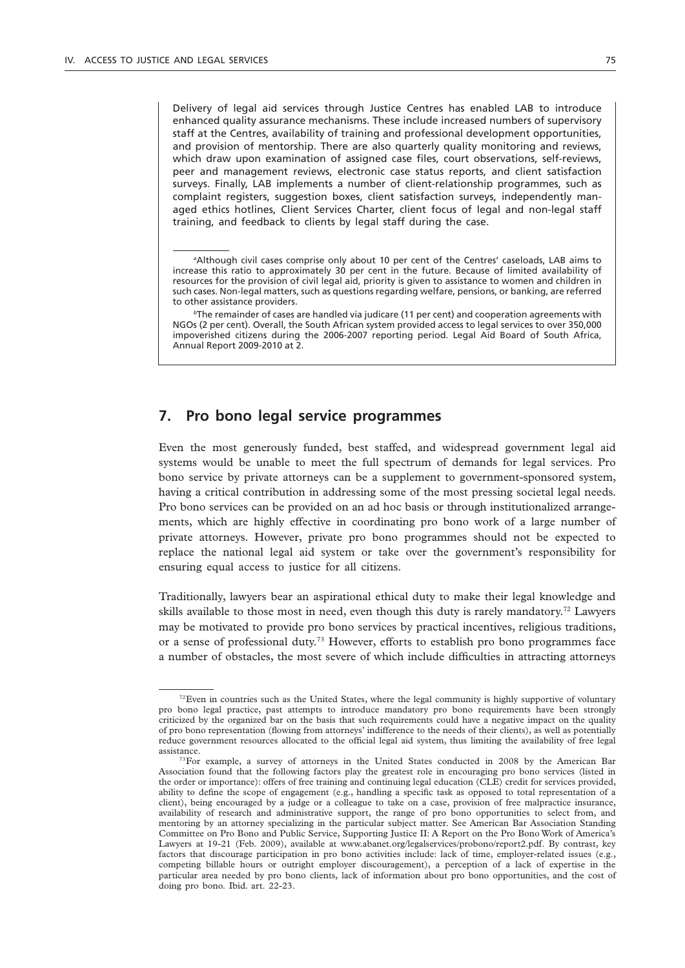Delivery of legal aid services through Justice Centres has enabled LAB to introduce enhanced quality assurance mechanisms. These include increased numbers of supervisory staff at the Centres, availability of training and professional development opportunities, and provision of mentorship. There are also quarterly quality monitoring and reviews, which draw upon examination of assigned case files, court observations, self-reviews, peer and management reviews, electronic case status reports, and client satisfaction surveys. Finally, LAB implements a number of client-relationship programmes, such as complaint registers, suggestion boxes, client satisfaction surveys, independently managed ethics hotlines, Client Services Charter, client focus of legal and non-legal staff training, and feedback to clients by legal staff during the case.

*<sup>b</sup>*The remainder of cases are handled via judicare (11 per cent) and cooperation agreements with NGOs (2 per cent). Overall, the South African system provided access to legal services to over 350,000 impoverished citizens during the 2006-2007 reporting period. Legal Aid Board of South Africa, Annual Report 2009-2010 at 2.

### **7. Pro bono legal service programmes**

Even the most generously funded, best staffed, and widespread government legal aid systems would be unable to meet the full spectrum of demands for legal services. Pro bono service by private attorneys can be a supplement to government-sponsored system, having a critical contribution in addressing some of the most pressing societal legal needs. Pro bono services can be provided on an ad hoc basis or through institutionalized arrangements, which are highly effective in coordinating pro bono work of a large number of private attorneys. However, private pro bono programmes should not be expected to replace the national legal aid system or take over the government's responsibility for ensuring equal access to justice for all citizens.

Traditionally, lawyers bear an aspirational ethical duty to make their legal knowledge and skills available to those most in need, even though this duty is rarely mandatory.72 Lawyers may be motivated to provide pro bono services by practical incentives, religious traditions, or a sense of professional duty.<sup>73</sup> However, efforts to establish pro bono programmes face a number of obstacles, the most severe of which include difficulties in attracting attorneys

*a* Although civil cases comprise only about 10 per cent of the Centres' caseloads, LAB aims to increase this ratio to approximately 30 per cent in the future. Because of limited availability of resources for the provision of civil legal aid, priority is given to assistance to women and children in such cases. Non-legal matters, such as questions regarding welfare, pensions, or banking, are referred to other assistance providers.

<sup>&</sup>lt;sup>72</sup>Even in countries such as the United States, where the legal community is highly supportive of voluntary pro bono legal practice, past attempts to introduce mandatory pro bono requirements have been strongly criticized by the organized bar on the basis that such requirements could have a negative impact on the quality of pro bono representation (flowing from attorneys' indifference to the needs of their clients), as well as potentially reduce government resources allocated to the official legal aid system, thus limiting the availability of free legal assistance.

<sup>&</sup>lt;sup>73</sup>For example, a survey of attorneys in the United States conducted in 2008 by the American Bar Association found that the following factors play the greatest role in encouraging pro bono services (listed in the order or importance): offers of free training and continuing legal education (CLE) credit for services provided, ability to define the scope of engagement (e.g., handling a specific task as opposed to total representation of a client), being encouraged by a judge or a colleague to take on a case, provision of free malpractice insurance, availability of research and administrative support, the range of pro bono opportunities to select from, and mentoring by an attorney specializing in the particular subject matter. See American Bar Association Standing Committee on Pro Bono and Public Service, Supporting Justice II: A Report on the Pro Bono Work of America's Lawyers at 19-21 (Feb. 2009), available at www.abanet.org/legalservices/probono/report2.pdf. By contrast, key factors that discourage participation in pro bono activities include: lack of time, employer-related issues (e.g., competing billable hours or outright employer discouragement), a perception of a lack of expertise in the particular area needed by pro bono clients, lack of information about pro bono opportunities, and the cost of doing pro bono. Ibid*.* art. 22-23.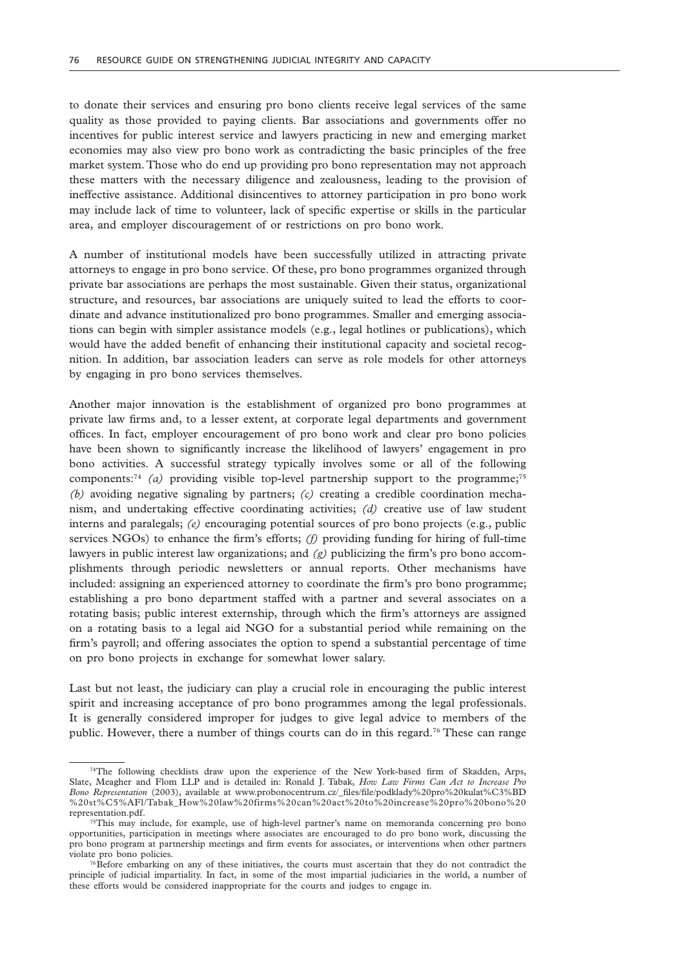to donate their services and ensuring pro bono clients receive legal services of the same quality as those provided to paying clients. Bar associations and governments offer no incentives for public interest service and lawyers practicing in new and emerging market economies may also view pro bono work as contradicting the basic principles of the free market system. Those who do end up providing pro bono representation may not approach these matters with the necessary diligence and zealousness, leading to the provision of ineffective assistance. Additional disincentives to attorney participation in pro bono work may include lack of time to volunteer, lack of specific expertise or skills in the particular area, and employer discouragement of or restrictions on pro bono work.

A number of institutional models have been successfully utilized in attracting private attorneys to engage in pro bono service. Of these, pro bono programmes organized through private bar associations are perhaps the most sustainable. Given their status, organizational structure, and resources, bar associations are uniquely suited to lead the efforts to coordinate and advance institutionalized pro bono programmes. Smaller and emerging associations can begin with simpler assistance models (e.g., legal hotlines or publications), which would have the added benefit of enhancing their institutional capacity and societal recognition. In addition, bar association leaders can serve as role models for other attorneys by engaging in pro bono services themselves.

Another major innovation is the establishment of organized pro bono programmes at private law firms and, to a lesser extent, at corporate legal departments and government offices. In fact, employer encouragement of pro bono work and clear pro bono policies have been shown to significantly increase the likelihood of lawyers' engagement in pro bono activities. A successful strategy typically involves some or all of the following components:<sup>74</sup> *(a)* providing visible top-level partnership support to the programme;<sup>75</sup> *(b)* avoiding negative signaling by partners; *(c)* creating a credible coordination mechanism, and undertaking effective coordinating activities; *(d)* creative use of law student interns and paralegals; *(e)* encouraging potential sources of pro bono projects (e.g., public services NGOs) to enhance the firm's efforts; *(f)* providing funding for hiring of full-time lawyers in public interest law organizations; and *(g)* publicizing the firm's pro bono accomplishments through periodic newsletters or annual reports. Other mechanisms have included: assigning an experienced attorney to coordinate the firm's pro bono programme; establishing a pro bono department staffed with a partner and several associates on a rotating basis; public interest externship, through which the firm's attorneys are assigned on a rotating basis to a legal aid NGO for a substantial period while remaining on the firm's payroll; and offering associates the option to spend a substantial percentage of time on pro bono projects in exchange for somewhat lower salary.

Last but not least, the judiciary can play a crucial role in encouraging the public interest spirit and increasing acceptance of pro bono programmes among the legal professionals. It is generally considered improper for judges to give legal advice to members of the public. However, there a number of things courts can do in this regard.76 These can range

<sup>74</sup>The following checklists draw upon the experience of the New York-based firm of Skadden, Arps, Slate, Meagher and Flom LLP and is detailed in: Ronald J. Tabak, *How Law Firms Can Act to Increase Pro Bono Representation* (2003), available at www.probonocentrum.cz/\_files/file/podklady%20pro%20kulat%C3%BD %20st%C5%AFl/Tabak\_How%20law%20firms%20can%20act%20to%20increase%20pro%20bono%20 representation.pdf.

<sup>75</sup>This may include, for example, use of high-level partner's name on memoranda concerning pro bono opportunities, participation in meetings where associates are encouraged to do pro bono work, discussing the pro bono program at partnership meetings and firm events for associates, or interventions when other partners violate pro bono policies.

<sup>76</sup>Before embarking on any of these initiatives, the courts must ascertain that they do not contradict the principle of judicial impartiality. In fact, in some of the most impartial judiciaries in the world, a number of these efforts would be considered inappropriate for the courts and judges to engage in.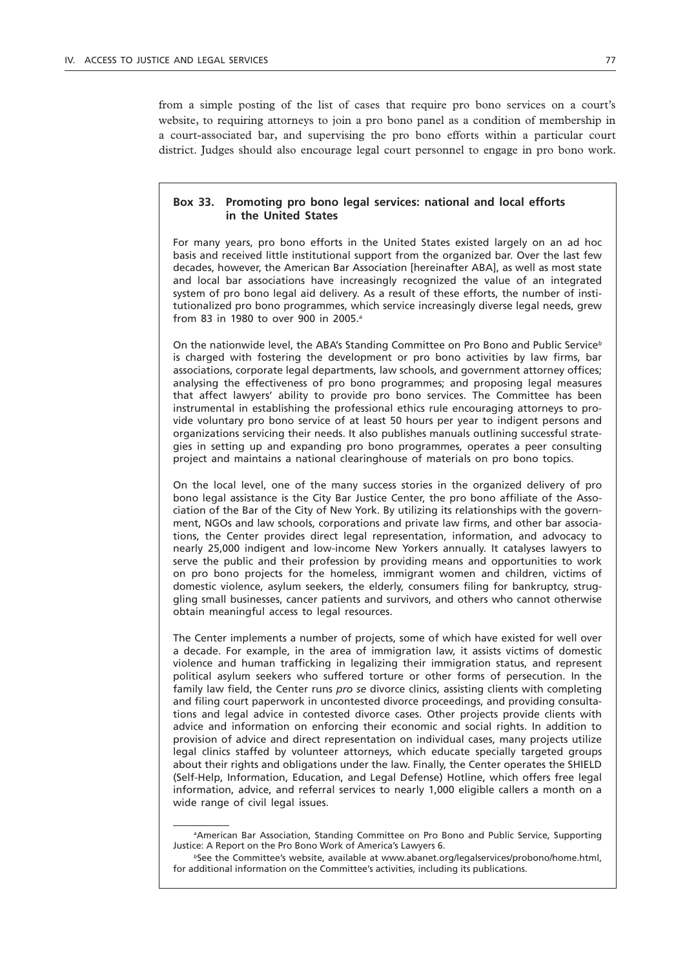from a simple posting of the list of cases that require pro bono services on a court's website, to requiring attorneys to join a pro bono panel as a condition of membership in a court-associated bar, and supervising the pro bono efforts within a particular court district. Judges should also encourage legal court personnel to engage in pro bono work.

### **Box 33. Promoting pro bono legal services: national and local efforts in the United States**

For many years, pro bono efforts in the United States existed largely on an ad hoc basis and received little institutional support from the organized bar. Over the last few decades, however, the American Bar Association [hereinafter ABA], as well as most state and local bar associations have increasingly recognized the value of an integrated system of pro bono legal aid delivery. As a result of these efforts, the number of institutionalized pro bono programmes, which service increasingly diverse legal needs, grew from 83 in 1980 to over 900 in 2005.*<sup>a</sup>*

On the nationwide level, the ABA's Standing Committee on Pro Bono and Public Service*<sup>b</sup>* is charged with fostering the development or pro bono activities by law firms, bar associations, corporate legal departments, law schools, and government attorney offices; analysing the effectiveness of pro bono programmes; and proposing legal measures that affect lawyers' ability to provide pro bono services. The Committee has been instrumental in establishing the professional ethics rule encouraging attorneys to provide voluntary pro bono service of at least 50 hours per year to indigent persons and organizations servicing their needs. It also publishes manuals outlining successful strategies in setting up and expanding pro bono programmes, operates a peer consulting project and maintains a national clearinghouse of materials on pro bono topics.

On the local level, one of the many success stories in the organized delivery of pro bono legal assistance is the City Bar Justice Center, the pro bono affiliate of the Association of the Bar of the City of New York. By utilizing its relationships with the government, NGOs and law schools, corporations and private law firms, and other bar associations, the Center provides direct legal representation, information, and advocacy to nearly 25,000 indigent and low-income New Yorkers annually. It catalyses lawyers to serve the public and their profession by providing means and opportunities to work on pro bono projects for the homeless, immigrant women and children, victims of domestic violence, asylum seekers, the elderly, consumers filing for bankruptcy, struggling small businesses, cancer patients and survivors, and others who cannot otherwise obtain meaningful access to legal resources.

The Center implements a number of projects, some of which have existed for well over a decade. For example, in the area of immigration law, it assists victims of domestic violence and human trafficking in legalizing their immigration status, and represent political asylum seekers who suffered torture or other forms of persecution. In the family law field, the Center runs *pro se* divorce clinics, assisting clients with completing and filing court paperwork in uncontested divorce proceedings, and providing consultations and legal advice in contested divorce cases. Other projects provide clients with advice and information on enforcing their economic and social rights. In addition to provision of advice and direct representation on individual cases, many projects utilize legal clinics staffed by volunteer attorneys, which educate specially targeted groups about their rights and obligations under the law. Finally, the Center operates the SHIELD (Self-Help, Information, Education, and Legal Defense) Hotline, which offers free legal information, advice, and referral services to nearly 1,000 eligible callers a month on a wide range of civil legal issues.

*a* American Bar Association, Standing Committee on Pro Bono and Public Service, Supporting Justice: A Report on the Pro Bono Work of America's Lawyers 6.

*<sup>b</sup>*See the Committee's website, available at www.abanet.org/legalservices/probono/home.html, for additional information on the Committee's activities, including its publications.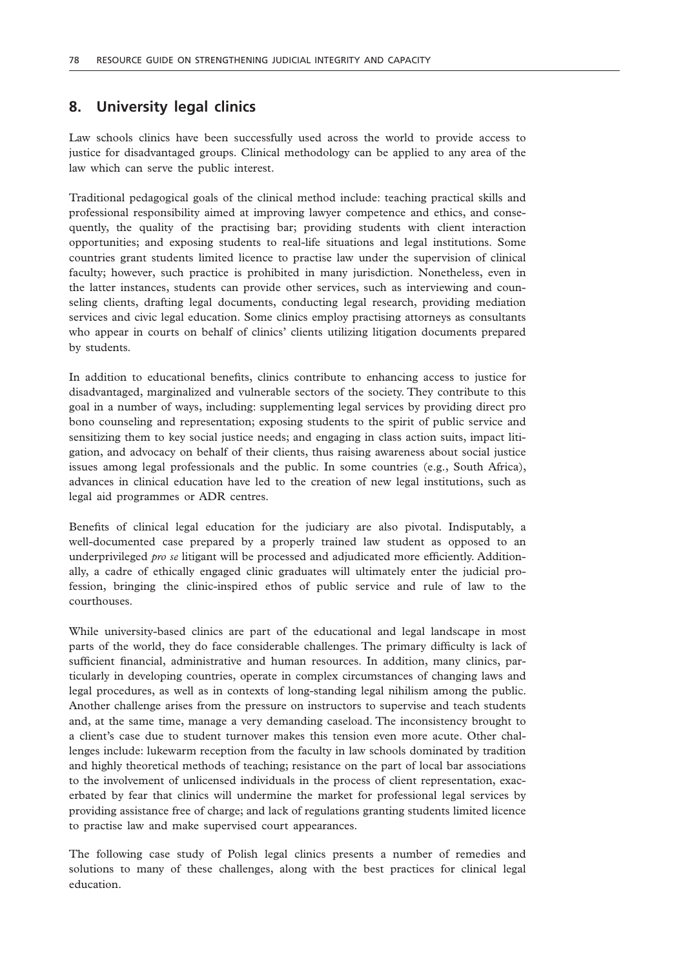# **8. University legal clinics**

Law schools clinics have been successfully used across the world to provide access to justice for disadvantaged groups. Clinical methodology can be applied to any area of the law which can serve the public interest.

Traditional pedagogical goals of the clinical method include: teaching practical skills and professional responsibility aimed at improving lawyer competence and ethics, and consequently, the quality of the practising bar; providing students with client interaction opportunities; and exposing students to real-life situations and legal institutions. Some countries grant students limited licence to practise law under the supervision of clinical faculty; however, such practice is prohibited in many jurisdiction. Nonetheless, even in the latter instances, students can provide other services, such as interviewing and counseling clients, drafting legal documents, conducting legal research, providing mediation services and civic legal education. Some clinics employ practising attorneys as consultants who appear in courts on behalf of clinics' clients utilizing litigation documents prepared by students.

In addition to educational benefits, clinics contribute to enhancing access to justice for disadvantaged, marginalized and vulnerable sectors of the society. They contribute to this goal in a number of ways, including: supplementing legal services by providing direct pro bono counseling and representation; exposing students to the spirit of public service and sensitizing them to key social justice needs; and engaging in class action suits, impact litigation, and advocacy on behalf of their clients, thus raising awareness about social justice issues among legal professionals and the public. In some countries (e.g., South Africa), advances in clinical education have led to the creation of new legal institutions, such as legal aid programmes or ADR centres.

Benefits of clinical legal education for the judiciary are also pivotal. Indisputably, a well-documented case prepared by a properly trained law student as opposed to an underprivileged *pro se* litigant will be processed and adjudicated more efficiently. Additionally, a cadre of ethically engaged clinic graduates will ultimately enter the judicial profession, bringing the clinic-inspired ethos of public service and rule of law to the courthouses.

While university-based clinics are part of the educational and legal landscape in most parts of the world, they do face considerable challenges. The primary difficulty is lack of sufficient financial, administrative and human resources. In addition, many clinics, particularly in developing countries, operate in complex circumstances of changing laws and legal procedures, as well as in contexts of long-standing legal nihilism among the public. Another challenge arises from the pressure on instructors to supervise and teach students and, at the same time, manage a very demanding caseload. The inconsistency brought to a client's case due to student turnover makes this tension even more acute. Other challenges include: lukewarm reception from the faculty in law schools dominated by tradition and highly theoretical methods of teaching; resistance on the part of local bar associations to the involvement of unlicensed individuals in the process of client representation, exacerbated by fear that clinics will undermine the market for professional legal services by providing assistance free of charge; and lack of regulations granting students limited licence to practise law and make supervised court appearances.

The following case study of Polish legal clinics presents a number of remedies and solutions to many of these challenges, along with the best practices for clinical legal education.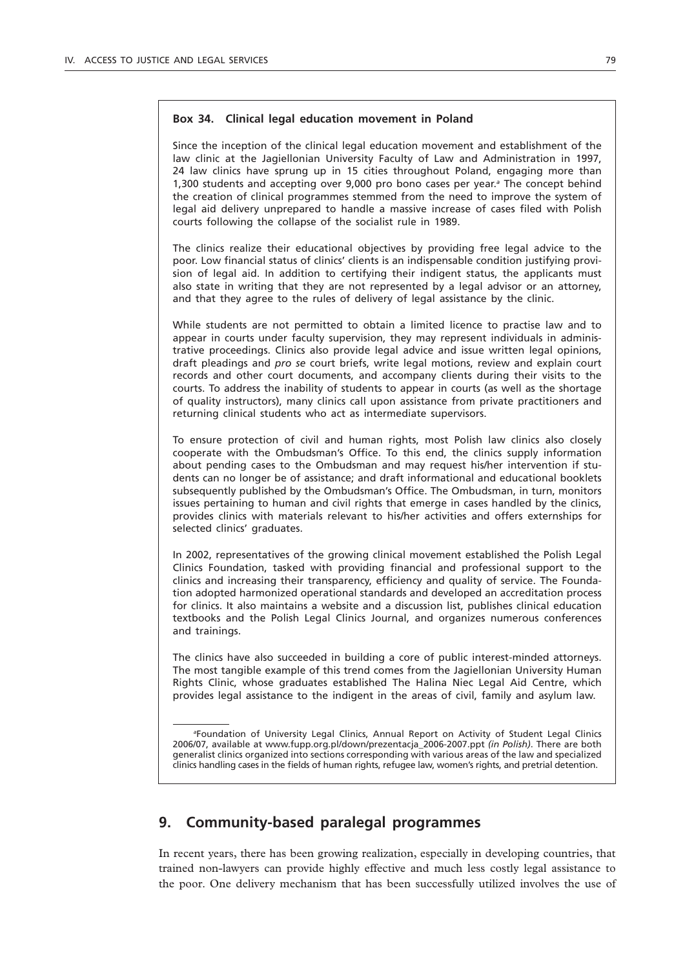### **Box 34. Clinical legal education movement in Poland**

Since the inception of the clinical legal education movement and establishment of the law clinic at the Jagiellonian University Faculty of Law and Administration in 1997, 24 law clinics have sprung up in 15 cities throughout Poland, engaging more than 1,300 students and accepting over 9,000 pro bono cases per year.*<sup>a</sup>* The concept behind the creation of clinical programmes stemmed from the need to improve the system of legal aid delivery unprepared to handle a massive increase of cases filed with Polish courts following the collapse of the socialist rule in 1989.

The clinics realize their educational objectives by providing free legal advice to the poor. Low financial status of clinics' clients is an indispensable condition justifying provision of legal aid. In addition to certifying their indigent status, the applicants must also state in writing that they are not represented by a legal advisor or an attorney, and that they agree to the rules of delivery of legal assistance by the clinic.

While students are not permitted to obtain a limited licence to practise law and to appear in courts under faculty supervision, they may represent individuals in administrative proceedings. Clinics also provide legal advice and issue written legal opinions, draft pleadings and *pro se* court briefs, write legal motions, review and explain court records and other court documents, and accompany clients during their visits to the courts. To address the inability of students to appear in courts (as well as the shortage of quality instructors), many clinics call upon assistance from private practitioners and returning clinical students who act as intermediate supervisors.

To ensure protection of civil and human rights, most Polish law clinics also closely cooperate with the Ombudsman's Office. To this end, the clinics supply information about pending cases to the Ombudsman and may request his/her intervention if students can no longer be of assistance; and draft informational and educational booklets subsequently published by the Ombudsman's Office. The Ombudsman, in turn, monitors issues pertaining to human and civil rights that emerge in cases handled by the clinics, provides clinics with materials relevant to his/her activities and offers externships for selected clinics' graduates.

In 2002, representatives of the growing clinical movement established the Polish Legal Clinics Foundation, tasked with providing financial and professional support to the clinics and increasing their transparency, efficiency and quality of service. The Foundation adopted harmonized operational standards and developed an accreditation process for clinics. It also maintains a website and a discussion list, publishes clinical education textbooks and the Polish Legal Clinics Journal, and organizes numerous conferences and trainings.

The clinics have also succeeded in building a core of public interest-minded attorneys. The most tangible example of this trend comes from the Jagiellonian University Human Rights Clinic, whose graduates established The Halina Niec Legal Aid Centre, which provides legal assistance to the indigent in the areas of civil, family and asylum law.

*a* Foundation of University Legal Clinics, Annual Report on Activity of Student Legal Clinics 2006/07, available at www.fupp.org.pl/down/prezentacja\_2006-2007.ppt *(in Polish)*. There are both generalist clinics organized into sections corresponding with various areas of the law and specialized clinics handling cases in the fields of human rights, refugee law, women's rights, and pretrial detention.

# **9. Community-based paralegal programmes**

In recent years, there has been growing realization, especially in developing countries, that trained non-lawyers can provide highly effective and much less costly legal assistance to the poor. One delivery mechanism that has been successfully utilized involves the use of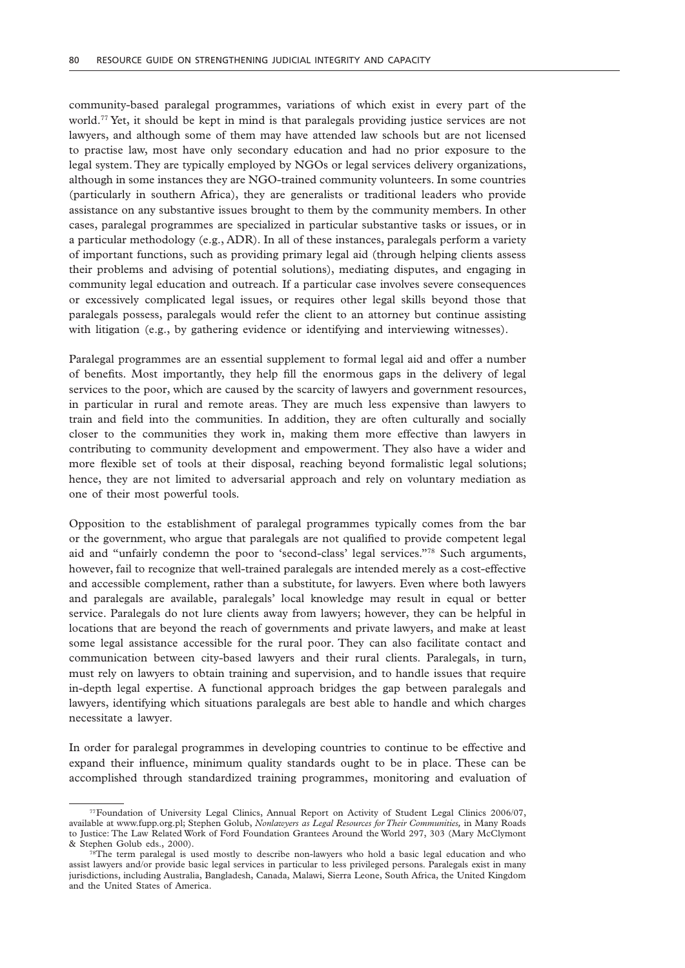community-based paralegal programmes, variations of which exist in every part of the world.77 Yet, it should be kept in mind is that paralegals providing justice services are not lawyers, and although some of them may have attended law schools but are not licensed to practise law, most have only secondary education and had no prior exposure to the legal system. They are typically employed by NGOs or legal services delivery organizations, although in some instances they are NGO-trained community volunteers. In some countries (particularly in southern Africa), they are generalists or traditional leaders who provide assistance on any substantive issues brought to them by the community members. In other cases, paralegal programmes are specialized in particular substantive tasks or issues, or in a particular methodology (e.g., ADR). In all of these instances, paralegals perform a variety of important functions, such as providing primary legal aid (through helping clients assess their problems and advising of potential solutions), mediating disputes, and engaging in community legal education and outreach. If a particular case involves severe consequences or excessively complicated legal issues, or requires other legal skills beyond those that paralegals possess, paralegals would refer the client to an attorney but continue assisting with litigation (e.g., by gathering evidence or identifying and interviewing witnesses).

Paralegal programmes are an essential supplement to formal legal aid and offer a number of benefits. Most importantly, they help fill the enormous gaps in the delivery of legal services to the poor, which are caused by the scarcity of lawyers and government resources, in particular in rural and remote areas. They are much less expensive than lawyers to train and field into the communities. In addition, they are often culturally and socially closer to the communities they work in, making them more effective than lawyers in contributing to community development and empowerment. They also have a wider and more flexible set of tools at their disposal, reaching beyond formalistic legal solutions; hence, they are not limited to adversarial approach and rely on voluntary mediation as one of their most powerful tools.

Opposition to the establishment of paralegal programmes typically comes from the bar or the government, who argue that paralegals are not qualified to provide competent legal aid and "unfairly condemn the poor to 'second-class' legal services."78 Such arguments, however, fail to recognize that well-trained paralegals are intended merely as a cost-effective and accessible complement, rather than a substitute, for lawyers. Even where both lawyers and paralegals are available, paralegals' local knowledge may result in equal or better service. Paralegals do not lure clients away from lawyers; however, they can be helpful in locations that are beyond the reach of governments and private lawyers, and make at least some legal assistance accessible for the rural poor. They can also facilitate contact and communication between city-based lawyers and their rural clients. Paralegals, in turn, must rely on lawyers to obtain training and supervision, and to handle issues that require in-depth legal expertise. A functional approach bridges the gap between paralegals and lawyers, identifying which situations paralegals are best able to handle and which charges necessitate a lawyer.

In order for paralegal programmes in developing countries to continue to be effective and expand their influence, minimum quality standards ought to be in place. These can be accomplished through standardized training programmes, monitoring and evaluation of

<sup>77</sup>Foundation of University Legal Clinics, Annual Report on Activity of Student Legal Clinics 2006/07, available at www.fupp.org.pl; Stephen Golub, *Nonlawyers as Legal Resources for Their Communities,* in Many Roads to Justice: The Law Related Work of Ford Foundation Grantees Around the World 297, 303 (Mary McClymont & Stephen Golub eds., 2000).

<sup>&</sup>lt;sup>78</sup>The term paralegal is used mostly to describe non-lawyers who hold a basic legal education and who assist lawyers and/or provide basic legal services in particular to less privileged persons. Paralegals exist in many jurisdictions, including Australia, Bangladesh, Canada, Malawi, Sierra Leone, South Africa, the United Kingdom and the United States of America.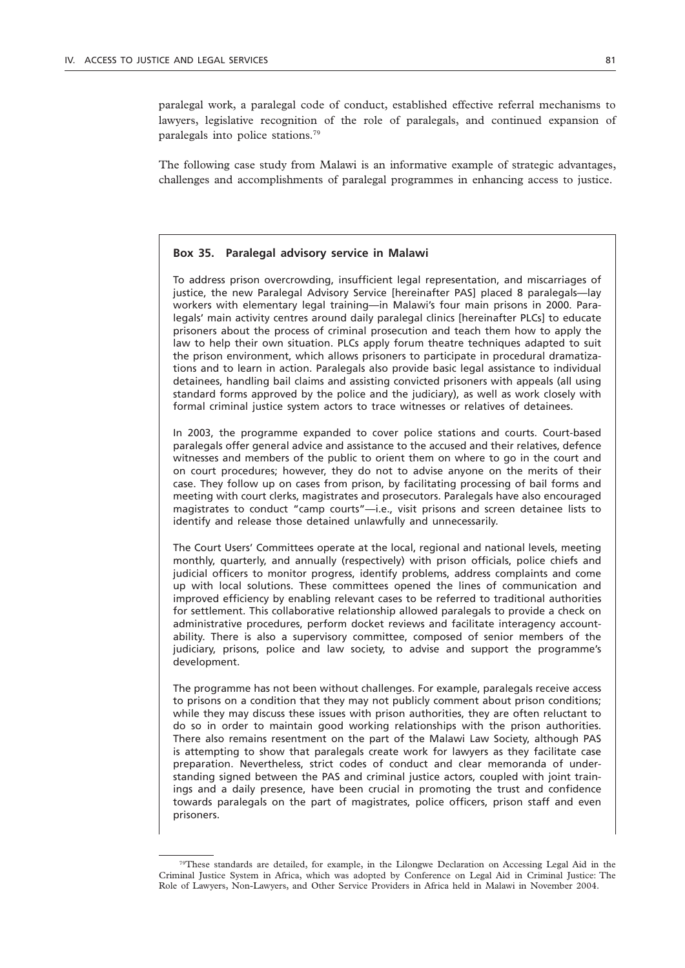paralegal work, a paralegal code of conduct, established effective referral mechanisms to lawyers, legislative recognition of the role of paralegals, and continued expansion of paralegals into police stations.79

The following case study from Malawi is an informative example of strategic advantages, challenges and accomplishments of paralegal programmes in enhancing access to justice.

#### **Box 35. Paralegal advisory service in Malawi**

To address prison overcrowding, insufficient legal representation, and miscarriages of justice, the new Paralegal Advisory Service [hereinafter PAS] placed 8 paralegals—lay workers with elementary legal training—in Malawi's four main prisons in 2000. Paralegals' main activity centres around daily paralegal clinics [hereinafter PLCs] to educate prisoners about the process of criminal prosecution and teach them how to apply the law to help their own situation. PLCs apply forum theatre techniques adapted to suit the prison environment, which allows prisoners to participate in procedural dramatizations and to learn in action. Paralegals also provide basic legal assistance to individual detainees, handling bail claims and assisting convicted prisoners with appeals (all using standard forms approved by the police and the judiciary), as well as work closely with formal criminal justice system actors to trace witnesses or relatives of detainees.

In 2003, the programme expanded to cover police stations and courts. Court-based paralegals offer general advice and assistance to the accused and their relatives, defence witnesses and members of the public to orient them on where to go in the court and on court procedures; however, they do not to advise anyone on the merits of their case. They follow up on cases from prison, by facilitating processing of bail forms and meeting with court clerks, magistrates and prosecutors. Paralegals have also encouraged magistrates to conduct "camp courts"—i.e., visit prisons and screen detainee lists to identify and release those detained unlawfully and unnecessarily.

The Court Users' Committees operate at the local, regional and national levels, meeting monthly, quarterly, and annually (respectively) with prison officials, police chiefs and judicial officers to monitor progress, identify problems, address complaints and come up with local solutions. These committees opened the lines of communication and improved efficiency by enabling relevant cases to be referred to traditional authorities for settlement. This collaborative relationship allowed paralegals to provide a check on administrative procedures, perform docket reviews and facilitate interagency accountability. There is also a supervisory committee, composed of senior members of the judiciary, prisons, police and law society, to advise and support the programme's development.

The programme has not been without challenges. For example, paralegals receive access to prisons on a condition that they may not publicly comment about prison conditions; while they may discuss these issues with prison authorities, they are often reluctant to do so in order to maintain good working relationships with the prison authorities. There also remains resentment on the part of the Malawi Law Society, although PAS is attempting to show that paralegals create work for lawyers as they facilitate case preparation. Nevertheless, strict codes of conduct and clear memoranda of understanding signed between the PAS and criminal justice actors, coupled with joint trainings and a daily presence, have been crucial in promoting the trust and confidence towards paralegals on the part of magistrates, police officers, prison staff and even prisoners.

<sup>79</sup>These standards are detailed, for example, in the Lilongwe Declaration on Accessing Legal Aid in the Criminal Justice System in Africa, which was adopted by Conference on Legal Aid in Criminal Justice: The Role of Lawyers, Non-Lawyers, and Other Service Providers in Africa held in Malawi in November 2004.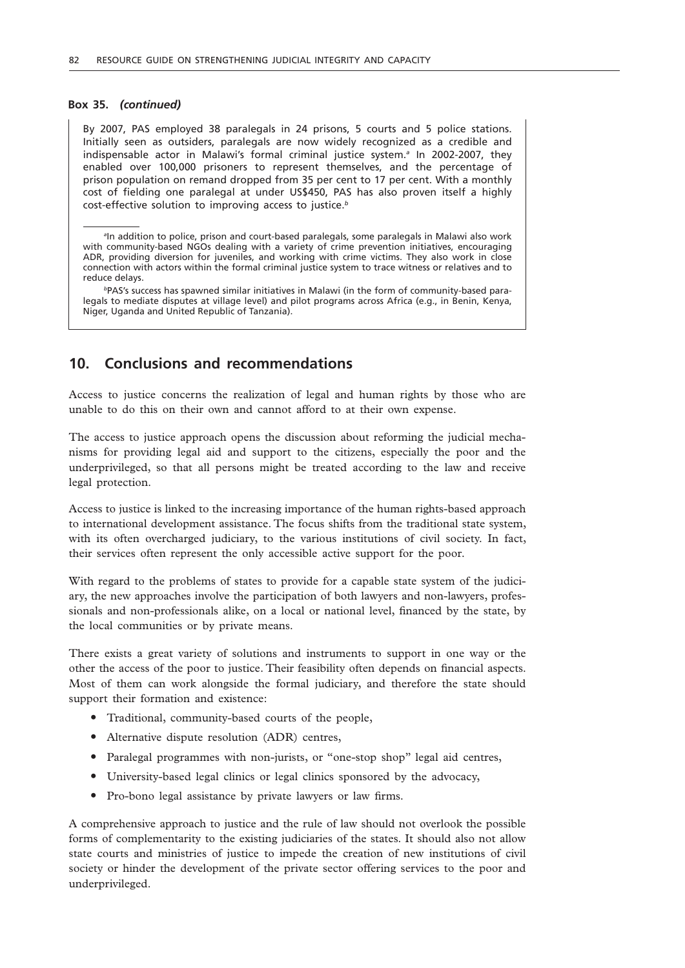#### **Box 35.** *(continued)*

By 2007, PAS employed 38 paralegals in 24 prisons, 5 courts and 5 police stations. Initially seen as outsiders, paralegals are now widely recognized as a credible and indispensable actor in Malawi's formal criminal justice system.*<sup>a</sup>* In 2002-2007, they enabled over 100,000 prisoners to represent themselves, and the percentage of prison population on remand dropped from 35 per cent to 17 per cent. With a monthly cost of fielding one paralegal at under US\$450, PAS has also proven itself a highly cost-effective solution to improving access to justice.*<sup>b</sup>*

*b*PAS's success has spawned similar initiatives in Malawi (in the form of community-based paralegals to mediate disputes at village level) and pilot programs across Africa (e.g., in Benin, Kenya, Niger, Uganda and United Republic of Tanzania).

# **10. Conclusions and recommendations**

Access to justice concerns the realization of legal and human rights by those who are unable to do this on their own and cannot afford to at their own expense.

The access to justice approach opens the discussion about reforming the judicial mechanisms for providing legal aid and support to the citizens, especially the poor and the underprivileged, so that all persons might be treated according to the law and receive legal protection.

Access to justice is linked to the increasing importance of the human rights-based approach to international development assistance. The focus shifts from the traditional state system, with its often overcharged judiciary, to the various institutions of civil society. In fact, their services often represent the only accessible active support for the poor.

With regard to the problems of states to provide for a capable state system of the judiciary, the new approaches involve the participation of both lawyers and non-lawyers, professionals and non-professionals alike, on a local or national level, financed by the state, by the local communities or by private means.

There exists a great variety of solutions and instruments to support in one way or the other the access of the poor to justice. Their feasibility often depends on financial aspects. Most of them can work alongside the formal judiciary, and therefore the state should support their formation and existence:

- Traditional, community-based courts of the people,
- Alternative dispute resolution (ADR) centres,
- Paralegal programmes with non-jurists, or "one-stop shop" legal aid centres,
- " University-based legal clinics or legal clinics sponsored by the advocacy,
- Pro-bono legal assistance by private lawyers or law firms.

A comprehensive approach to justice and the rule of law should not overlook the possible forms of complementarity to the existing judiciaries of the states. It should also not allow state courts and ministries of justice to impede the creation of new institutions of civil society or hinder the development of the private sector offering services to the poor and underprivileged.

*a* In addition to police, prison and court-based paralegals, some paralegals in Malawi also work with community-based NGOs dealing with a variety of crime prevention initiatives, encouraging ADR, providing diversion for juveniles, and working with crime victims. They also work in close connection with actors within the formal criminal justice system to trace witness or relatives and to reduce delays.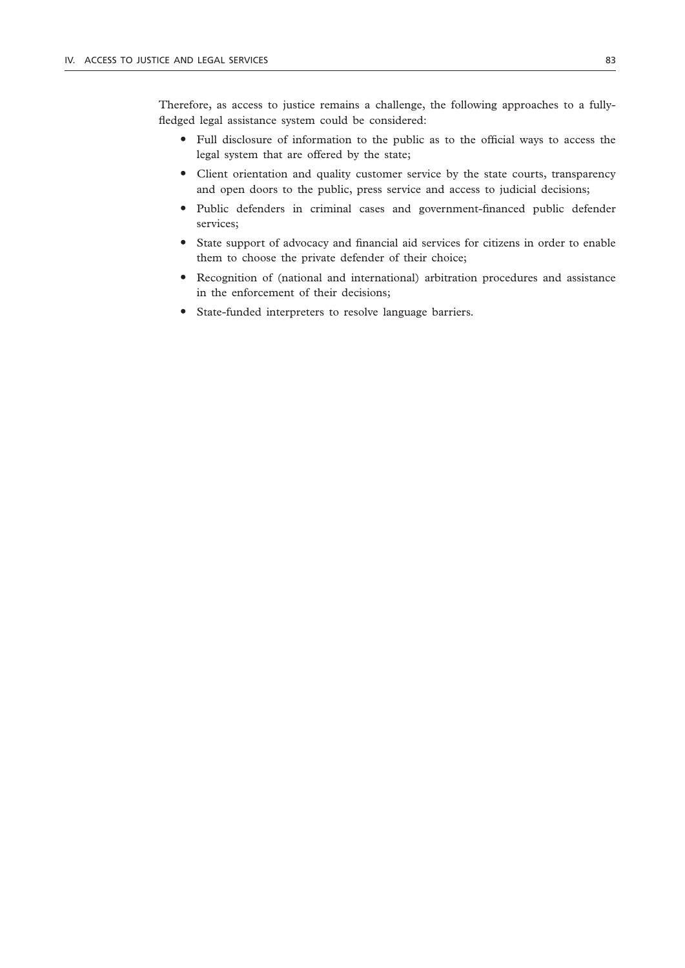Therefore, as access to justice remains a challenge, the following approaches to a fullyfledged legal assistance system could be considered:

- " Full disclosure of information to the public as to the official ways to access the legal system that are offered by the state;
- " Client orientation and quality customer service by the state courts, transparency and open doors to the public, press service and access to judicial decisions;
- " Public defenders in criminal cases and government-financed public defender services;
- " State support of advocacy and financial aid services for citizens in order to enable them to choose the private defender of their choice;
- " Recognition of (national and international) arbitration procedures and assistance in the enforcement of their decisions;
- " State-funded interpreters to resolve language barriers.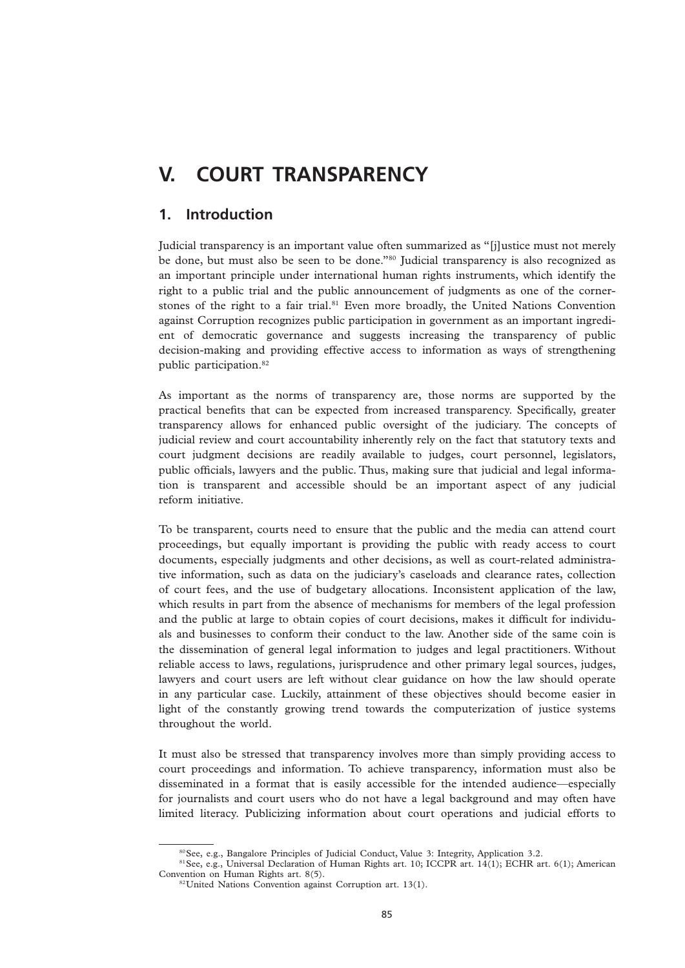# **V. COURT TRANSPARENCY**

# **1. Introduction**

Judicial transparency is an important value often summarized as "[j]ustice must not merely be done, but must also be seen to be done."80 Judicial transparency is also recognized as an important principle under international human rights instruments, which identify the right to a public trial and the public announcement of judgments as one of the cornerstones of the right to a fair trial.<sup>81</sup> Even more broadly, the United Nations Convention against Corruption recognizes public participation in government as an important ingredient of democratic governance and suggests increasing the transparency of public decision-making and providing effective access to information as ways of strengthening public participation.82

As important as the norms of transparency are, those norms are supported by the practical benefits that can be expected from increased transparency. Specifically, greater transparency allows for enhanced public oversight of the judiciary. The concepts of judicial review and court accountability inherently rely on the fact that statutory texts and court judgment decisions are readily available to judges, court personnel, legislators, public officials, lawyers and the public. Thus, making sure that judicial and legal information is transparent and accessible should be an important aspect of any judicial reform initiative.

To be transparent, courts need to ensure that the public and the media can attend court proceedings, but equally important is providing the public with ready access to court documents, especially judgments and other decisions, as well as court-related administrative information, such as data on the judiciary's caseloads and clearance rates, collection of court fees, and the use of budgetary allocations. Inconsistent application of the law, which results in part from the absence of mechanisms for members of the legal profession and the public at large to obtain copies of court decisions, makes it difficult for individuals and businesses to conform their conduct to the law. Another side of the same coin is the dissemination of general legal information to judges and legal practitioners. Without reliable access to laws, regulations, jurisprudence and other primary legal sources, judges, lawyers and court users are left without clear guidance on how the law should operate in any particular case. Luckily, attainment of these objectives should become easier in light of the constantly growing trend towards the computerization of justice systems throughout the world.

It must also be stressed that transparency involves more than simply providing access to court proceedings and information. To achieve transparency, information must also be disseminated in a format that is easily accessible for the intended audience—especially for journalists and court users who do not have a legal background and may often have limited literacy. Publicizing information about court operations and judicial efforts to

<sup>80</sup>See, e.g., Bangalore Principles of Judicial Conduct, Value 3: Integrity, Application 3.2.

<sup>&</sup>lt;sup>81</sup>See, e.g., Universal Declaration of Human Rights art. 10; ICCPR art. 14(1); ECHR art. 6(1); American Convention on Human Rights art. 8(5).

<sup>&</sup>lt;sup>82</sup>United Nations Convention against Corruption art. 13(1).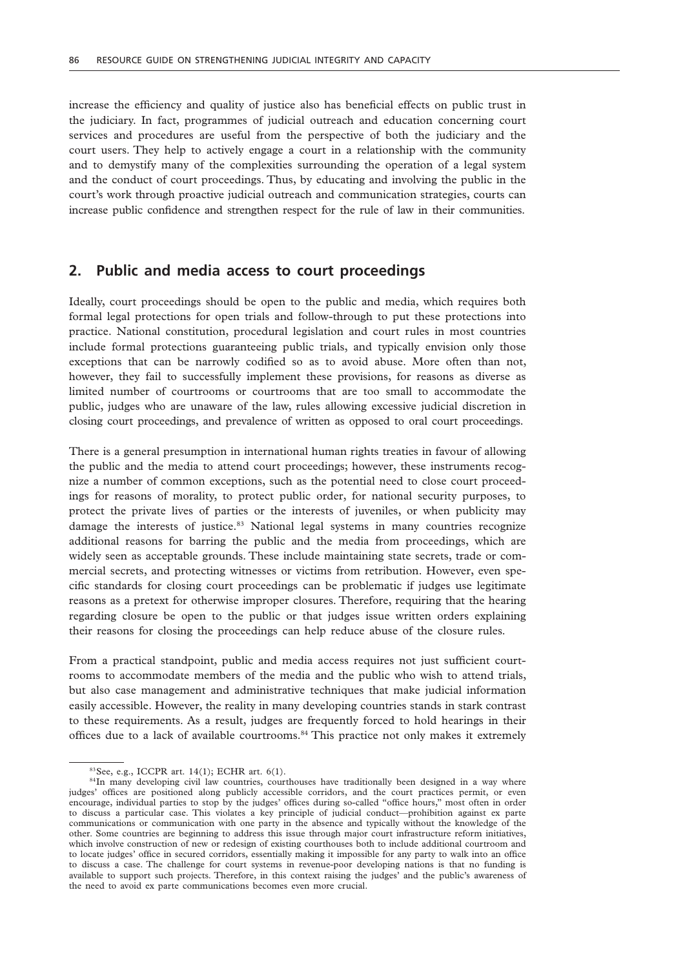increase the efficiency and quality of justice also has beneficial effects on public trust in the judiciary. In fact, programmes of judicial outreach and education concerning court services and procedures are useful from the perspective of both the judiciary and the court users. They help to actively engage a court in a relationship with the community and to demystify many of the complexities surrounding the operation of a legal system and the conduct of court proceedings. Thus, by educating and involving the public in the court's work through proactive judicial outreach and communication strategies, courts can increase public confidence and strengthen respect for the rule of law in their communities.

# **2. Public and media access to court proceedings**

Ideally, court proceedings should be open to the public and media, which requires both formal legal protections for open trials and follow-through to put these protections into practice. National constitution, procedural legislation and court rules in most countries include formal protections guaranteeing public trials, and typically envision only those exceptions that can be narrowly codified so as to avoid abuse. More often than not, however, they fail to successfully implement these provisions, for reasons as diverse as limited number of courtrooms or courtrooms that are too small to accommodate the public, judges who are unaware of the law, rules allowing excessive judicial discretion in closing court proceedings, and prevalence of written as opposed to oral court proceedings.

There is a general presumption in international human rights treaties in favour of allowing the public and the media to attend court proceedings; however, these instruments recognize a number of common exceptions, such as the potential need to close court proceedings for reasons of morality, to protect public order, for national security purposes, to protect the private lives of parties or the interests of juveniles, or when publicity may damage the interests of justice.83 National legal systems in many countries recognize additional reasons for barring the public and the media from proceedings, which are widely seen as acceptable grounds. These include maintaining state secrets, trade or commercial secrets, and protecting witnesses or victims from retribution. However, even specific standards for closing court proceedings can be problematic if judges use legitimate reasons as a pretext for otherwise improper closures. Therefore, requiring that the hearing regarding closure be open to the public or that judges issue written orders explaining their reasons for closing the proceedings can help reduce abuse of the closure rules.

From a practical standpoint, public and media access requires not just sufficient courtrooms to accommodate members of the media and the public who wish to attend trials, but also case management and administrative techniques that make judicial information easily accessible. However, the reality in many developing countries stands in stark contrast to these requirements. As a result, judges are frequently forced to hold hearings in their offices due to a lack of available courtrooms.84 This practice not only makes it extremely

<sup>83</sup>See, e.g., ICCPR art. 14(1); ECHR art. 6(1).

<sup>&</sup>lt;sup>84</sup>In many developing civil law countries, courthouses have traditionally been designed in a way where judges' offices are positioned along publicly accessible corridors, and the court practices permit, or even encourage, individual parties to stop by the judges' offices during so-called "office hours," most often in order to discuss a particular case. This violates a key principle of judicial conduct—prohibition against ex parte communications or communication with one party in the absence and typically without the knowledge of the other. Some countries are beginning to address this issue through major court infrastructure reform initiatives, which involve construction of new or redesign of existing courthouses both to include additional courtroom and to locate judges' office in secured corridors, essentially making it impossible for any party to walk into an office to discuss a case. The challenge for court systems in revenue-poor developing nations is that no funding is available to support such projects. Therefore, in this context raising the judges' and the public's awareness of the need to avoid ex parte communications becomes even more crucial.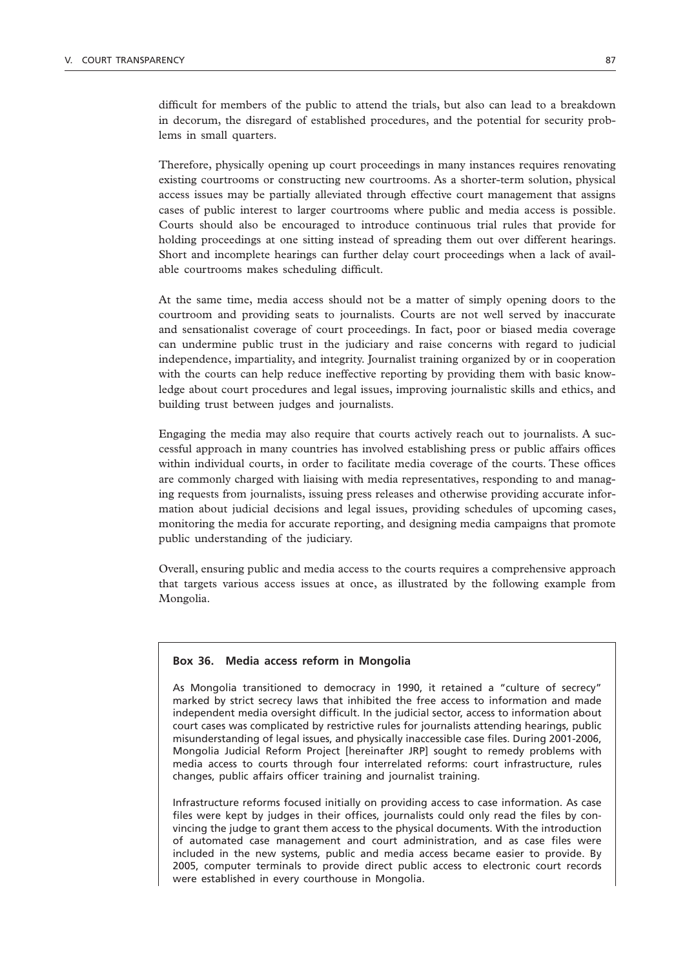difficult for members of the public to attend the trials, but also can lead to a breakdown in decorum, the disregard of established procedures, and the potential for security problems in small quarters.

Therefore, physically opening up court proceedings in many instances requires renovating existing courtrooms or constructing new courtrooms. As a shorter-term solution, physical access issues may be partially alleviated through effective court management that assigns cases of public interest to larger courtrooms where public and media access is possible. Courts should also be encouraged to introduce continuous trial rules that provide for holding proceedings at one sitting instead of spreading them out over different hearings. Short and incomplete hearings can further delay court proceedings when a lack of available courtrooms makes scheduling difficult.

At the same time, media access should not be a matter of simply opening doors to the courtroom and providing seats to journalists. Courts are not well served by inaccurate and sensationalist coverage of court proceedings. In fact, poor or biased media coverage can undermine public trust in the judiciary and raise concerns with regard to judicial independence, impartiality, and integrity. Journalist training organized by or in cooperation with the courts can help reduce ineffective reporting by providing them with basic knowledge about court procedures and legal issues, improving journalistic skills and ethics, and building trust between judges and journalists.

Engaging the media may also require that courts actively reach out to journalists. A successful approach in many countries has involved establishing press or public affairs offices within individual courts, in order to facilitate media coverage of the courts. These offices are commonly charged with liaising with media representatives, responding to and managing requests from journalists, issuing press releases and otherwise providing accurate information about judicial decisions and legal issues, providing schedules of upcoming cases, monitoring the media for accurate reporting, and designing media campaigns that promote public understanding of the judiciary.

Overall, ensuring public and media access to the courts requires a comprehensive approach that targets various access issues at once, as illustrated by the following example from Mongolia.

#### **Box 36. Media access reform in Mongolia**

As Mongolia transitioned to democracy in 1990, it retained a "culture of secrecy" marked by strict secrecy laws that inhibited the free access to information and made independent media oversight difficult. In the judicial sector, access to information about court cases was complicated by restrictive rules for journalists attending hearings, public misunderstanding of legal issues, and physically inaccessible case files. During 2001-2006, Mongolia Judicial Reform Project [hereinafter JRP] sought to remedy problems with media access to courts through four interrelated reforms: court infrastructure, rules changes, public affairs officer training and journalist training.

Infrastructure reforms focused initially on providing access to case information. As case files were kept by judges in their offices, journalists could only read the files by convincing the judge to grant them access to the physical documents. With the introduction of automated case management and court administration, and as case files were included in the new systems, public and media access became easier to provide. By 2005, computer terminals to provide direct public access to electronic court records were established in every courthouse in Mongolia.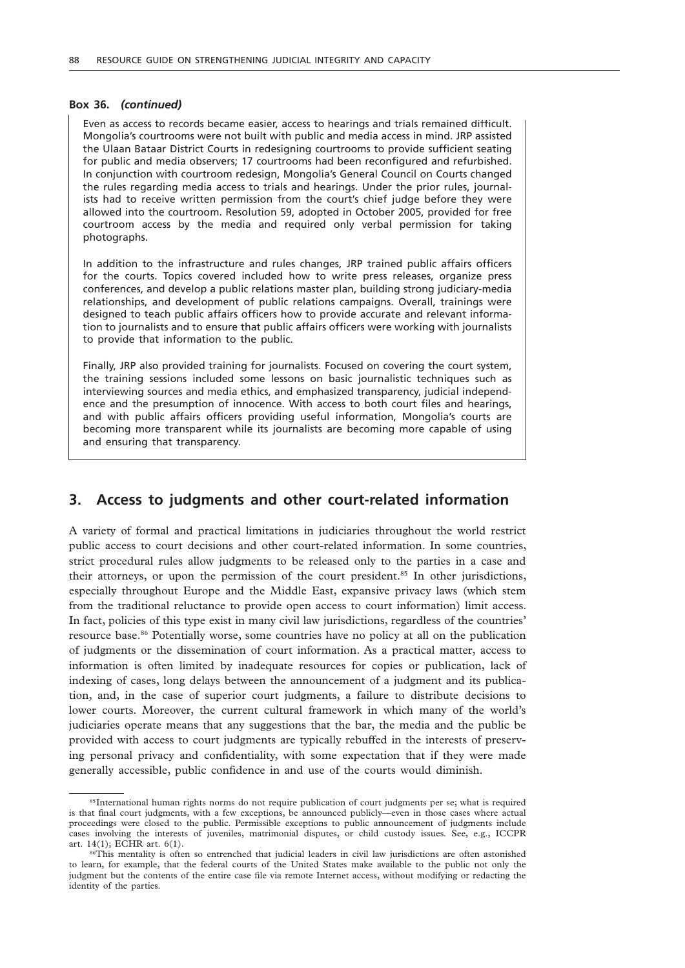#### **Box 36.** *(continued)*

Even as access to records became easier, access to hearings and trials remained difficult. Mongolia's courtrooms were not built with public and media access in mind. JRP assisted the Ulaan Bataar District Courts in redesigning courtrooms to provide sufficient seating for public and media observers; 17 courtrooms had been reconfigured and refurbished. In conjunction with courtroom redesign, Mongolia's General Council on Courts changed the rules regarding media access to trials and hearings. Under the prior rules, journalists had to receive written permission from the court's chief judge before they were allowed into the courtroom. Resolution 59, adopted in October 2005, provided for free courtroom access by the media and required only verbal permission for taking photographs.

In addition to the infrastructure and rules changes, JRP trained public affairs officers for the courts. Topics covered included how to write press releases, organize press conferences, and develop a public relations master plan, building strong judiciary-media relationships, and development of public relations campaigns. Overall, trainings were designed to teach public affairs officers how to provide accurate and relevant information to journalists and to ensure that public affairs officers were working with journalists to provide that information to the public.

Finally, JRP also provided training for journalists. Focused on covering the court system, the training sessions included some lessons on basic journalistic techniques such as interviewing sources and media ethics, and emphasized transparency, judicial independence and the presumption of innocence. With access to both court files and hearings, and with public affairs officers providing useful information, Mongolia's courts are becoming more transparent while its journalists are becoming more capable of using and ensuring that transparency.

### **3. Access to judgments and other court-related information**

A variety of formal and practical limitations in judiciaries throughout the world restrict public access to court decisions and other court-related information. In some countries, strict procedural rules allow judgments to be released only to the parties in a case and their attorneys, or upon the permission of the court president.85 In other jurisdictions, especially throughout Europe and the Middle East, expansive privacy laws (which stem from the traditional reluctance to provide open access to court information) limit access. In fact, policies of this type exist in many civil law jurisdictions, regardless of the countries' resource base.86 Potentially worse, some countries have no policy at all on the publication of judgments or the dissemination of court information. As a practical matter, access to information is often limited by inadequate resources for copies or publication, lack of indexing of cases, long delays between the announcement of a judgment and its publication, and, in the case of superior court judgments, a failure to distribute decisions to lower courts. Moreover, the current cultural framework in which many of the world's judiciaries operate means that any suggestions that the bar, the media and the public be provided with access to court judgments are typically rebuffed in the interests of preserving personal privacy and confidentiality, with some expectation that if they were made generally accessible, public confidence in and use of the courts would diminish.

<sup>85</sup>International human rights norms do not require publication of court judgments per se; what is required is that final court judgments, with a few exceptions, be announced publicly—even in those cases where actual proceedings were closed to the public. Permissible exceptions to public announcement of judgments include cases involving the interests of juveniles, matrimonial disputes, or child custody issues. See, e.g., ICCPR art. 14(1); ECHR art. 6(1).

<sup>86</sup>This mentality is often so entrenched that judicial leaders in civil law jurisdictions are often astonished to learn, for example, that the federal courts of the United States make available to the public not only the judgment but the contents of the entire case file via remote Internet access, without modifying or redacting the identity of the parties.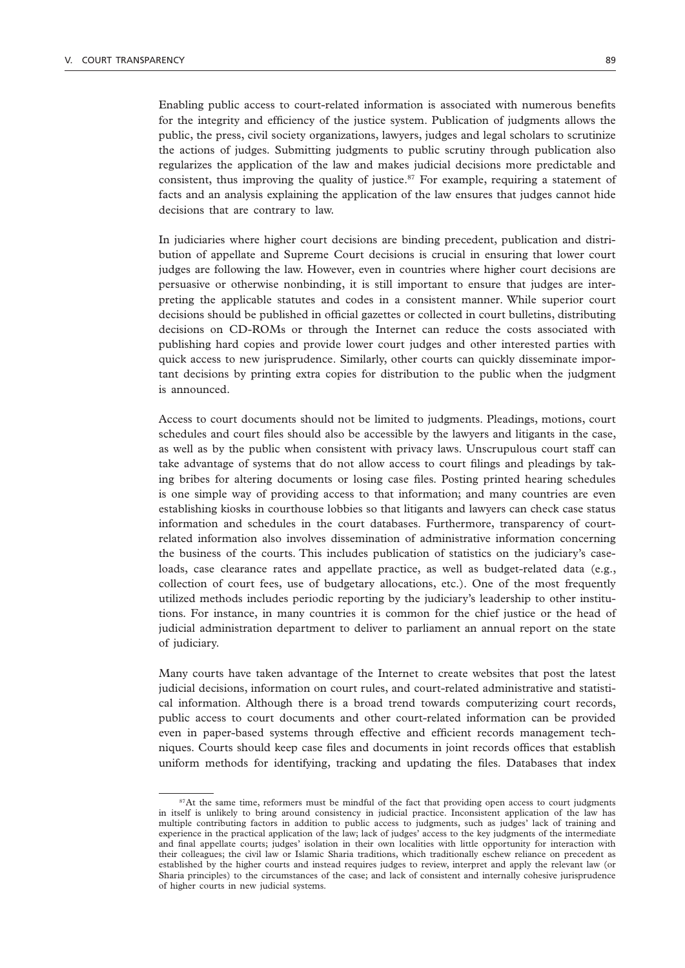Enabling public access to court-related information is associated with numerous benefits for the integrity and efficiency of the justice system. Publication of judgments allows the public, the press, civil society organizations, lawyers, judges and legal scholars to scrutinize the actions of judges. Submitting judgments to public scrutiny through publication also regularizes the application of the law and makes judicial decisions more predictable and consistent, thus improving the quality of justice.<sup>87</sup> For example, requiring a statement of facts and an analysis explaining the application of the law ensures that judges cannot hide decisions that are contrary to law.

In judiciaries where higher court decisions are binding precedent, publication and distribution of appellate and Supreme Court decisions is crucial in ensuring that lower court judges are following the law. However, even in countries where higher court decisions are persuasive or otherwise nonbinding, it is still important to ensure that judges are interpreting the applicable statutes and codes in a consistent manner. While superior court decisions should be published in official gazettes or collected in court bulletins, distributing decisions on CD-ROMs or through the Internet can reduce the costs associated with publishing hard copies and provide lower court judges and other interested parties with quick access to new jurisprudence. Similarly, other courts can quickly disseminate important decisions by printing extra copies for distribution to the public when the judgment is announced.

Access to court documents should not be limited to judgments. Pleadings, motions, court schedules and court files should also be accessible by the lawyers and litigants in the case, as well as by the public when consistent with privacy laws. Unscrupulous court staff can take advantage of systems that do not allow access to court filings and pleadings by taking bribes for altering documents or losing case files. Posting printed hearing schedules is one simple way of providing access to that information; and many countries are even establishing kiosks in courthouse lobbies so that litigants and lawyers can check case status information and schedules in the court databases. Furthermore, transparency of courtrelated information also involves dissemination of administrative information concerning the business of the courts. This includes publication of statistics on the judiciary's caseloads, case clearance rates and appellate practice, as well as budget-related data (e.g., collection of court fees, use of budgetary allocations, etc.). One of the most frequently utilized methods includes periodic reporting by the judiciary's leadership to other institutions. For instance, in many countries it is common for the chief justice or the head of judicial administration department to deliver to parliament an annual report on the state of judiciary.

Many courts have taken advantage of the Internet to create websites that post the latest judicial decisions, information on court rules, and court-related administrative and statistical information. Although there is a broad trend towards computerizing court records, public access to court documents and other court-related information can be provided even in paper-based systems through effective and efficient records management techniques. Courts should keep case files and documents in joint records offices that establish uniform methods for identifying, tracking and updating the files. Databases that index

<sup>&</sup>lt;sup>87</sup>At the same time, reformers must be mindful of the fact that providing open access to court judgments in itself is unlikely to bring around consistency in judicial practice. Inconsistent application of the law has multiple contributing factors in addition to public access to judgments, such as judges' lack of training and experience in the practical application of the law; lack of judges' access to the key judgments of the intermediate and final appellate courts; judges' isolation in their own localities with little opportunity for interaction with their colleagues; the civil law or Islamic Sharia traditions, which traditionally eschew reliance on precedent as established by the higher courts and instead requires judges to review, interpret and apply the relevant law (or Sharia principles) to the circumstances of the case; and lack of consistent and internally cohesive jurisprudence of higher courts in new judicial systems.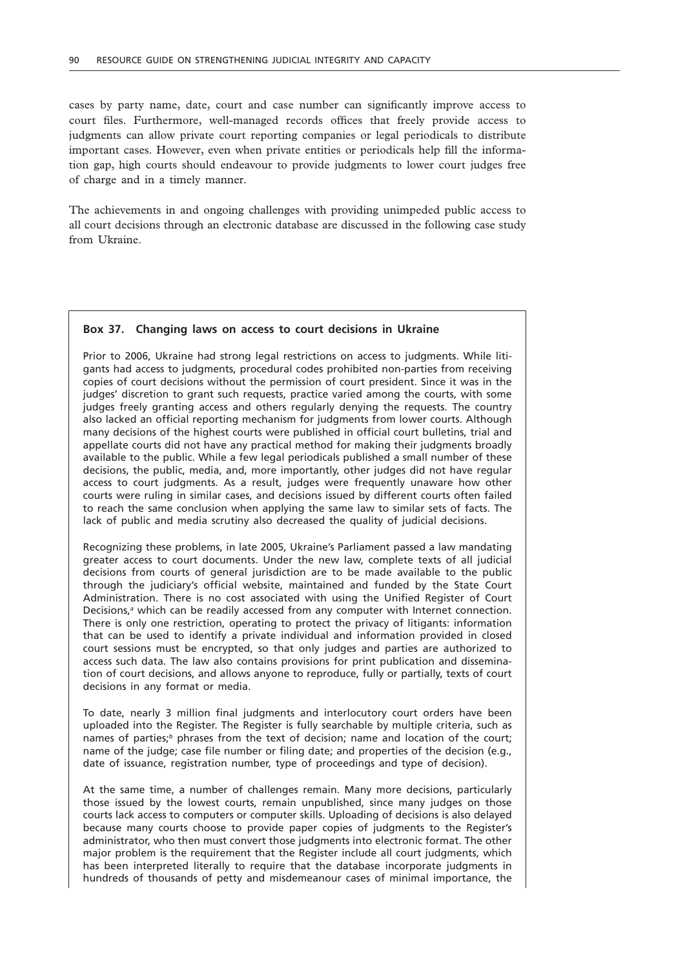cases by party name, date, court and case number can significantly improve access to court files. Furthermore, well-managed records offices that freely provide access to judgments can allow private court reporting companies or legal periodicals to distribute important cases. However, even when private entities or periodicals help fill the information gap, high courts should endeavour to provide judgments to lower court judges free of charge and in a timely manner.

The achievements in and ongoing challenges with providing unimpeded public access to all court decisions through an electronic database are discussed in the following case study from Ukraine.

#### **Box 37. Changing laws on access to court decisions in Ukraine**

Prior to 2006, Ukraine had strong legal restrictions on access to judgments. While litigants had access to judgments, procedural codes prohibited non-parties from receiving copies of court decisions without the permission of court president. Since it was in the judges' discretion to grant such requests, practice varied among the courts, with some judges freely granting access and others regularly denying the requests. The country also lacked an official reporting mechanism for judgments from lower courts. Although many decisions of the highest courts were published in official court bulletins, trial and appellate courts did not have any practical method for making their judgments broadly available to the public. While a few legal periodicals published a small number of these decisions, the public, media, and, more importantly, other judges did not have regular access to court judgments. As a result, judges were frequently unaware how other courts were ruling in similar cases, and decisions issued by different courts often failed to reach the same conclusion when applying the same law to similar sets of facts. The lack of public and media scrutiny also decreased the quality of judicial decisions.

Recognizing these problems, in late 2005, Ukraine's Parliament passed a law mandating greater access to court documents. Under the new law, complete texts of all judicial decisions from courts of general jurisdiction are to be made available to the public through the judiciary's official website, maintained and funded by the State Court Administration. There is no cost associated with using the Unified Register of Court Decisions,<sup>a</sup> which can be readily accessed from any computer with Internet connection. There is only one restriction, operating to protect the privacy of litigants: information that can be used to identify a private individual and information provided in closed court sessions must be encrypted, so that only judges and parties are authorized to access such data. The law also contains provisions for print publication and dissemination of court decisions, and allows anyone to reproduce, fully or partially, texts of court decisions in any format or media.

To date, nearly 3 million final judgments and interlocutory court orders have been uploaded into the Register. The Register is fully searchable by multiple criteria, such as names of parties;<sup>*b*</sup> phrases from the text of decision; name and location of the court; name of the judge; case file number or filing date; and properties of the decision (e.g., date of issuance, registration number, type of proceedings and type of decision).

At the same time, a number of challenges remain. Many more decisions, particularly those issued by the lowest courts, remain unpublished, since many judges on those courts lack access to computers or computer skills. Uploading of decisions is also delayed because many courts choose to provide paper copies of judgments to the Register's administrator, who then must convert those judgments into electronic format. The other major problem is the requirement that the Register include all court judgments, which has been interpreted literally to require that the database incorporate judgments in hundreds of thousands of petty and misdemeanour cases of minimal importance, the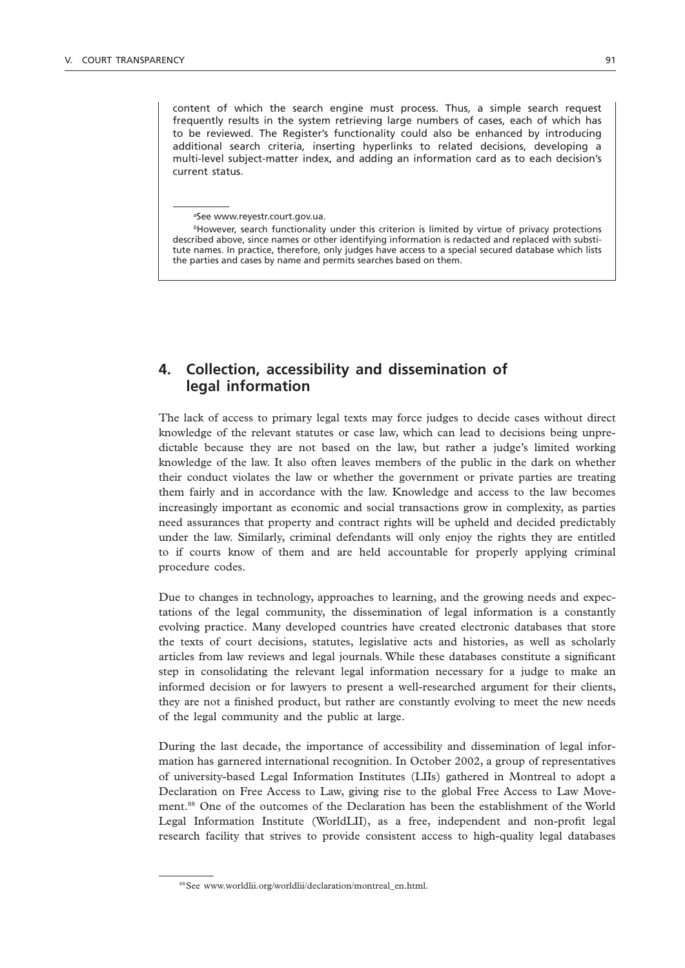content of which the search engine must process. Thus, a simple search request frequently results in the system retrieving large numbers of cases, each of which has to be reviewed. The Register's functionality could also be enhanced by introducing additional search criteria, inserting hyperlinks to related decisions, developing a multi-level subject-matter index, and adding an information card as to each decision's current status.

*a* See www.reyestr.court.gov.ua.

*<sup>b</sup>*However, search functionality under this criterion is limited by virtue of privacy protections described above, since names or other identifying information is redacted and replaced with substitute names. In practice, therefore, only judges have access to a special secured database which lists the parties and cases by name and permits searches based on them.

# **4. Collection, accessibility and dissemination of legal information**

The lack of access to primary legal texts may force judges to decide cases without direct knowledge of the relevant statutes or case law, which can lead to decisions being unpredictable because they are not based on the law, but rather a judge's limited working knowledge of the law. It also often leaves members of the public in the dark on whether their conduct violates the law or whether the government or private parties are treating them fairly and in accordance with the law. Knowledge and access to the law becomes increasingly important as economic and social transactions grow in complexity, as parties need assurances that property and contract rights will be upheld and decided predictably under the law. Similarly, criminal defendants will only enjoy the rights they are entitled to if courts know of them and are held accountable for properly applying criminal procedure codes.

Due to changes in technology, approaches to learning, and the growing needs and expectations of the legal community, the dissemination of legal information is a constantly evolving practice. Many developed countries have created electronic databases that store the texts of court decisions, statutes, legislative acts and histories, as well as scholarly articles from law reviews and legal journals. While these databases constitute a significant step in consolidating the relevant legal information necessary for a judge to make an informed decision or for lawyers to present a well-researched argument for their clients, they are not a finished product, but rather are constantly evolving to meet the new needs of the legal community and the public at large.

During the last decade, the importance of accessibility and dissemination of legal information has garnered international recognition. In October 2002, a group of representatives of university-based Legal Information Institutes (LIIs) gathered in Montreal to adopt a Declaration on Free Access to Law, giving rise to the global Free Access to Law Movement.88 One of the outcomes of the Declaration has been the establishment of the World Legal Information Institute (WorldLII), as a free, independent and non-profit legal research facility that strives to provide consistent access to high-quality legal databases

<sup>88</sup>See www.worldlii.org/worldlii/declaration/montreal\_en.html.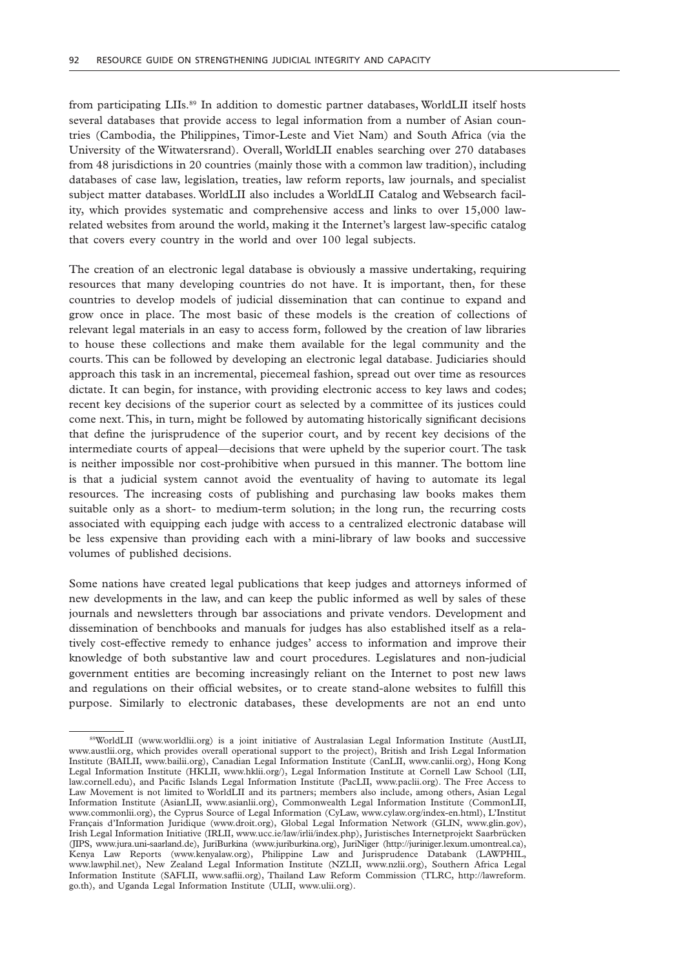from participating LIIs.<sup>89</sup> In addition to domestic partner databases, WorldLII itself hosts several databases that provide access to legal information from a number of Asian countries (Cambodia, the Philippines, Timor-Leste and Viet Nam) and South Africa (via the University of the Witwatersrand). Overall, WorldLII enables searching over 270 databases from 48 jurisdictions in 20 countries (mainly those with a common law tradition), including databases of case law, legislation, treaties, law reform reports, law journals, and specialist subject matter databases. WorldLII also includes a WorldLII Catalog and Websearch facility, which provides systematic and comprehensive access and links to over 15,000 lawrelated websites from around the world, making it the Internet's largest law-specific catalog that covers every country in the world and over 100 legal subjects.

The creation of an electronic legal database is obviously a massive undertaking, requiring resources that many developing countries do not have. It is important, then, for these countries to develop models of judicial dissemination that can continue to expand and grow once in place. The most basic of these models is the creation of collections of relevant legal materials in an easy to access form, followed by the creation of law libraries to house these collections and make them available for the legal community and the courts. This can be followed by developing an electronic legal database. Judiciaries should approach this task in an incremental, piecemeal fashion, spread out over time as resources dictate. It can begin, for instance, with providing electronic access to key laws and codes; recent key decisions of the superior court as selected by a committee of its justices could come next. This, in turn, might be followed by automating historically significant decisions that define the jurisprudence of the superior court, and by recent key decisions of the intermediate courts of appeal—decisions that were upheld by the superior court. The task is neither impossible nor cost-prohibitive when pursued in this manner. The bottom line is that a judicial system cannot avoid the eventuality of having to automate its legal resources. The increasing costs of publishing and purchasing law books makes them suitable only as a short- to medium-term solution; in the long run, the recurring costs associated with equipping each judge with access to a centralized electronic database will be less expensive than providing each with a mini-library of law books and successive volumes of published decisions.

Some nations have created legal publications that keep judges and attorneys informed of new developments in the law, and can keep the public informed as well by sales of these journals and newsletters through bar associations and private vendors. Development and dissemination of benchbooks and manuals for judges has also established itself as a relatively cost-effective remedy to enhance judges' access to information and improve their knowledge of both substantive law and court procedures. Legislatures and non-judicial government entities are becoming increasingly reliant on the Internet to post new laws and regulations on their official websites, or to create stand-alone websites to fulfill this purpose. Similarly to electronic databases, these developments are not an end unto

<sup>89</sup>WorldLII (www.worldlii.org) is a joint initiative of Australasian Legal Information Institute (AustLII, www.austlii.org, which provides overall operational support to the project), British and Irish Legal Information Institute (BAILII, www.bailii.org), Canadian Legal Information Institute (CanLII, www.canlii.org), Hong Kong Legal Information Institute (HKLII, www.hklii.org/), Legal Information Institute at Cornell Law School (LII, law.cornell.edu), and Pacific Islands Legal Information Institute (PacLII, www.paclii.org). The Free Access to Law Movement is not limited to WorldLII and its partners; members also include, among others, Asian Legal Information Institute (AsianLII, www.asianlii.org), Commonwealth Legal Information Institute (CommonLII, www.commonlii.org), the Cyprus Source of Legal Information (CyLaw, www.cylaw.org/index-en.html), L'Institut Français d'Information Juridique (www.droit.org), Global Legal Information Network (GLIN, www.glin.gov), Irish Legal Information Initiative (IRLII, www.ucc.ie/law/irlii/index.php), Juristisches Internetprojekt Saarbrücken (JIPS, www.jura.uni-saarland.de), JuriBurkina (www.juriburkina.org), JuriNiger (http://juriniger.lexum.umontreal.ca), Kenya Law Reports (www.kenyalaw.org), Philippine Law and Jurisprudence Databank (LAWPHIL, www.lawphil.net), New Zealand Legal Information Institute (NZLII, www.nzlii.org), Southern Africa Legal Information Institute (SAFLII, www.saflii.org), Thailand Law Reform Commission (TLRC, http://lawreform. go.th), and Uganda Legal Information Institute (ULII, www.ulii.org).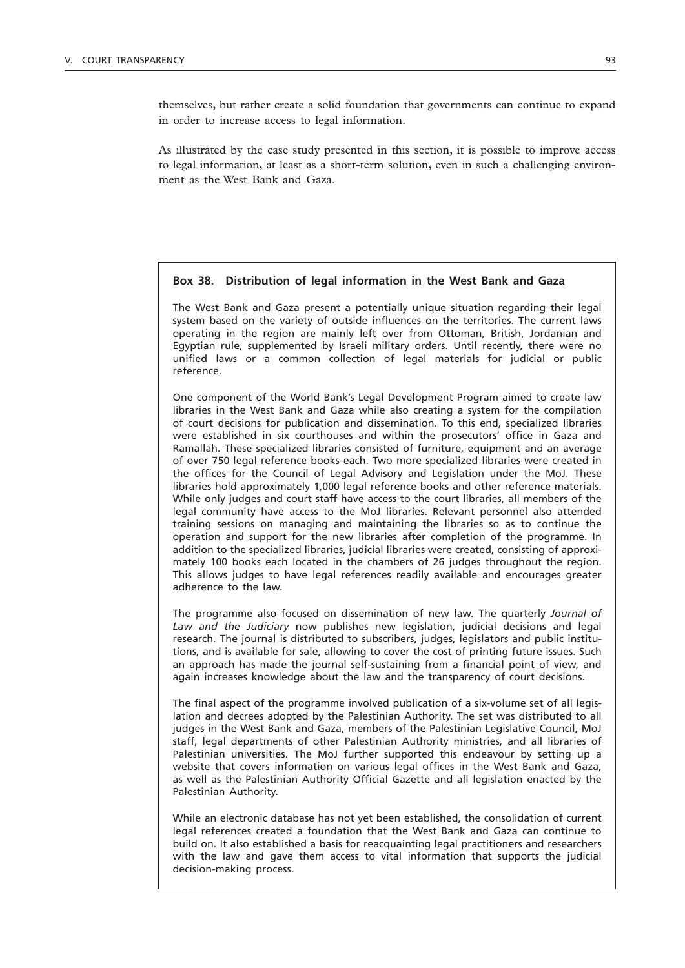themselves, but rather create a solid foundation that governments can continue to expand in order to increase access to legal information.

As illustrated by the case study presented in this section, it is possible to improve access to legal information, at least as a short-term solution, even in such a challenging environment as the West Bank and Gaza.

### **Box 38. Distribution of legal information in the West Bank and Gaza**

The West Bank and Gaza present a potentially unique situation regarding their legal system based on the variety of outside influences on the territories. The current laws operating in the region are mainly left over from Ottoman, British, Jordanian and Egyptian rule, supplemented by Israeli military orders. Until recently, there were no unified laws or a common collection of legal materials for judicial or public reference.

One component of the World Bank's Legal Development Program aimed to create law libraries in the West Bank and Gaza while also creating a system for the compilation of court decisions for publication and dissemination. To this end, specialized libraries were established in six courthouses and within the prosecutors' office in Gaza and Ramallah. These specialized libraries consisted of furniture, equipment and an average of over 750 legal reference books each. Two more specialized libraries were created in the offices for the Council of Legal Advisory and Legislation under the MoJ. These libraries hold approximately 1,000 legal reference books and other reference materials. While only judges and court staff have access to the court libraries, all members of the legal community have access to the MoJ libraries. Relevant personnel also attended training sessions on managing and maintaining the libraries so as to continue the operation and support for the new libraries after completion of the programme. In addition to the specialized libraries, judicial libraries were created, consisting of approximately 100 books each located in the chambers of 26 judges throughout the region. This allows judges to have legal references readily available and encourages greater adherence to the law.

The programme also focused on dissemination of new law. The quarterly *Journal of Law and the Judiciary* now publishes new legislation, judicial decisions and legal research. The journal is distributed to subscribers, judges, legislators and public institutions, and is available for sale, allowing to cover the cost of printing future issues. Such an approach has made the journal self-sustaining from a financial point of view, and again increases knowledge about the law and the transparency of court decisions.

The final aspect of the programme involved publication of a six-volume set of all legislation and decrees adopted by the Palestinian Authority. The set was distributed to all judges in the West Bank and Gaza, members of the Palestinian Legislative Council, MoJ staff, legal departments of other Palestinian Authority ministries, and all libraries of Palestinian universities. The MoJ further supported this endeavour by setting up a website that covers information on various legal offices in the West Bank and Gaza, as well as the Palestinian Authority Official Gazette and all legislation enacted by the Palestinian Authority.

While an electronic database has not yet been established, the consolidation of current legal references created a foundation that the West Bank and Gaza can continue to build on. It also established a basis for reacquainting legal practitioners and researchers with the law and gave them access to vital information that supports the judicial decision-making process.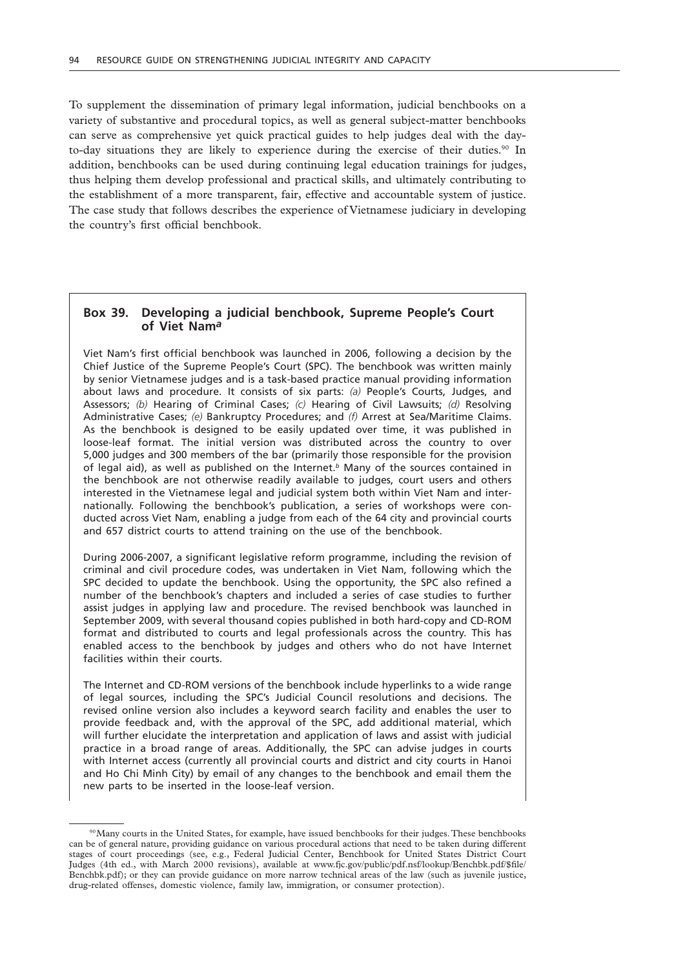To supplement the dissemination of primary legal information, judicial benchbooks on a variety of substantive and procedural topics, as well as general subject-matter benchbooks can serve as comprehensive yet quick practical guides to help judges deal with the dayto-day situations they are likely to experience during the exercise of their duties.<sup>90</sup> In addition, benchbooks can be used during continuing legal education trainings for judges, thus helping them develop professional and practical skills, and ultimately contributing to the establishment of a more transparent, fair, effective and accountable system of justice. The case study that follows describes the experience of Vietnamese judiciary in developing the country's first official benchbook.

### **Box 39. Developing a judicial benchbook, Supreme People's Court of Viet Nam***a*

Viet Nam's first official benchbook was launched in 2006, following a decision by the Chief Justice of the Supreme People's Court (SPC). The benchbook was written mainly by senior Vietnamese judges and is a task-based practice manual providing information about laws and procedure. It consists of six parts: *(a)* People's Courts, Judges, and Assessors; *(b)* Hearing of Criminal Cases; *(c)* Hearing of Civil Lawsuits; *(d)* Resolving Administrative Cases; *(e)* Bankruptcy Procedures; and *(f)* Arrest at Sea/Maritime Claims. As the benchbook is designed to be easily updated over time, it was published in loose-leaf format. The initial version was distributed across the country to over 5,000 judges and 300 members of the bar (primarily those responsible for the provision of legal aid), as well as published on the Internet.*b* Many of the sources contained in the benchbook are not otherwise readily available to judges, court users and others interested in the Vietnamese legal and judicial system both within Viet Nam and internationally. Following the benchbook's publication, a series of workshops were conducted across Viet Nam, enabling a judge from each of the 64 city and provincial courts and 657 district courts to attend training on the use of the benchbook.

During 2006-2007, a significant legislative reform programme, including the revision of criminal and civil procedure codes, was undertaken in Viet Nam, following which the SPC decided to update the benchbook. Using the opportunity, the SPC also refined a number of the benchbook's chapters and included a series of case studies to further assist judges in applying law and procedure. The revised benchbook was launched in September 2009, with several thousand copies published in both hard-copy and CD-ROM format and distributed to courts and legal professionals across the country. This has enabled access to the benchbook by judges and others who do not have Internet facilities within their courts.

The Internet and CD-ROM versions of the benchbook include hyperlinks to a wide range of legal sources, including the SPC's Judicial Council resolutions and decisions. The revised online version also includes a keyword search facility and enables the user to provide feedback and, with the approval of the SPC, add additional material, which will further elucidate the interpretation and application of laws and assist with judicial practice in a broad range of areas. Additionally, the SPC can advise judges in courts with Internet access (currently all provincial courts and district and city courts in Hanoi and Ho Chi Minh City) by email of any changes to the benchbook and email them the new parts to be inserted in the loose-leaf version.

<sup>90</sup> Many courts in the United States, for example, have issued benchbooks for their judges. These benchbooks can be of general nature, providing guidance on various procedural actions that need to be taken during different stages of court proceedings (see, e.g., Federal Judicial Center, Benchbook for United States District Court Judges (4th ed., with March 2000 revisions), available at www.fjc.gov/public/pdf.nsf/lookup/Benchbk.pdf/\$file/ Benchbk.pdf); or they can provide guidance on more narrow technical areas of the law (such as juvenile justice, drug-related offenses, domestic violence, family law, immigration, or consumer protection).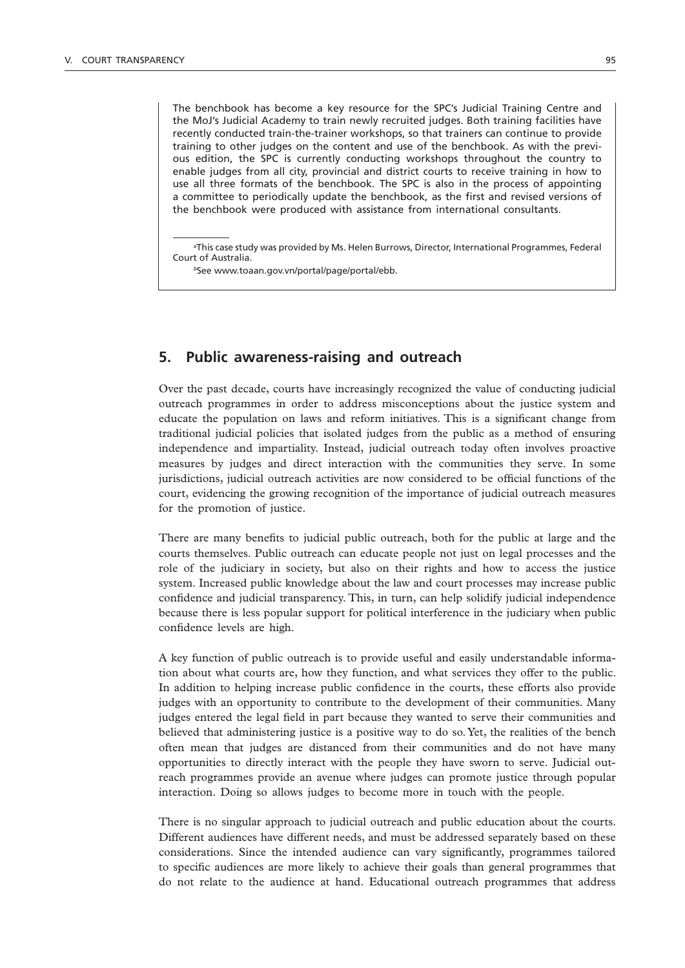The benchbook has become a key resource for the SPC's Judicial Training Centre and the MoJ's Judicial Academy to train newly recruited judges. Both training facilities have recently conducted train-the-trainer workshops, so that trainers can continue to provide training to other judges on the content and use of the benchbook. As with the previous edition, the SPC is currently conducting workshops throughout the country to enable judges from all city, provincial and district courts to receive training in how to use all three formats of the benchbook. The SPC is also in the process of appointing a committee to periodically update the benchbook, as the first and revised versions of the benchbook were produced with assistance from international consultants.

*a* This case study was provided by Ms. Helen Burrows, Director, International Programmes, Federal Court of Australia.

*<sup>b</sup>*See www.toaan.gov.vn/portal/page/portal/ebb.

### **5. Public awareness-raising and outreach**

Over the past decade, courts have increasingly recognized the value of conducting judicial outreach programmes in order to address misconceptions about the justice system and educate the population on laws and reform initiatives. This is a significant change from traditional judicial policies that isolated judges from the public as a method of ensuring independence and impartiality. Instead, judicial outreach today often involves proactive measures by judges and direct interaction with the communities they serve. In some jurisdictions, judicial outreach activities are now considered to be official functions of the court, evidencing the growing recognition of the importance of judicial outreach measures for the promotion of justice.

There are many benefits to judicial public outreach, both for the public at large and the courts themselves. Public outreach can educate people not just on legal processes and the role of the judiciary in society, but also on their rights and how to access the justice system. Increased public knowledge about the law and court processes may increase public confidence and judicial transparency. This, in turn, can help solidify judicial independence because there is less popular support for political interference in the judiciary when public confidence levels are high.

A key function of public outreach is to provide useful and easily understandable information about what courts are, how they function, and what services they offer to the public. In addition to helping increase public confidence in the courts, these efforts also provide judges with an opportunity to contribute to the development of their communities. Many judges entered the legal field in part because they wanted to serve their communities and believed that administering justice is a positive way to do so. Yet, the realities of the bench often mean that judges are distanced from their communities and do not have many opportunities to directly interact with the people they have sworn to serve. Judicial outreach programmes provide an avenue where judges can promote justice through popular interaction. Doing so allows judges to become more in touch with the people.

There is no singular approach to judicial outreach and public education about the courts. Different audiences have different needs, and must be addressed separately based on these considerations. Since the intended audience can vary significantly, programmes tailored to specific audiences are more likely to achieve their goals than general programmes that do not relate to the audience at hand. Educational outreach programmes that address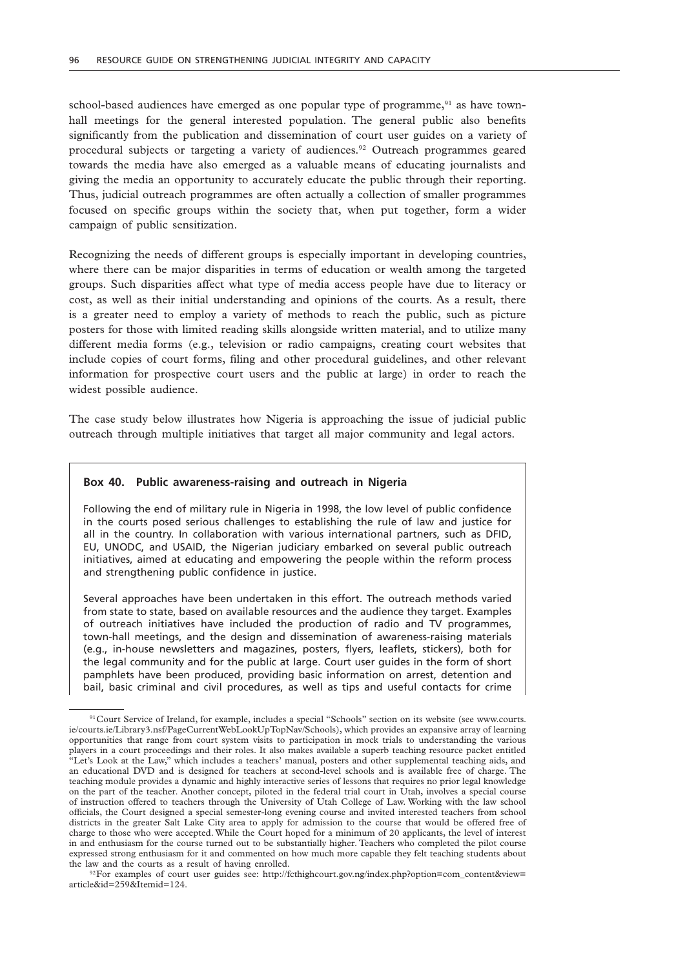school-based audiences have emerged as one popular type of programme, $91$  as have townhall meetings for the general interested population. The general public also benefits significantly from the publication and dissemination of court user guides on a variety of procedural subjects or targeting a variety of audiences.<sup>92</sup> Outreach programmes geared towards the media have also emerged as a valuable means of educating journalists and giving the media an opportunity to accurately educate the public through their reporting. Thus, judicial outreach programmes are often actually a collection of smaller programmes focused on specific groups within the society that, when put together, form a wider campaign of public sensitization.

Recognizing the needs of different groups is especially important in developing countries, where there can be major disparities in terms of education or wealth among the targeted groups. Such disparities affect what type of media access people have due to literacy or cost, as well as their initial understanding and opinions of the courts. As a result, there is a greater need to employ a variety of methods to reach the public, such as picture posters for those with limited reading skills alongside written material, and to utilize many different media forms (e.g., television or radio campaigns, creating court websites that include copies of court forms, filing and other procedural guidelines, and other relevant information for prospective court users and the public at large) in order to reach the widest possible audience.

The case study below illustrates how Nigeria is approaching the issue of judicial public outreach through multiple initiatives that target all major community and legal actors.

#### **Box 40. Public awareness-raising and outreach in Nigeria**

Following the end of military rule in Nigeria in 1998, the low level of public confidence in the courts posed serious challenges to establishing the rule of law and justice for all in the country. In collaboration with various international partners, such as DFID, EU, UNODC, and USAID, the Nigerian judiciary embarked on several public outreach initiatives, aimed at educating and empowering the people within the reform process and strengthening public confidence in justice.

Several approaches have been undertaken in this effort. The outreach methods varied from state to state, based on available resources and the audience they target. Examples of outreach initiatives have included the production of radio and TV programmes, town-hall meetings, and the design and dissemination of awareness-raising materials (e.g., in-house newsletters and magazines, posters, flyers, leaflets, stickers), both for the legal community and for the public at large. Court user guides in the form of short pamphlets have been produced, providing basic information on arrest, detention and bail, basic criminal and civil procedures, as well as tips and useful contacts for crime

92For examples of court user guides see: http://fcthighcourt.gov.ng/index.php?option=com\_content&view= article&id=259&Itemid=124.

<sup>91</sup>Court Service of Ireland, for example, includes a special "Schools" section on its website (see www.courts. ie/courts.ie/Library3.nsf/PageCurrentWebLookUpTopNav/Schools), which provides an expansive array of learning opportunities that range from court system visits to participation in mock trials to understanding the various players in a court proceedings and their roles. It also makes available a superb teaching resource packet entitled "Let's Look at the Law," which includes a teachers' manual, posters and other supplemental teaching aids, and an educational DVD and is designed for teachers at second-level schools and is available free of charge. The teaching module provides a dynamic and highly interactive series of lessons that requires no prior legal knowledge on the part of the teacher. Another concept, piloted in the federal trial court in Utah, involves a special course of instruction offered to teachers through the University of Utah College of Law. Working with the law school officials, the Court designed a special semester-long evening course and invited interested teachers from school districts in the greater Salt Lake City area to apply for admission to the course that would be offered free of charge to those who were accepted. While the Court hoped for a minimum of 20 applicants, the level of interest in and enthusiasm for the course turned out to be substantially higher. Teachers who completed the pilot course expressed strong enthusiasm for it and commented on how much more capable they felt teaching students about the law and the courts as a result of having enrolled.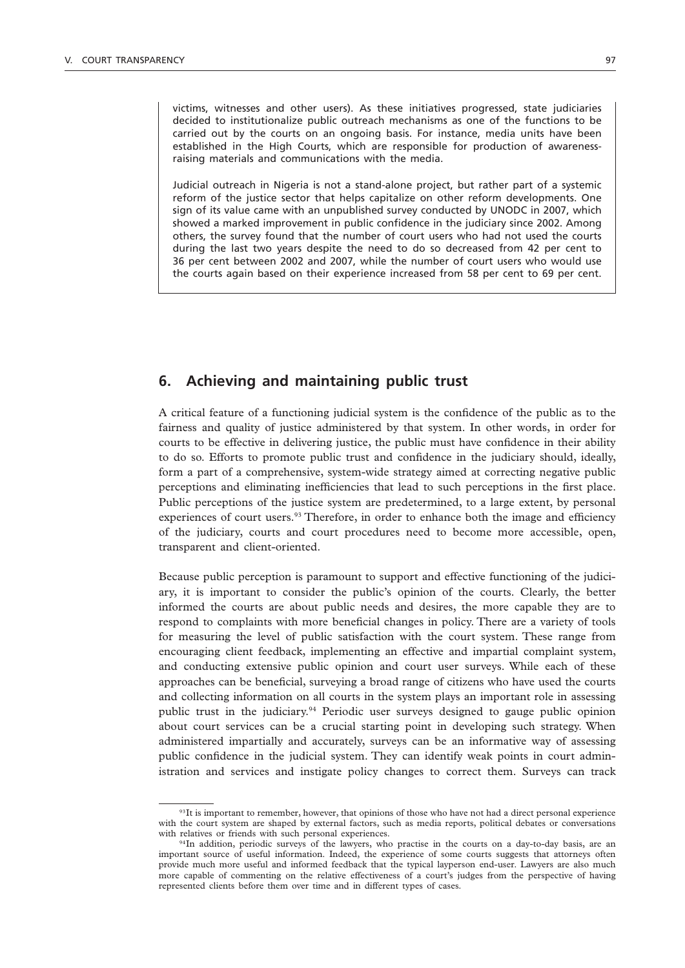victims, witnesses and other users). As these initiatives progressed, state judiciaries decided to institutionalize public outreach mechanisms as one of the functions to be carried out by the courts on an ongoing basis. For instance, media units have been established in the High Courts, which are responsible for production of awarenessraising materials and communications with the media.

Judicial outreach in Nigeria is not a stand-alone project, but rather part of a systemic reform of the justice sector that helps capitalize on other reform developments. One sign of its value came with an unpublished survey conducted by UNODC in 2007, which showed a marked improvement in public confidence in the judiciary since 2002. Among others, the survey found that the number of court users who had not used the courts during the last two years despite the need to do so decreased from 42 per cent to 36 per cent between 2002 and 2007, while the number of court users who would use the courts again based on their experience increased from 58 per cent to 69 per cent.

### **6. Achieving and maintaining public trust**

A critical feature of a functioning judicial system is the confidence of the public as to the fairness and quality of justice administered by that system. In other words, in order for courts to be effective in delivering justice, the public must have confidence in their ability to do so. Efforts to promote public trust and confidence in the judiciary should, ideally, form a part of a comprehensive, system-wide strategy aimed at correcting negative public perceptions and eliminating inefficiencies that lead to such perceptions in the first place. Public perceptions of the justice system are predetermined, to a large extent, by personal experiences of court users.<sup>93</sup> Therefore, in order to enhance both the image and efficiency of the judiciary, courts and court procedures need to become more accessible, open, transparent and client-oriented.

Because public perception is paramount to support and effective functioning of the judiciary, it is important to consider the public's opinion of the courts. Clearly, the better informed the courts are about public needs and desires, the more capable they are to respond to complaints with more beneficial changes in policy. There are a variety of tools for measuring the level of public satisfaction with the court system. These range from encouraging client feedback, implementing an effective and impartial complaint system, and conducting extensive public opinion and court user surveys. While each of these approaches can be beneficial, surveying a broad range of citizens who have used the courts and collecting information on all courts in the system plays an important role in assessing public trust in the judiciary.94 Periodic user surveys designed to gauge public opinion about court services can be a crucial starting point in developing such strategy. When administered impartially and accurately, surveys can be an informative way of assessing public confidence in the judicial system. They can identify weak points in court administration and services and instigate policy changes to correct them. Surveys can track

<sup>&</sup>lt;sup>93</sup>It is important to remember, however, that opinions of those who have not had a direct personal experience with the court system are shaped by external factors, such as media reports, political debates or conversations with relatives or friends with such personal experiences.

 $94$ In addition, periodic surveys of the lawyers, who practise in the courts on a day-to-day basis, are an important source of useful information. Indeed, the experience of some courts suggests that attorneys often provide much more useful and informed feedback that the typical layperson end-user. Lawyers are also much more capable of commenting on the relative effectiveness of a court's judges from the perspective of having represented clients before them over time and in different types of cases.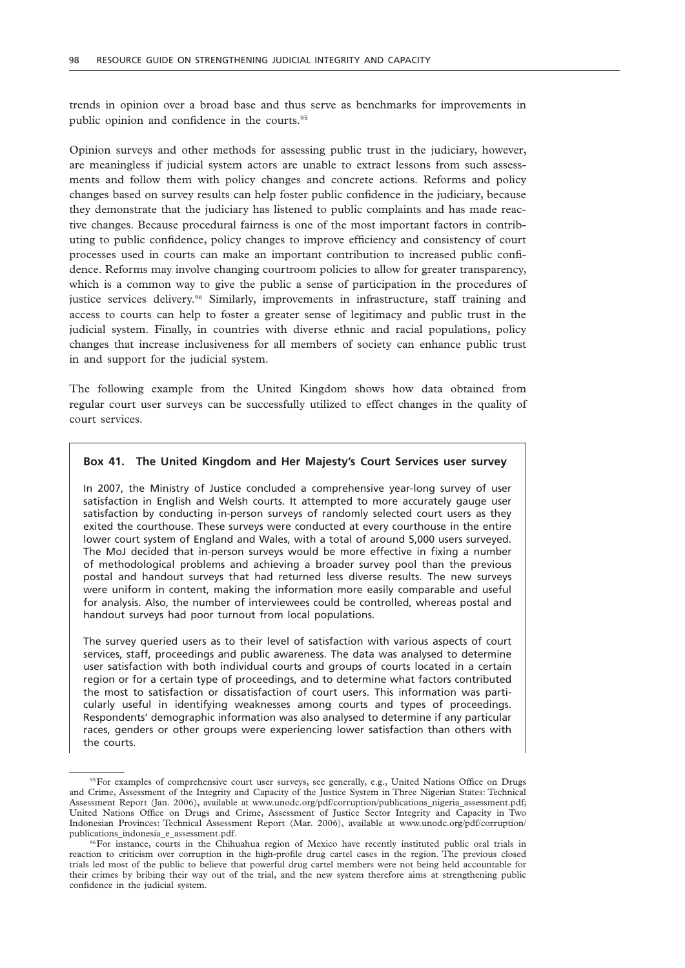trends in opinion over a broad base and thus serve as benchmarks for improvements in public opinion and confidence in the courts.<sup>95</sup>

Opinion surveys and other methods for assessing public trust in the judiciary, however, are meaningless if judicial system actors are unable to extract lessons from such assessments and follow them with policy changes and concrete actions. Reforms and policy changes based on survey results can help foster public confidence in the judiciary, because they demonstrate that the judiciary has listened to public complaints and has made reactive changes. Because procedural fairness is one of the most important factors in contributing to public confidence, policy changes to improve efficiency and consistency of court processes used in courts can make an important contribution to increased public confidence. Reforms may involve changing courtroom policies to allow for greater transparency, which is a common way to give the public a sense of participation in the procedures of justice services delivery.96 Similarly, improvements in infrastructure, staff training and access to courts can help to foster a greater sense of legitimacy and public trust in the judicial system. Finally, in countries with diverse ethnic and racial populations, policy changes that increase inclusiveness for all members of society can enhance public trust in and support for the judicial system.

The following example from the United Kingdom shows how data obtained from regular court user surveys can be successfully utilized to effect changes in the quality of court services.

### **Box 41. The United Kingdom and Her Majesty's Court Services user survey**

In 2007, the Ministry of Justice concluded a comprehensive year-long survey of user satisfaction in English and Welsh courts. It attempted to more accurately gauge user satisfaction by conducting in-person surveys of randomly selected court users as they exited the courthouse. These surveys were conducted at every courthouse in the entire lower court system of England and Wales, with a total of around 5,000 users surveyed. The MoJ decided that in-person surveys would be more effective in fixing a number of methodological problems and achieving a broader survey pool than the previous postal and handout surveys that had returned less diverse results. The new surveys were uniform in content, making the information more easily comparable and useful for analysis. Also, the number of interviewees could be controlled, whereas postal and handout surveys had poor turnout from local populations.

The survey queried users as to their level of satisfaction with various aspects of court services, staff, proceedings and public awareness. The data was analysed to determine user satisfaction with both individual courts and groups of courts located in a certain region or for a certain type of proceedings, and to determine what factors contributed the most to satisfaction or dissatisfaction of court users. This information was particularly useful in identifying weaknesses among courts and types of proceedings. Respondents' demographic information was also analysed to determine if any particular races, genders or other groups were experiencing lower satisfaction than others with the courts.

<sup>&</sup>lt;sup>95</sup>For examples of comprehensive court user surveys, see generally, e.g., United Nations Office on Drugs and Crime, Assessment of the Integrity and Capacity of the Justice System in Three Nigerian States: Technical Assessment Report (Jan. 2006), available at www.unodc.org/pdf/corruption/publications\_nigeria\_assessment.pdf; United Nations Office on Drugs and Crime, Assessment of Justice Sector Integrity and Capacity in Two Indonesian Provinces: Technical Assessment Report (Mar. 2006), available at www.unodc.org/pdf/corruption/ publications\_indonesia\_e\_assessment.pdf.

<sup>96</sup>For instance, courts in the Chihuahua region of Mexico have recently instituted public oral trials in reaction to criticism over corruption in the high-profile drug cartel cases in the region. The previous closed trials led most of the public to believe that powerful drug cartel members were not being held accountable for their crimes by bribing their way out of the trial, and the new system therefore aims at strengthening public confidence in the judicial system.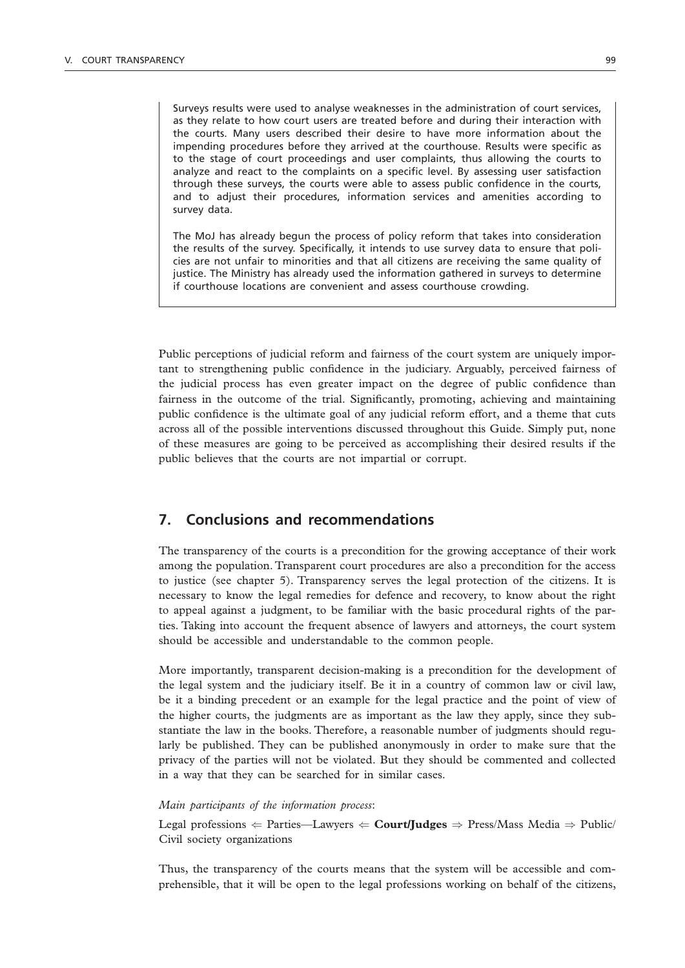Surveys results were used to analyse weaknesses in the administration of court services, as they relate to how court users are treated before and during their interaction with the courts. Many users described their desire to have more information about the impending procedures before they arrived at the courthouse. Results were specific as to the stage of court proceedings and user complaints, thus allowing the courts to analyze and react to the complaints on a specific level. By assessing user satisfaction through these surveys, the courts were able to assess public confidence in the courts, and to adjust their procedures, information services and amenities according to survey data.

The MoJ has already begun the process of policy reform that takes into consideration the results of the survey. Specifically, it intends to use survey data to ensure that policies are not unfair to minorities and that all citizens are receiving the same quality of justice. The Ministry has already used the information gathered in surveys to determine if courthouse locations are convenient and assess courthouse crowding.

Public perceptions of judicial reform and fairness of the court system are uniquely important to strengthening public confidence in the judiciary. Arguably, perceived fairness of the judicial process has even greater impact on the degree of public confidence than fairness in the outcome of the trial. Significantly, promoting, achieving and maintaining public confidence is the ultimate goal of any judicial reform effort, and a theme that cuts across all of the possible interventions discussed throughout this Guide. Simply put, none of these measures are going to be perceived as accomplishing their desired results if the public believes that the courts are not impartial or corrupt.

# **7. Conclusions and recommendations**

The transparency of the courts is a precondition for the growing acceptance of their work among the population. Transparent court procedures are also a precondition for the access to justice (see chapter 5). Transparency serves the legal protection of the citizens. It is necessary to know the legal remedies for defence and recovery, to know about the right to appeal against a judgment, to be familiar with the basic procedural rights of the parties. Taking into account the frequent absence of lawyers and attorneys, the court system should be accessible and understandable to the common people.

More importantly, transparent decision-making is a precondition for the development of the legal system and the judiciary itself. Be it in a country of common law or civil law, be it a binding precedent or an example for the legal practice and the point of view of the higher courts, the judgments are as important as the law they apply, since they substantiate the law in the books. Therefore, a reasonable number of judgments should regularly be published. They can be published anonymously in order to make sure that the privacy of the parties will not be violated. But they should be commented and collected in a way that they can be searched for in similar cases.

#### *Main participants of the information process*:

Legal professions  $\Leftarrow$  Parties—Lawyers  $\Leftarrow$  **Court/Judges**  $\Rightarrow$  Press/Mass Media  $\Rightarrow$  Public/ Civil society organizations

Thus, the transparency of the courts means that the system will be accessible and comprehensible, that it will be open to the legal professions working on behalf of the citizens,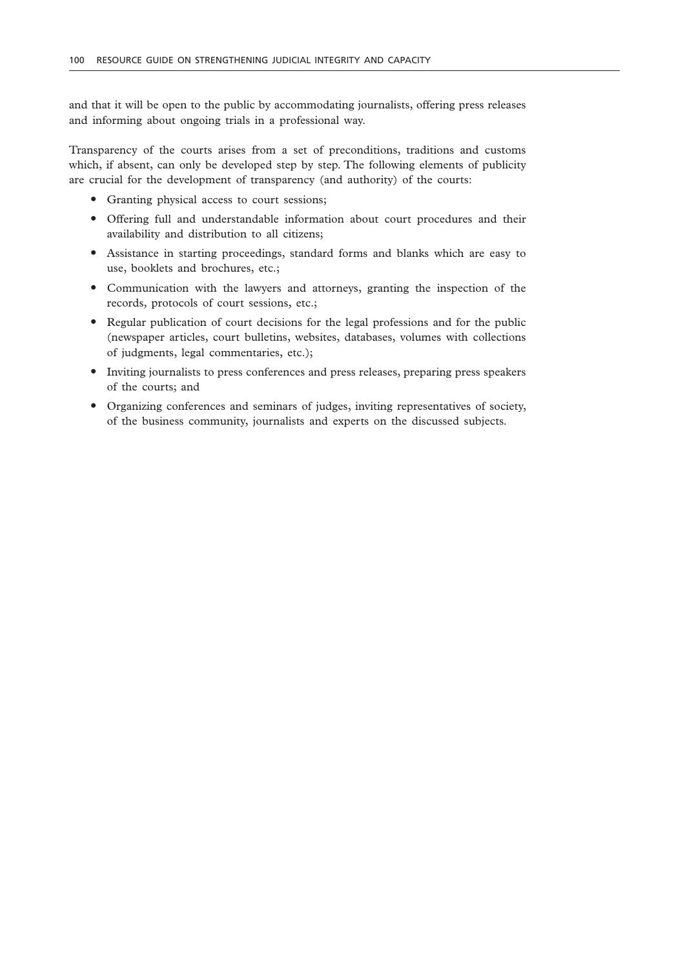and that it will be open to the public by accommodating journalists, offering press releases and informing about ongoing trials in a professional way.

Transparency of the courts arises from a set of preconditions, traditions and customs which, if absent, can only be developed step by step. The following elements of publicity are crucial for the development of transparency (and authority) of the courts:

- Granting physical access to court sessions;
- " Offering full and understandable information about court procedures and their availability and distribution to all citizens;
- " Assistance in starting proceedings, standard forms and blanks which are easy to use, booklets and brochures, etc.;
- " Communication with the lawyers and attorneys, granting the inspection of the records, protocols of court sessions, etc.;
- Regular publication of court decisions for the legal professions and for the public (newspaper articles, court bulletins, websites, databases, volumes with collections of judgments, legal commentaries, etc.);
- " Inviting journalists to press conferences and press releases, preparing press speakers of the courts; and
- " Organizing conferences and seminars of judges, inviting representatives of society, of the business community, journalists and experts on the discussed subjects.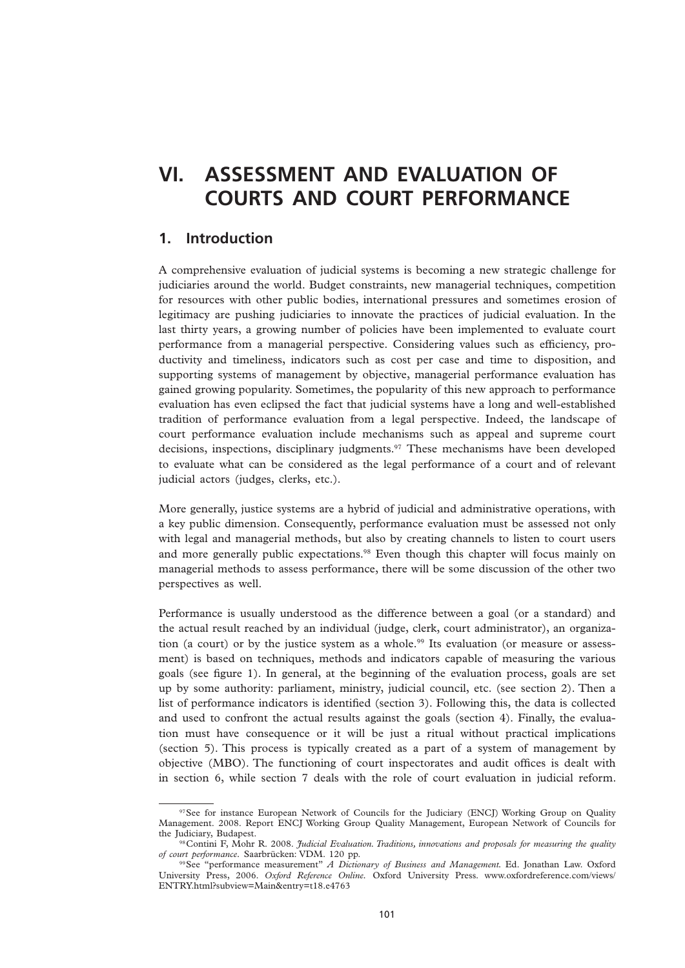# **VI. ASSESSMENT AND EVALUATION OF COURTS AND COURT PERFORMANCE**

# **1. Introduction**

A comprehensive evaluation of judicial systems is becoming a new strategic challenge for judiciaries around the world. Budget constraints, new managerial techniques, competition for resources with other public bodies, international pressures and sometimes erosion of legitimacy are pushing judiciaries to innovate the practices of judicial evaluation. In the last thirty years, a growing number of policies have been implemented to evaluate court performance from a managerial perspective. Considering values such as efficiency, productivity and timeliness, indicators such as cost per case and time to disposition, and supporting systems of management by objective, managerial performance evaluation has gained growing popularity. Sometimes, the popularity of this new approach to performance evaluation has even eclipsed the fact that judicial systems have a long and well-established tradition of performance evaluation from a legal perspective. Indeed, the landscape of court performance evaluation include mechanisms such as appeal and supreme court decisions, inspections, disciplinary judgments.97 These mechanisms have been developed to evaluate what can be considered as the legal performance of a court and of relevant judicial actors (judges, clerks, etc.).

More generally, justice systems are a hybrid of judicial and administrative operations, with a key public dimension. Consequently, performance evaluation must be assessed not only with legal and managerial methods, but also by creating channels to listen to court users and more generally public expectations.<sup>98</sup> Even though this chapter will focus mainly on managerial methods to assess performance, there will be some discussion of the other two perspectives as well.

Performance is usually understood as the difference between a goal (or a standard) and the actual result reached by an individual (judge, clerk, court administrator), an organization (a court) or by the justice system as a whole.<sup>99</sup> Its evaluation (or measure or assessment) is based on techniques, methods and indicators capable of measuring the various goals (see figure 1). In general, at the beginning of the evaluation process, goals are set up by some authority: parliament, ministry, judicial council, etc. (see section 2). Then a list of performance indicators is identified (section 3). Following this, the data is collected and used to confront the actual results against the goals (section 4). Finally, the evaluation must have consequence or it will be just a ritual without practical implications (section 5). This process is typically created as a part of a system of management by objective (MBO). The functioning of court inspectorates and audit offices is dealt with in section 6, while section 7 deals with the role of court evaluation in judicial reform.

<sup>97</sup>See for instance European Network of Councils for the Judiciary (ENCJ) Working Group on Quality Management. 2008. Report ENCJ Working Group Quality Management, European Network of Councils for the Judiciary, Budapest.

<sup>98</sup>Contini F, Mohr R. 2008. *Judicial Evaluation. Traditions, innovations and proposals for measuring the quality of court performance.* Saarbrücken: VDM. 120 pp.

<sup>99</sup>See "performance measurement" *A Dictionary of Business and Management.* Ed. Jonathan Law. Oxford University Press, 2006. *Oxford Reference Online.* Oxford University Press. www.oxfordreference.com/views/ ENTRY.html?subview=Main&entry=t18.e4763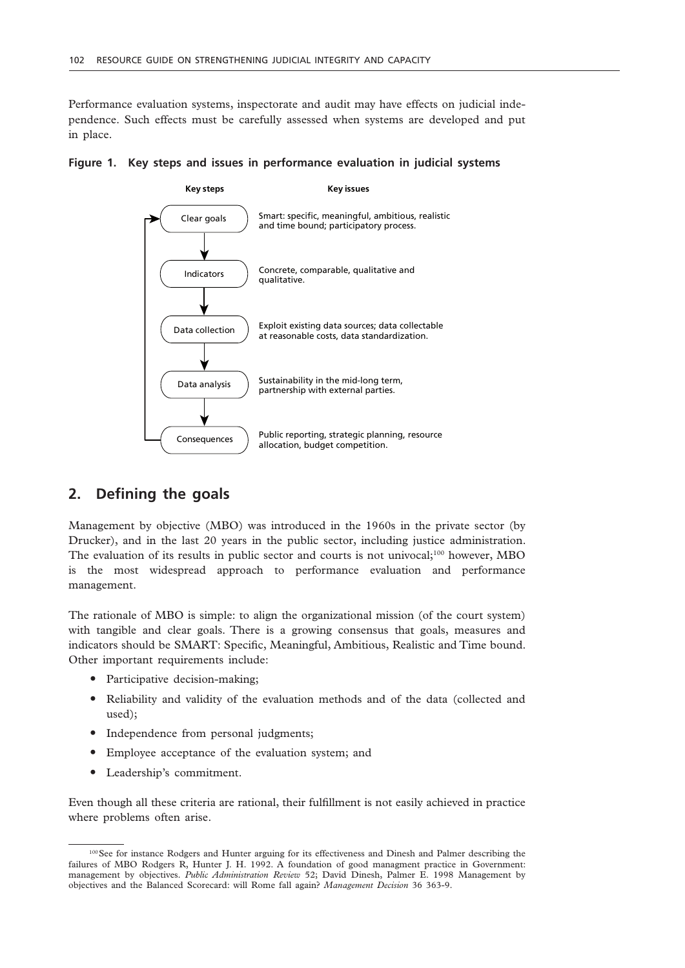Performance evaluation systems, inspectorate and audit may have effects on judicial independence. Such effects must be carefully assessed when systems are developed and put in place.



**Figure 1. Key steps and issues in performance evaluation in judicial systems**

# **2. Defining the goals**

Management by objective (MBO) was introduced in the 1960s in the private sector (by Drucker), and in the last 20 years in the public sector, including justice administration. The evaluation of its results in public sector and courts is not univocal;<sup>100</sup> however, MBO is the most widespread approach to performance evaluation and performance management.

The rationale of MBO is simple: to align the organizational mission (of the court system) with tangible and clear goals. There is a growing consensus that goals, measures and indicators should be SMART: Specific, Meaningful, Ambitious, Realistic and Time bound. Other important requirements include:

- Participative decision-making;
- " Reliability and validity of the evaluation methods and of the data (collected and used);
- Independence from personal judgments;
- " Employee acceptance of the evaluation system; and
- Leadership's commitment.

Even though all these criteria are rational, their fulfillment is not easily achieved in practice where problems often arise.

<sup>100</sup> See for instance Rodgers and Hunter arguing for its effectiveness and Dinesh and Palmer describing the failures of MBO Rodgers R, Hunter J. H. 1992. A foundation of good managment practice in Government: management by objectives. *Public Administration Review* 52; David Dinesh, Palmer E. 1998 Management by objectives and the Balanced Scorecard: will Rome fall again? *Management Decision* 36 363-9.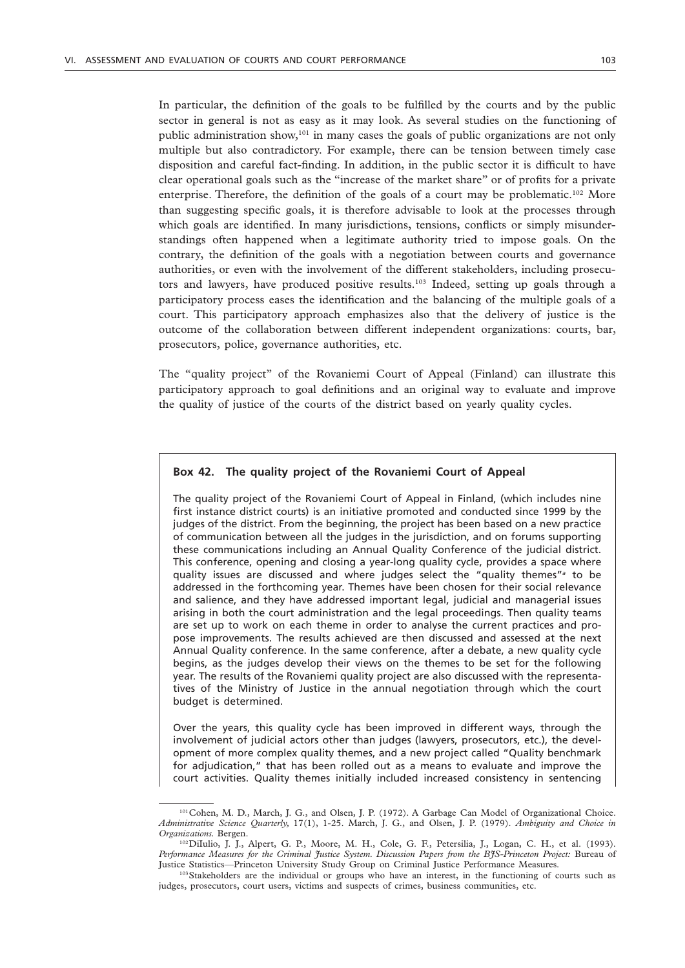In particular, the definition of the goals to be fulfilled by the courts and by the public sector in general is not as easy as it may look. As several studies on the functioning of public administration show,101 in many cases the goals of public organizations are not only multiple but also contradictory. For example, there can be tension between timely case disposition and careful fact-finding. In addition, in the public sector it is difficult to have clear operational goals such as the "increase of the market share" or of profits for a private enterprise. Therefore, the definition of the goals of a court may be problematic.<sup>102</sup> More than suggesting specific goals, it is therefore advisable to look at the processes through which goals are identified. In many jurisdictions, tensions, conflicts or simply misunderstandings often happened when a legitimate authority tried to impose goals. On the contrary, the definition of the goals with a negotiation between courts and governance authorities, or even with the involvement of the different stakeholders, including prosecutors and lawyers, have produced positive results.103 Indeed, setting up goals through a participatory process eases the identification and the balancing of the multiple goals of a court. This participatory approach emphasizes also that the delivery of justice is the outcome of the collaboration between different independent organizations: courts, bar, prosecutors, police, governance authorities, etc.

The "quality project" of the Rovaniemi Court of Appeal (Finland) can illustrate this participatory approach to goal definitions and an original way to evaluate and improve the quality of justice of the courts of the district based on yearly quality cycles.

# **Box 42. The quality project of the Rovaniemi Court of Appeal**

The quality project of the Rovaniemi Court of Appeal in Finland, (which includes nine first instance district courts) is an initiative promoted and conducted since 1999 by the judges of the district. From the beginning, the project has been based on a new practice of communication between all the judges in the jurisdiction, and on forums supporting these communications including an Annual Quality Conference of the judicial district. This conference, opening and closing a year-long quality cycle, provides a space where quality issues are discussed and where judges select the "quality themes"*<sup>a</sup>* to be addressed in the forthcoming year. Themes have been chosen for their social relevance and salience, and they have addressed important legal, judicial and managerial issues arising in both the court administration and the legal proceedings. Then quality teams are set up to work on each theme in order to analyse the current practices and propose improvements. The results achieved are then discussed and assessed at the next Annual Quality conference. In the same conference, after a debate, a new quality cycle begins, as the judges develop their views on the themes to be set for the following year. The results of the Rovaniemi quality project are also discussed with the representatives of the Ministry of Justice in the annual negotiation through which the court budget is determined.

Over the years, this quality cycle has been improved in different ways, through the involvement of judicial actors other than judges (lawyers, prosecutors, etc.), the development of more complex quality themes, and a new project called "Quality benchmark for adjudication," that has been rolled out as a means to evaluate and improve the court activities. Quality themes initially included increased consistency in sentencing

<sup>101</sup>Cohen, M. D., March, J. G., and Olsen, J. P. (1972). A Garbage Can Model of Organizational Choice. *Administrative Science Quarterly,* 17(1), 1-25. March, J. G., and Olsen, J. P. (1979). *Ambiguity and Choice in* 

<sup>&</sup>lt;sup>102</sup>DiIulio, J. J., Alpert, G. P., Moore, M. H., Cole, G. F., Petersilia, J., Logan, C. H., et al. (1993). *Performance Measures for the Criminal Justice System. Discussion Papers from the BJS-Princeton Project:* Bureau of Justice Statistics—Princeton University Study Group on Criminal Justice Performance Measures.

<sup>103</sup> Stakeholders are the individual or groups who have an interest, in the functioning of courts such as judges, prosecutors, court users, victims and suspects of crimes, business communities, etc.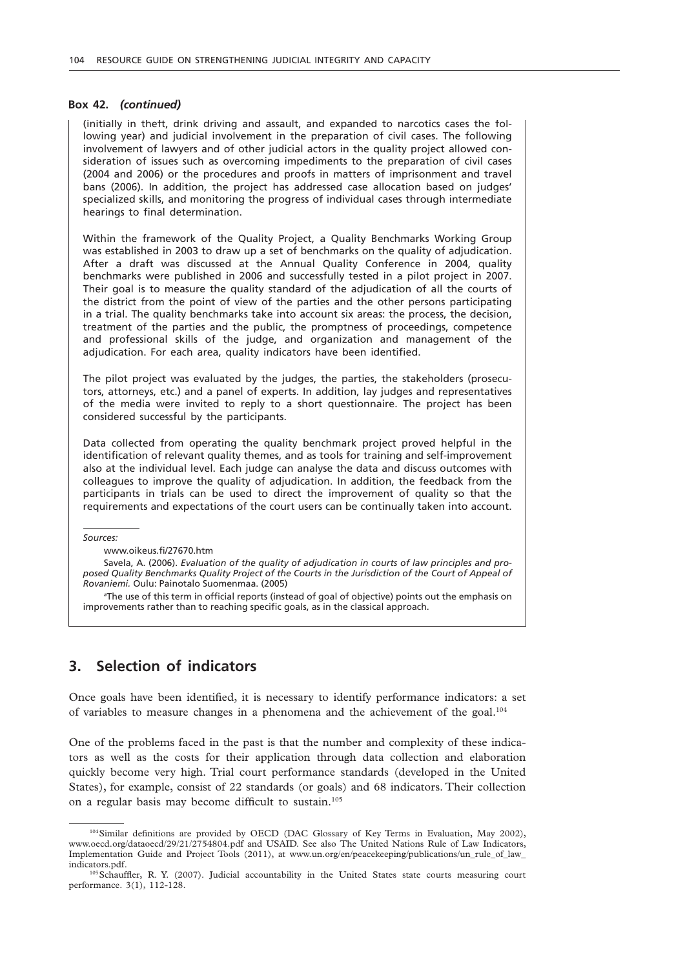# **Box 42.** *(continued)*

(initially in theft, drink driving and assault, and expanded to narcotics cases the following year) and judicial involvement in the preparation of civil cases. The following involvement of lawyers and of other judicial actors in the quality project allowed consideration of issues such as overcoming impediments to the preparation of civil cases (2004 and 2006) or the procedures and proofs in matters of imprisonment and travel bans (2006). In addition, the project has addressed case allocation based on judges' specialized skills, and monitoring the progress of individual cases through intermediate hearings to final determination.

Within the framework of the Quality Project, a Quality Benchmarks Working Group was established in 2003 to draw up a set of benchmarks on the quality of adjudication. After a draft was discussed at the Annual Quality Conference in 2004, quality benchmarks were published in 2006 and successfully tested in a pilot project in 2007. Their goal is to measure the quality standard of the adjudication of all the courts of the district from the point of view of the parties and the other persons participating in a trial. The quality benchmarks take into account six areas: the process, the decision, treatment of the parties and the public, the promptness of proceedings, competence and professional skills of the judge, and organization and management of the adjudication. For each area, quality indicators have been identified.

The pilot project was evaluated by the judges, the parties, the stakeholders (prosecutors, attorneys, etc.) and a panel of experts. In addition, lay judges and representatives of the media were invited to reply to a short questionnaire. The project has been considered successful by the participants.

Data collected from operating the quality benchmark project proved helpful in the identification of relevant quality themes, and as tools for training and self-improvement also at the individual level. Each judge can analyse the data and discuss outcomes with colleagues to improve the quality of adjudication. In addition, the feedback from the participants in trials can be used to direct the improvement of quality so that the requirements and expectations of the court users can be continually taken into account.

*Sources:*

www.oikeus.fi/27670.htm

Savela, A. (2006). *Evaluation of the quality of adjudication in courts of law principles and proposed Quality Benchmarks Quality Project of the Courts in the Jurisdiction of the Court of Appeal of Rovaniemi.* Oulu: Painotalo Suomenmaa. (2005)

*a* The use of this term in official reports (instead of goal of objective) points out the emphasis on improvements rather than to reaching specific goals, as in the classical approach.

# **3. Selection of indicators**

Once goals have been identified, it is necessary to identify performance indicators: a set of variables to measure changes in a phenomena and the achievement of the goal.<sup>104</sup>

One of the problems faced in the past is that the number and complexity of these indicators as well as the costs for their application through data collection and elaboration quickly become very high. Trial court performance standards (developed in the United States), for example, consist of 22 standards (or goals) and 68 indicators. Their collection on a regular basis may become difficult to sustain.105

<sup>104</sup>Similar definitions are provided by OECD (DAC Glossary of Key Terms in Evaluation, May 2002), www.oecd.org/dataoecd/29/21/2754804.pdf and USAID. See also The United Nations Rule of Law Indicators, Implementation Guide and Project Tools (2011), at www.un.org/en/peacekeeping/publications/un\_rule\_of\_law\_ indicators.pdf.

<sup>105</sup> Schauffler, R. Y. (2007). Judicial accountability in the United States state courts measuring court performance. 3(1), 112-128.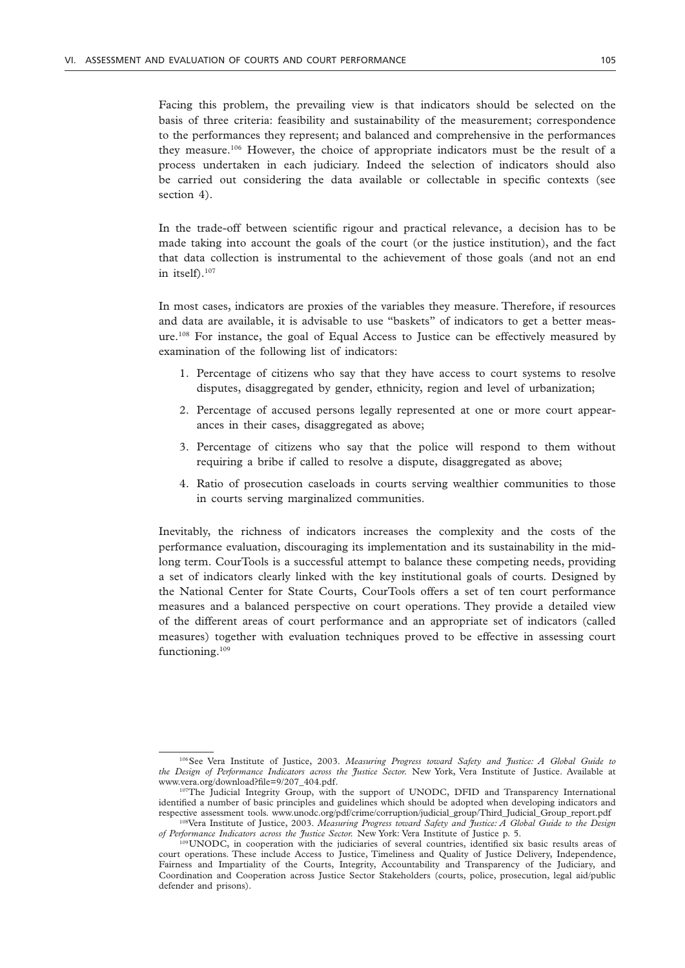Facing this problem, the prevailing view is that indicators should be selected on the basis of three criteria: feasibility and sustainability of the measurement; correspondence to the performances they represent; and balanced and comprehensive in the performances they measure.106 However, the choice of appropriate indicators must be the result of a process undertaken in each judiciary. Indeed the selection of indicators should also be carried out considering the data available or collectable in specific contexts (see section 4).

In the trade-off between scientific rigour and practical relevance, a decision has to be made taking into account the goals of the court (or the justice institution), and the fact that data collection is instrumental to the achievement of those goals (and not an end in itself).107

In most cases, indicators are proxies of the variables they measure. Therefore, if resources and data are available, it is advisable to use "baskets" of indicators to get a better measure.108 For instance, the goal of Equal Access to Justice can be effectively measured by examination of the following list of indicators:

- 1. Percentage of citizens who say that they have access to court systems to resolve disputes, disaggregated by gender, ethnicity, region and level of urbanization;
- 2. Percentage of accused persons legally represented at one or more court appearances in their cases, disaggregated as above;
- 3. Percentage of citizens who say that the police will respond to them without requiring a bribe if called to resolve a dispute, disaggregated as above;
- 4. Ratio of prosecution caseloads in courts serving wealthier communities to those in courts serving marginalized communities.

Inevitably, the richness of indicators increases the complexity and the costs of the performance evaluation, discouraging its implementation and its sustainability in the midlong term. CourTools is a successful attempt to balance these competing needs, providing a set of indicators clearly linked with the key institutional goals of courts. Designed by the National Center for State Courts, CourTools offers a set of ten court performance measures and a balanced perspective on court operations. They provide a detailed view of the different areas of court performance and an appropriate set of indicators (called measures) together with evaluation techniques proved to be effective in assessing court functioning.<sup>109</sup>

<sup>106</sup>See Vera Institute of Justice, 2003. *Measuring Progress toward Safety and Justice: A Global Guide to the Design of Performance Indicators across the Justice Sector.* New York, Vera Institute of Justice. Available at www.vera.org/download?file=9/207\_404.pdf.

<sup>&</sup>lt;sup>107</sup>The Judicial Integrity Group, with the support of UNODC, DFID and Transparency International identified a number of basic principles and guidelines which should be adopted when developing indicators and respective assessment tools. www.unodc.org/pdf/crime/corruption/judicial\_group/Third\_Judicial\_Group\_report.pdf

<sup>108</sup>Vera Institute of Justice, 2003. *Measuring Progress toward Safety and Justice: A Global Guide to the Design of Performance Indicators across the Justice Sector.* New York: Vera Institute of Justice p. 5.

<sup>109</sup>UNODC, in cooperation with the judiciaries of several countries, identified six basic results areas of court operations. These include Access to Justice, Timeliness and Quality of Justice Delivery, Independence, Fairness and Impartiality of the Courts, Integrity, Accountability and Transparency of the Judiciary, and Coordination and Cooperation across Justice Sector Stakeholders (courts, police, prosecution, legal aid/public defender and prisons).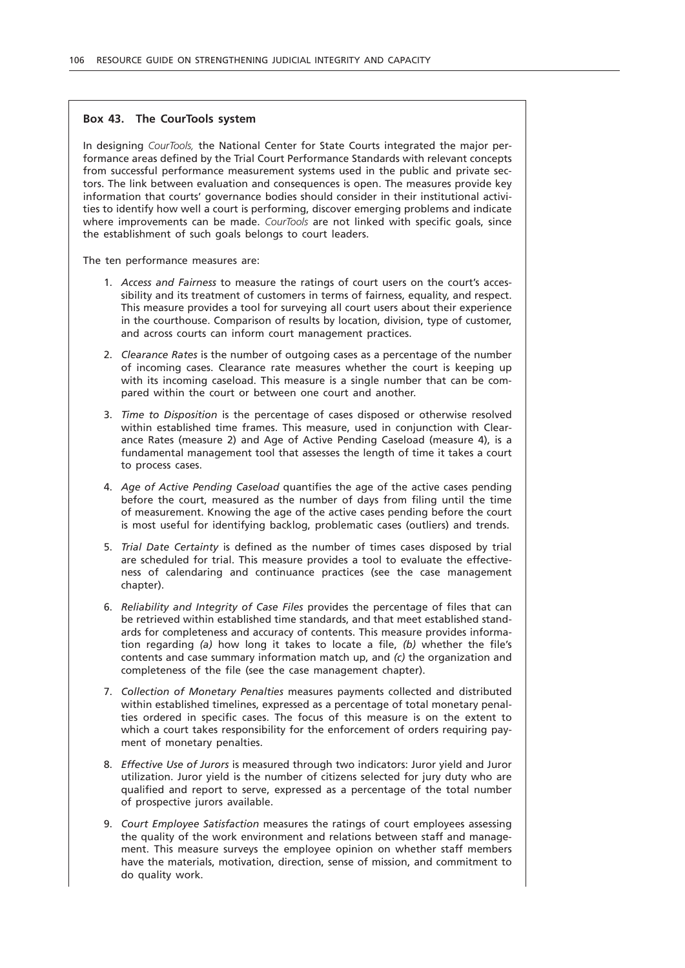# **Box 43. The CourTools system**

In designing *CourTools,* the National Center for State Courts integrated the major performance areas defined by the Trial Court Performance Standards with relevant concepts from successful performance measurement systems used in the public and private sectors. The link between evaluation and consequences is open. The measures provide key information that courts' governance bodies should consider in their institutional activities to identify how well a court is performing, discover emerging problems and indicate where improvements can be made. *CourTools* are not linked with specific goals, since the establishment of such goals belongs to court leaders.

The ten performance measures are:

- 1. *Access and Fairness* to measure the ratings of court users on the court's accessibility and its treatment of customers in terms of fairness, equality, and respect. This measure provides a tool for surveying all court users about their experience in the courthouse. Comparison of results by location, division, type of customer, and across courts can inform court management practices.
- 2. *Clearance Rates* is the number of outgoing cases as a percentage of the number of incoming cases. Clearance rate measures whether the court is keeping up with its incoming caseload. This measure is a single number that can be compared within the court or between one court and another.
- 3. *Time to Disposition* is the percentage of cases disposed or otherwise resolved within established time frames. This measure, used in conjunction with Clearance Rates (measure 2) and Age of Active Pending Caseload (measure 4), is a fundamental management tool that assesses the length of time it takes a court to process cases.
- 4. *Age of Active Pending Caseload* quantifies the age of the active cases pending before the court, measured as the number of days from filing until the time of measurement. Knowing the age of the active cases pending before the court is most useful for identifying backlog, problematic cases (outliers) and trends.
- 5. *Trial Date Certainty* is defined as the number of times cases disposed by trial are scheduled for trial. This measure provides a tool to evaluate the effectiveness of calendaring and continuance practices (see the case management chapter).
- 6. *Reliability and Integrity of Case Files* provides the percentage of files that can be retrieved within established time standards, and that meet established standards for completeness and accuracy of contents. This measure provides information regarding *(a)* how long it takes to locate a file, *(b)* whether the file's contents and case summary information match up, and *(c)* the organization and completeness of the file (see the case management chapter).
- 7. *Collection of Monetary Penalties* measures payments collected and distributed within established timelines, expressed as a percentage of total monetary penalties ordered in specific cases. The focus of this measure is on the extent to which a court takes responsibility for the enforcement of orders requiring payment of monetary penalties.
- 8. *Effective Use of Jurors* is measured through two indicators: Juror yield and Juror utilization. Juror yield is the number of citizens selected for jury duty who are qualified and report to serve, expressed as a percentage of the total number of prospective jurors available.
- 9. *Court Employee Satisfaction* measures the ratings of court employees assessing the quality of the work environment and relations between staff and management. This measure surveys the employee opinion on whether staff members have the materials, motivation, direction, sense of mission, and commitment to do quality work.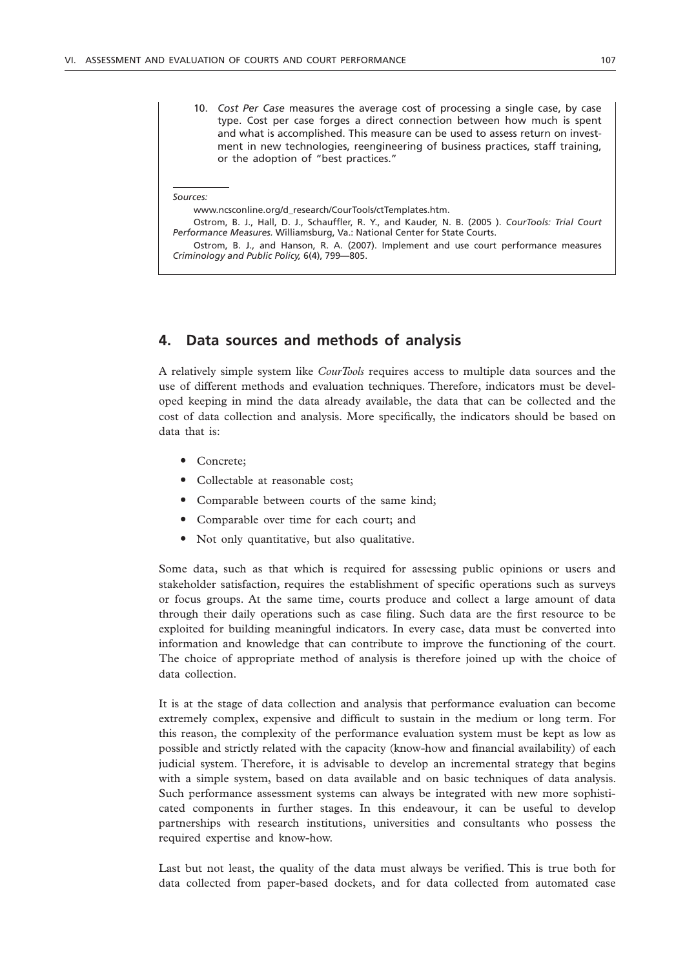10. *Cost Per Case* measures the average cost of processing a single case, by case type. Cost per case forges a direct connection between how much is spent and what is accomplished. This measure can be used to assess return on investment in new technologies, reengineering of business practices, staff training, or the adoption of "best practices."

#### *Sources:*

www.ncsconline.org/d\_research/CourTools/ctTemplates.htm.

Ostrom, B. J., Hall, D. J., Schauffler, R. Y., and Kauder, N. B. (2005 ). *CourTools: Trial Court Performance Measures.* Williamsburg, Va.: National Center for State Courts.

Ostrom, B. J., and Hanson, R. A. (2007). Implement and use court performance measures *Criminology and Public Policy,* 6(4), 799—805.

# **4. Data sources and methods of analysis**

A relatively simple system like *CourTools* requires access to multiple data sources and the use of different methods and evaluation techniques. Therefore, indicators must be developed keeping in mind the data already available, the data that can be collected and the cost of data collection and analysis. More specifically, the indicators should be based on data that is:

- Concrete:
- Collectable at reasonable cost;
- Comparable between courts of the same kind;
- Comparable over time for each court; and
- Not only quantitative, but also qualitative.

Some data, such as that which is required for assessing public opinions or users and stakeholder satisfaction, requires the establishment of specific operations such as surveys or focus groups. At the same time, courts produce and collect a large amount of data through their daily operations such as case filing. Such data are the first resource to be exploited for building meaningful indicators. In every case, data must be converted into information and knowledge that can contribute to improve the functioning of the court. The choice of appropriate method of analysis is therefore joined up with the choice of data collection.

It is at the stage of data collection and analysis that performance evaluation can become extremely complex, expensive and difficult to sustain in the medium or long term. For this reason, the complexity of the performance evaluation system must be kept as low as possible and strictly related with the capacity (know-how and financial availability) of each judicial system. Therefore, it is advisable to develop an incremental strategy that begins with a simple system, based on data available and on basic techniques of data analysis. Such performance assessment systems can always be integrated with new more sophisticated components in further stages. In this endeavour, it can be useful to develop partnerships with research institutions, universities and consultants who possess the required expertise and know-how.

Last but not least, the quality of the data must always be verified. This is true both for data collected from paper-based dockets, and for data collected from automated case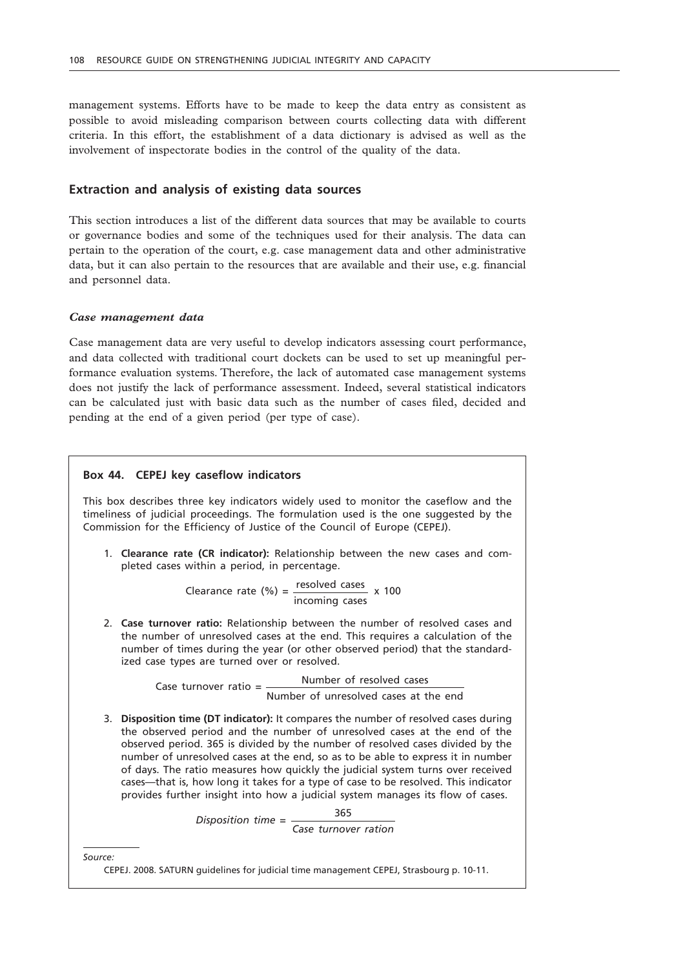management systems. Efforts have to be made to keep the data entry as consistent as possible to avoid misleading comparison between courts collecting data with different criteria. In this effort, the establishment of a data dictionary is advised as well as the involvement of inspectorate bodies in the control of the quality of the data.

# **Extraction and analysis of existing data sources**

This section introduces a list of the different data sources that may be available to courts or governance bodies and some of the techniques used for their analysis. The data can pertain to the operation of the court, e.g. case management data and other administrative data, but it can also pertain to the resources that are available and their use, e.g. financial and personnel data.

#### *Case management data*

Case management data are very useful to develop indicators assessing court performance, and data collected with traditional court dockets can be used to set up meaningful performance evaluation systems. Therefore, the lack of automated case management systems does not justify the lack of performance assessment. Indeed, several statistical indicators can be calculated just with basic data such as the number of cases filed, decided and pending at the end of a given period (per type of case).

## **Box 44. CEPEJ key caseflow indicators**

This box describes three key indicators widely used to monitor the caseflow and the timeliness of judicial proceedings. The formulation used is the one suggested by the Commission for the Efficiency of Justice of the Council of Europe (CEPEJ).

1. **Clearance rate (CR indicator):** Relationship between the new cases and completed cases within a period, in percentage.

Clearance rate (%) =  $\frac{resolved \ cases}{} \times 100$ incoming cases

2. **Case turnover ratio:** Relationship between the number of resolved cases and the number of unresolved cases at the end. This requires a calculation of the number of times during the year (or other observed period) that the standardized case types are turned over or resolved.

> Number of resolved cases Case turnover ratio = Number of unresolved cases at the end

3. **Disposition time (DT indicator):** It compares the number of resolved cases during the observed period and the number of unresolved cases at the end of the observed period. 365 is divided by the number of resolved cases divided by the number of unresolved cases at the end, so as to be able to express it in number of days. The ratio measures how quickly the judicial system turns over received cases—that is, how long it takes for a type of case to be resolved. This indicator provides further insight into how a judicial system manages its flow of cases.<br>
Disposition time 365

<sup>365</sup> *Disposition time*<sup>=</sup>

*Case turnover ration*

*Source:*

CEPEJ. 2008. SATURN guidelines for judicial time management CEPEJ, Strasbourg p. 10-11.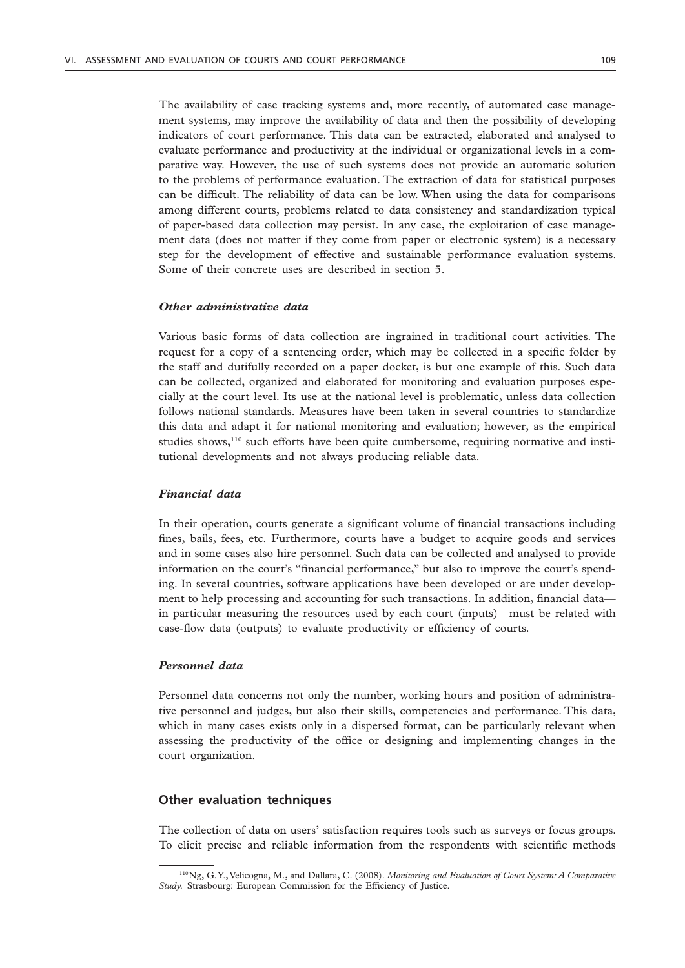The availability of case tracking systems and, more recently, of automated case management systems, may improve the availability of data and then the possibility of developing indicators of court performance. This data can be extracted, elaborated and analysed to evaluate performance and productivity at the individual or organizational levels in a comparative way. However, the use of such systems does not provide an automatic solution to the problems of performance evaluation. The extraction of data for statistical purposes can be difficult. The reliability of data can be low. When using the data for comparisons among different courts, problems related to data consistency and standardization typical of paper-based data collection may persist. In any case, the exploitation of case management data (does not matter if they come from paper or electronic system) is a necessary step for the development of effective and sustainable performance evaluation systems. Some of their concrete uses are described in section 5.

# *Other administrative data*

Various basic forms of data collection are ingrained in traditional court activities. The request for a copy of a sentencing order, which may be collected in a specific folder by the staff and dutifully recorded on a paper docket, is but one example of this. Such data can be collected, organized and elaborated for monitoring and evaluation purposes especially at the court level. Its use at the national level is problematic, unless data collection follows national standards. Measures have been taken in several countries to standardize this data and adapt it for national monitoring and evaluation; however, as the empirical studies shows, $110$  such efforts have been quite cumbersome, requiring normative and institutional developments and not always producing reliable data.

### *Financial data*

In their operation, courts generate a significant volume of financial transactions including fines, bails, fees, etc. Furthermore, courts have a budget to acquire goods and services and in some cases also hire personnel. Such data can be collected and analysed to provide information on the court's "financial performance," but also to improve the court's spending. In several countries, software applications have been developed or are under development to help processing and accounting for such transactions. In addition, financial data in particular measuring the resources used by each court (inputs)—must be related with case-flow data (outputs) to evaluate productivity or efficiency of courts.

### *Personnel data*

Personnel data concerns not only the number, working hours and position of administrative personnel and judges, but also their skills, competencies and performance. This data, which in many cases exists only in a dispersed format, can be particularly relevant when assessing the productivity of the office or designing and implementing changes in the court organization.

# **Other evaluation techniques**

The collection of data on users' satisfaction requires tools such as surveys or focus groups. To elicit precise and reliable information from the respondents with scientific methods

<sup>110</sup>Ng, G. Y., Velicogna, M., and Dallara, C. (2008). *Monitoring and Evaluation of Court System: A Comparative Study.* Strasbourg: European Commission for the Efficiency of Justice.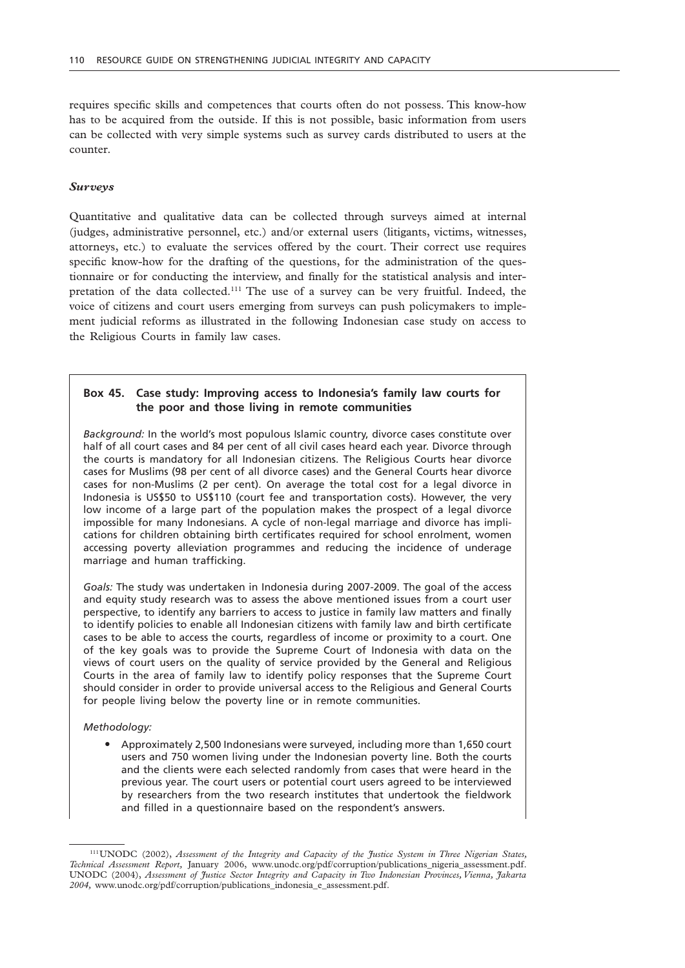requires specific skills and competences that courts often do not possess. This know-how has to be acquired from the outside. If this is not possible, basic information from users can be collected with very simple systems such as survey cards distributed to users at the counter.

### *Surveys*

Quantitative and qualitative data can be collected through surveys aimed at internal (judges, administrative personnel, etc.) and/or external users (litigants, victims, witnesses, attorneys, etc.) to evaluate the services offered by the court. Their correct use requires specific know-how for the drafting of the questions, for the administration of the questionnaire or for conducting the interview, and finally for the statistical analysis and interpretation of the data collected.111 The use of a survey can be very fruitful. Indeed, the voice of citizens and court users emerging from surveys can push policymakers to implement judicial reforms as illustrated in the following Indonesian case study on access to the Religious Courts in family law cases.

# **Box 45. Case study: Improving access to Indonesia's family law courts for the poor and those living in remote communities**

*Background:* In the world's most populous Islamic country, divorce cases constitute over half of all court cases and 84 per cent of all civil cases heard each year. Divorce through the courts is mandatory for all Indonesian citizens. The Religious Courts hear divorce cases for Muslims (98 per cent of all divorce cases) and the General Courts hear divorce cases for non-Muslims (2 per cent). On average the total cost for a legal divorce in Indonesia is US\$50 to US\$110 (court fee and transportation costs). However, the very low income of a large part of the population makes the prospect of a legal divorce impossible for many Indonesians. A cycle of non-legal marriage and divorce has implications for children obtaining birth certificates required for school enrolment, women accessing poverty alleviation programmes and reducing the incidence of underage marriage and human trafficking.

*Goals:* The study was undertaken in Indonesia during 2007-2009. The goal of the access and equity study research was to assess the above mentioned issues from a court user perspective, to identify any barriers to access to justice in family law matters and finally to identify policies to enable all Indonesian citizens with family law and birth certificate cases to be able to access the courts, regardless of income or proximity to a court. One of the key goals was to provide the Supreme Court of Indonesia with data on the views of court users on the quality of service provided by the General and Religious Courts in the area of family law to identify policy responses that the Supreme Court should consider in order to provide universal access to the Religious and General Courts for people living below the poverty line or in remote communities.

#### *Methodology:*

" Approximately 2,500 Indonesians were surveyed, including more than 1,650 court users and 750 women living under the Indonesian poverty line. Both the courts and the clients were each selected randomly from cases that were heard in the previous year. The court users or potential court users agreed to be interviewed by researchers from the two research institutes that undertook the fieldwork and filled in a questionnaire based on the respondent's answers.

<sup>111</sup>UNODC (2002), *Assessment of the Integrity and Capacity of the Justice System in Three Nigerian States, Technical Assessment Report,* January 2006, www.unodc.org/pdf/corruption/publications\_nigeria\_assessment.pdf. UNODC (2004), *Assessment of Justice Sector Integrity and Capacity in Two Indonesian Provinces, Vienna, Jakarta 2004,* www.unodc.org/pdf/corruption/publications\_indonesia\_e\_assessment.pdf.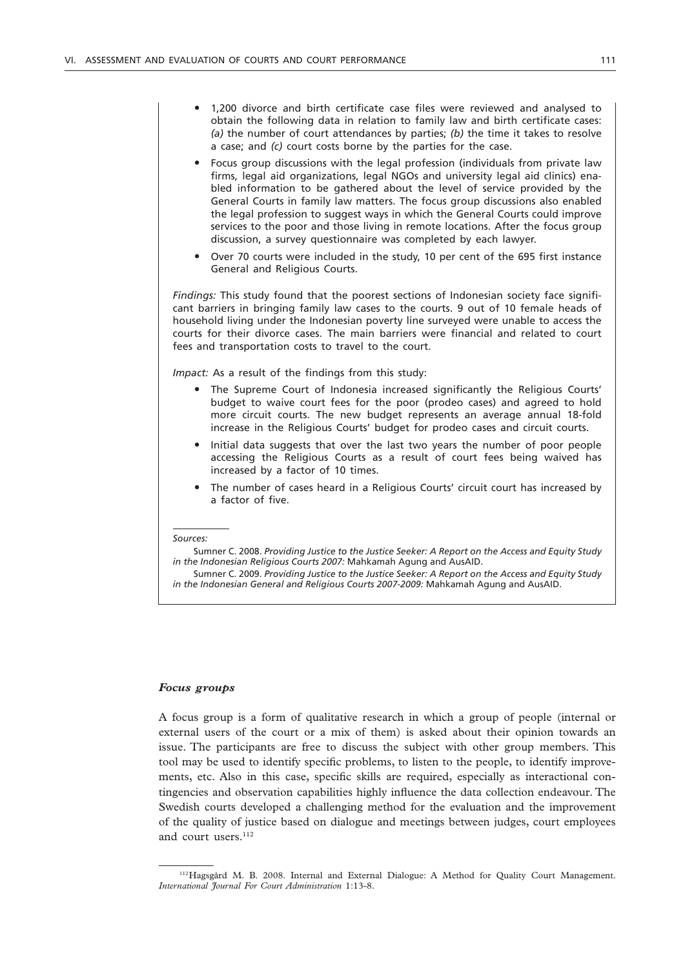- " 1,200 divorce and birth certificate case files were reviewed and analysed to obtain the following data in relation to family law and birth certificate cases: *(a)* the number of court attendances by parties; *(b)* the time it takes to resolve a case; and *(c)* court costs borne by the parties for the case.
- Focus group discussions with the legal profession (individuals from private law firms, legal aid organizations, legal NGOs and university legal aid clinics) enabled information to be gathered about the level of service provided by the General Courts in family law matters. The focus group discussions also enabled the legal profession to suggest ways in which the General Courts could improve services to the poor and those living in remote locations. After the focus group discussion, a survey questionnaire was completed by each lawyer.
- Over 70 courts were included in the study, 10 per cent of the 695 first instance General and Religious Courts.

*Findings:* This study found that the poorest sections of Indonesian society face significant barriers in bringing family law cases to the courts. 9 out of 10 female heads of household living under the Indonesian poverty line surveyed were unable to access the courts for their divorce cases. The main barriers were financial and related to court fees and transportation costs to travel to the court.

*Impact:* As a result of the findings from this study:

- The Supreme Court of Indonesia increased significantly the Religious Courts' budget to waive court fees for the poor (prodeo cases) and agreed to hold more circuit courts. The new budget represents an average annual 18-fold increase in the Religious Courts' budget for prodeo cases and circuit courts.
- " Initial data suggests that over the last two years the number of poor people accessing the Religious Courts as a result of court fees being waived has increased by a factor of 10 times.
- The number of cases heard in a Religious Courts' circuit court has increased by a factor of five.

### *Focus groups*

A focus group is a form of qualitative research in which a group of people (internal or external users of the court or a mix of them) is asked about their opinion towards an issue. The participants are free to discuss the subject with other group members. This tool may be used to identify specific problems, to listen to the people, to identify improvements, etc. Also in this case, specific skills are required, especially as interactional contingencies and observation capabilities highly influence the data collection endeavour. The Swedish courts developed a challenging method for the evaluation and the improvement of the quality of justice based on dialogue and meetings between judges, court employees and court users.<sup>112</sup>

*Sources:*

Sumner C. 2008. *Providing Justice to the Justice Seeker: A Report on the Access and Equity Study in the Indonesian Religious Courts 2007:* Mahkamah Agung and AusAID.

Sumner C. 2009. *Providing Justice to the Justice Seeker: A Report on the Access and Equity Study in the Indonesian General and Religious Courts 2007-2009:* Mahkamah Agung and AusAID.

<sup>112</sup>Hagsgård M. B. 2008. Internal and External Dialogue: A Method for Quality Court Management. *International Journal For Court Administration* 1:13-8.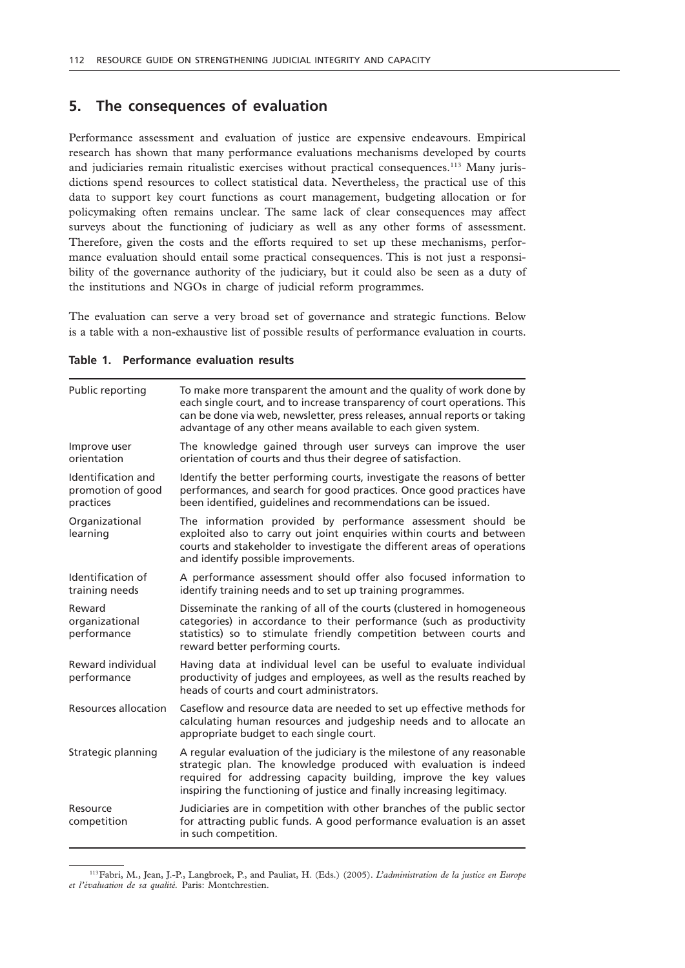# **5. The consequences of evaluation**

Performance assessment and evaluation of justice are expensive endeavours. Empirical research has shown that many performance evaluations mechanisms developed by courts and judiciaries remain ritualistic exercises without practical consequences.<sup>113</sup> Many jurisdictions spend resources to collect statistical data. Nevertheless, the practical use of this data to support key court functions as court management, budgeting allocation or for policymaking often remains unclear. The same lack of clear consequences may affect surveys about the functioning of judiciary as well as any other forms of assessment. Therefore, given the costs and the efforts required to set up these mechanisms, performance evaluation should entail some practical consequences. This is not just a responsibility of the governance authority of the judiciary, but it could also be seen as a duty of the institutions and NGOs in charge of judicial reform programmes.

The evaluation can serve a very broad set of governance and strategic functions. Below is a table with a non-exhaustive list of possible results of performance evaluation in courts.

| To make more transparent the amount and the quality of work done by<br>each single court, and to increase transparency of court operations. This<br>can be done via web, newsletter, press releases, annual reports or taking<br>advantage of any other means available to each given system. |
|-----------------------------------------------------------------------------------------------------------------------------------------------------------------------------------------------------------------------------------------------------------------------------------------------|
| The knowledge gained through user surveys can improve the user<br>orientation of courts and thus their degree of satisfaction.                                                                                                                                                                |
| Identify the better performing courts, investigate the reasons of better<br>performances, and search for good practices. Once good practices have<br>been identified, guidelines and recommendations can be issued.                                                                           |
| The information provided by performance assessment should be<br>exploited also to carry out joint enquiries within courts and between<br>courts and stakeholder to investigate the different areas of operations<br>and identify possible improvements.                                       |
| A performance assessment should offer also focused information to<br>identify training needs and to set up training programmes.                                                                                                                                                               |
| Disseminate the ranking of all of the courts (clustered in homogeneous<br>categories) in accordance to their performance (such as productivity<br>statistics) so to stimulate friendly competition between courts and<br>reward better performing courts.                                     |
| Having data at individual level can be useful to evaluate individual<br>productivity of judges and employees, as well as the results reached by<br>heads of courts and court administrators.                                                                                                  |
| Caseflow and resource data are needed to set up effective methods for<br>calculating human resources and judgeship needs and to allocate an<br>appropriate budget to each single court.                                                                                                       |
| A regular evaluation of the judiciary is the milestone of any reasonable<br>strategic plan. The knowledge produced with evaluation is indeed<br>required for addressing capacity building, improve the key values<br>inspiring the functioning of justice and finally increasing legitimacy.  |
| Judiciaries are in competition with other branches of the public sector<br>for attracting public funds. A good performance evaluation is an asset<br>in such competition.                                                                                                                     |
|                                                                                                                                                                                                                                                                                               |

### **Table 1. Performance evaluation results**

<sup>113</sup>Fabri, M., Jean, J.-P., Langbroek, P., and Pauliat, H. (Eds.) (2005). *L'administration de la justice en Europe et l'évaluation de sa qualité.* Paris: Montchrestien.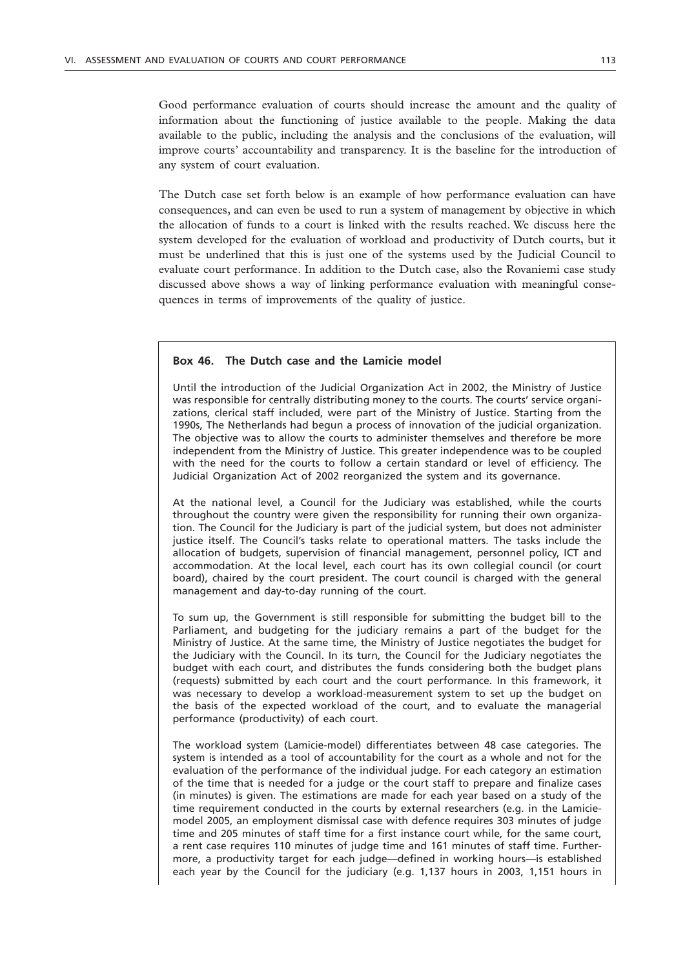Good performance evaluation of courts should increase the amount and the quality of information about the functioning of justice available to the people. Making the data available to the public, including the analysis and the conclusions of the evaluation, will improve courts' accountability and transparency. It is the baseline for the introduction of any system of court evaluation.

The Dutch case set forth below is an example of how performance evaluation can have consequences, and can even be used to run a system of management by objective in which the allocation of funds to a court is linked with the results reached. We discuss here the system developed for the evaluation of workload and productivity of Dutch courts, but it must be underlined that this is just one of the systems used by the Judicial Council to evaluate court performance. In addition to the Dutch case, also the Rovaniemi case study discussed above shows a way of linking performance evaluation with meaningful consequences in terms of improvements of the quality of justice.

## **Box 46. The Dutch case and the Lamicie model**

Until the introduction of the Judicial Organization Act in 2002, the Ministry of Justice was responsible for centrally distributing money to the courts. The courts' service organizations, clerical staff included, were part of the Ministry of Justice. Starting from the 1990s, The Netherlands had begun a process of innovation of the judicial organization. The objective was to allow the courts to administer themselves and therefore be more independent from the Ministry of Justice. This greater independence was to be coupled with the need for the courts to follow a certain standard or level of efficiency. The Judicial Organization Act of 2002 reorganized the system and its governance.

At the national level, a Council for the Judiciary was established, while the courts throughout the country were given the responsibility for running their own organization. The Council for the Judiciary is part of the judicial system, but does not administer justice itself. The Council's tasks relate to operational matters. The tasks include the allocation of budgets, supervision of financial management, personnel policy, ICT and accommodation. At the local level, each court has its own collegial council (or court board), chaired by the court president. The court council is charged with the general management and day-to-day running of the court.

To sum up, the Government is still responsible for submitting the budget bill to the Parliament, and budgeting for the judiciary remains a part of the budget for the Ministry of Justice. At the same time, the Ministry of Justice negotiates the budget for the Judiciary with the Council. In its turn, the Council for the Judiciary negotiates the budget with each court, and distributes the funds considering both the budget plans (requests) submitted by each court and the court performance. In this framework, it was necessary to develop a workload-measurement system to set up the budget on the basis of the expected workload of the court, and to evaluate the managerial performance (productivity) of each court.

The workload system (Lamicie-model) differentiates between 48 case categories. The system is intended as a tool of accountability for the court as a whole and not for the evaluation of the performance of the individual judge. For each category an estimation of the time that is needed for a judge or the court staff to prepare and finalize cases (in minutes) is given. The estimations are made for each year based on a study of the time requirement conducted in the courts by external researchers (e.g. in the Lamiciemodel 2005, an employment dismissal case with defence requires 303 minutes of judge time and 205 minutes of staff time for a first instance court while, for the same court, a rent case requires 110 minutes of judge time and 161 minutes of staff time. Furthermore, a productivity target for each judge—defined in working hours—is established each year by the Council for the judiciary (e.g. 1,137 hours in 2003, 1,151 hours in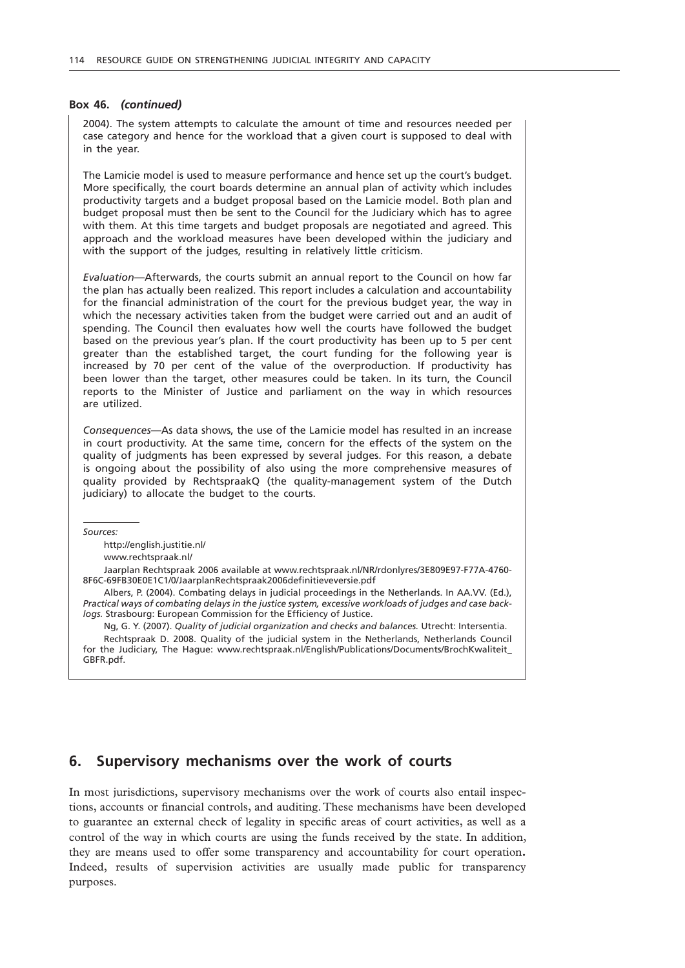#### **Box 46.** *(continued)*

2004). The system attempts to calculate the amount of time and resources needed per case category and hence for the workload that a given court is supposed to deal with in the year.

The Lamicie model is used to measure performance and hence set up the court's budget. More specifically, the court boards determine an annual plan of activity which includes productivity targets and a budget proposal based on the Lamicie model. Both plan and budget proposal must then be sent to the Council for the Judiciary which has to agree with them. At this time targets and budget proposals are negotiated and agreed. This approach and the workload measures have been developed within the judiciary and with the support of the judges, resulting in relatively little criticism.

*Evaluation*—Afterwards, the courts submit an annual report to the Council on how far the plan has actually been realized. This report includes a calculation and accountability for the financial administration of the court for the previous budget year, the way in which the necessary activities taken from the budget were carried out and an audit of spending. The Council then evaluates how well the courts have followed the budget based on the previous year's plan. If the court productivity has been up to 5 per cent greater than the established target, the court funding for the following year is increased by 70 per cent of the value of the overproduction. If productivity has been lower than the target, other measures could be taken. In its turn, the Council reports to the Minister of Justice and parliament on the way in which resources are utilized.

*Consequences*—As data shows, the use of the Lamicie model has resulted in an increase in court productivity. At the same time, concern for the effects of the system on the quality of judgments has been expressed by several judges. For this reason, a debate is ongoing about the possibility of also using the more comprehensive measures of quality provided by RechtspraakQ (the quality-management system of the Dutch judiciary) to allocate the budget to the courts.

*Sources:*

http://english.justitie.nl/

www.rechtspraak.nl/

Jaarplan Rechtspraak 2006 available at www.rechtspraak.nl/NR/rdonlyres/3E809E97-F77A-4760- 8F6C-69FB30E0E1C1/0/JaarplanRechtspraak2006definitieveversie.pdf

Albers, P. (2004). Combating delays in judicial proceedings in the Netherlands. In AA.VV. (Ed.), *Practical ways of combating delays in the justice system, excessive workloads of judges and case backlogs.* Strasbourg: European Commission for the Efficiency of Justice.

Ng, G. Y. (2007). *Quality of judicial organization and checks and balances.* Utrecht: Intersentia. Rechtspraak D. 2008. Quality of the judicial system in the Netherlands, Netherlands Council for the Judiciary, The Hague: www.rechtspraak.nl/English/Publications/Documents/BrochKwaliteit\_ GBFR.pdf.

# **6. Supervisory mechanisms over the work of courts**

In most jurisdictions, supervisory mechanisms over the work of courts also entail inspections, accounts or financial controls, and auditing. These mechanisms have been developed to guarantee an external check of legality in specific areas of court activities, as well as a control of the way in which courts are using the funds received by the state. In addition, they are means used to offer some transparency and accountability for court operation**.** Indeed, results of supervision activities are usually made public for transparency purposes.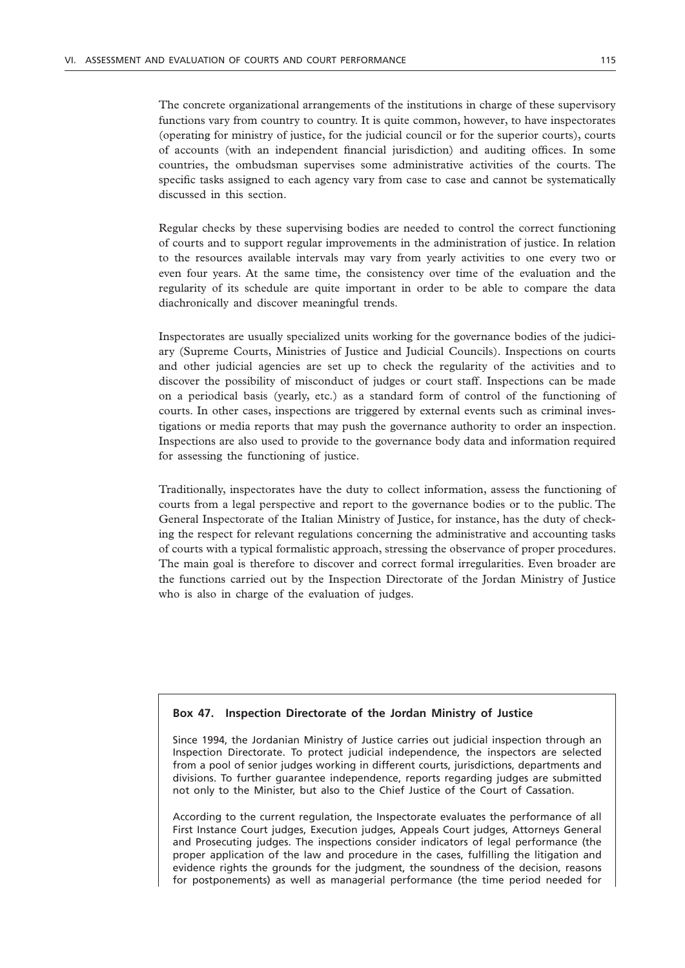The concrete organizational arrangements of the institutions in charge of these supervisory functions vary from country to country. It is quite common, however, to have inspectorates (operating for ministry of justice, for the judicial council or for the superior courts), courts of accounts (with an independent financial jurisdiction) and auditing offices. In some countries, the ombudsman supervises some administrative activities of the courts. The specific tasks assigned to each agency vary from case to case and cannot be systematically discussed in this section.

Regular checks by these supervising bodies are needed to control the correct functioning of courts and to support regular improvements in the administration of justice. In relation to the resources available intervals may vary from yearly activities to one every two or even four years. At the same time, the consistency over time of the evaluation and the regularity of its schedule are quite important in order to be able to compare the data diachronically and discover meaningful trends.

Inspectorates are usually specialized units working for the governance bodies of the judiciary (Supreme Courts, Ministries of Justice and Judicial Councils). Inspections on courts and other judicial agencies are set up to check the regularity of the activities and to discover the possibility of misconduct of judges or court staff. Inspections can be made on a periodical basis (yearly, etc.) as a standard form of control of the functioning of courts. In other cases, inspections are triggered by external events such as criminal investigations or media reports that may push the governance authority to order an inspection. Inspections are also used to provide to the governance body data and information required for assessing the functioning of justice.

Traditionally, inspectorates have the duty to collect information, assess the functioning of courts from a legal perspective and report to the governance bodies or to the public. The General Inspectorate of the Italian Ministry of Justice, for instance, has the duty of checking the respect for relevant regulations concerning the administrative and accounting tasks of courts with a typical formalistic approach, stressing the observance of proper procedures. The main goal is therefore to discover and correct formal irregularities. Even broader are the functions carried out by the Inspection Directorate of the Jordan Ministry of Justice who is also in charge of the evaluation of judges.

### **Box 47. Inspection Directorate of the Jordan Ministry of Justice**

Since 1994, the Jordanian Ministry of Justice carries out judicial inspection through an Inspection Directorate. To protect judicial independence, the inspectors are selected from a pool of senior judges working in different courts, jurisdictions, departments and divisions. To further guarantee independence, reports regarding judges are submitted not only to the Minister, but also to the Chief Justice of the Court of Cassation.

According to the current regulation, the Inspectorate evaluates the performance of all First Instance Court judges, Execution judges, Appeals Court judges, Attorneys General and Prosecuting judges. The inspections consider indicators of legal performance (the proper application of the law and procedure in the cases, fulfilling the litigation and evidence rights the grounds for the judgment, the soundness of the decision, reasons for postponements) as well as managerial performance (the time period needed for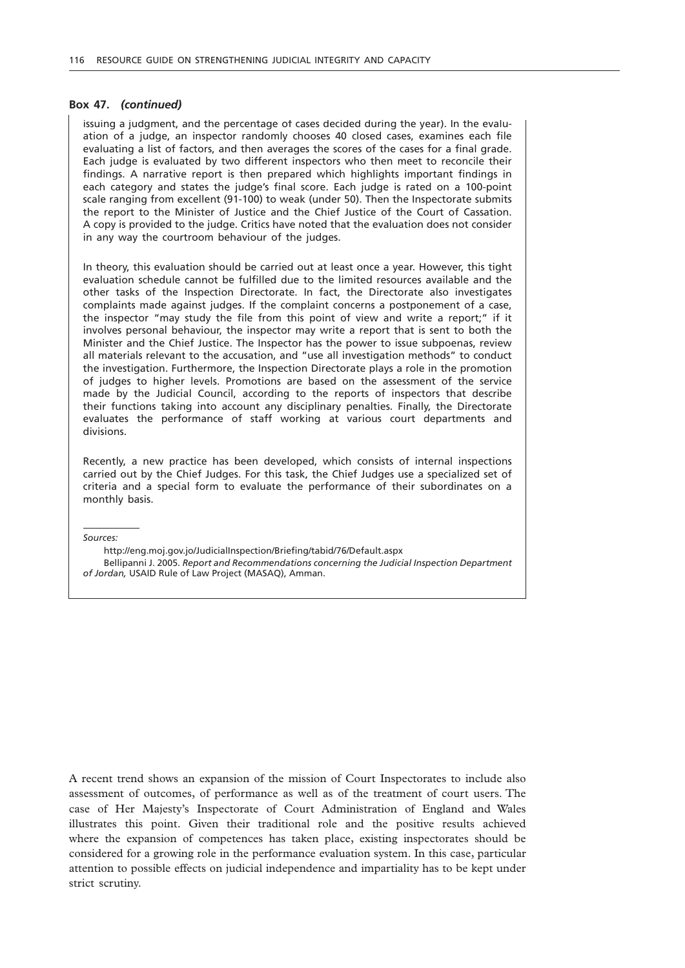#### **Box 47.** *(continued)*

issuing a judgment, and the percentage of cases decided during the year). In the evaluation of a judge, an inspector randomly chooses 40 closed cases, examines each file evaluating a list of factors, and then averages the scores of the cases for a final grade. Each judge is evaluated by two different inspectors who then meet to reconcile their findings. A narrative report is then prepared which highlights important findings in each category and states the judge's final score. Each judge is rated on a 100-point scale ranging from excellent (91-100) to weak (under 50). Then the Inspectorate submits the report to the Minister of Justice and the Chief Justice of the Court of Cassation. A copy is provided to the judge. Critics have noted that the evaluation does not consider in any way the courtroom behaviour of the judges.

In theory, this evaluation should be carried out at least once a year. However, this tight evaluation schedule cannot be fulfilled due to the limited resources available and the other tasks of the Inspection Directorate. In fact, the Directorate also investigates complaints made against judges. If the complaint concerns a postponement of a case, the inspector "may study the file from this point of view and write a report;" if it involves personal behaviour, the inspector may write a report that is sent to both the Minister and the Chief Justice. The Inspector has the power to issue subpoenas, review all materials relevant to the accusation, and "use all investigation methods" to conduct the investigation. Furthermore, the Inspection Directorate plays a role in the promotion of judges to higher levels. Promotions are based on the assessment of the service made by the Judicial Council, according to the reports of inspectors that describe their functions taking into account any disciplinary penalties. Finally, the Directorate evaluates the performance of staff working at various court departments and divisions.

Recently, a new practice has been developed, which consists of internal inspections carried out by the Chief Judges. For this task, the Chief Judges use a specialized set of criteria and a special form to evaluate the performance of their subordinates on a monthly basis.

*Sources:*

http://eng.moj.gov.jo/JudicialInspection/Briefing/tabid/76/Default.aspx

Bellipanni J. 2005. *Report and Recommendations concerning the Judicial Inspection Department of Jordan,* USAID Rule of Law Project (MASAQ), Amman.

A recent trend shows an expansion of the mission of Court Inspectorates to include also assessment of outcomes, of performance as well as of the treatment of court users. The case of Her Majesty's Inspectorate of Court Administration of England and Wales illustrates this point. Given their traditional role and the positive results achieved where the expansion of competences has taken place, existing inspectorates should be considered for a growing role in the performance evaluation system. In this case, particular attention to possible effects on judicial independence and impartiality has to be kept under strict scrutiny.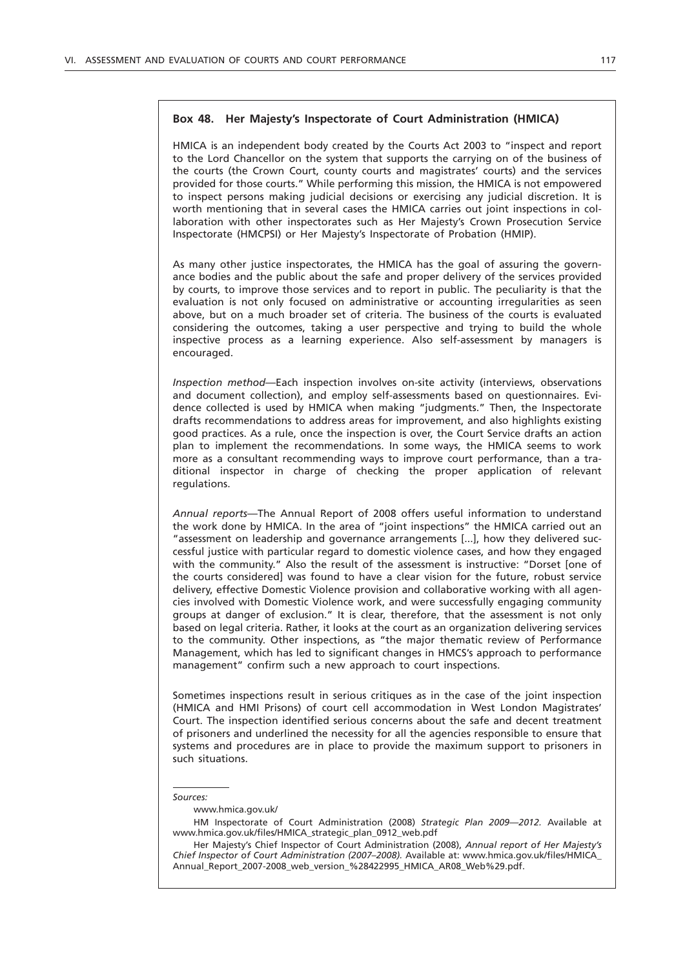# **Box 48. Her Majesty's Inspectorate of Court Administration (HMICA)**

HMICA is an independent body created by the Courts Act 2003 to "inspect and report to the Lord Chancellor on the system that supports the carrying on of the business of the courts (the Crown Court, county courts and magistrates' courts) and the services provided for those courts." While performing this mission, the HMICA is not empowered to inspect persons making judicial decisions or exercising any judicial discretion. It is worth mentioning that in several cases the HMICA carries out joint inspections in collaboration with other inspectorates such as Her Majesty's Crown Prosecution Service Inspectorate (HMCPSI) or Her Majesty's Inspectorate of Probation (HMIP).

As many other justice inspectorates, the HMICA has the goal of assuring the governance bodies and the public about the safe and proper delivery of the services provided by courts, to improve those services and to report in public. The peculiarity is that the evaluation is not only focused on administrative or accounting irregularities as seen above, but on a much broader set of criteria. The business of the courts is evaluated considering the outcomes, taking a user perspective and trying to build the whole inspective process as a learning experience. Also self-assessment by managers is encouraged.

*Inspection method*—Each inspection involves on-site activity (interviews, observations and document collection), and employ self-assessments based on questionnaires. Evidence collected is used by HMICA when making "judgments." Then, the Inspectorate drafts recommendations to address areas for improvement, and also highlights existing good practices. As a rule, once the inspection is over, the Court Service drafts an action plan to implement the recommendations. In some ways, the HMICA seems to work more as a consultant recommending ways to improve court performance, than a traditional inspector in charge of checking the proper application of relevant regulations.

*Annual reports*—The Annual Report of 2008 offers useful information to understand the work done by HMICA. In the area of "joint inspections" the HMICA carried out an "assessment on leadership and governance arrangements [...], how they delivered successful justice with particular regard to domestic violence cases, and how they engaged with the community." Also the result of the assessment is instructive: "Dorset [one of the courts considered] was found to have a clear vision for the future, robust service delivery, effective Domestic Violence provision and collaborative working with all agencies involved with Domestic Violence work, and were successfully engaging community groups at danger of exclusion." It is clear, therefore, that the assessment is not only based on legal criteria. Rather, it looks at the court as an organization delivering services to the community. Other inspections, as "the major thematic review of Performance Management, which has led to significant changes in HMCS's approach to performance management" confirm such a new approach to court inspections.

Sometimes inspections result in serious critiques as in the case of the joint inspection (HMICA and HMI Prisons) of court cell accommodation in West London Magistrates' Court. The inspection identified serious concerns about the safe and decent treatment of prisoners and underlined the necessity for all the agencies responsible to ensure that systems and procedures are in place to provide the maximum support to prisoners in such situations.

#### *Sources:*

#### www.hmica.gov.uk/

HM Inspectorate of Court Administration (2008) *Strategic Plan 2009—2012.* Available at www.hmica.gov.uk/files/HMICA\_strategic\_plan\_0912\_web.pdf

Her Majesty's Chief Inspector of Court Administration (2008), *Annual report of Her Majesty's Chief Inspector of Court Administration (2007–2008).* Available at: www.hmica.gov.uk/files/HMICA\_ Annual\_Report\_2007-2008\_web\_version\_%28422995\_HMICA\_AR08\_Web%29.pdf.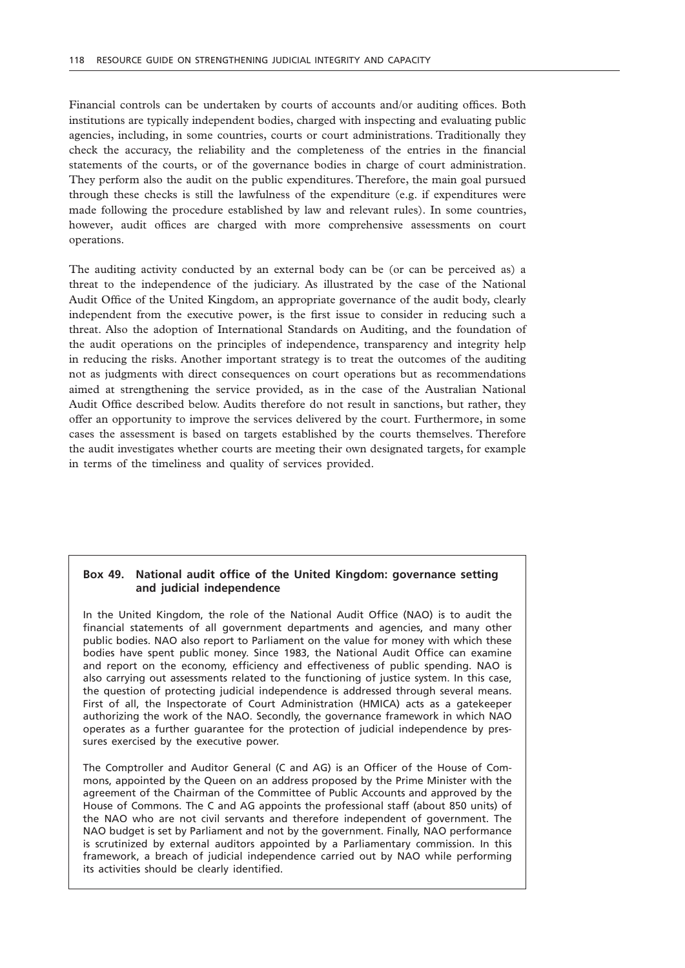Financial controls can be undertaken by courts of accounts and/or auditing offices. Both institutions are typically independent bodies, charged with inspecting and evaluating public agencies, including, in some countries, courts or court administrations. Traditionally they check the accuracy, the reliability and the completeness of the entries in the financial statements of the courts, or of the governance bodies in charge of court administration. They perform also the audit on the public expenditures. Therefore, the main goal pursued through these checks is still the lawfulness of the expenditure (e.g. if expenditures were made following the procedure established by law and relevant rules). In some countries, however, audit offices are charged with more comprehensive assessments on court operations.

The auditing activity conducted by an external body can be (or can be perceived as) a threat to the independence of the judiciary. As illustrated by the case of the National Audit Office of the United Kingdom, an appropriate governance of the audit body, clearly independent from the executive power, is the first issue to consider in reducing such a threat. Also the adoption of International Standards on Auditing, and the foundation of the audit operations on the principles of independence, transparency and integrity help in reducing the risks. Another important strategy is to treat the outcomes of the auditing not as judgments with direct consequences on court operations but as recommendations aimed at strengthening the service provided, as in the case of the Australian National Audit Office described below. Audits therefore do not result in sanctions, but rather, they offer an opportunity to improve the services delivered by the court. Furthermore, in some cases the assessment is based on targets established by the courts themselves. Therefore the audit investigates whether courts are meeting their own designated targets, for example in terms of the timeliness and quality of services provided.

# **Box 49. National audit office of the United Kingdom: governance setting and judicial independence**

In the United Kingdom, the role of the National Audit Office (NAO) is to audit the financial statements of all government departments and agencies, and many other public bodies. NAO also report to Parliament on the value for money with which these bodies have spent public money. Since 1983, the National Audit Office can examine and report on the economy, efficiency and effectiveness of public spending. NAO is also carrying out assessments related to the functioning of justice system. In this case, the question of protecting judicial independence is addressed through several means. First of all, the Inspectorate of Court Administration (HMICA) acts as a gatekeeper authorizing the work of the NAO. Secondly, the governance framework in which NAO operates as a further guarantee for the protection of judicial independence by pressures exercised by the executive power.

The Comptroller and Auditor General (C and AG) is an Officer of the House of Commons, appointed by the Queen on an address proposed by the Prime Minister with the agreement of the Chairman of the Committee of Public Accounts and approved by the House of Commons. The C and AG appoints the professional staff (about 850 units) of the NAO who are not civil servants and therefore independent of government. The NAO budget is set by Parliament and not by the government. Finally, NAO performance is scrutinized by external auditors appointed by a Parliamentary commission. In this framework, a breach of judicial independence carried out by NAO while performing its activities should be clearly identified.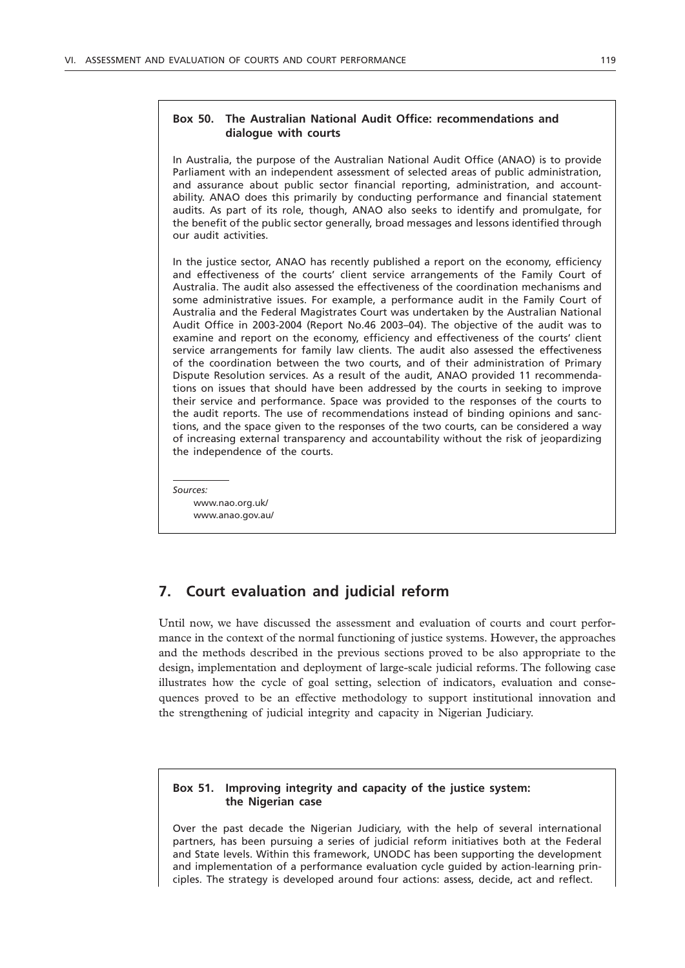In Australia, the purpose of the Australian National Audit Office (ANAO) is to provide Parliament with an independent assessment of selected areas of public administration, and assurance about public sector financial reporting, administration, and accountability. ANAO does this primarily by conducting performance and financial statement audits. As part of its role, though, ANAO also seeks to identify and promulgate, for the benefit of the public sector generally, broad messages and lessons identified through our audit activities.

In the justice sector, ANAO has recently published a report on the economy, efficiency and effectiveness of the courts' client service arrangements of the Family Court of Australia. The audit also assessed the effectiveness of the coordination mechanisms and some administrative issues. For example, a performance audit in the Family Court of Australia and the Federal Magistrates Court was undertaken by the Australian National Audit Office in 2003-2004 (Report No.46 2003–04). The objective of the audit was to examine and report on the economy, efficiency and effectiveness of the courts' client service arrangements for family law clients. The audit also assessed the effectiveness of the coordination between the two courts, and of their administration of Primary Dispute Resolution services. As a result of the audit, ANAO provided 11 recommendations on issues that should have been addressed by the courts in seeking to improve their service and performance. Space was provided to the responses of the courts to the audit reports. The use of recommendations instead of binding opinions and sanctions, and the space given to the responses of the two courts, can be considered a way of increasing external transparency and accountability without the risk of jeopardizing the independence of the courts.

*Sources:* www.nao.org.uk/ www.anao.gov.au/

# **7. Court evaluation and judicial reform**

Until now, we have discussed the assessment and evaluation of courts and court performance in the context of the normal functioning of justice systems. However, the approaches and the methods described in the previous sections proved to be also appropriate to the design, implementation and deployment of large-scale judicial reforms. The following case illustrates how the cycle of goal setting, selection of indicators, evaluation and consequences proved to be an effective methodology to support institutional innovation and the strengthening of judicial integrity and capacity in Nigerian Judiciary.

### **Box 51. Improving integrity and capacity of the justice system: the Nigerian case**

Over the past decade the Nigerian Judiciary, with the help of several international partners, has been pursuing a series of judicial reform initiatives both at the Federal and State levels. Within this framework, UNODC has been supporting the development and implementation of a performance evaluation cycle guided by action-learning principles. The strategy is developed around four actions: assess, decide, act and reflect.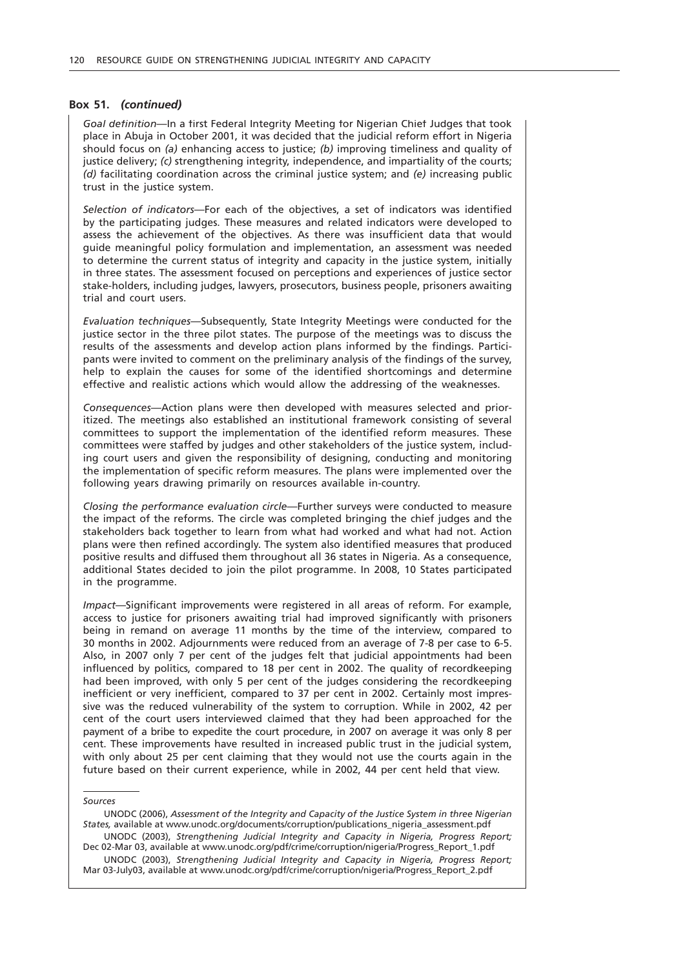#### **Box 51.** *(continued)*

*Goal definition*—In a first Federal Integrity Meeting for Nigerian Chief Judges that took place in Abuja in October 2001, it was decided that the judicial reform effort in Nigeria should focus on *(a)* enhancing access to justice; *(b)* improving timeliness and quality of justice delivery; *(c)* strengthening integrity, independence, and impartiality of the courts; *(d)* facilitating coordination across the criminal justice system; and *(e)* increasing public trust in the justice system.

*Selection of indicators*—For each of the objectives, a set of indicators was identified by the participating judges. These measures and related indicators were developed to assess the achievement of the objectives. As there was insufficient data that would guide meaningful policy formulation and implementation, an assessment was needed to determine the current status of integrity and capacity in the justice system, initially in three states. The assessment focused on perceptions and experiences of justice sector stake-holders, including judges, lawyers, prosecutors, business people, prisoners awaiting trial and court users.

*Evaluation techniques*—Subsequently, State Integrity Meetings were conducted for the justice sector in the three pilot states. The purpose of the meetings was to discuss the results of the assessments and develop action plans informed by the findings. Participants were invited to comment on the preliminary analysis of the findings of the survey, help to explain the causes for some of the identified shortcomings and determine effective and realistic actions which would allow the addressing of the weaknesses.

*Consequences*—Action plans were then developed with measures selected and prioritized. The meetings also established an institutional framework consisting of several committees to support the implementation of the identified reform measures. These committees were staffed by judges and other stakeholders of the justice system, including court users and given the responsibility of designing, conducting and monitoring the implementation of specific reform measures. The plans were implemented over the following years drawing primarily on resources available in-country.

*Closing the performance evaluation circle*—Further surveys were conducted to measure the impact of the reforms. The circle was completed bringing the chief judges and the stakeholders back together to learn from what had worked and what had not. Action plans were then refined accordingly. The system also identified measures that produced positive results and diffused them throughout all 36 states in Nigeria. As a consequence, additional States decided to join the pilot programme. In 2008, 10 States participated in the programme.

*Impact*—Significant improvements were registered in all areas of reform. For example, access to justice for prisoners awaiting trial had improved significantly with prisoners being in remand on average 11 months by the time of the interview, compared to 30 months in 2002. Adjournments were reduced from an average of 7-8 per case to 6-5. Also, in 2007 only 7 per cent of the judges felt that judicial appointments had been influenced by politics, compared to 18 per cent in 2002. The quality of recordkeeping had been improved, with only 5 per cent of the judges considering the recordkeeping inefficient or very inefficient, compared to 37 per cent in 2002. Certainly most impressive was the reduced vulnerability of the system to corruption. While in 2002, 42 per cent of the court users interviewed claimed that they had been approached for the payment of a bribe to expedite the court procedure, in 2007 on average it was only 8 per cent. These improvements have resulted in increased public trust in the judicial system, with only about 25 per cent claiming that they would not use the courts again in the future based on their current experience, while in 2002, 44 per cent held that view.

#### *Sources*

UNODC (2006), *Assessment of the Integrity and Capacity of the Justice System in three Nigerian States,* available at www.unodc.org/documents/corruption/publications\_nigeria\_assessment.pdf

UNODC (2003), *Strengthening Judicial Integrity and Capacity in Nigeria, Progress Report;* Dec 02-Mar 03, available at www.unodc.org/pdf/crime/corruption/nigeria/Progress\_Report\_1.pdf UNODC (2003), *Strengthening Judicial Integrity and Capacity in Nigeria, Progress Report;* Mar 03-July03, available at www.unodc.org/pdf/crime/corruption/nigeria/Progress\_Report\_2.pdf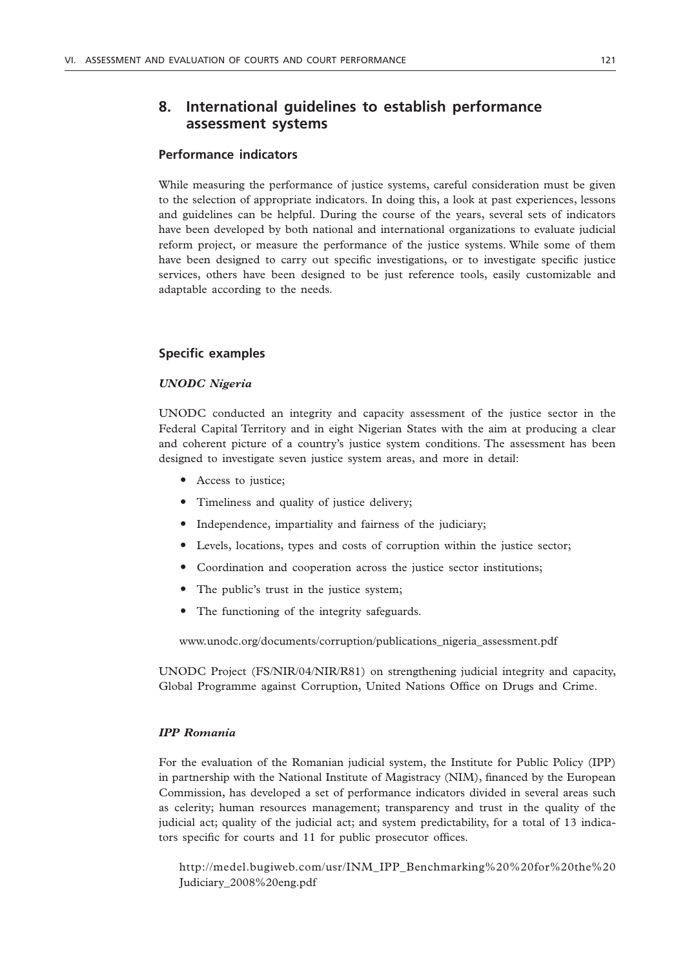# **8. International guidelines to establish performance assessment systems**

# **Performance indicators**

While measuring the performance of justice systems, careful consideration must be given to the selection of appropriate indicators. In doing this, a look at past experiences, lessons and guidelines can be helpful. During the course of the years, several sets of indicators have been developed by both national and international organizations to evaluate judicial reform project, or measure the performance of the justice systems. While some of them have been designed to carry out specific investigations, or to investigate specific justice services, others have been designed to be just reference tools, easily customizable and adaptable according to the needs.

# **Specific examples**

# *UNODC Nigeria*

UNODC conducted an integrity and capacity assessment of the justice sector in the Federal Capital Territory and in eight Nigerian States with the aim at producing a clear and coherent picture of a country's justice system conditions. The assessment has been designed to investigate seven justice system areas, and more in detail:

- Access to justice;
- Timeliness and quality of justice delivery;
- Independence, impartiality and fairness of the judiciary;
- Levels, locations, types and costs of corruption within the justice sector;
- Coordination and cooperation across the justice sector institutions;
- The public's trust in the justice system;
- The functioning of the integrity safeguards.

www.unodc.org/documents/corruption/publications\_nigeria\_assessment.pdf

UNODC Project (FS/NIR/04/NIR/R81) on strengthening judicial integrity and capacity, Global Programme against Corruption, United Nations Office on Drugs and Crime.

### *IPP Romania*

For the evaluation of the Romanian judicial system, the Institute for Public Policy (IPP) in partnership with the National Institute of Magistracy (NIM), financed by the European Commission, has developed a set of performance indicators divided in several areas such as celerity; human resources management; transparency and trust in the quality of the judicial act; quality of the judicial act; and system predictability, for a total of 13 indicators specific for courts and 11 for public prosecutor offices.

http://medel.bugiweb.com/usr/INM\_IPP\_Benchmarking%20%20for%20the%20 Judiciary\_2008%20eng.pdf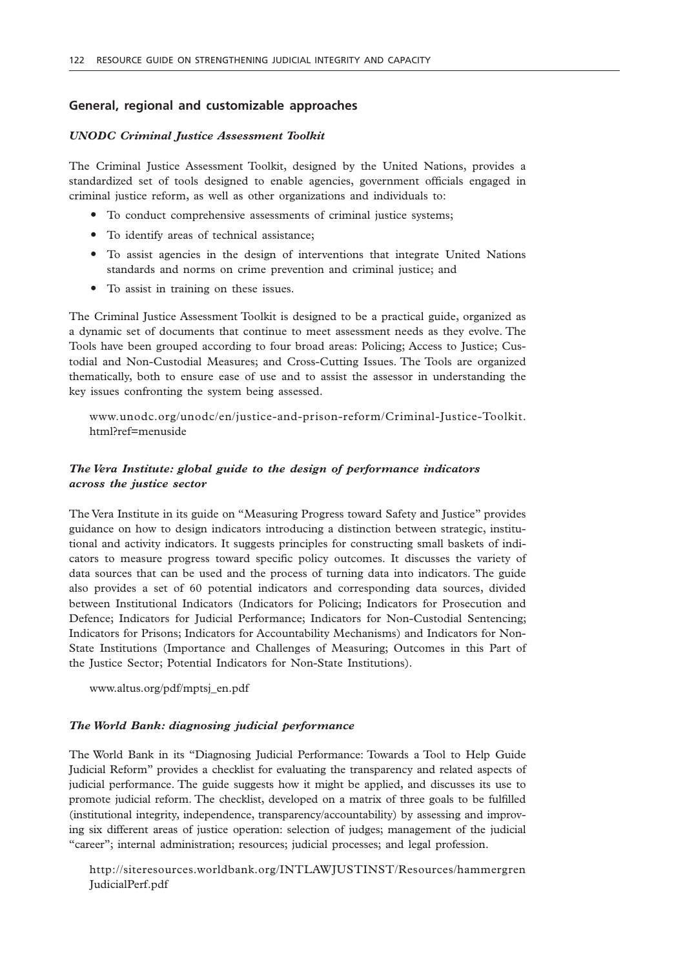# **General, regional and customizable approaches**

#### *UNODC Criminal Justice Assessment Toolkit*

The Criminal Justice Assessment Toolkit, designed by the United Nations, provides a standardized set of tools designed to enable agencies, government officials engaged in criminal justice reform, as well as other organizations and individuals to:

- To conduct comprehensive assessments of criminal justice systems;
- To identify areas of technical assistance;
- " To assist agencies in the design of interventions that integrate United Nations standards and norms on crime prevention and criminal justice; and
- To assist in training on these issues.

The Criminal Justice Assessment Toolkit is designed to be a practical guide, organized as a dynamic set of documents that continue to meet assessment needs as they evolve. The Tools have been grouped according to four broad areas: Policing; Access to Justice; Custodial and Non-Custodial Measures; and Cross-Cutting Issues. The Tools are organized thematically, both to ensure ease of use and to assist the assessor in understanding the key issues confronting the system being assessed.

www.unodc.org/unodc/en/justice-and-prison-reform/Criminal-Justice-Toolkit. html?ref=menuside

# *The Vera Institute: global guide to the design of performance indicators across the justice sector*

The Vera Institute in its guide on "Measuring Progress toward Safety and Justice" provides guidance on how to design indicators introducing a distinction between strategic, institutional and activity indicators. It suggests principles for constructing small baskets of indicators to measure progress toward specific policy outcomes. It discusses the variety of data sources that can be used and the process of turning data into indicators. The guide also provides a set of 60 potential indicators and corresponding data sources, divided between Institutional Indicators (Indicators for Policing; Indicators for Prosecution and Defence; Indicators for Judicial Performance; Indicators for Non-Custodial Sentencing; Indicators for Prisons; Indicators for Accountability Mechanisms) and Indicators for Non-State Institutions (Importance and Challenges of Measuring; Outcomes in this Part of the Justice Sector; Potential Indicators for Non-State Institutions).

www.altus.org/pdf/mptsj\_en.pdf

#### *The World Bank: diagnosing judicial performance*

The World Bank in its "Diagnosing Judicial Performance: Towards a Tool to Help Guide Judicial Reform" provides a checklist for evaluating the transparency and related aspects of judicial performance. The guide suggests how it might be applied, and discusses its use to promote judicial reform. The checklist, developed on a matrix of three goals to be fulfilled (institutional integrity, independence, transparency/accountability) by assessing and improving six different areas of justice operation: selection of judges; management of the judicial "career"; internal administration; resources; judicial processes; and legal profession.

http://siteresources.worldbank.org/INTLAWJUSTINST/Resources/hammergren JudicialPerf.pdf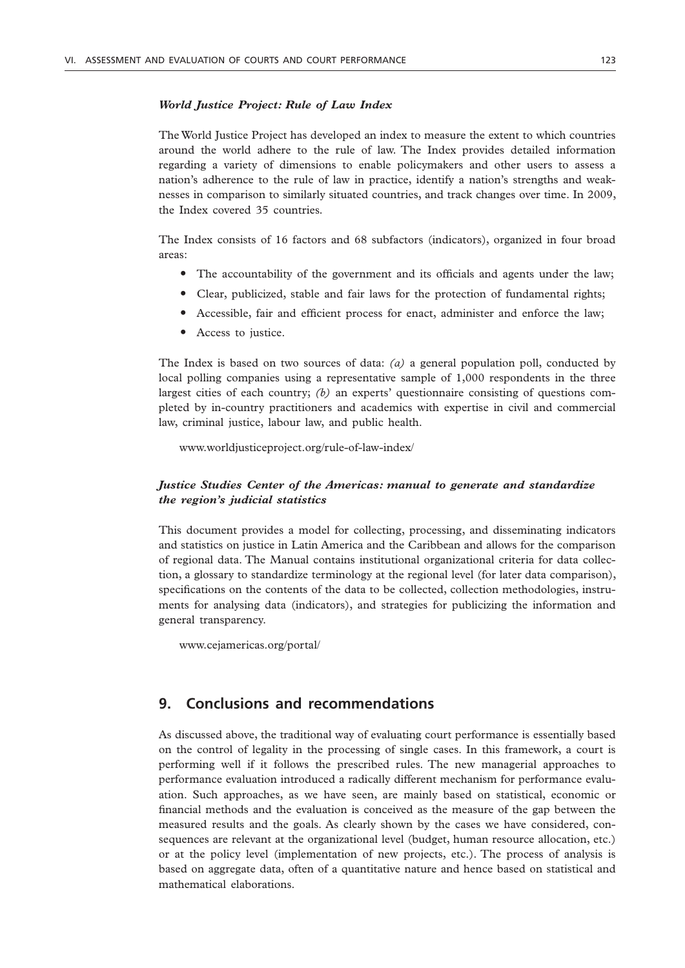### *World Justice Project: Rule of Law Index*

The World Justice Project has developed an index to measure the extent to which countries around the world adhere to the rule of law. The Index provides detailed information regarding a variety of dimensions to enable policymakers and other users to assess a nation's adherence to the rule of law in practice, identify a nation's strengths and weaknesses in comparison to similarly situated countries, and track changes over time. In 2009, the Index covered 35 countries.

The Index consists of 16 factors and 68 subfactors (indicators), organized in four broad areas:

- The accountability of the government and its officials and agents under the law;
- Clear, publicized, stable and fair laws for the protection of fundamental rights;
- " Accessible, fair and efficient process for enact, administer and enforce the law;
- Access to justice.

The Index is based on two sources of data: *(a)* a general population poll, conducted by local polling companies using a representative sample of 1,000 respondents in the three largest cities of each country; *(b)* an experts' questionnaire consisting of questions completed by in-country practitioners and academics with expertise in civil and commercial law, criminal justice, labour law, and public health.

www.worldjusticeproject.org/rule-of-law-index/

# *Justice Studies Center of the Americas: manual to generate and standardize the region's judicial statistics*

This document provides a model for collecting, processing, and disseminating indicators and statistics on justice in Latin America and the Caribbean and allows for the comparison of regional data. The Manual contains institutional organizational criteria for data collection, a glossary to standardize terminology at the regional level (for later data comparison), specifications on the contents of the data to be collected, collection methodologies, instruments for analysing data (indicators), and strategies for publicizing the information and general transparency.

www.cejamericas.org/portal/

# **9. Conclusions and recommendations**

As discussed above, the traditional way of evaluating court performance is essentially based on the control of legality in the processing of single cases. In this framework, a court is performing well if it follows the prescribed rules. The new managerial approaches to performance evaluation introduced a radically different mechanism for performance evaluation. Such approaches, as we have seen, are mainly based on statistical, economic or financial methods and the evaluation is conceived as the measure of the gap between the measured results and the goals. As clearly shown by the cases we have considered, consequences are relevant at the organizational level (budget, human resource allocation, etc.) or at the policy level (implementation of new projects, etc.). The process of analysis is based on aggregate data, often of a quantitative nature and hence based on statistical and mathematical elaborations.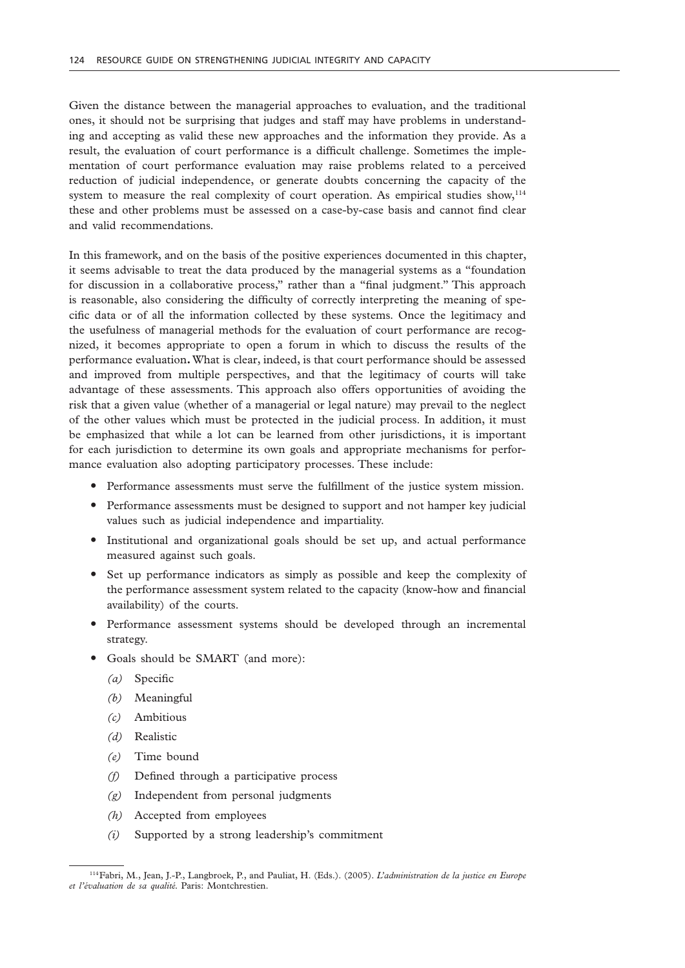Given the distance between the managerial approaches to evaluation, and the traditional ones, it should not be surprising that judges and staff may have problems in understanding and accepting as valid these new approaches and the information they provide. As a result, the evaluation of court performance is a difficult challenge. Sometimes the implementation of court performance evaluation may raise problems related to a perceived reduction of judicial independence, or generate doubts concerning the capacity of the system to measure the real complexity of court operation. As empirical studies show, $114$ these and other problems must be assessed on a case-by-case basis and cannot find clear and valid recommendations.

In this framework, and on the basis of the positive experiences documented in this chapter, it seems advisable to treat the data produced by the managerial systems as a "foundation for discussion in a collaborative process," rather than a "final judgment." This approach is reasonable, also considering the difficulty of correctly interpreting the meaning of specific data or of all the information collected by these systems. Once the legitimacy and the usefulness of managerial methods for the evaluation of court performance are recognized, it becomes appropriate to open a forum in which to discuss the results of the performance evaluation**.** What is clear, indeed, is that court performance should be assessed and improved from multiple perspectives, and that the legitimacy of courts will take advantage of these assessments. This approach also offers opportunities of avoiding the risk that a given value (whether of a managerial or legal nature) may prevail to the neglect of the other values which must be protected in the judicial process. In addition, it must be emphasized that while a lot can be learned from other jurisdictions, it is important for each jurisdiction to determine its own goals and appropriate mechanisms for performance evaluation also adopting participatory processes. These include:

- " Performance assessments must serve the fulfillment of the justice system mission.
- " Performance assessments must be designed to support and not hamper key judicial values such as judicial independence and impartiality.
- " Institutional and organizational goals should be set up, and actual performance measured against such goals.
- " Set up performance indicators as simply as possible and keep the complexity of the performance assessment system related to the capacity (know-how and financial availability) of the courts.
- " Performance assessment systems should be developed through an incremental strategy.
- Goals should be SMART (and more):
	- *(a)* Specific
	- *(b)* Meaningful
	- *(c)* Ambitious
	- *(d)* Realistic
	- *(e)* Time bound
	- *(f)* Defined through a participative process
	- *(g)* Independent from personal judgments
	- *(h)* Accepted from employees
	- *(i)* Supported by a strong leadership's commitment

<sup>114</sup>Fabri, M., Jean, J.-P., Langbroek, P., and Pauliat, H. (Eds.). (2005). *L'administration de la justice en Europe et l'évaluation de sa qualité.* Paris: Montchrestien.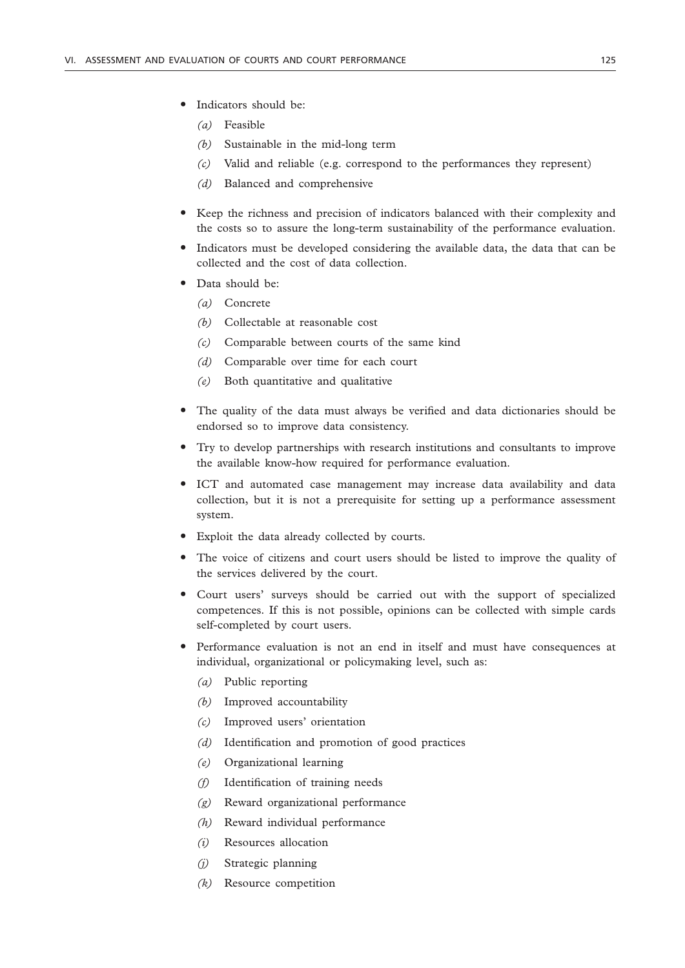- Indicators should be:
	- *(a)* Feasible
	- *(b)* Sustainable in the mid-long term
	- *(c)* Valid and reliable (e.g. correspond to the performances they represent)
	- *(d)* Balanced and comprehensive
- " Keep the richness and precision of indicators balanced with their complexity and the costs so to assure the long-term sustainability of the performance evaluation.
- " Indicators must be developed considering the available data, the data that can be collected and the cost of data collection.
- · Data should be:
	- *(a)* Concrete
	- *(b)* Collectable at reasonable cost
	- *(c)* Comparable between courts of the same kind
	- *(d)* Comparable over time for each court
	- *(e)* Both quantitative and qualitative
- " The quality of the data must always be verified and data dictionaries should be endorsed so to improve data consistency.
- " Try to develop partnerships with research institutions and consultants to improve the available know-how required for performance evaluation.
- " ICT and automated case management may increase data availability and data collection, but it is not a prerequisite for setting up a performance assessment system.
- Exploit the data already collected by courts.
- The voice of citizens and court users should be listed to improve the quality of the services delivered by the court.
- Court users' surveys should be carried out with the support of specialized competences. If this is not possible, opinions can be collected with simple cards self-completed by court users.
- Performance evaluation is not an end in itself and must have consequences at individual, organizational or policymaking level, such as:
	- *(a)* Public reporting
	- *(b)* Improved accountability
	- *(c)* Improved users' orientation
	- *(d)* Identification and promotion of good practices
	- *(e)* Organizational learning
	- *(f)* Identification of training needs
	- *(g)* Reward organizational performance
	- *(h)* Reward individual performance
	- *(i)* Resources allocation
	- *(j)* Strategic planning
	- *(k)* Resource competition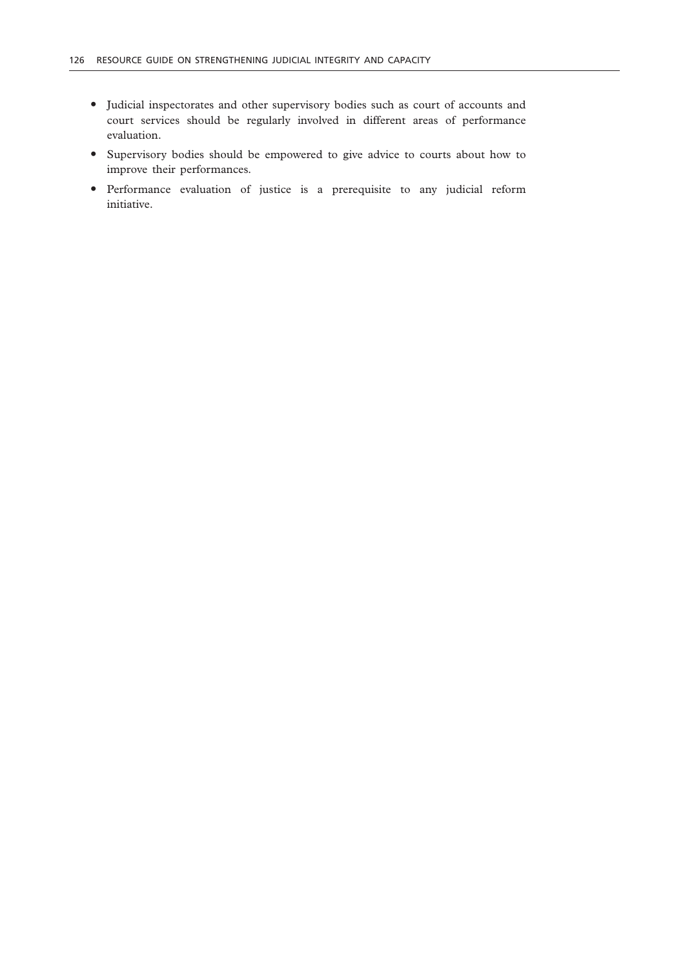- " Judicial inspectorates and other supervisory bodies such as court of accounts and court services should be regularly involved in different areas of performance evaluation.
- " Supervisory bodies should be empowered to give advice to courts about how to improve their performances.
- " Performance evaluation of justice is a prerequisite to any judicial reform initiative.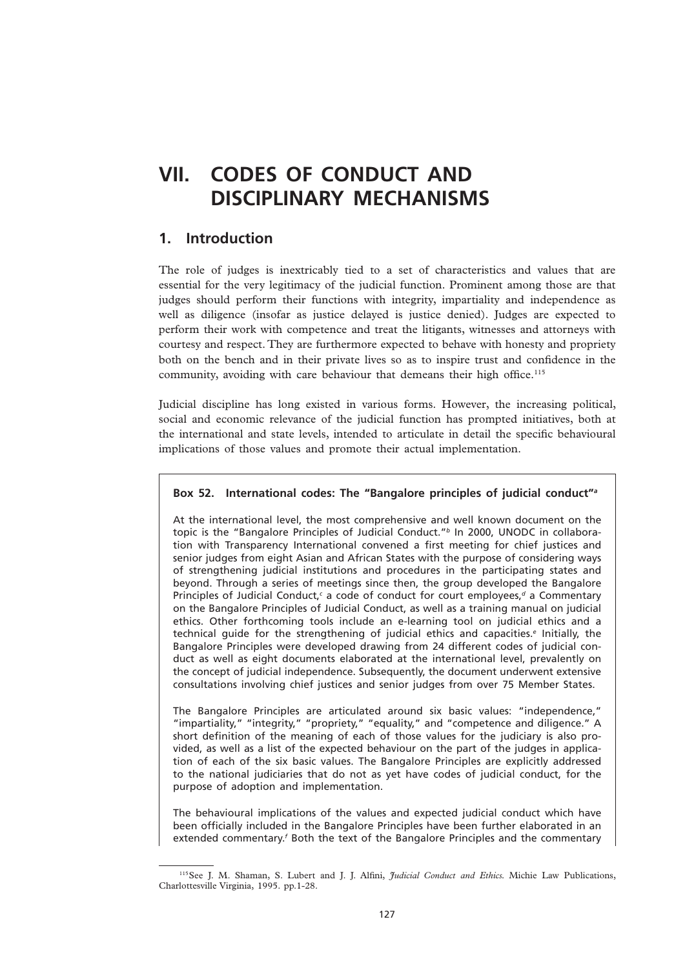# **VII. CODES OF CONDUCT AND DISCIPLINARY MECHANISMS**

# **1. Introduction**

The role of judges is inextricably tied to a set of characteristics and values that are essential for the very legitimacy of the judicial function. Prominent among those are that judges should perform their functions with integrity, impartiality and independence as well as diligence (insofar as justice delayed is justice denied). Judges are expected to perform their work with competence and treat the litigants, witnesses and attorneys with courtesy and respect. They are furthermore expected to behave with honesty and propriety both on the bench and in their private lives so as to inspire trust and confidence in the community, avoiding with care behaviour that demeans their high office.<sup>115</sup>

Judicial discipline has long existed in various forms. However, the increasing political, social and economic relevance of the judicial function has prompted initiatives, both at the international and state levels, intended to articulate in detail the specific behavioural implications of those values and promote their actual implementation.

# **Box 52. International codes: The "Bangalore principles of judicial conduct"***<sup>a</sup>*

At the international level, the most comprehensive and well known document on the topic is the "Bangalore Principles of Judicial Conduct."*<sup>b</sup>* In 2000, UNODC in collaboration with Transparency International convened a first meeting for chief justices and senior judges from eight Asian and African States with the purpose of considering ways of strengthening judicial institutions and procedures in the participating states and beyond. Through a series of meetings since then, the group developed the Bangalore Principles of Judicial Conduct,<sup>c</sup> a code of conduct for court employees,<sup>d</sup> a Commentary on the Bangalore Principles of Judicial Conduct, as well as a training manual on judicial ethics. Other forthcoming tools include an e-learning tool on judicial ethics and a technical guide for the strengthening of judicial ethics and capacities.*<sup>e</sup>* Initially, the Bangalore Principles were developed drawing from 24 different codes of judicial conduct as well as eight documents elaborated at the international level, prevalently on the concept of judicial independence. Subsequently, the document underwent extensive consultations involving chief justices and senior judges from over 75 Member States.

The Bangalore Principles are articulated around six basic values: "independence," "impartiality," "integrity," "propriety," "equality," and "competence and diligence." A short definition of the meaning of each of those values for the judiciary is also provided, as well as a list of the expected behaviour on the part of the judges in application of each of the six basic values. The Bangalore Principles are explicitly addressed to the national judiciaries that do not as yet have codes of judicial conduct, for the purpose of adoption and implementation.

The behavioural implications of the values and expected judicial conduct which have been officially included in the Bangalore Principles have been further elaborated in an extended commentary.<sup>*f*</sup> Both the text of the Bangalore Principles and the commentary

<sup>115</sup>See J. M. Shaman, S. Lubert and J. J. Alfini, *Judicial Conduct and Ethics.* Michie Law Publications, Charlottesville Virginia, 1995. pp.1-28.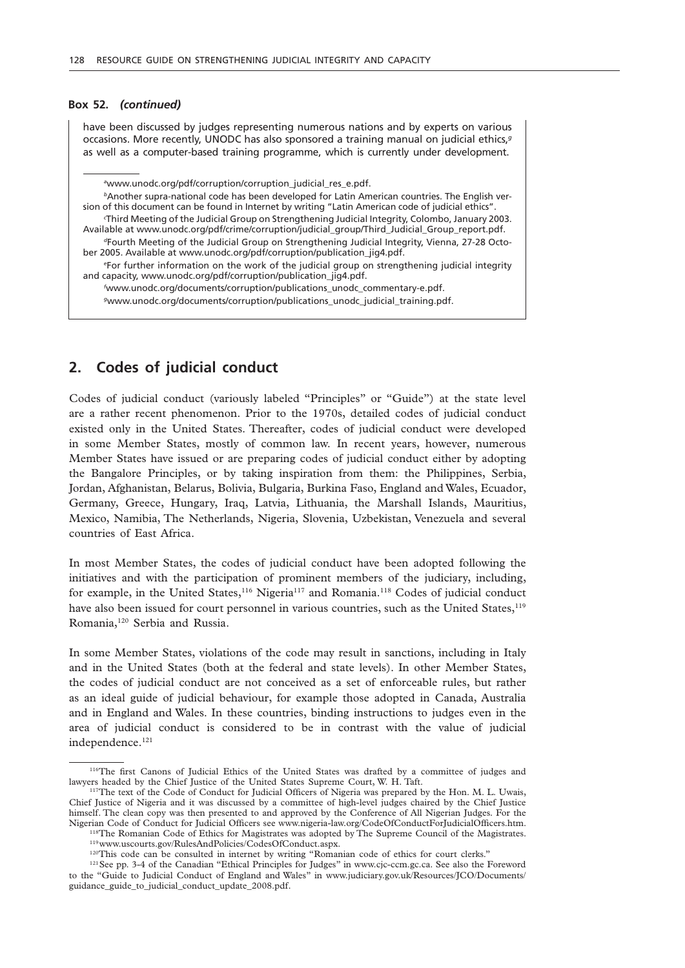#### **Box 52.** *(continued)*

have been discussed by judges representing numerous nations and by experts on various occasions. More recently, UNODC has also sponsored a training manual on judicial ethics,*<sup>g</sup>* as well as a computer-based training programme, which is currently under development.

*a* www.unodc.org/pdf/corruption/corruption\_judicial\_res\_e.pdf.

*b*Another supra-national code has been developed for Latin American countries. The English version of this document can be found in Internet by writing "Latin American code of judicial ethics". *c* Third Meeting of the Judicial Group on Strengthening Judicial Integrity, Colombo, January 2003. Available at www.unodc.org/pdf/crime/corruption/judicial\_group/Third\_Judicial\_Group\_report.pdf. *d*Fourth Meeting of the Judicial Group on Strengthening Judicial Integrity, Vienna, 27-28 October 2005. Available at www.unodc.org/pdf/corruption/publication\_jig4.pdf. *e* For further information on the work of the judicial group on strengthening judicial integrity and capacity, www.unodc.org/pdf/corruption/publication\_jig4.pdf. *f* www.unodc.org/documents/corruption/publications\_unodc\_commentary-e.pdf.

*<sup>g</sup>*www.unodc.org/documents/corruption/publications\_unodc\_judicial\_training.pdf.

# **2. Codes of judicial conduct**

Codes of judicial conduct (variously labeled "Principles" or "Guide") at the state level are a rather recent phenomenon. Prior to the 1970s, detailed codes of judicial conduct existed only in the United States. Thereafter, codes of judicial conduct were developed in some Member States, mostly of common law. In recent years, however, numerous Member States have issued or are preparing codes of judicial conduct either by adopting the Bangalore Principles, or by taking inspiration from them: the Philippines, Serbia, Jordan, Afghanistan, Belarus, Bolivia, Bulgaria, Burkina Faso, England and Wales, Ecuador, Germany, Greece, Hungary, Iraq, Latvia, Lithuania, the Marshall Islands, Mauritius, Mexico, Namibia, The Netherlands, Nigeria, Slovenia, Uzbekistan, Venezuela and several countries of East Africa.

In most Member States, the codes of judicial conduct have been adopted following the initiatives and with the participation of prominent members of the judiciary, including, for example, in the United States,  $116$  Nigeria<sup>117</sup> and Romania.<sup>118</sup> Codes of judicial conduct have also been issued for court personnel in various countries, such as the United States,<sup>119</sup> Romania,120 Serbia and Russia.

In some Member States, violations of the code may result in sanctions, including in Italy and in the United States (both at the federal and state levels). In other Member States, the codes of judicial conduct are not conceived as a set of enforceable rules, but rather as an ideal guide of judicial behaviour, for example those adopted in Canada, Australia and in England and Wales. In these countries, binding instructions to judges even in the area of judicial conduct is considered to be in contrast with the value of judicial independence.<sup>121</sup>

<sup>116</sup>The first Canons of Judicial Ethics of the United States was drafted by a committee of judges and lawyers headed by the Chief Justice of the United States Supreme Court, W. H. Taft. 117The text of the Code of Conduct for Judicial Officers of Nigeria was prepared by the Hon. M. L. Uwais,

Chief Justice of Nigeria and it was discussed by a committee of high-level judges chaired by the Chief Justice himself. The clean copy was then presented to and approved by the Conference of All Nigerian Judges. For the Nigerian Code of Conduct for Judicial Officers see www.nigeria-law.org/CodeOfConductForJudicialOfficers.htm.<br><sup>118</sup>The Romanian Code of Ethics for Magistrates was adopted by The Supreme Council of the Magistrates.<br><sup>119</sup>www.

<sup>&</sup>lt;sup>121</sup>See pp. 3-4 of the Canadian "Ethical Principles for Judges" in www.cjc-ccm.gc.ca. See also the Foreword to the "Guide to Judicial Conduct of England and Wales" in www.judiciary.gov.uk/Resources/JCO/Documents/ guidance\_guide\_to\_judicial\_conduct\_update\_2008.pdf.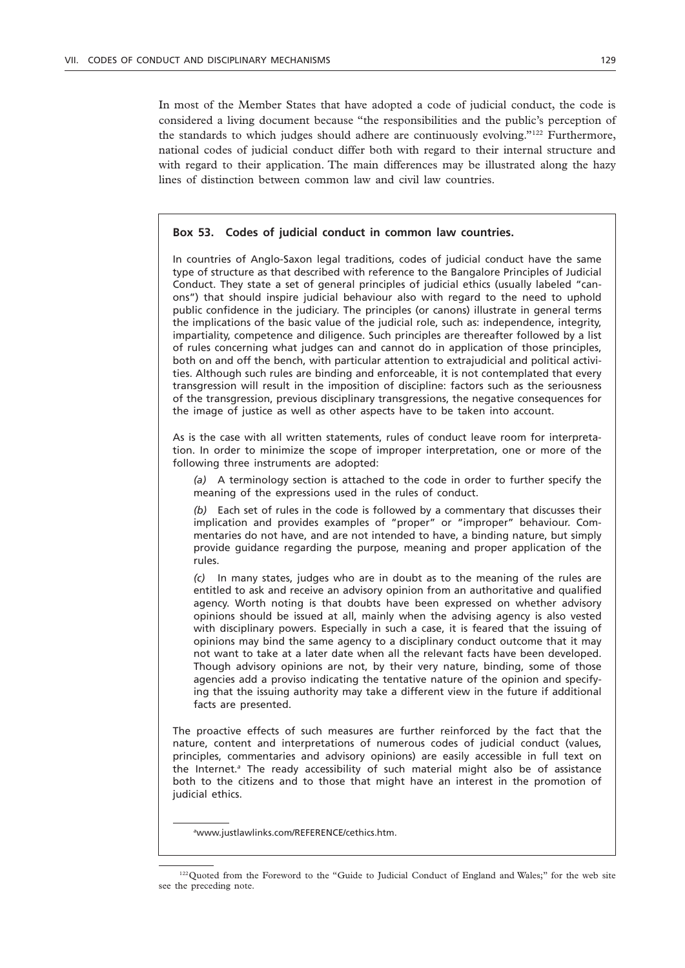In most of the Member States that have adopted a code of judicial conduct, the code is considered a living document because "the responsibilities and the public's perception of the standards to which judges should adhere are continuously evolving."122 Furthermore, national codes of judicial conduct differ both with regard to their internal structure and with regard to their application. The main differences may be illustrated along the hazy lines of distinction between common law and civil law countries.

# **Box 53. Codes of judicial conduct in common law countries.**

In countries of Anglo-Saxon legal traditions, codes of judicial conduct have the same type of structure as that described with reference to the Bangalore Principles of Judicial Conduct. They state a set of general principles of judicial ethics (usually labeled "canons") that should inspire judicial behaviour also with regard to the need to uphold public confidence in the judiciary. The principles (or canons) illustrate in general terms the implications of the basic value of the judicial role, such as: independence, integrity, impartiality, competence and diligence. Such principles are thereafter followed by a list of rules concerning what judges can and cannot do in application of those principles, both on and off the bench, with particular attention to extrajudicial and political activities. Although such rules are binding and enforceable, it is not contemplated that every transgression will result in the imposition of discipline: factors such as the seriousness of the transgression, previous disciplinary transgressions, the negative consequences for the image of justice as well as other aspects have to be taken into account.

As is the case with all written statements, rules of conduct leave room for interpretation. In order to minimize the scope of improper interpretation, one or more of the following three instruments are adopted:

*(a)* A terminology section is attached to the code in order to further specify the meaning of the expressions used in the rules of conduct.

*(b)* Each set of rules in the code is followed by a commentary that discusses their implication and provides examples of "proper" or "improper" behaviour. Commentaries do not have, and are not intended to have, a binding nature, but simply provide guidance regarding the purpose, meaning and proper application of the rules.

*(c)* In many states, judges who are in doubt as to the meaning of the rules are entitled to ask and receive an advisory opinion from an authoritative and qualified agency. Worth noting is that doubts have been expressed on whether advisory opinions should be issued at all, mainly when the advising agency is also vested with disciplinary powers. Especially in such a case, it is feared that the issuing of opinions may bind the same agency to a disciplinary conduct outcome that it may not want to take at a later date when all the relevant facts have been developed. Though advisory opinions are not, by their very nature, binding, some of those agencies add a proviso indicating the tentative nature of the opinion and specifying that the issuing authority may take a different view in the future if additional facts are presented.

The proactive effects of such measures are further reinforced by the fact that the nature, content and interpretations of numerous codes of judicial conduct (values, principles, commentaries and advisory opinions) are easily accessible in full text on the Internet.*<sup>a</sup>* The ready accessibility of such material might also be of assistance both to the citizens and to those that might have an interest in the promotion of judicial ethics.

*a* www.justlawlinks.com/REFERENCE/cethics.htm.

<sup>&</sup>lt;sup>122</sup>Quoted from the Foreword to the "Guide to Judicial Conduct of England and Wales;" for the web site see the preceding note.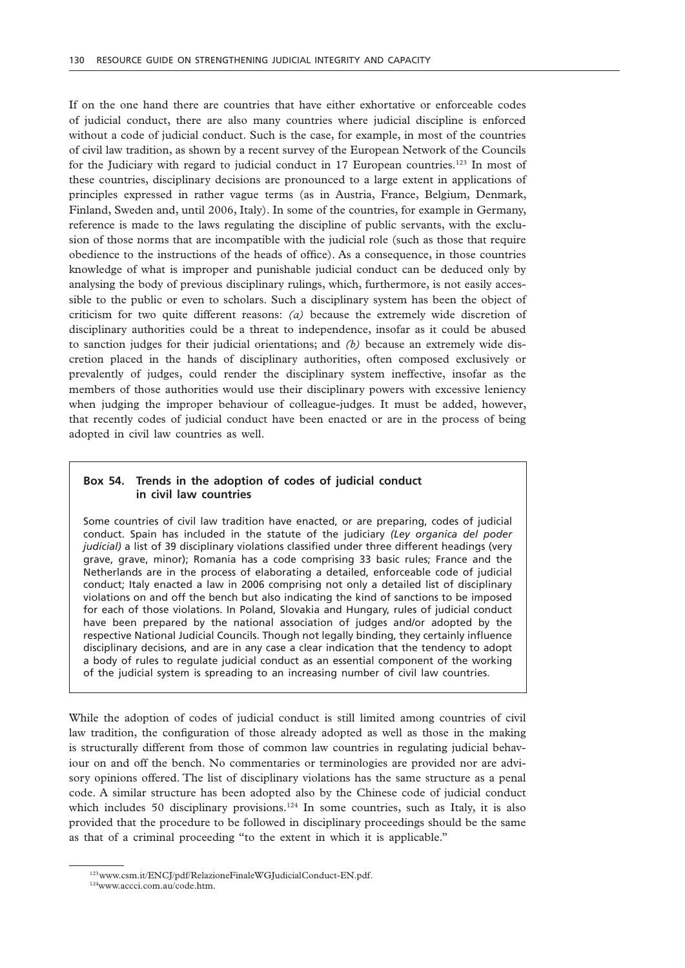If on the one hand there are countries that have either exhortative or enforceable codes of judicial conduct, there are also many countries where judicial discipline is enforced without a code of judicial conduct. Such is the case, for example, in most of the countries of civil law tradition, as shown by a recent survey of the European Network of the Councils for the Judiciary with regard to judicial conduct in 17 European countries.<sup>123</sup> In most of these countries, disciplinary decisions are pronounced to a large extent in applications of principles expressed in rather vague terms (as in Austria, France, Belgium, Denmark, Finland, Sweden and, until 2006, Italy). In some of the countries, for example in Germany, reference is made to the laws regulating the discipline of public servants, with the exclusion of those norms that are incompatible with the judicial role (such as those that require obedience to the instructions of the heads of office). As a consequence, in those countries knowledge of what is improper and punishable judicial conduct can be deduced only by analysing the body of previous disciplinary rulings, which, furthermore, is not easily accessible to the public or even to scholars. Such a disciplinary system has been the object of criticism for two quite different reasons: *(a)* because the extremely wide discretion of disciplinary authorities could be a threat to independence, insofar as it could be abused to sanction judges for their judicial orientations; and *(b)* because an extremely wide discretion placed in the hands of disciplinary authorities, often composed exclusively or prevalently of judges, could render the disciplinary system ineffective, insofar as the members of those authorities would use their disciplinary powers with excessive leniency when judging the improper behaviour of colleague-judges. It must be added, however, that recently codes of judicial conduct have been enacted or are in the process of being adopted in civil law countries as well.

# **Box 54. Trends in the adoption of codes of judicial conduct in civil law countries**

Some countries of civil law tradition have enacted, or are preparing, codes of judicial conduct. Spain has included in the statute of the judiciary *(Ley organica del poder judicial)* a list of 39 disciplinary violations classified under three different headings (very grave, grave, minor); Romania has a code comprising 33 basic rules; France and the Netherlands are in the process of elaborating a detailed, enforceable code of judicial conduct; Italy enacted a law in 2006 comprising not only a detailed list of disciplinary violations on and off the bench but also indicating the kind of sanctions to be imposed for each of those violations. In Poland, Slovakia and Hungary, rules of judicial conduct have been prepared by the national association of judges and/or adopted by the respective National Judicial Councils. Though not legally binding, they certainly influence disciplinary decisions, and are in any case a clear indication that the tendency to adopt a body of rules to regulate judicial conduct as an essential component of the working of the judicial system is spreading to an increasing number of civil law countries.

While the adoption of codes of judicial conduct is still limited among countries of civil law tradition, the configuration of those already adopted as well as those in the making is structurally different from those of common law countries in regulating judicial behaviour on and off the bench. No commentaries or terminologies are provided nor are advisory opinions offered. The list of disciplinary violations has the same structure as a penal code. A similar structure has been adopted also by the Chinese code of judicial conduct which includes 50 disciplinary provisions. $124$  In some countries, such as Italy, it is also provided that the procedure to be followed in disciplinary proceedings should be the same as that of a criminal proceeding "to the extent in which it is applicable."

<sup>123</sup>www.csm.it/ENCJ/pdf/RelazioneFinaleWGJudicialConduct-EN.pdf.

<sup>124</sup>www.accci.com.au/code.htm.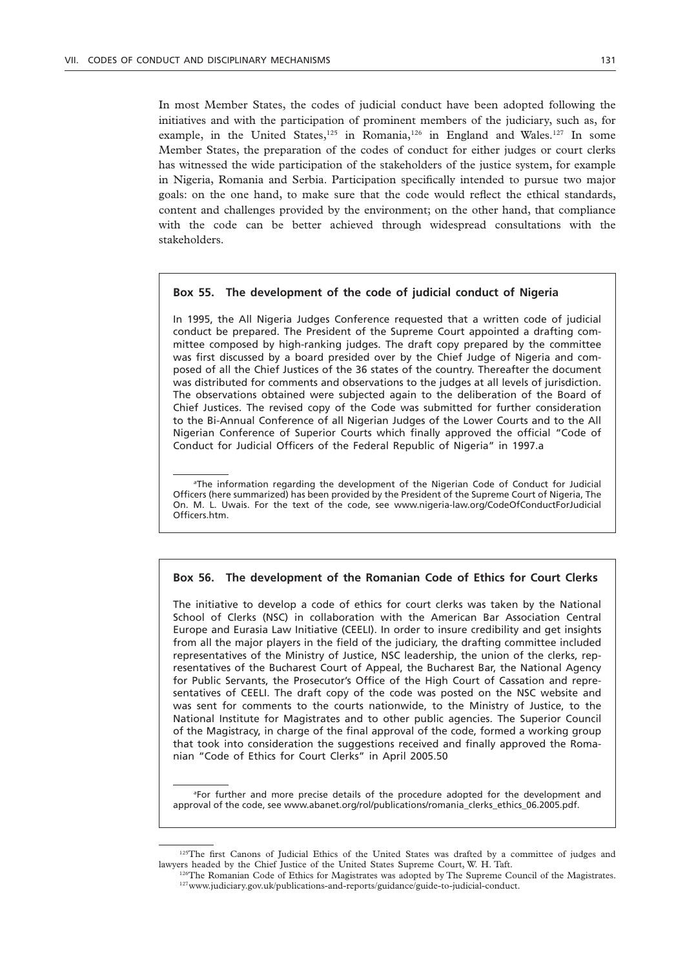In most Member States, the codes of judicial conduct have been adopted following the initiatives and with the participation of prominent members of the judiciary, such as, for example, in the United States,<sup>125</sup> in Romania,<sup>126</sup> in England and Wales.<sup>127</sup> In some Member States, the preparation of the codes of conduct for either judges or court clerks has witnessed the wide participation of the stakeholders of the justice system, for example in Nigeria, Romania and Serbia. Participation specifically intended to pursue two major goals: on the one hand, to make sure that the code would reflect the ethical standards, content and challenges provided by the environment; on the other hand, that compliance with the code can be better achieved through widespread consultations with the stakeholders.

#### **Box 55. The development of the code of judicial conduct of Nigeria**

In 1995, the All Nigeria Judges Conference requested that a written code of judicial conduct be prepared. The President of the Supreme Court appointed a drafting committee composed by high-ranking judges. The draft copy prepared by the committee was first discussed by a board presided over by the Chief Judge of Nigeria and composed of all the Chief Justices of the 36 states of the country. Thereafter the document was distributed for comments and observations to the judges at all levels of jurisdiction. The observations obtained were subjected again to the deliberation of the Board of Chief Justices. The revised copy of the Code was submitted for further consideration to the Bi-Annual Conference of all Nigerian Judges of the Lower Courts and to the All Nigerian Conference of Superior Courts which finally approved the official "Code of Conduct for Judicial Officers of the Federal Republic of Nigeria" in 1997.a

*a* The information regarding the development of the Nigerian Code of Conduct for Judicial Officers (here summarized) has been provided by the President of the Supreme Court of Nigeria, The On. M. L. Uwais. For the text of the code, see www.nigeria-law.org/CodeOfConductForJudicial Officers.htm.

### **Box 56. The development of the Romanian Code of Ethics for Court Clerks**

The initiative to develop a code of ethics for court clerks was taken by the National School of Clerks (NSC) in collaboration with the American Bar Association Central Europe and Eurasia Law Initiative (CEELI). In order to insure credibility and get insights from all the major players in the field of the judiciary, the drafting committee included representatives of the Ministry of Justice, NSC leadership, the union of the clerks, representatives of the Bucharest Court of Appeal, the Bucharest Bar, the National Agency for Public Servants, the Prosecutor's Office of the High Court of Cassation and representatives of CEELI. The draft copy of the code was posted on the NSC website and was sent for comments to the courts nationwide, to the Ministry of Justice, to the National Institute for Magistrates and to other public agencies. The Superior Council of the Magistracy, in charge of the final approval of the code, formed a working group that took into consideration the suggestions received and finally approved the Romanian "Code of Ethics for Court Clerks" in April 2005.50

*a* For further and more precise details of the procedure adopted for the development and approval of the code, see www.abanet.org/rol/publications/romania\_clerks\_ethics\_06.2005.pdf.

<sup>&</sup>lt;sup>125</sup>The first Canons of Judicial Ethics of the United States was drafted by a committee of judges and lawyers headed by the Chief Justice of the United States Supreme Court, W. H. Taft.

 $^{126}$ The Romanian Code of Ethics for Magistrates was adopted by The Supreme Council of the Magistrates.<br> $^{127}$ www.judiciary.gov.uk/publications-and-reports/guidance/guide-to-judicial-conduct.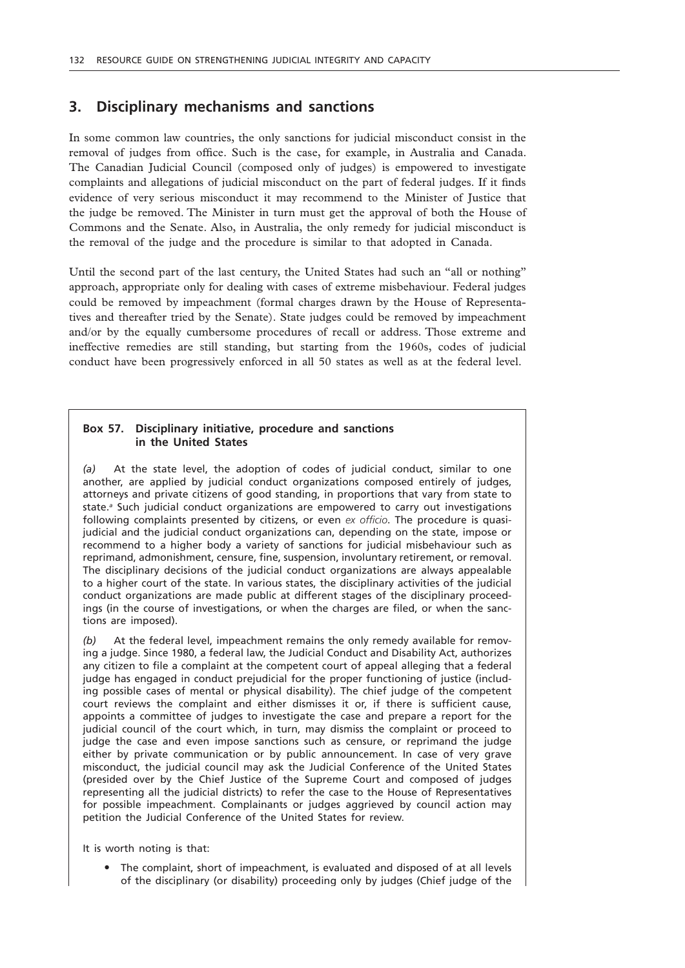# **3. Disciplinary mechanisms and sanctions**

In some common law countries, the only sanctions for judicial misconduct consist in the removal of judges from office. Such is the case, for example, in Australia and Canada. The Canadian Judicial Council (composed only of judges) is empowered to investigate complaints and allegations of judicial misconduct on the part of federal judges. If it finds evidence of very serious misconduct it may recommend to the Minister of Justice that the judge be removed. The Minister in turn must get the approval of both the House of Commons and the Senate. Also, in Australia, the only remedy for judicial misconduct is the removal of the judge and the procedure is similar to that adopted in Canada.

Until the second part of the last century, the United States had such an "all or nothing" approach, appropriate only for dealing with cases of extreme misbehaviour. Federal judges could be removed by impeachment (formal charges drawn by the House of Representatives and thereafter tried by the Senate). State judges could be removed by impeachment and/or by the equally cumbersome procedures of recall or address. Those extreme and ineffective remedies are still standing, but starting from the 1960s, codes of judicial conduct have been progressively enforced in all 50 states as well as at the federal level.

# **Box 57. Disciplinary initiative, procedure and sanctions in the United States**

*(a)* At the state level, the adoption of codes of judicial conduct, similar to one another, are applied by judicial conduct organizations composed entirely of judges, attorneys and private citizens of good standing, in proportions that vary from state to state.*<sup>a</sup>* Such judicial conduct organizations are empowered to carry out investigations following complaints presented by citizens, or even *ex officio*. The procedure is quasijudicial and the judicial conduct organizations can, depending on the state, impose or recommend to a higher body a variety of sanctions for judicial misbehaviour such as reprimand, admonishment, censure, fine, suspension, involuntary retirement, or removal. The disciplinary decisions of the judicial conduct organizations are always appealable to a higher court of the state. In various states, the disciplinary activities of the judicial conduct organizations are made public at different stages of the disciplinary proceedings (in the course of investigations, or when the charges are filed, or when the sanctions are imposed).

*(b)* At the federal level, impeachment remains the only remedy available for removing a judge. Since 1980, a federal law, the Judicial Conduct and Disability Act, authorizes any citizen to file a complaint at the competent court of appeal alleging that a federal judge has engaged in conduct prejudicial for the proper functioning of justice (including possible cases of mental or physical disability). The chief judge of the competent court reviews the complaint and either dismisses it or, if there is sufficient cause, appoints a committee of judges to investigate the case and prepare a report for the judicial council of the court which, in turn, may dismiss the complaint or proceed to judge the case and even impose sanctions such as censure, or reprimand the judge either by private communication or by public announcement. In case of very grave misconduct, the judicial council may ask the Judicial Conference of the United States (presided over by the Chief Justice of the Supreme Court and composed of judges representing all the judicial districts) to refer the case to the House of Representatives for possible impeachment. Complainants or judges aggrieved by council action may petition the Judicial Conference of the United States for review.

It is worth noting is that:

• The complaint, short of impeachment, is evaluated and disposed of at all levels of the disciplinary (or disability) proceeding only by judges (Chief judge of the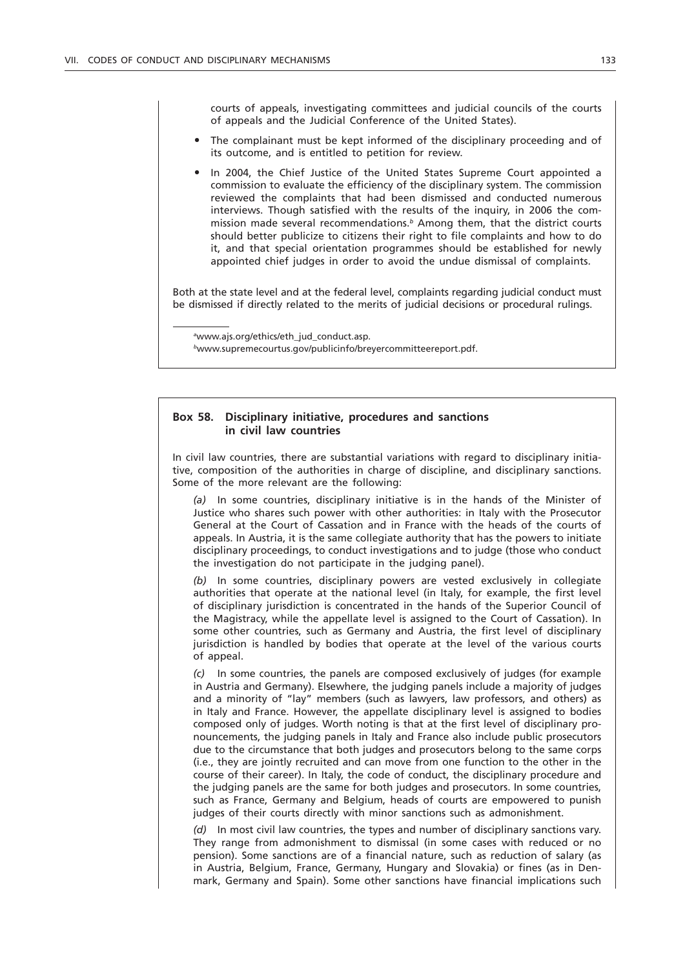courts of appeals, investigating committees and judicial councils of the courts of appeals and the Judicial Conference of the United States).

- The complainant must be kept informed of the disciplinary proceeding and of its outcome, and is entitled to petition for review.
- In 2004, the Chief Justice of the United States Supreme Court appointed a commission to evaluate the efficiency of the disciplinary system. The commission reviewed the complaints that had been dismissed and conducted numerous interviews. Though satisfied with the results of the inquiry, in 2006 the commission made several recommendations.*<sup>b</sup>* Among them, that the district courts should better publicize to citizens their right to file complaints and how to do it, and that special orientation programmes should be established for newly appointed chief judges in order to avoid the undue dismissal of complaints.

Both at the state level and at the federal level, complaints regarding judicial conduct must be dismissed if directly related to the merits of judicial decisions or procedural rulings.

*a* www.ajs.org/ethics/eth\_jud\_conduct.asp.

*<sup>b</sup>*www.supremecourtus.gov/publicinfo/breyercommitteereport.pdf.

### **Box 58. Disciplinary initiative, procedures and sanctions in civil law countries**

In civil law countries, there are substantial variations with regard to disciplinary initiative, composition of the authorities in charge of discipline, and disciplinary sanctions. Some of the more relevant are the following:

*(a)* In some countries, disciplinary initiative is in the hands of the Minister of Justice who shares such power with other authorities: in Italy with the Prosecutor General at the Court of Cassation and in France with the heads of the courts of appeals. In Austria, it is the same collegiate authority that has the powers to initiate disciplinary proceedings, to conduct investigations and to judge (those who conduct the investigation do not participate in the judging panel).

*(b)* In some countries, disciplinary powers are vested exclusively in collegiate authorities that operate at the national level (in Italy, for example, the first level of disciplinary jurisdiction is concentrated in the hands of the Superior Council of the Magistracy, while the appellate level is assigned to the Court of Cassation). In some other countries, such as Germany and Austria, the first level of disciplinary jurisdiction is handled by bodies that operate at the level of the various courts of appeal.

*(c)* In some countries, the panels are composed exclusively of judges (for example in Austria and Germany). Elsewhere, the judging panels include a majority of judges and a minority of "lay" members (such as lawyers, law professors, and others) as in Italy and France. However, the appellate disciplinary level is assigned to bodies composed only of judges. Worth noting is that at the first level of disciplinary pronouncements, the judging panels in Italy and France also include public prosecutors due to the circumstance that both judges and prosecutors belong to the same corps (i.e., they are jointly recruited and can move from one function to the other in the course of their career). In Italy, the code of conduct, the disciplinary procedure and the judging panels are the same for both judges and prosecutors. In some countries, such as France, Germany and Belgium, heads of courts are empowered to punish judges of their courts directly with minor sanctions such as admonishment.

*(d)* In most civil law countries, the types and number of disciplinary sanctions vary. They range from admonishment to dismissal (in some cases with reduced or no pension). Some sanctions are of a financial nature, such as reduction of salary (as in Austria, Belgium, France, Germany, Hungary and Slovakia) or fines (as in Denmark, Germany and Spain). Some other sanctions have financial implications such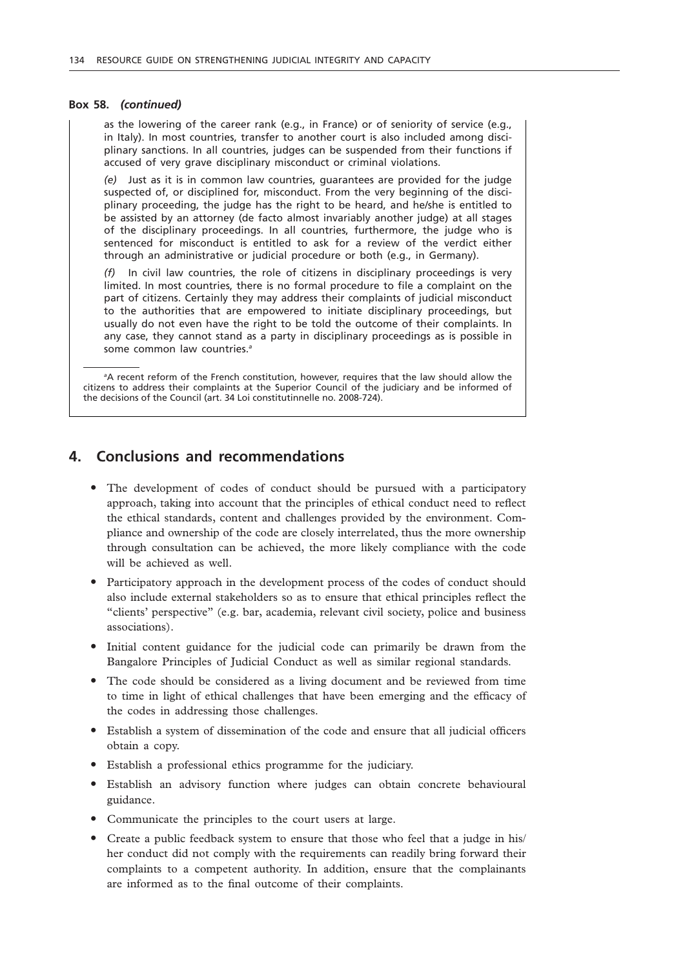#### **Box 58.** *(continued)*

as the lowering of the career rank (e.g., in France) or of seniority of service (e.g., in Italy). In most countries, transfer to another court is also included among disciplinary sanctions. In all countries, judges can be suspended from their functions if accused of very grave disciplinary misconduct or criminal violations.

*(e)* Just as it is in common law countries, guarantees are provided for the judge suspected of, or disciplined for, misconduct. From the very beginning of the disciplinary proceeding, the judge has the right to be heard, and he/she is entitled to be assisted by an attorney (de facto almost invariably another judge) at all stages of the disciplinary proceedings. In all countries, furthermore, the judge who is sentenced for misconduct is entitled to ask for a review of the verdict either through an administrative or judicial procedure or both (e.g., in Germany).

*(f)* In civil law countries, the role of citizens in disciplinary proceedings is very limited. In most countries, there is no formal procedure to file a complaint on the part of citizens. Certainly they may address their complaints of judicial misconduct to the authorities that are empowered to initiate disciplinary proceedings, but usually do not even have the right to be told the outcome of their complaints. In any case, they cannot stand as a party in disciplinary proceedings as is possible in some common law countries.*<sup>a</sup>*

*a* A recent reform of the French constitution, however, requires that the law should allow the citizens to address their complaints at the Superior Council of the judiciary and be informed of the decisions of the Council (art. 34 Loi constitutinnelle no. 2008-724).

# **4. Conclusions and recommendations**

- The development of codes of conduct should be pursued with a participatory approach, taking into account that the principles of ethical conduct need to reflect the ethical standards, content and challenges provided by the environment. Compliance and ownership of the code are closely interrelated, thus the more ownership through consultation can be achieved, the more likely compliance with the code will be achieved as well.
- " Participatory approach in the development process of the codes of conduct should also include external stakeholders so as to ensure that ethical principles reflect the "clients' perspective" (e.g. bar, academia, relevant civil society, police and business associations).
- " Initial content guidance for the judicial code can primarily be drawn from the Bangalore Principles of Judicial Conduct as well as similar regional standards.
- The code should be considered as a living document and be reviewed from time to time in light of ethical challenges that have been emerging and the efficacy of the codes in addressing those challenges.
- " Establish a system of dissemination of the code and ensure that all judicial officers obtain a copy.
- " Establish a professional ethics programme for the judiciary.
- Establish an advisory function where judges can obtain concrete behavioural guidance.
- Communicate the principles to the court users at large.
- Create a public feedback system to ensure that those who feel that a judge in his/ her conduct did not comply with the requirements can readily bring forward their complaints to a competent authority. In addition, ensure that the complainants are informed as to the final outcome of their complaints.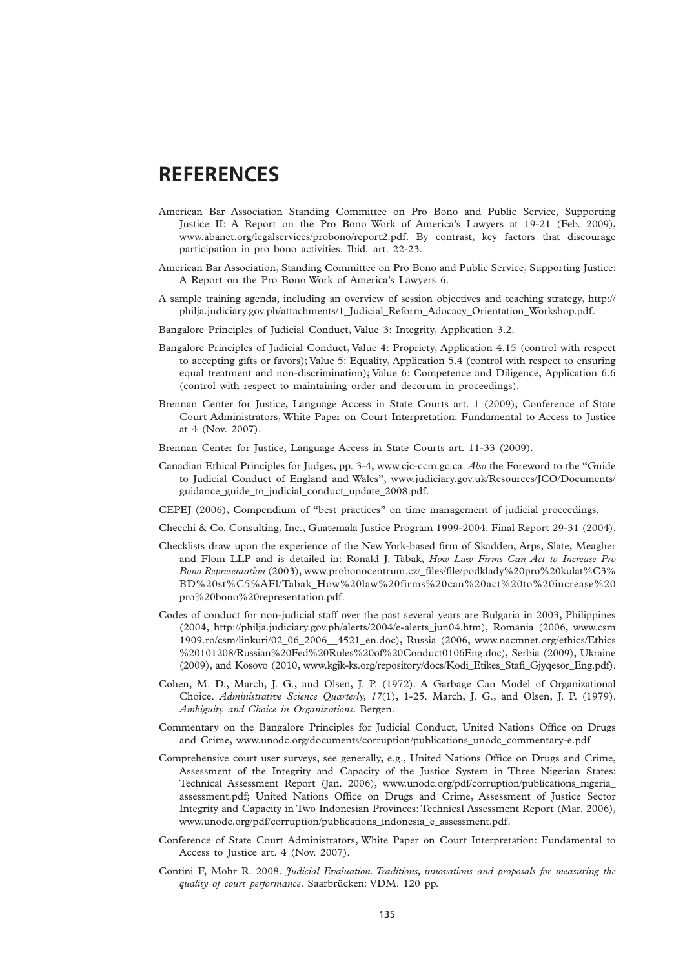# **REFERENCES**

- American Bar Association Standing Committee on Pro Bono and Public Service, Supporting Justice II: A Report on the Pro Bono Work of America's Lawyers at 19-21 (Feb. 2009), www.abanet.org/legalservices/probono/report2.pdf. By contrast, key factors that discourage participation in pro bono activities. Ibid*.* art. 22-23.
- American Bar Association, Standing Committee on Pro Bono and Public Service, Supporting Justice: A Report on the Pro Bono Work of America's Lawyers 6.
- A sample training agenda, including an overview of session objectives and teaching strategy, http:// philja.judiciary.gov.ph/attachments/1\_Judicial\_Reform\_Adocacy\_Orientation\_Workshop.pdf.
- Bangalore Principles of Judicial Conduct, Value 3: Integrity, Application 3.2.
- Bangalore Principles of Judicial Conduct, Value 4: Propriety, Application 4.15 (control with respect to accepting gifts or favors); Value 5: Equality, Application 5.4 (control with respect to ensuring equal treatment and non-discrimination); Value 6: Competence and Diligence, Application 6.6 (control with respect to maintaining order and decorum in proceedings).
- Brennan Center for Justice, Language Access in State Courts art. 1 (2009); Conference of State Court Administrators, White Paper on Court Interpretation: Fundamental to Access to Justice at 4 (Nov. 2007).
- Brennan Center for Justice, Language Access in State Courts art. 11-33 (2009).
- Canadian Ethical Principles for Judges, pp. 3-4, www.cjc-ccm.gc.ca. *Also* the Foreword to the "Guide to Judicial Conduct of England and Wales", www.judiciary.gov.uk/Resources/JCO/Documents/ guidance\_guide\_to\_judicial\_conduct\_update\_2008.pdf.
- CEPEJ (2006), Compendium of "best practices" on time management of judicial proceedings.
- Checchi & Co. Consulting, Inc., Guatemala Justice Program 1999-2004: Final Report 29-31 (2004).
- Checklists draw upon the experience of the New York-based firm of Skadden, Arps, Slate, Meagher and Flom LLP and is detailed in: Ronald J. Tabak, *How Law Firms Can Act to Increase Pro Bono Representation* (2003), www.probonocentrum.cz/\_files/file/podklady%20pro%20kulat%C3% BD%20st%C5%AFl/Tabak\_How%20law%20firms%20can%20act%20to%20increase%20 pro%20bono%20representation.pdf.
- Codes of conduct for non-judicial staff over the past several years are Bulgaria in 2003, Philippines (2004, http://philja.judiciary.gov.ph/alerts/2004/e-alerts\_jun04.htm), Romania (2006, www.csm 1909.ro/csm/linkuri/02\_06\_2006\_\_4521\_en.doc), Russia (2006, www.nacmnet.org/ethics/Ethics %20101208/Russian%20Fed%20Rules%20of%20Conduct0106Eng.doc), Serbia (2009), Ukraine (2009), and Kosovo (2010, www.kgjk-ks.org/repository/docs/Kodi\_Etikes\_Stafi\_Gjyqesor\_Eng.pdf).
- Cohen, M. D., March, J. G., and Olsen, J. P. (1972). A Garbage Can Model of Organizational Choice. *Administrative Science Quarterly, 17*(1), 1-25. March, J. G., and Olsen, J. P. (1979). *Ambiguity and Choice in Organizations*. Bergen.
- Commentary on the Bangalore Principles for Judicial Conduct, United Nations Office on Drugs and Crime, www.unodc.org/documents/corruption/publications\_unodc\_commentary-e.pdf
- Comprehensive court user surveys, see generally, e.g., United Nations Office on Drugs and Crime, Assessment of the Integrity and Capacity of the Justice System in Three Nigerian States: Technical Assessment Report (Jan. 2006), www.unodc.org/pdf/corruption/publications\_nigeria\_ assessment.pdf; United Nations Office on Drugs and Crime, Assessment of Justice Sector Integrity and Capacity in Two Indonesian Provinces: Technical Assessment Report (Mar. 2006), www.unodc.org/pdf/corruption/publications\_indonesia\_e\_assessment.pdf.
- Conference of State Court Administrators, White Paper on Court Interpretation: Fundamental to Access to Justice art. 4 (Nov. 2007).
- Contini F, Mohr R. 2008. *Judicial Evaluation. Traditions, innovations and proposals for measuring the quality of court performance*. Saarbrücken: VDM. 120 pp.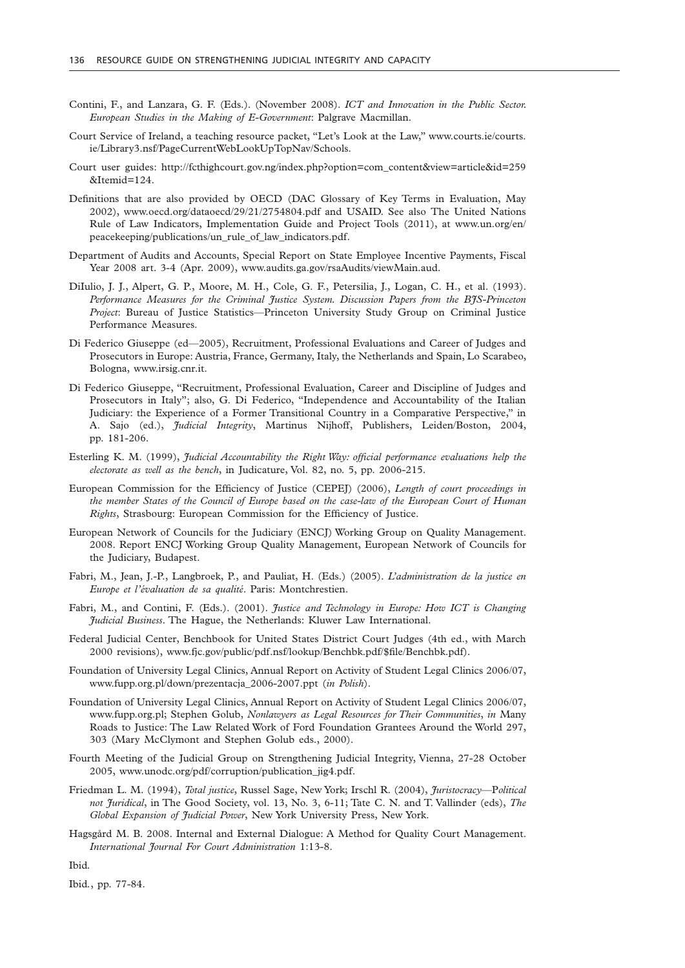- Contini, F., and Lanzara, G. F. (Eds.). (November 2008). *ICT and Innovation in the Public Sector. European Studies in the Making of E-Government*: Palgrave Macmillan.
- Court Service of Ireland, a teaching resource packet, "Let's Look at the Law," www.courts.ie/courts. ie/Library3.nsf/PageCurrentWebLookUpTopNav/Schools.
- Court user guides: http://fcthighcourt.gov.ng/index.php?option=com\_content&view=article&id=259 &Itemid=124.
- Definitions that are also provided by OECD (DAC Glossary of Key Terms in Evaluation, May 2002), www.oecd.org/dataoecd/29/21/2754804.pdf and USAID. See also The United Nations Rule of Law Indicators, Implementation Guide and Project Tools (2011), at www.un.org/en/ peacekeeping/publications/un\_rule\_of\_law\_indicators.pdf.
- Department of Audits and Accounts, Special Report on State Employee Incentive Payments, Fiscal Year 2008 art. 3-4 (Apr. 2009), www.audits.ga.gov/rsaAudits/viewMain.aud.
- DiIulio, J. J., Alpert, G. P., Moore, M. H., Cole, G. F., Petersilia, J., Logan, C. H., et al. (1993). *Performance Measures for the Criminal Justice System. Discussion Papers from the BJS-Princeton Project*: Bureau of Justice Statistics—Princeton University Study Group on Criminal Justice Performance Measures.
- Di Federico Giuseppe (ed—2005), Recruitment, Professional Evaluations and Career of Judges and Prosecutors in Europe: Austria, France, Germany, Italy, the Netherlands and Spain, Lo Scarabeo, Bologna, www.irsig.cnr.it.
- Di Federico Giuseppe, "Recruitment, Professional Evaluation, Career and Discipline of Judges and Prosecutors in Italy"; also, G. Di Federico, "Independence and Accountability of the Italian Judiciary: the Experience of a Former Transitional Country in a Comparative Perspective," in A. Sajo (ed.), *Judicial Integrity*, Martinus Nijhoff, Publishers, Leiden/Boston, 2004, pp. 181-206.
- Esterling K. M. (1999), *Judicial Accountability the Right Way: official performance evaluations help the electorate as well as the bench*, in Judicature, Vol. 82, no. 5, pp. 2006-215.
- European Commission for the Efficiency of Justice (CEPEJ) (2006), *Length of court proceedings in the member States of the Council of Europe based on the case-law of the European Court of Human Rights*, Strasbourg: European Commission for the Efficiency of Justice.
- European Network of Councils for the Judiciary (ENCJ) Working Group on Quality Management. 2008. Report ENCJ Working Group Quality Management, European Network of Councils for the Judiciary, Budapest.
- Fabri, M., Jean, J.-P., Langbroek, P., and Pauliat, H. (Eds.) (2005). *L'administration de la justice en Europe et l'évaluation de sa qualité*. Paris: Montchrestien.
- Fabri, M., and Contini, F. (Eds.). (2001). *Justice and Technology in Europe: How ICT is Changing Judicial Business*. The Hague, the Netherlands: Kluwer Law International.
- Federal Judicial Center, Benchbook for United States District Court Judges (4th ed., with March 2000 revisions), www.fjc.gov/public/pdf.nsf/lookup/Benchbk.pdf/\$file/Benchbk.pdf).
- Foundation of University Legal Clinics, Annual Report on Activity of Student Legal Clinics 2006/07, www.fupp.org.pl/down/prezentacja\_2006-2007.ppt (*in Polish*).
- Foundation of University Legal Clinics, Annual Report on Activity of Student Legal Clinics 2006/07, www.fupp.org.pl; Stephen Golub, *Nonlawyers as Legal Resources for Their Communities*, *in* Many Roads to Justice: The Law Related Work of Ford Foundation Grantees Around the World 297, 303 (Mary McClymont and Stephen Golub eds., 2000).
- Fourth Meeting of the Judicial Group on Strengthening Judicial Integrity, Vienna, 27-28 October 2005, www.unodc.org/pdf/corruption/publication\_jig4.pdf.
- Friedman L. M. (1994), *Total justice*, Russel Sage, New York; Irschl R. (2004), *Juristocracy*—P*olitical not Juridical*, in The Good Society, vol. 13, No. 3, 6-11; Tate C. N. and T. Vallinder (eds), *The Global Expansion of Judicial Power*, New York University Press, New York.
- Hagsgård M. B. 2008. Internal and External Dialogue: A Method for Quality Court Management. *International Journal For Court Administration* 1:13-8.

Ibid*.*

Ibid*.*, pp. 77-84.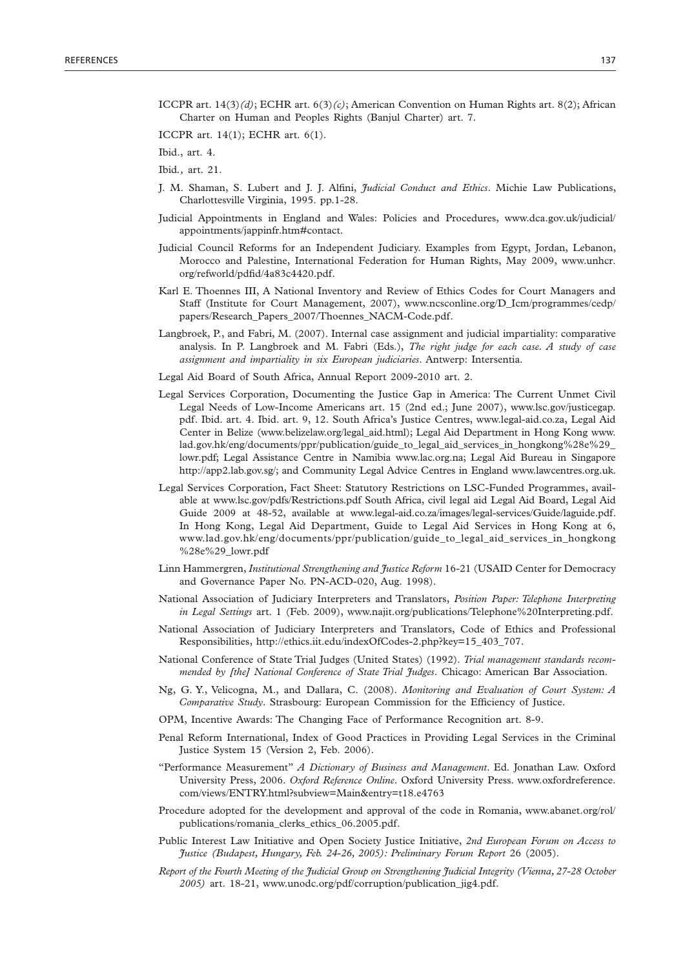ICCPR art. 14(3)*(d)*; ECHR art. 6(3)*(c)*; American Convention on Human Rights art. 8(2); African Charter on Human and Peoples Rights (Banjul Charter) art. 7.

ICCPR art. 14(1); ECHR art. 6(1).

Ibid., art. 4.

Ibid*.,* art. 21.

- J. M. Shaman, S. Lubert and J. J. Alfini, *Judicial Conduct and Ethics*. Michie Law Publications, Charlottesville Virginia, 1995. pp.1-28.
- Judicial Appointments in England and Wales: Policies and Procedures, www.dca.gov.uk/judicial/ appointments/jappinfr.htm#contact.
- Judicial Council Reforms for an Independent Judiciary. Examples from Egypt, Jordan, Lebanon, Morocco and Palestine, International Federation for Human Rights, May 2009, www.unhcr. org/refworld/pdfid/4a83c4420.pdf.
- Karl E. Thoennes III, A National Inventory and Review of Ethics Codes for Court Managers and Staff (Institute for Court Management, 2007), www.ncsconline.org/D\_Icm/programmes/cedp/ papers/Research\_Papers\_2007/Thoennes\_NACM-Code.pdf.
- Langbroek, P., and Fabri, M. (2007). Internal case assignment and judicial impartiality: comparative analysis. In P. Langbroek and M. Fabri (Eds.), *The right judge for each case. A study of case assignment and impartiality in six European judiciaries*. Antwerp: Intersentia.
- Legal Aid Board of South Africa, Annual Report 2009-2010 art. 2.
- Legal Services Corporation, Documenting the Justice Gap in America: The Current Unmet Civil Legal Needs of Low-Income Americans art. 15 (2nd ed.; June 2007), www.lsc.gov/justicegap. pdf. Ibid. art. 4. Ibid. art. 9, 12. South Africa's Justice Centres, www.legal-aid.co.za, Legal Aid Center in Belize (www.belizelaw.org/legal\_aid.html); Legal Aid Department in Hong Kong www. lad.gov.hk/eng/documents/ppr/publication/guide\_to\_legal\_aid\_services\_in\_hongkong%28e%29\_ lowr.pdf; Legal Assistance Centre in Namibia www.lac.org.na; Legal Aid Bureau in Singapore http://app2.lab.gov.sg/; and Community Legal Advice Centres in England www.lawcentres.org.uk.
- Legal Services Corporation, Fact Sheet: Statutory Restrictions on LSC-Funded Programmes, available at www.lsc.gov/pdfs/Restrictions.pdf South Africa, civil legal aid Legal Aid Board, Legal Aid Guide 2009 at 48-52, available at www.legal-aid.co.za/images/legal-services/Guide/laguide.pdf. In Hong Kong, Legal Aid Department, Guide to Legal Aid Services in Hong Kong at 6, www.lad.gov.hk/eng/documents/ppr/publication/guide\_to\_legal\_aid\_services\_in\_hongkong %28e%29\_lowr.pdf
- Linn Hammergren, *Institutional Strengthening and Justice Reform* 16-21 (USAID Center for Democracy and Governance Paper No. PN-ACD-020, Aug. 1998).
- National Association of Judiciary Interpreters and Translators, *Position Paper: Telephone Interpreting in Legal Settings* art. 1 (Feb. 2009), www.najit.org/publications/Telephone%20Interpreting.pdf.
- National Association of Judiciary Interpreters and Translators, Code of Ethics and Professional Responsibilities, http://ethics.iit.edu/indexOfCodes-2.php?key=15\_403\_707.
- National Conference of State Trial Judges (United States) (1992). *Trial management standards recommended by [the] National Conference of State Trial Judges*. Chicago: American Bar Association.
- Ng, G. Y., Velicogna, M., and Dallara, C. (2008). *Monitoring and Evaluation of Court System: A Comparative Study*. Strasbourg: European Commission for the Efficiency of Justice.
- OPM, Incentive Awards: The Changing Face of Performance Recognition art. 8-9.
- Penal Reform International, Index of Good Practices in Providing Legal Services in the Criminal Justice System 15 (Version 2, Feb. 2006).
- "Performance Measurement" *A Dictionary of Business and Management*. Ed. Jonathan Law. Oxford University Press, 2006. *Oxford Reference Online*. Oxford University Press. www.oxfordreference. com/views/ENTRY.html?subview=Main&entry=t18.e4763
- Procedure adopted for the development and approval of the code in Romania, www.abanet.org/rol/ publications/romania\_clerks\_ethics\_06.2005.pdf.
- Public Interest Law Initiative and Open Society Justice Initiative, *2nd European Forum on Access to Justice (Budapest, Hungary, Feb. 24-26, 2005): Preliminary Forum Report* 26 (2005).
- *Report of the Fourth Meeting of the Judicial Group on Strengthening Judicial Integrity (Vienna, 27-28 October 2005)* art. 18-21, www.unodc.org/pdf/corruption/publication\_jig4.pdf.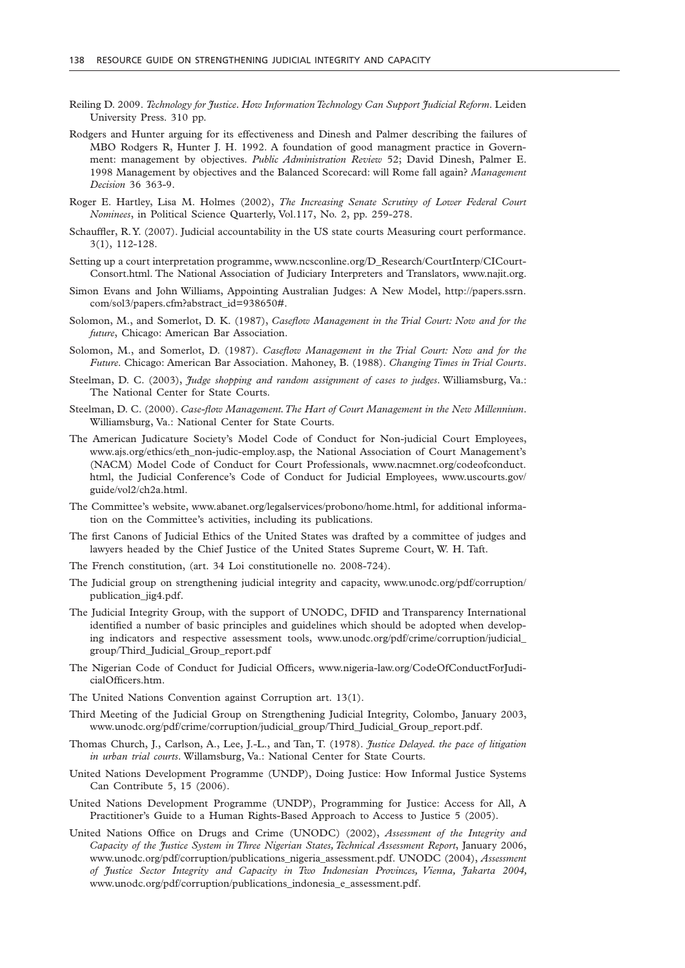- Reiling D. 2009. *Technology for Justice. How Information Technology Can Support Judicial Reform*. Leiden University Press. 310 pp.
- Rodgers and Hunter arguing for its effectiveness and Dinesh and Palmer describing the failures of MBO Rodgers R, Hunter J. H. 1992. A foundation of good managment practice in Government: management by objectives. *Public Administration Review* 52; David Dinesh, Palmer E. 1998 Management by objectives and the Balanced Scorecard: will Rome fall again? *Management Decision* 36 363-9.
- Roger E. Hartley, Lisa M. Holmes (2002), *The Increasing Senate Scrutiny of Lower Federal Court Nominees*, in Political Science Quarterly, Vol.117, No. 2, pp. 259-278.
- Schauffler, R. Y. (2007). Judicial accountability in the US state courts Measuring court performance. 3(1), 112-128.
- Setting up a court interpretation programme, www.ncsconline.org/D\_Research/CourtInterp/CICourt-Consort.html. The National Association of Judiciary Interpreters and Translators, www.najit.org.
- Simon Evans and John Williams, Appointing Australian Judges: A New Model, http://papers.ssrn. com/sol3/papers.cfm?abstract\_id=938650#.
- Solomon, M., and Somerlot, D. K. (1987), *Caseflow Management in the Trial Court: Now and for the future*, Chicago: American Bar Association.
- Solomon, M., and Somerlot, D. (1987). *Caseflow Management in the Trial Court: Now and for the Future*. Chicago: American Bar Association. Mahoney, B. (1988). *Changing Times in Trial Courts*.
- Steelman, D. C. (2003), *Judge shopping and random assignment of cases to judges*. Williamsburg, Va.: The National Center for State Courts.
- Steelman, D. C. (2000). *Case-flow Management. The Hart of Court Management in the New Millennium*. Williamsburg, Va.: National Center for State Courts.
- The American Judicature Society's Model Code of Conduct for Non-judicial Court Employees, www.ajs.org/ethics/eth\_non-judic-employ.asp, the National Association of Court Management's (NACM) Model Code of Conduct for Court Professionals, www.nacmnet.org/codeofconduct. html, the Judicial Conference's Code of Conduct for Judicial Employees, www.uscourts.gov/ guide/vol2/ch2a.html.
- The Committee's website, www.abanet.org/legalservices/probono/home.html, for additional information on the Committee's activities, including its publications.
- The first Canons of Judicial Ethics of the United States was drafted by a committee of judges and lawyers headed by the Chief Justice of the United States Supreme Court, W. H. Taft.
- The French constitution, (art. 34 Loi constitutionelle no. 2008-724).
- The Judicial group on strengthening judicial integrity and capacity, www.unodc.org/pdf/corruption/ publication\_jig4.pdf.
- The Judicial Integrity Group, with the support of UNODC, DFID and Transparency International identified a number of basic principles and guidelines which should be adopted when developing indicators and respective assessment tools, www.unodc.org/pdf/crime/corruption/judicial\_ group/Third\_Judicial\_Group\_report.pdf
- The Nigerian Code of Conduct for Judicial Officers, www.nigeria-law.org/CodeOfConductForJudicialOfficers.htm.
- The United Nations Convention against Corruption art. 13(1).
- Third Meeting of the Judicial Group on Strengthening Judicial Integrity, Colombo, January 2003, www.unodc.org/pdf/crime/corruption/judicial\_group/Third\_Judicial\_Group\_report.pdf.
- Thomas Church, J., Carlson, A., Lee, J.-L., and Tan, T. (1978). *Justice Delayed. the pace of litigation in urban trial courts*. Willamsburg, Va.: National Center for State Courts.
- United Nations Development Programme (UNDP), Doing Justice: How Informal Justice Systems Can Contribute 5, 15 (2006).
- United Nations Development Programme (UNDP), Programming for Justice: Access for All, A Practitioner's Guide to a Human Rights-Based Approach to Access to Justice 5 (2005).
- United Nations Office on Drugs and Crime (UNODC) (2002), *Assessment of the Integrity and Capacity of the Justice System in Three Nigerian States, Technical Assessment Report*, January 2006, www.unodc.org/pdf/corruption/publications\_nigeria\_assessment.pdf. UNODC (2004), *Assessment of Justice Sector Integrity and Capacity in Two Indonesian Provinces, Vienna, Jakarta 2004,*  www.unodc.org/pdf/corruption/publications\_indonesia\_e\_assessment.pdf.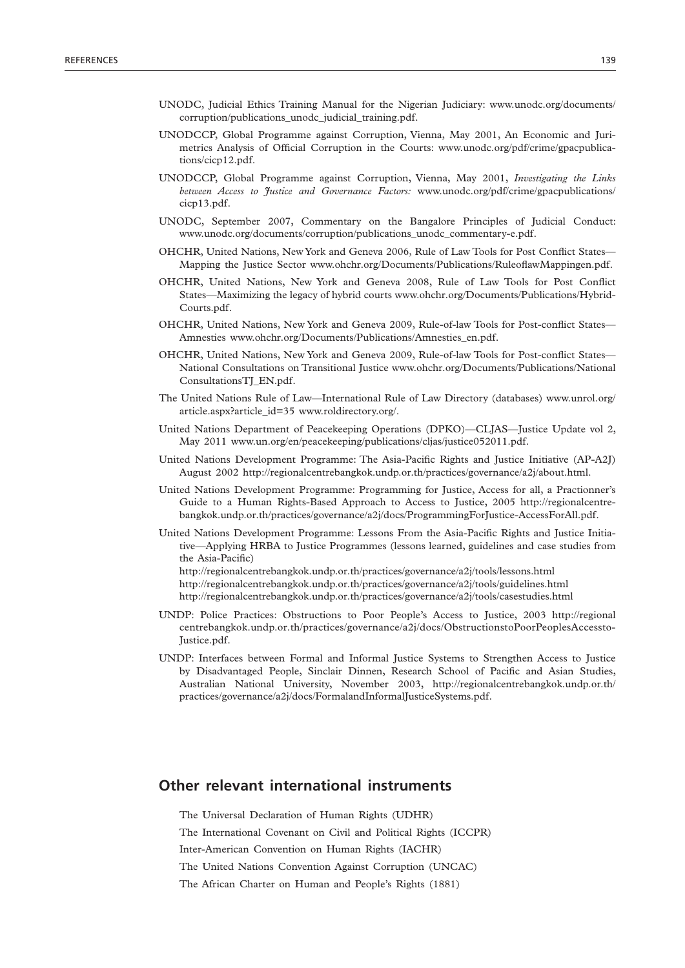- UNODC, Judicial Ethics Training Manual for the Nigerian Judiciary: www.unodc.org/documents/ corruption/publications\_unodc\_judicial\_training.pdf.
- UNODCCP, Global Programme against Corruption, Vienna, May 2001, An Economic and Jurimetrics Analysis of Official Corruption in the Courts: www.unodc.org/pdf/crime/gpacpublications/cicp12.pdf.
- UNODCCP, Global Programme against Corruption, Vienna, May 2001, *Investigating the Links between Access to Justice and Governance Factors:* www.unodc.org/pdf/crime/gpacpublications/ cicp13.pdf.
- UNODC, September 2007, Commentary on the Bangalore Principles of Judicial Conduct: www.unodc.org/documents/corruption/publications\_unodc\_commentary-e.pdf.
- OHCHR, United Nations, New York and Geneva 2006, Rule of Law Tools for Post Conflict States— Mapping the Justice Sector www.ohchr.org/Documents/Publications/RuleoflawMappingen.pdf.
- OHCHR, United Nations, New York and Geneva 2008, Rule of Law Tools for Post Conflict States—Maximizing the legacy of hybrid courts www.ohchr.org/Documents/Publications/Hybrid-Courts.pdf.
- OHCHR, United Nations, New York and Geneva 2009, Rule-of-law Tools for Post-conflict States— Amnesties www.ohchr.org/Documents/Publications/Amnesties\_en.pdf.
- OHCHR, United Nations, New York and Geneva 2009, Rule-of-law Tools for Post-conflict States— National Consultations on Transitional Justice www.ohchr.org/Documents/Publications/National ConsultationsTJ\_EN.pdf.
- The United Nations Rule of Law—International Rule of Law Directory (databases) www.unrol.org/ article.aspx?article\_id=35 www.roldirectory.org/.
- United Nations Department of Peacekeeping Operations (DPKO)—CLJAS—Justice Update vol 2, May 2011 www.un.org/en/peacekeeping/publications/cljas/justice052011.pdf.
- United Nations Development Programme: The Asia-Pacific Rights and Justice Initiative (AP-A2J) August 2002 http://regionalcentrebangkok.undp.or.th/practices/governance/a2j/about.html.
- United Nations Development Programme: Programming for Justice, Access for all, a Practionner's Guide to a Human Rights-Based Approach to Access to Justice, 2005 http://regionalcentrebangkok.undp.or.th/practices/governance/a2j/docs/ProgrammingForJustice-AccessForAll.pdf.
- United Nations Development Programme: Lessons From the Asia-Pacific Rights and Justice Initiative—Applying HRBA to Justice Programmes (lessons learned, guidelines and case studies from the Asia-Pacific)

http://regionalcentrebangkok.undp.or.th/practices/governance/a2j/tools/lessons.html http://regionalcentrebangkok.undp.or.th/practices/governance/a2j/tools/guidelines.html http://regionalcentrebangkok.undp.or.th/practices/governance/a2j/tools/casestudies.html

- UNDP: Police Practices: Obstructions to Poor People's Access to Justice, 2003 http://regional centrebangkok.undp.or.th/practices/governance/a2j/docs/ObstructionstoPoorPeoplesAccessto-Justice.pdf.
- UNDP: Interfaces between Formal and Informal Justice Systems to Strengthen Access to Justice by Disadvantaged People, Sinclair Dinnen, Research School of Pacific and Asian Studies, Australian National University, November 2003, http://regionalcentrebangkok.undp.or.th/ practices/governance/a2j/docs/FormalandInformalJusticeSystems.pdf.

## **Other relevant international instruments**

The Universal Declaration of Human Rights (UDHR)

The International Covenant on Civil and Political Rights (ICCPR)

Inter-American Convention on Human Rights (IACHR)

The United Nations Convention Against Corruption (UNCAC)

The African Charter on Human and People's Rights (1881)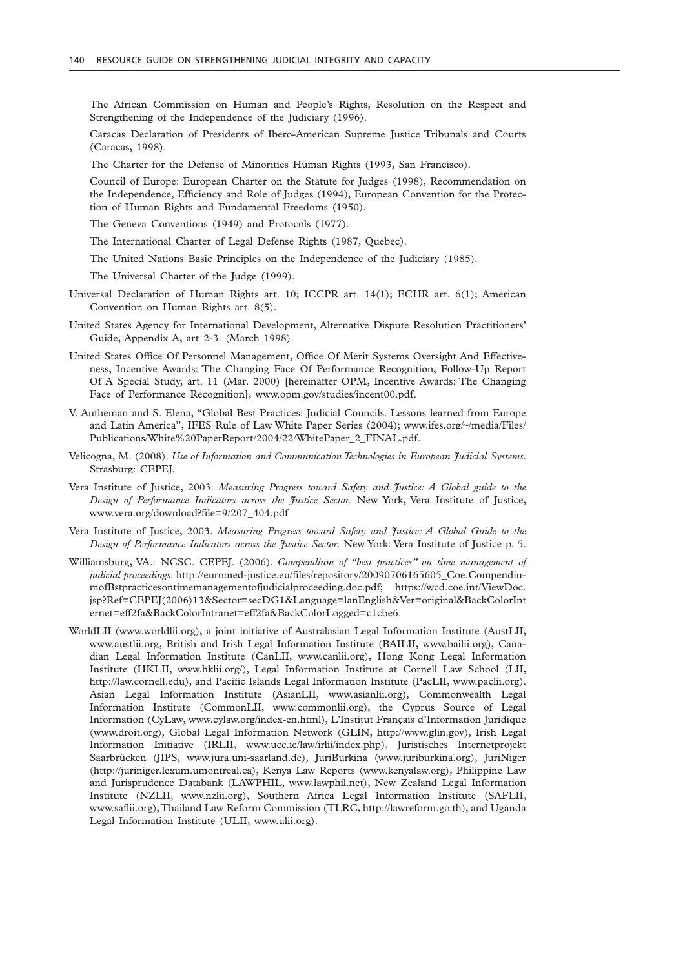The African Commission on Human and People's Rights, Resolution on the Respect and Strengthening of the Independence of the Judiciary (1996).

Caracas Declaration of Presidents of Ibero-American Supreme Justice Tribunals and Courts (Caracas, 1998).

The Charter for the Defense of Minorities Human Rights (1993, San Francisco).

Council of Europe: European Charter on the Statute for Judges (1998), Recommendation on the Independence, Efficiency and Role of Judges (1994), European Convention for the Protection of Human Rights and Fundamental Freedoms (1950).

The Geneva Conventions (1949) and Protocols (1977).

The International Charter of Legal Defense Rights (1987, Quebec).

The United Nations Basic Principles on the Independence of the Judiciary (1985).

The Universal Charter of the Judge (1999).

- Universal Declaration of Human Rights art. 10; ICCPR art. 14(1); ECHR art. 6(1); American Convention on Human Rights art. 8(5).
- United States Agency for International Development, Alternative Dispute Resolution Practitioners' Guide, Appendix A, art 2-3. (March 1998).
- United States Office Of Personnel Management, Office Of Merit Systems Oversight And Effectiveness, Incentive Awards: The Changing Face Of Performance Recognition, Follow-Up Report Of A Special Study, art. 11 (Mar. 2000) [hereinafter OPM, Incentive Awards: The Changing Face of Performance Recognition], www.opm.gov/studies/incent00.pdf.
- V. Autheman and S. Elena, "Global Best Practices: Judicial Councils. Lessons learned from Europe and Latin America", IFES Rule of Law White Paper Series (2004); www.ifes.org/~/media/Files/ Publications/White%20PaperReport/2004/22/WhitePaper\_2\_FINAL.pdf.
- Velicogna, M. (2008). *Use of Information and Communication Technologies in European Judicial Systems*. Strasburg: CEPEJ.
- Vera Institute of Justice, 2003. *Measuring Progress toward Safety and Justice: A Global guide to the Design of Performance Indicators across the Justice Sector.* New York, Vera Institute of Justice, www.vera.org/download?file=9/207\_404.pdf
- Vera Institute of Justice, 2003. *Measuring Progress toward Safety and Justice: A Global Guide to the Design of Performance Indicators across the Justice Sector*. New York: Vera Institute of Justice p. 5.
- Williamsburg, VA.: NCSC. CEPEJ. (2006). *Compendium of "best practices" on time management of judicial proceedings*. http://euromed-justice.eu/files/repository/20090706165605\_Coe.CompendiumofBstpracticesontimemanagementofjudicialproceeding.doc.pdf; https://wcd.coe.int/ViewDoc. jsp?Ref=CEPEJ(2006)13&Sector=secDG1&Language=lanEnglish&Ver=original&BackColorInt ernet=eff2fa&BackColorIntranet=eff2fa&BackColorLogged=c1cbe6.
- WorldLII (www.worldlii.org), a joint initiative of Australasian Legal Information Institute (AustLII, www.austlii.org, British and Irish Legal Information Institute (BAILII, www.bailii.org), Canadian Legal Information Institute (CanLII, www.canlii.org), Hong Kong Legal Information Institute (HKLII, www.hklii.org/), Legal Information Institute at Cornell Law School (LII, http://law.cornell.edu), and Pacific Islands Legal Information Institute (PacLII, www.paclii.org). Asian Legal Information Institute (AsianLII, www.asianlii.org), Commonwealth Legal Information Institute (CommonLII, www.commonlii.org), the Cyprus Source of Legal Information (CyLaw, www.cylaw.org/index-en.html), L'Institut Français d'Information Juridique (www.droit.org), Global Legal Information Network (GLIN, http://www.glin.gov), Irish Legal Information Initiative (IRLII, www.ucc.ie/law/irlii/index.php), Juristisches Internetprojekt Saarbrücken (JIPS, www.jura.uni-saarland.de), JuriBurkina (www.juriburkina.org), JuriNiger (http://juriniger.lexum.umontreal.ca), Kenya Law Reports (www.kenyalaw.org), Philippine Law and Jurisprudence Databank (LAWPHIL, www.lawphil.net), New Zealand Legal Information Institute (NZLII, www.nzlii.org), Southern Africa Legal Information Institute (SAFLII, www.saflii.org), Thailand Law Reform Commission (TLRC, http://lawreform.go.th), and Uganda Legal Information Institute (ULII, www.ulii.org).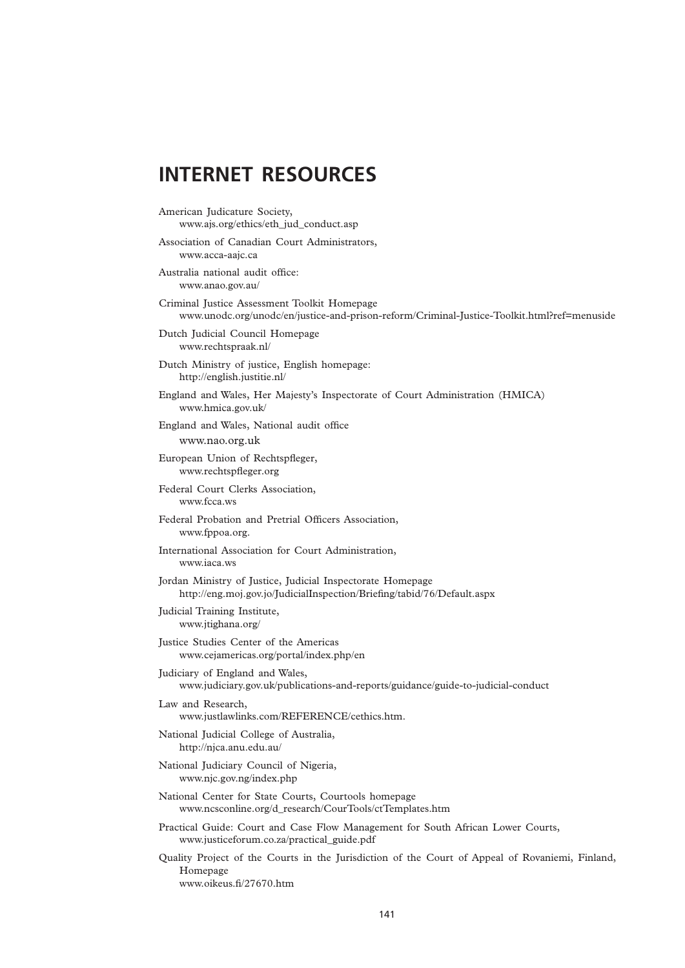## **INTERNET RESOURCES**

- American Judicature Society, www.ajs.org/ethics/eth\_jud\_conduct.asp
- Association of Canadian Court Administrators, www.acca-aajc.ca
- Australia national audit office: www.anao.gov.au/
- Criminal Justice Assessment Toolkit Homepage www.unodc.org/unodc/en/justice-and-prison-reform/Criminal-Justice-Toolkit.html?ref=menuside
- Dutch Judicial Council Homepage www.rechtspraak.nl/
- Dutch Ministry of justice, English homepage: http://english.justitie.nl/
- England and Wales, Her Majesty's Inspectorate of Court Administration (HMICA) www.hmica.gov.uk/
- England and Wales, National audit office www.nao.org.uk
- European Union of Rechtspfleger, www.rechtspfleger.org
- Federal Court Clerks Association, www.fcca.ws
- Federal Probation and Pretrial Officers Association, www.fppoa.org.
- International Association for Court Administration, www.iaca.ws
- Jordan Ministry of Justice, Judicial Inspectorate Homepage http://eng.moj.gov.jo/JudicialInspection/Briefing/tabid/76/Default.aspx
- Judicial Training Institute, www.jtighana.org/
- Justice Studies Center of the Americas www.cejamericas.org/portal/index.php/en
- Judiciary of England and Wales, www.judiciary.gov.uk/publications-and-reports/guidance/guide-to-judicial-conduct
- Law and Research, www.justlawlinks.com/REFERENCE/cethics.htm.
- National Judicial College of Australia, http://njca.anu.edu.au/
- National Judiciary Council of Nigeria, www.njc.gov.ng/index.php
- National Center for State Courts, Courtools homepage www.ncsconline.org/d\_research/CourTools/ctTemplates.htm
- Practical Guide: Court and Case Flow Management for South African Lower Courts, www.justiceforum.co.za/practical\_guide.pdf
- Quality Project of the Courts in the Jurisdiction of the Court of Appeal of Rovaniemi, Finland, Homepage www.oikeus.fi/27670.htm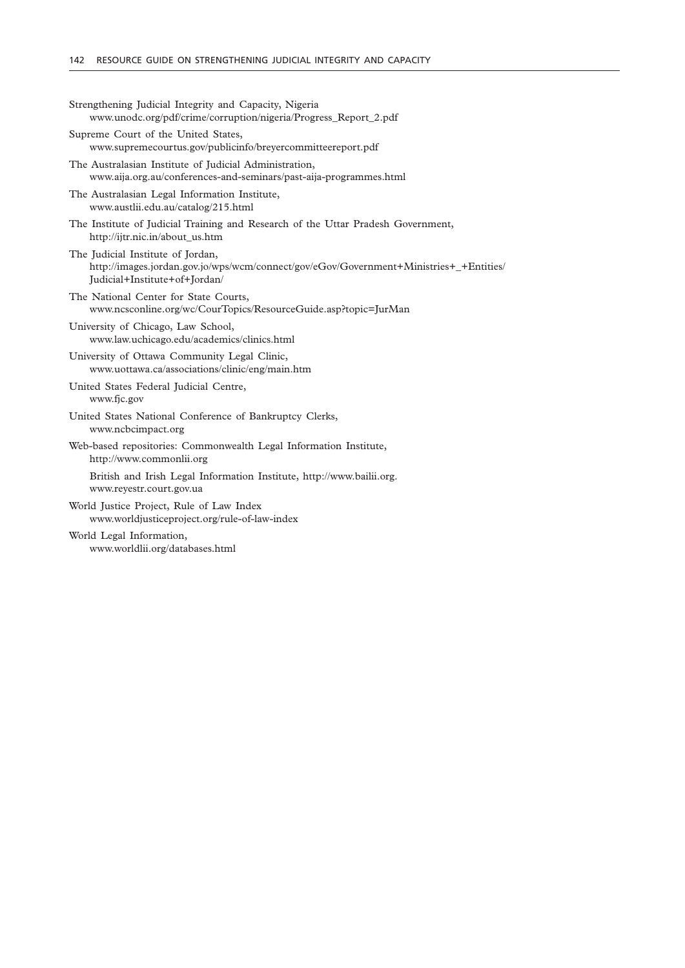| Strengthening Judicial Integrity and Capacity, Nigeria<br>www.unodc.org/pdf/crime/corruption/nigeria/Progress_Report_2.pdf                                   |
|--------------------------------------------------------------------------------------------------------------------------------------------------------------|
| Supreme Court of the United States,<br>www.supremecourtus.gov/publicinfo/breyercommitteereport.pdf                                                           |
| The Australasian Institute of Judicial Administration,<br>www.aija.org.au/conferences-and-seminars/past-aija-programmes.html                                 |
| The Australasian Legal Information Institute,<br>www.austlii.edu.au/catalog/215.html                                                                         |
| The Institute of Judicial Training and Research of the Uttar Pradesh Government,<br>http://ijtr.nic.in/about_us.htm                                          |
| The Judicial Institute of Jordan,<br>http://images.jordan.gov.jo/wps/wcm/connect/gov/eGov/Government+Ministries+_+Entities/<br>Judicial+Institute+of+Jordan/ |
| The National Center for State Courts,<br>www.ncsconline.org/wc/CourTopics/ResourceGuide.asp?topic=JurMan                                                     |
| University of Chicago, Law School,<br>www.law.uchicago.edu/academics/clinics.html                                                                            |
| University of Ottawa Community Legal Clinic,<br>www.uottawa.ca/associations/clinic/eng/main.htm                                                              |
| United States Federal Judicial Centre,<br>www.fjc.gov                                                                                                        |
| United States National Conference of Bankruptcy Clerks,<br>www.ncbcimpact.org                                                                                |
| Web-based repositories: Commonwealth Legal Information Institute,<br>http://www.commonlii.org                                                                |
| British and Irish Legal Information Institute, http://www.bailii.org.<br>www.reyestr.court.gov.ua                                                            |
| World Justice Project, Rule of Law Index<br>www.worldjusticeproject.org/rule-of-law-index                                                                    |
| World Legal Information,<br>www.worldlii.org/databases.html                                                                                                  |
|                                                                                                                                                              |